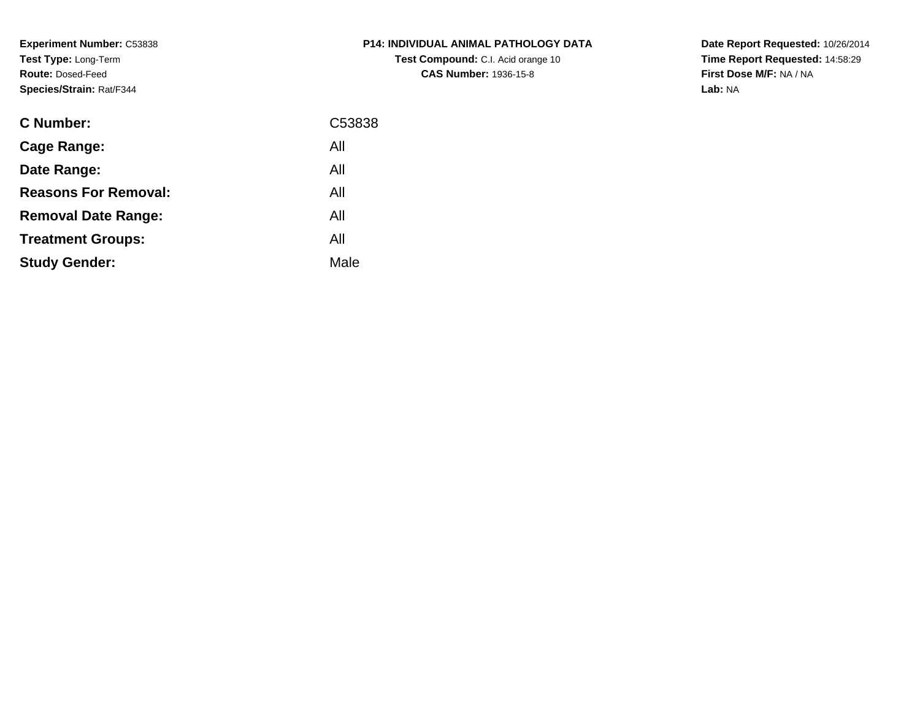**Experiment Number:** C53838**Test Type:** Long-Term**Route:** Dosed-Feed**Species/Strain:** Rat/F344

| <b>C Number:</b>            | C53838 |
|-----------------------------|--------|
| Cage Range:                 | All    |
| Date Range:                 | All    |
| <b>Reasons For Removal:</b> | All    |
| <b>Removal Date Range:</b>  | All    |
| <b>Treatment Groups:</b>    | All    |
| <b>Study Gender:</b>        | Male   |
|                             |        |

## **P14: INDIVIDUAL ANIMAL PATHOLOGY DATATest Compound:** C.I. Acid orange 10**CAS Number:** 1936-15-8

**Date Report Requested:** 10/26/2014 **Time Report Requested:** 14:58:29**First Dose M/F:** NA / NA**Lab:** NA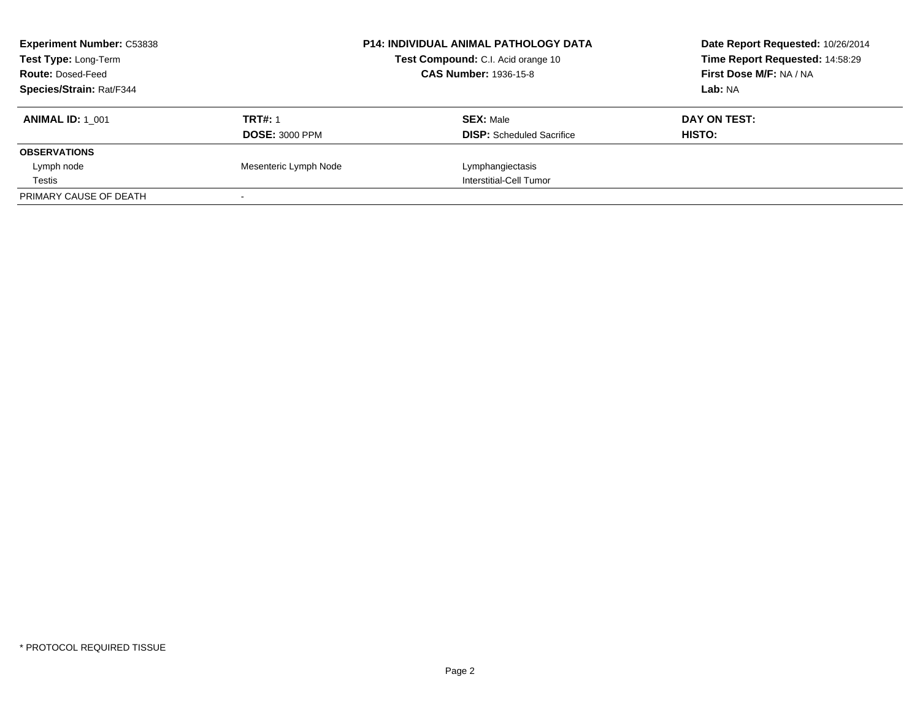| <b>Experiment Number: C53838</b><br><b>Test Type: Long-Term</b><br><b>Route: Dosed-Feed</b> |                       | <b>P14: INDIVIDUAL ANIMAL PATHOLOGY DATA</b><br>Test Compound: C.I. Acid orange 10<br><b>CAS Number: 1936-15-8</b> | Date Report Requested: 10/26/2014<br>Time Report Requested: 14:58:29<br>First Dose M/F: NA / NA |
|---------------------------------------------------------------------------------------------|-----------------------|--------------------------------------------------------------------------------------------------------------------|-------------------------------------------------------------------------------------------------|
| <b>Species/Strain: Rat/F344</b>                                                             |                       |                                                                                                                    | Lab: NA                                                                                         |
| <b>ANIMAL ID: 1 001</b>                                                                     | <b>TRT#: 1</b>        | <b>SEX: Male</b>                                                                                                   | DAY ON TEST:                                                                                    |
|                                                                                             | <b>DOSE: 3000 PPM</b> | <b>DISP:</b> Scheduled Sacrifice                                                                                   | HISTO:                                                                                          |
| <b>OBSERVATIONS</b>                                                                         |                       |                                                                                                                    |                                                                                                 |
| Lymph node                                                                                  | Mesenteric Lymph Node | Lymphangiectasis                                                                                                   |                                                                                                 |
| Testis                                                                                      |                       | Interstitial-Cell Tumor                                                                                            |                                                                                                 |
| PRIMARY CAUSE OF DEATH                                                                      |                       |                                                                                                                    |                                                                                                 |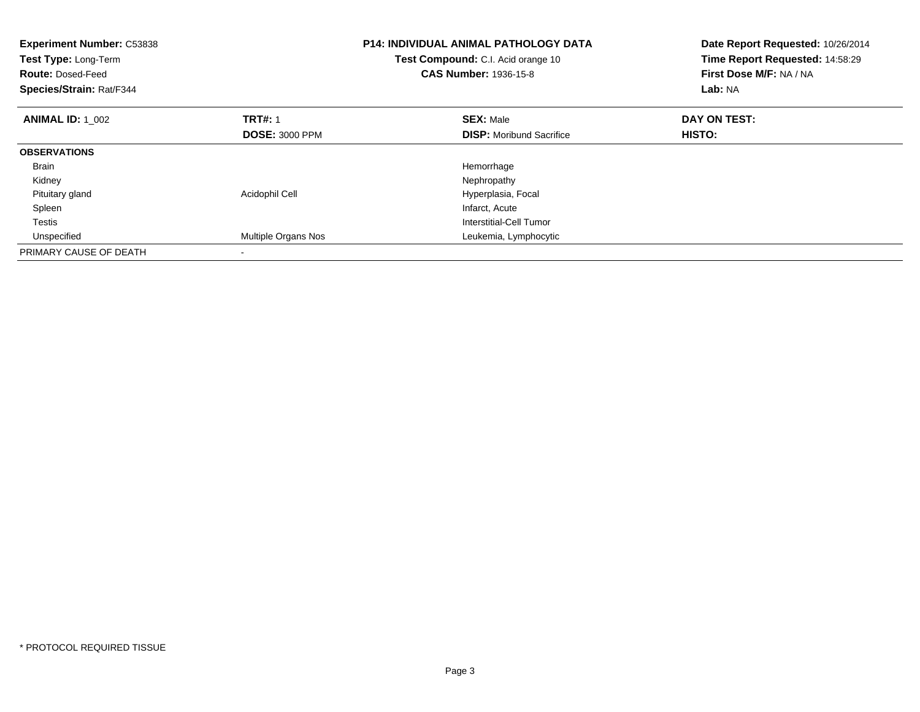| <b>Experiment Number: C53838</b><br>Test Type: Long-Term<br><b>Route: Dosed-Feed</b><br>Species/Strain: Rat/F344 |                       | <b>P14: INDIVIDUAL ANIMAL PATHOLOGY DATA</b><br>Test Compound: C.I. Acid orange 10<br><b>CAS Number: 1936-15-8</b> | Date Report Requested: 10/26/2014<br>Time Report Requested: 14:58:29<br>First Dose M/F: NA / NA<br>Lab: NA |
|------------------------------------------------------------------------------------------------------------------|-----------------------|--------------------------------------------------------------------------------------------------------------------|------------------------------------------------------------------------------------------------------------|
| <b>ANIMAL ID: 1 002</b>                                                                                          | <b>TRT#: 1</b>        | <b>SEX: Male</b>                                                                                                   | DAY ON TEST:                                                                                               |
|                                                                                                                  | <b>DOSE: 3000 PPM</b> | <b>DISP:</b> Moribund Sacrifice                                                                                    | <b>HISTO:</b>                                                                                              |
| <b>OBSERVATIONS</b>                                                                                              |                       |                                                                                                                    |                                                                                                            |
| <b>Brain</b>                                                                                                     |                       | Hemorrhage                                                                                                         |                                                                                                            |
| Kidney                                                                                                           |                       | Nephropathy                                                                                                        |                                                                                                            |
| Pituitary gland                                                                                                  | Acidophil Cell        | Hyperplasia, Focal                                                                                                 |                                                                                                            |
| Spleen                                                                                                           |                       | Infarct, Acute                                                                                                     |                                                                                                            |
| Testis                                                                                                           |                       | Interstitial-Cell Tumor                                                                                            |                                                                                                            |
| Unspecified                                                                                                      | Multiple Organs Nos   | Leukemia, Lymphocytic                                                                                              |                                                                                                            |
| PRIMARY CAUSE OF DEATH                                                                                           |                       |                                                                                                                    |                                                                                                            |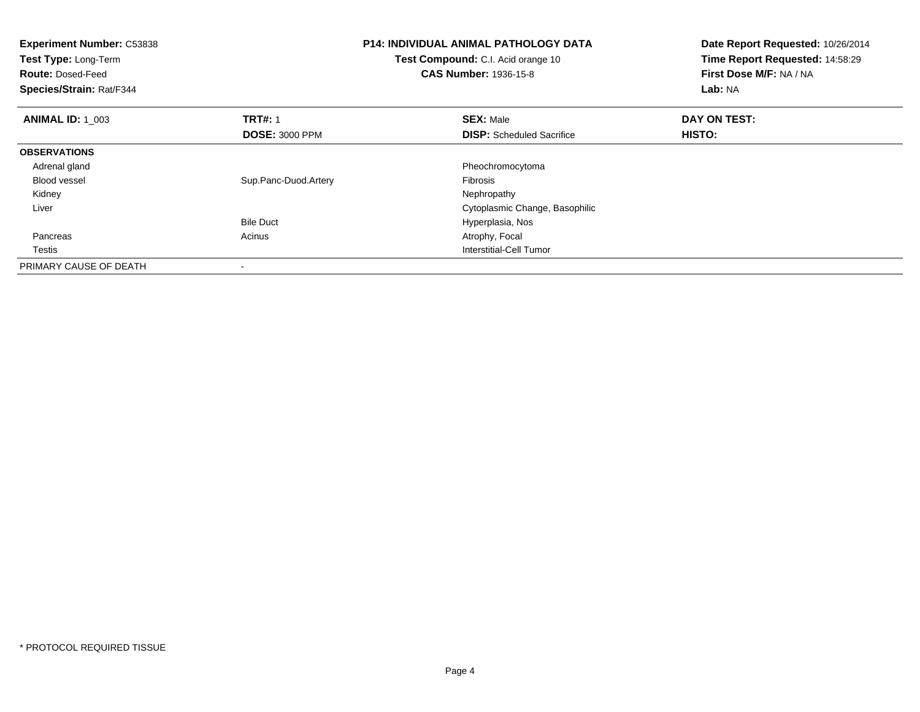| <b>Experiment Number: C53838</b><br>Test Type: Long-Term<br><b>Route: Dosed-Feed</b><br>Species/Strain: Rat/F344 |                       | <b>P14: INDIVIDUAL ANIMAL PATHOLOGY DATA</b><br>Test Compound: C.I. Acid orange 10<br><b>CAS Number: 1936-15-8</b> | Date Report Requested: 10/26/2014<br>Time Report Requested: 14:58:29<br>First Dose M/F: NA / NA<br>Lab: NA |
|------------------------------------------------------------------------------------------------------------------|-----------------------|--------------------------------------------------------------------------------------------------------------------|------------------------------------------------------------------------------------------------------------|
| <b>ANIMAL ID: 1 003</b>                                                                                          | <b>TRT#: 1</b>        | <b>SEX: Male</b>                                                                                                   | DAY ON TEST:                                                                                               |
|                                                                                                                  | <b>DOSE: 3000 PPM</b> | <b>DISP:</b> Scheduled Sacrifice                                                                                   | HISTO:                                                                                                     |
| <b>OBSERVATIONS</b>                                                                                              |                       |                                                                                                                    |                                                                                                            |
| Adrenal gland                                                                                                    |                       | Pheochromocytoma                                                                                                   |                                                                                                            |
| <b>Blood vessel</b>                                                                                              | Sup.Panc-Duod.Artery  | Fibrosis                                                                                                           |                                                                                                            |
| Kidney                                                                                                           |                       | Nephropathy                                                                                                        |                                                                                                            |
| Liver                                                                                                            |                       | Cytoplasmic Change, Basophilic                                                                                     |                                                                                                            |
|                                                                                                                  | <b>Bile Duct</b>      | Hyperplasia, Nos                                                                                                   |                                                                                                            |
| Pancreas                                                                                                         | Acinus                | Atrophy, Focal                                                                                                     |                                                                                                            |
| Testis                                                                                                           |                       | <b>Interstitial-Cell Tumor</b>                                                                                     |                                                                                                            |
| PRIMARY CAUSE OF DEATH                                                                                           |                       |                                                                                                                    |                                                                                                            |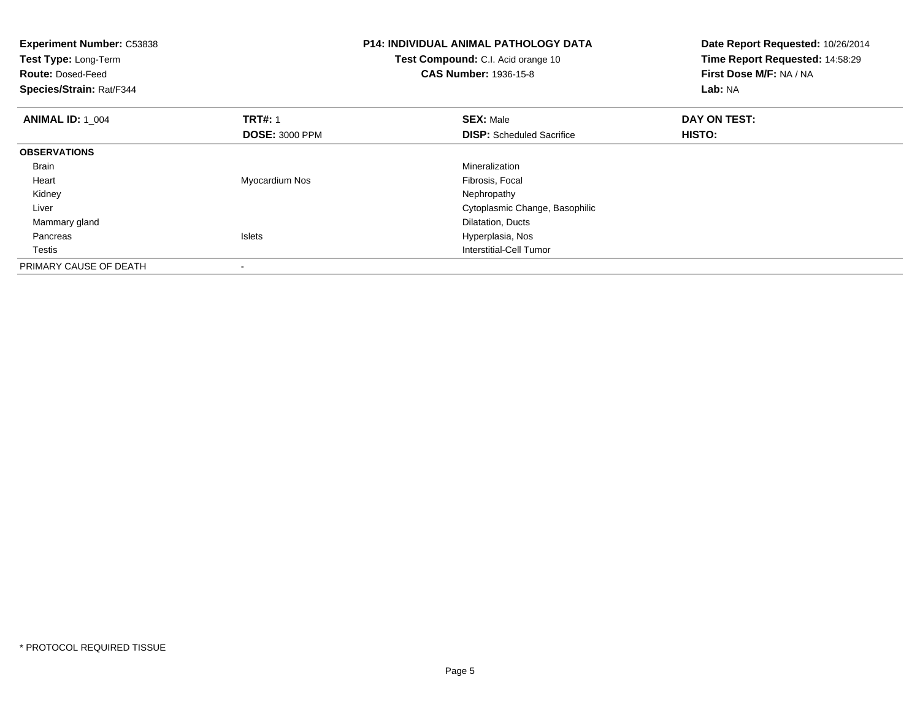| <b>Experiment Number: C53838</b><br><b>Test Type: Long-Term</b><br><b>Route: Dosed-Feed</b><br>Species/Strain: Rat/F344 |                                         | <b>P14: INDIVIDUAL ANIMAL PATHOLOGY DATA</b><br>Test Compound: C.I. Acid orange 10<br><b>CAS Number: 1936-15-8</b> | Date Report Requested: 10/26/2014<br>Time Report Requested: 14:58:29<br>First Dose M/F: NA / NA<br>Lab: NA |
|-------------------------------------------------------------------------------------------------------------------------|-----------------------------------------|--------------------------------------------------------------------------------------------------------------------|------------------------------------------------------------------------------------------------------------|
| <b>ANIMAL ID: 1 004</b>                                                                                                 | <b>TRT#: 1</b><br><b>DOSE: 3000 PPM</b> | <b>SEX: Male</b><br><b>DISP:</b> Scheduled Sacrifice                                                               | DAY ON TEST:<br>HISTO:                                                                                     |
| <b>OBSERVATIONS</b>                                                                                                     |                                         |                                                                                                                    |                                                                                                            |
| <b>Brain</b>                                                                                                            |                                         | Mineralization                                                                                                     |                                                                                                            |
| Heart                                                                                                                   | Myocardium Nos                          | Fibrosis, Focal                                                                                                    |                                                                                                            |
| Kidney                                                                                                                  |                                         | Nephropathy                                                                                                        |                                                                                                            |
| Liver                                                                                                                   |                                         | Cytoplasmic Change, Basophilic                                                                                     |                                                                                                            |
| Mammary gland                                                                                                           |                                         | Dilatation, Ducts                                                                                                  |                                                                                                            |
| Pancreas                                                                                                                | Islets                                  | Hyperplasia, Nos                                                                                                   |                                                                                                            |
| Testis                                                                                                                  |                                         | <b>Interstitial-Cell Tumor</b>                                                                                     |                                                                                                            |
| PRIMARY CAUSE OF DEATH                                                                                                  |                                         |                                                                                                                    |                                                                                                            |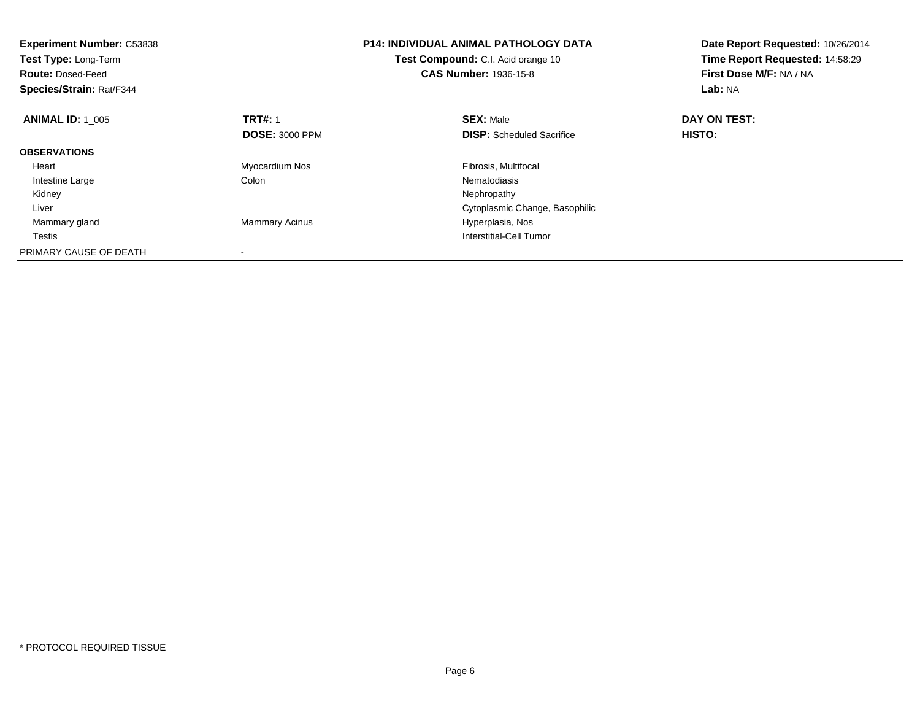| <b>Experiment Number: C53838</b><br>Test Type: Long-Term<br><b>Route: Dosed-Feed</b><br>Species/Strain: Rat/F344 |                       | <b>P14: INDIVIDUAL ANIMAL PATHOLOGY DATA</b><br>Test Compound: C.I. Acid orange 10<br><b>CAS Number: 1936-15-8</b> | Date Report Requested: 10/26/2014<br>Time Report Requested: 14:58:29<br>First Dose M/F: NA / NA<br>Lab: NA |
|------------------------------------------------------------------------------------------------------------------|-----------------------|--------------------------------------------------------------------------------------------------------------------|------------------------------------------------------------------------------------------------------------|
| <b>ANIMAL ID: 1 005</b>                                                                                          | <b>TRT#: 1</b>        | <b>SEX: Male</b>                                                                                                   | DAY ON TEST:                                                                                               |
|                                                                                                                  | <b>DOSE: 3000 PPM</b> | <b>DISP:</b> Scheduled Sacrifice                                                                                   | HISTO:                                                                                                     |
| <b>OBSERVATIONS</b>                                                                                              |                       |                                                                                                                    |                                                                                                            |
| Heart                                                                                                            | Myocardium Nos        | Fibrosis, Multifocal                                                                                               |                                                                                                            |
| Intestine Large                                                                                                  | Colon                 | Nematodiasis                                                                                                       |                                                                                                            |
| Kidney                                                                                                           |                       | Nephropathy                                                                                                        |                                                                                                            |
| Liver                                                                                                            |                       | Cytoplasmic Change, Basophilic                                                                                     |                                                                                                            |
| Mammary gland                                                                                                    | <b>Mammary Acinus</b> | Hyperplasia, Nos                                                                                                   |                                                                                                            |
| Testis                                                                                                           |                       | Interstitial-Cell Tumor                                                                                            |                                                                                                            |
| PRIMARY CAUSE OF DEATH                                                                                           |                       |                                                                                                                    |                                                                                                            |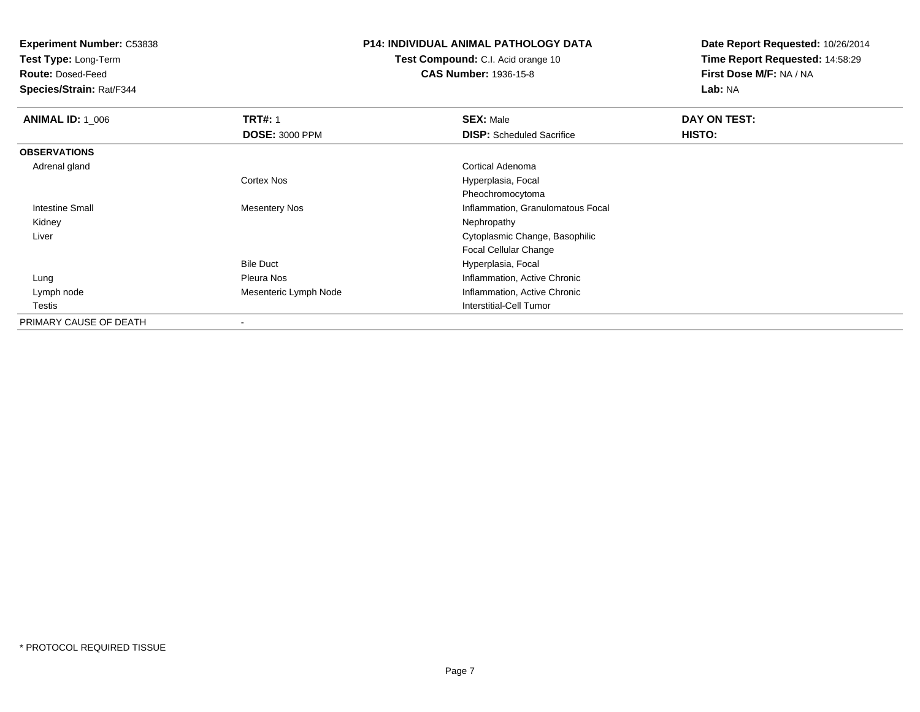**Experiment Number:** C53838

**Test Type:** Long-Term

**Route:** Dosed-Feed

**Species/Strain:** Rat/F344

## **P14: INDIVIDUAL ANIMAL PATHOLOGY DATA**

**Test Compound:** C.I. Acid orange 10**CAS Number:** 1936-15-8

**Date Report Requested:** 10/26/2014**Time Report Requested:** 14:58:29**First Dose M/F:** NA / NA**Lab:** NA

| <b>ANIMAL ID: 1_006</b> | <b>TRT#: 1</b>        | <b>SEX: Male</b>                  | DAY ON TEST: |  |
|-------------------------|-----------------------|-----------------------------------|--------------|--|
|                         | <b>DOSE: 3000 PPM</b> | <b>DISP:</b> Scheduled Sacrifice  | HISTO:       |  |
| <b>OBSERVATIONS</b>     |                       |                                   |              |  |
| Adrenal gland           |                       | Cortical Adenoma                  |              |  |
|                         | <b>Cortex Nos</b>     | Hyperplasia, Focal                |              |  |
|                         |                       | Pheochromocytoma                  |              |  |
| <b>Intestine Small</b>  | <b>Mesentery Nos</b>  | Inflammation, Granulomatous Focal |              |  |
| Kidney                  |                       | Nephropathy                       |              |  |
| Liver                   |                       | Cytoplasmic Change, Basophilic    |              |  |
|                         |                       | <b>Focal Cellular Change</b>      |              |  |
|                         | <b>Bile Duct</b>      | Hyperplasia, Focal                |              |  |
| Lung                    | Pleura Nos            | Inflammation, Active Chronic      |              |  |
| Lymph node              | Mesenteric Lymph Node | Inflammation, Active Chronic      |              |  |
| Testis                  |                       | <b>Interstitial-Cell Tumor</b>    |              |  |
| PRIMARY CAUSE OF DEATH  |                       |                                   |              |  |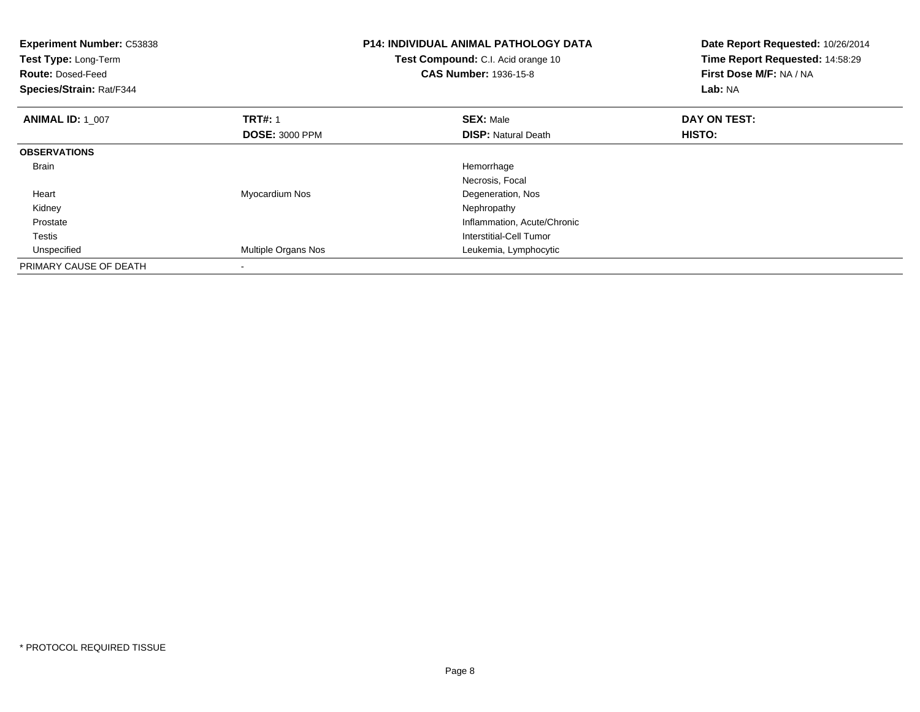| <b>Experiment Number: C53838</b><br>Test Type: Long-Term<br><b>Route: Dosed-Feed</b><br>Species/Strain: Rat/F344 |                                         | <b>P14: INDIVIDUAL ANIMAL PATHOLOGY DATA</b><br>Test Compound: C.I. Acid orange 10<br><b>CAS Number: 1936-15-8</b> | Date Report Requested: 10/26/2014<br>Time Report Requested: 14:58:29<br>First Dose M/F: NA / NA<br><b>Lab: NA</b> |
|------------------------------------------------------------------------------------------------------------------|-----------------------------------------|--------------------------------------------------------------------------------------------------------------------|-------------------------------------------------------------------------------------------------------------------|
| <b>ANIMAL ID: 1 007</b>                                                                                          | <b>TRT#: 1</b><br><b>DOSE: 3000 PPM</b> | <b>SEX: Male</b><br><b>DISP: Natural Death</b>                                                                     | DAY ON TEST:<br>HISTO:                                                                                            |
| <b>OBSERVATIONS</b>                                                                                              |                                         |                                                                                                                    |                                                                                                                   |
| Brain                                                                                                            |                                         | Hemorrhage<br>Necrosis, Focal                                                                                      |                                                                                                                   |
| Heart                                                                                                            | Myocardium Nos                          | Degeneration, Nos                                                                                                  |                                                                                                                   |
| Kidney                                                                                                           |                                         | Nephropathy                                                                                                        |                                                                                                                   |
| Prostate                                                                                                         |                                         | Inflammation, Acute/Chronic                                                                                        |                                                                                                                   |
| Testis                                                                                                           |                                         | Interstitial-Cell Tumor                                                                                            |                                                                                                                   |
| Unspecified                                                                                                      | <b>Multiple Organs Nos</b>              | Leukemia, Lymphocytic                                                                                              |                                                                                                                   |
| PRIMARY CAUSE OF DEATH                                                                                           |                                         |                                                                                                                    |                                                                                                                   |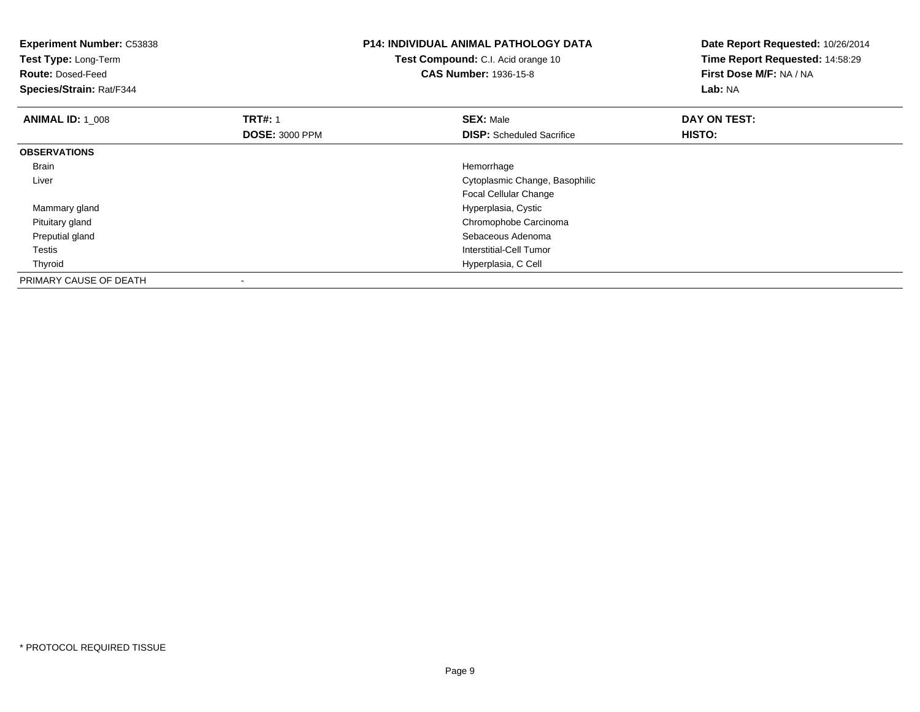| <b>Experiment Number: C53838</b><br>Test Type: Long-Term<br><b>Route: Dosed-Feed</b><br>Species/Strain: Rat/F344 |                       | <b>P14: INDIVIDUAL ANIMAL PATHOLOGY DATA</b><br>Test Compound: C.I. Acid orange 10<br><b>CAS Number: 1936-15-8</b> | Date Report Requested: 10/26/2014<br>Time Report Requested: 14:58:29<br>First Dose M/F: NA / NA<br>Lab: NA |
|------------------------------------------------------------------------------------------------------------------|-----------------------|--------------------------------------------------------------------------------------------------------------------|------------------------------------------------------------------------------------------------------------|
| <b>ANIMAL ID: 1 008</b>                                                                                          | <b>TRT#: 1</b>        | <b>SEX: Male</b>                                                                                                   | DAY ON TEST:                                                                                               |
|                                                                                                                  | <b>DOSE: 3000 PPM</b> | <b>DISP:</b> Scheduled Sacrifice                                                                                   | <b>HISTO:</b>                                                                                              |
| <b>OBSERVATIONS</b>                                                                                              |                       |                                                                                                                    |                                                                                                            |
| <b>Brain</b>                                                                                                     |                       | Hemorrhage                                                                                                         |                                                                                                            |
| Liver                                                                                                            |                       | Cytoplasmic Change, Basophilic                                                                                     |                                                                                                            |
|                                                                                                                  |                       | Focal Cellular Change                                                                                              |                                                                                                            |
| Mammary gland                                                                                                    |                       | Hyperplasia, Cystic                                                                                                |                                                                                                            |
| Pituitary gland                                                                                                  |                       | Chromophobe Carcinoma                                                                                              |                                                                                                            |
| Preputial gland                                                                                                  |                       | Sebaceous Adenoma                                                                                                  |                                                                                                            |
| Testis                                                                                                           |                       | Interstitial-Cell Tumor                                                                                            |                                                                                                            |
| Thyroid                                                                                                          |                       | Hyperplasia, C Cell                                                                                                |                                                                                                            |
| PRIMARY CAUSE OF DEATH                                                                                           |                       |                                                                                                                    |                                                                                                            |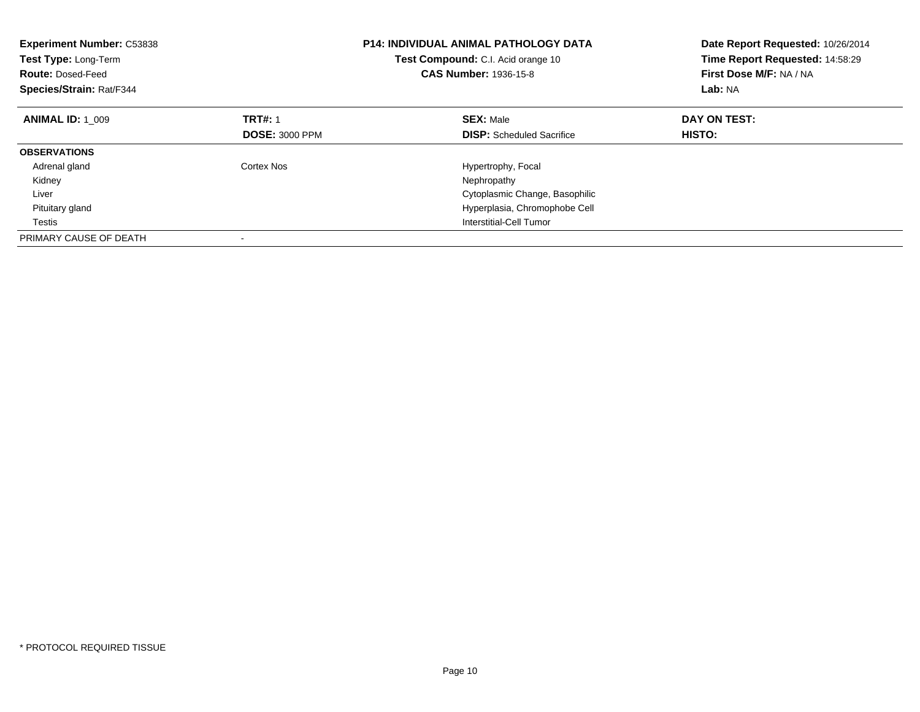| <b>Experiment Number: C53838</b><br>Test Type: Long-Term<br><b>Route: Dosed-Feed</b><br>Species/Strain: Rat/F344 |                       | <b>P14: INDIVIDUAL ANIMAL PATHOLOGY DATA</b><br><b>Test Compound:</b> C.I. Acid orange 10<br><b>CAS Number: 1936-15-8</b> | Date Report Requested: 10/26/2014<br>Time Report Requested: 14:58:29<br>First Dose M/F: NA / NA<br>Lab: NA |
|------------------------------------------------------------------------------------------------------------------|-----------------------|---------------------------------------------------------------------------------------------------------------------------|------------------------------------------------------------------------------------------------------------|
| <b>ANIMAL ID: 1 009</b>                                                                                          | <b>TRT#: 1</b>        | <b>SEX: Male</b>                                                                                                          | DAY ON TEST:                                                                                               |
|                                                                                                                  | <b>DOSE: 3000 PPM</b> | <b>DISP:</b> Scheduled Sacrifice                                                                                          | HISTO:                                                                                                     |
| <b>OBSERVATIONS</b>                                                                                              |                       |                                                                                                                           |                                                                                                            |
| Adrenal gland                                                                                                    | Cortex Nos            | Hypertrophy, Focal                                                                                                        |                                                                                                            |
| Kidney                                                                                                           |                       | Nephropathy                                                                                                               |                                                                                                            |
| Liver                                                                                                            |                       | Cytoplasmic Change, Basophilic                                                                                            |                                                                                                            |
| Pituitary gland                                                                                                  |                       | Hyperplasia, Chromophobe Cell                                                                                             |                                                                                                            |
| Testis                                                                                                           |                       | Interstitial-Cell Tumor                                                                                                   |                                                                                                            |
| PRIMARY CAUSE OF DEATH                                                                                           |                       |                                                                                                                           |                                                                                                            |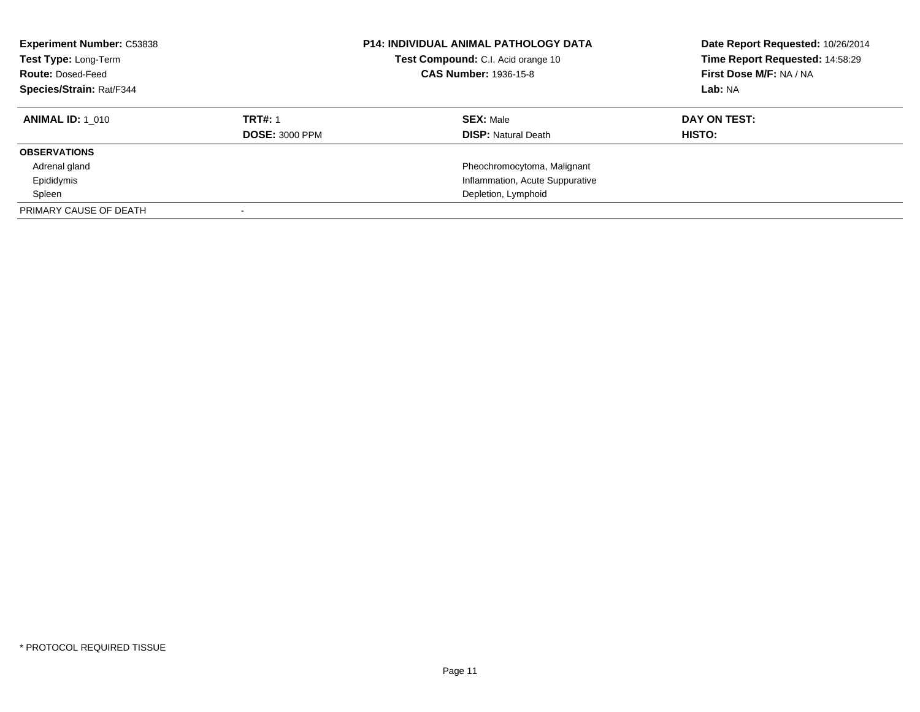| <b>Experiment Number: C53838</b><br>Test Type: Long-Term<br><b>Route: Dosed-Feed</b><br>Species/Strain: Rat/F344 |                       | <b>P14: INDIVIDUAL ANIMAL PATHOLOGY DATA</b><br>Test Compound: C.I. Acid orange 10<br><b>CAS Number: 1936-15-8</b> | Date Report Requested: 10/26/2014<br>Time Report Requested: 14:58:29<br>First Dose M/F: NA / NA<br>Lab: NA |
|------------------------------------------------------------------------------------------------------------------|-----------------------|--------------------------------------------------------------------------------------------------------------------|------------------------------------------------------------------------------------------------------------|
| <b>ANIMAL ID: 1 010</b>                                                                                          | <b>TRT#: 1</b>        | <b>SEX: Male</b>                                                                                                   | DAY ON TEST:                                                                                               |
|                                                                                                                  | <b>DOSE: 3000 PPM</b> | <b>DISP:</b> Natural Death                                                                                         | HISTO:                                                                                                     |
| <b>OBSERVATIONS</b>                                                                                              |                       |                                                                                                                    |                                                                                                            |
| Adrenal gland                                                                                                    |                       | Pheochromocytoma, Malignant                                                                                        |                                                                                                            |
| Epididymis                                                                                                       |                       | Inflammation, Acute Suppurative                                                                                    |                                                                                                            |
| Spleen                                                                                                           |                       | Depletion, Lymphoid                                                                                                |                                                                                                            |
| PRIMARY CAUSE OF DEATH                                                                                           |                       |                                                                                                                    |                                                                                                            |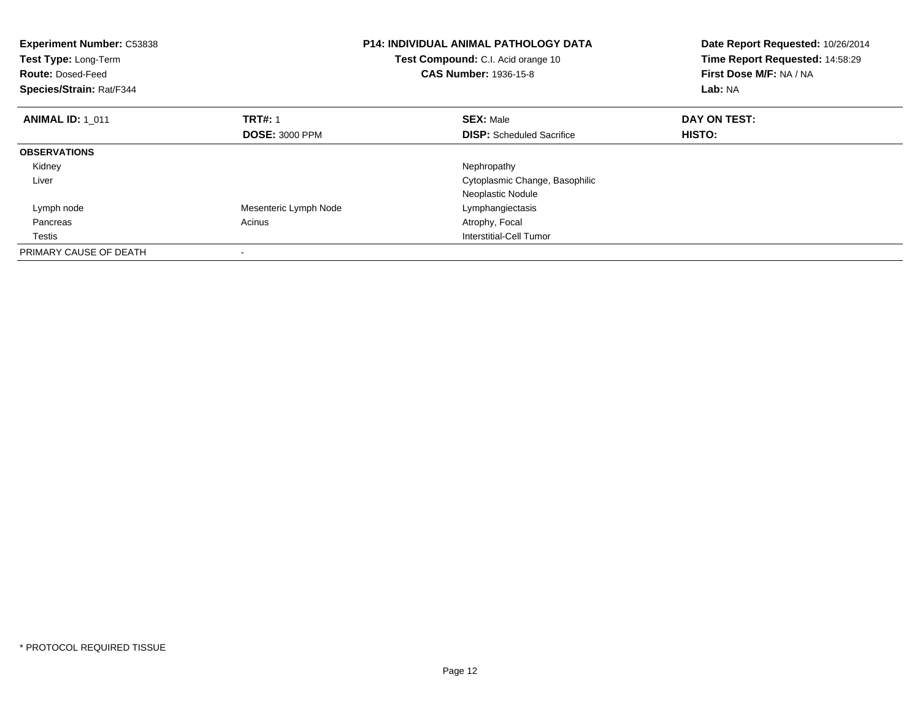| <b>Experiment Number: C53838</b><br><b>Test Type: Long-Term</b><br><b>Route: Dosed-Feed</b><br>Species/Strain: Rat/F344 |                       | <b>P14: INDIVIDUAL ANIMAL PATHOLOGY DATA</b><br>Test Compound: C.I. Acid orange 10<br><b>CAS Number: 1936-15-8</b> | Date Report Requested: 10/26/2014<br>Time Report Requested: 14:58:29<br>First Dose M/F: NA / NA<br>Lab: NA |
|-------------------------------------------------------------------------------------------------------------------------|-----------------------|--------------------------------------------------------------------------------------------------------------------|------------------------------------------------------------------------------------------------------------|
| <b>ANIMAL ID: 1 011</b>                                                                                                 | <b>TRT#: 1</b>        | <b>SEX: Male</b>                                                                                                   | DAY ON TEST:                                                                                               |
|                                                                                                                         | <b>DOSE: 3000 PPM</b> | <b>DISP:</b> Scheduled Sacrifice                                                                                   | <b>HISTO:</b>                                                                                              |
| <b>OBSERVATIONS</b>                                                                                                     |                       |                                                                                                                    |                                                                                                            |
| Kidney                                                                                                                  |                       | Nephropathy                                                                                                        |                                                                                                            |
| Liver                                                                                                                   |                       | Cytoplasmic Change, Basophilic                                                                                     |                                                                                                            |
|                                                                                                                         |                       | Neoplastic Nodule                                                                                                  |                                                                                                            |
| Lymph node                                                                                                              | Mesenteric Lymph Node | Lymphangiectasis                                                                                                   |                                                                                                            |
| Pancreas                                                                                                                | Acinus                | Atrophy, Focal                                                                                                     |                                                                                                            |
| Testis                                                                                                                  |                       | Interstitial-Cell Tumor                                                                                            |                                                                                                            |
| PRIMARY CAUSE OF DEATH                                                                                                  |                       |                                                                                                                    |                                                                                                            |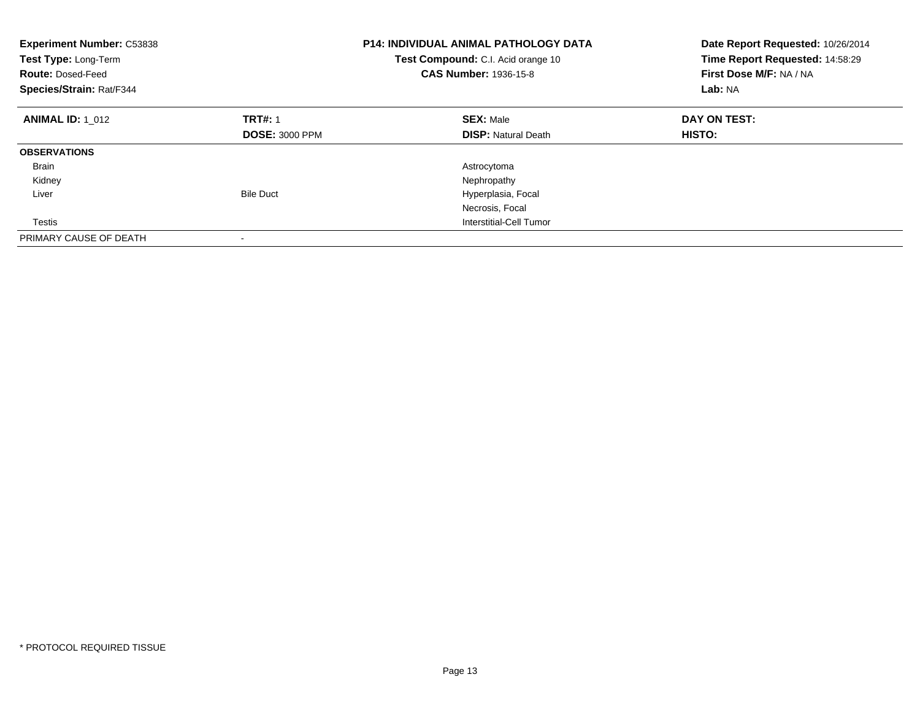| <b>Experiment Number: C53838</b><br>Test Type: Long-Term<br><b>Route: Dosed-Feed</b><br>Species/Strain: Rat/F344 | <b>P14: INDIVIDUAL ANIMAL PATHOLOGY DATA</b><br>Test Compound: C.I. Acid orange 10<br><b>CAS Number: 1936-15-8</b> |                            | Date Report Requested: 10/26/2014<br>Time Report Requested: 14:58:29<br>First Dose M/F: NA / NA<br>Lab: NA |
|------------------------------------------------------------------------------------------------------------------|--------------------------------------------------------------------------------------------------------------------|----------------------------|------------------------------------------------------------------------------------------------------------|
| <b>ANIMAL ID: 1 012</b>                                                                                          | <b>TRT#: 1</b>                                                                                                     | <b>SEX: Male</b>           | DAY ON TEST:                                                                                               |
|                                                                                                                  | <b>DOSE: 3000 PPM</b>                                                                                              | <b>DISP:</b> Natural Death | <b>HISTO:</b>                                                                                              |
| <b>OBSERVATIONS</b>                                                                                              |                                                                                                                    |                            |                                                                                                            |
| <b>Brain</b>                                                                                                     |                                                                                                                    | Astrocytoma                |                                                                                                            |
| Kidney                                                                                                           |                                                                                                                    | Nephropathy                |                                                                                                            |
| Liver                                                                                                            | <b>Bile Duct</b>                                                                                                   | Hyperplasia, Focal         |                                                                                                            |
|                                                                                                                  |                                                                                                                    | Necrosis, Focal            |                                                                                                            |
| Testis                                                                                                           |                                                                                                                    | Interstitial-Cell Tumor    |                                                                                                            |
| PRIMARY CAUSE OF DEATH                                                                                           |                                                                                                                    |                            |                                                                                                            |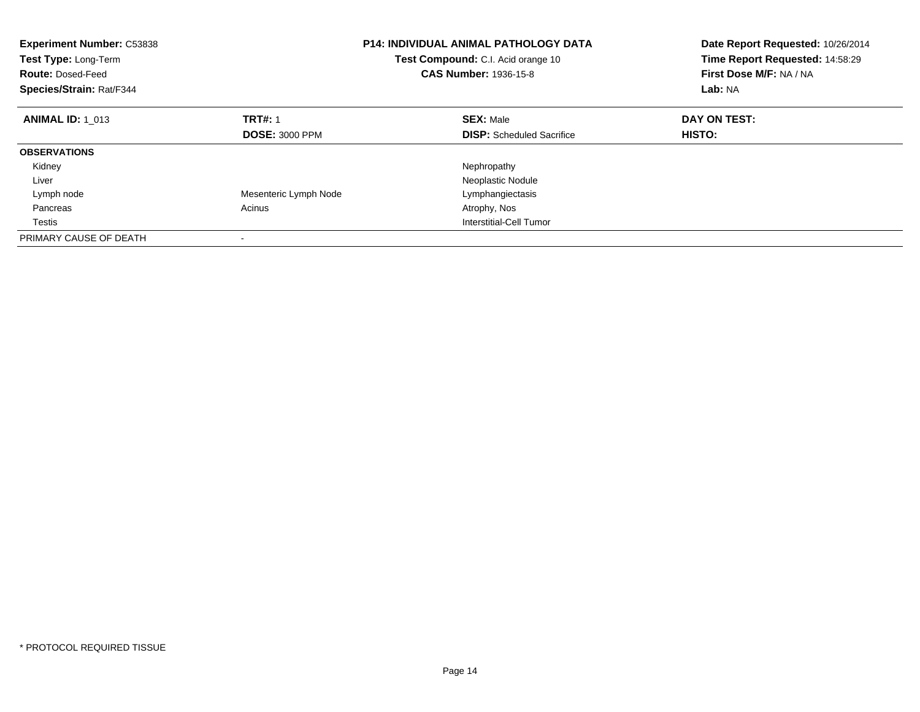| <b>Experiment Number: C53838</b><br>Test Type: Long-Term<br><b>Route: Dosed-Feed</b><br>Species/Strain: Rat/F344 | <b>P14: INDIVIDUAL ANIMAL PATHOLOGY DATA</b><br>Test Compound: C.I. Acid orange 10<br>CAS Number: 1936-15-8 |                                  | Date Report Requested: 10/26/2014<br>Time Report Requested: 14:58:29<br>First Dose M/F: NA / NA<br>Lab: NA |
|------------------------------------------------------------------------------------------------------------------|-------------------------------------------------------------------------------------------------------------|----------------------------------|------------------------------------------------------------------------------------------------------------|
| <b>ANIMAL ID: 1 013</b>                                                                                          | <b>TRT#: 1</b>                                                                                              | <b>SEX: Male</b>                 | DAY ON TEST:                                                                                               |
|                                                                                                                  | <b>DOSE: 3000 PPM</b>                                                                                       | <b>DISP:</b> Scheduled Sacrifice | HISTO:                                                                                                     |
| <b>OBSERVATIONS</b>                                                                                              |                                                                                                             |                                  |                                                                                                            |
| Kidney                                                                                                           |                                                                                                             | Nephropathy                      |                                                                                                            |
| Liver                                                                                                            |                                                                                                             | Neoplastic Nodule                |                                                                                                            |
| Lymph node                                                                                                       | Mesenteric Lymph Node                                                                                       | Lymphangiectasis                 |                                                                                                            |
| Pancreas                                                                                                         | Acinus                                                                                                      | Atrophy, Nos                     |                                                                                                            |
| Testis                                                                                                           |                                                                                                             | Interstitial-Cell Tumor          |                                                                                                            |
| PRIMARY CAUSE OF DEATH                                                                                           |                                                                                                             |                                  |                                                                                                            |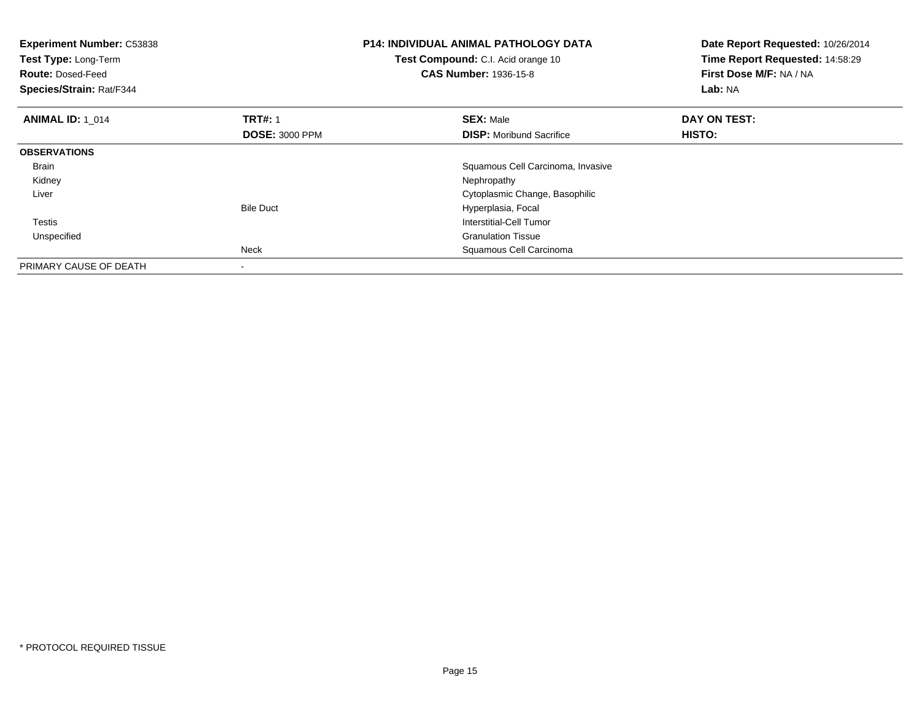| <b>Experiment Number: C53838</b><br>Test Type: Long-Term<br><b>Route: Dosed-Feed</b><br>Species/Strain: Rat/F344 |                       | <b>P14: INDIVIDUAL ANIMAL PATHOLOGY DATA</b><br>Test Compound: C.I. Acid orange 10<br><b>CAS Number: 1936-15-8</b> | Date Report Requested: 10/26/2014<br>Time Report Requested: 14:58:29<br>First Dose M/F: NA / NA<br>Lab: NA |
|------------------------------------------------------------------------------------------------------------------|-----------------------|--------------------------------------------------------------------------------------------------------------------|------------------------------------------------------------------------------------------------------------|
| <b>ANIMAL ID: 1 014</b>                                                                                          | <b>TRT#: 1</b>        | <b>SEX: Male</b>                                                                                                   | DAY ON TEST:                                                                                               |
|                                                                                                                  | <b>DOSE: 3000 PPM</b> | <b>DISP:</b> Moribund Sacrifice                                                                                    | HISTO:                                                                                                     |
| <b>OBSERVATIONS</b>                                                                                              |                       |                                                                                                                    |                                                                                                            |
| Brain                                                                                                            |                       | Squamous Cell Carcinoma, Invasive                                                                                  |                                                                                                            |
| Kidney                                                                                                           |                       | Nephropathy                                                                                                        |                                                                                                            |
| Liver                                                                                                            |                       | Cytoplasmic Change, Basophilic                                                                                     |                                                                                                            |
|                                                                                                                  | <b>Bile Duct</b>      | Hyperplasia, Focal                                                                                                 |                                                                                                            |
| Testis                                                                                                           |                       | Interstitial-Cell Tumor                                                                                            |                                                                                                            |
| Unspecified                                                                                                      |                       | <b>Granulation Tissue</b>                                                                                          |                                                                                                            |
|                                                                                                                  | Neck                  | Squamous Cell Carcinoma                                                                                            |                                                                                                            |
| PRIMARY CAUSE OF DEATH                                                                                           |                       |                                                                                                                    |                                                                                                            |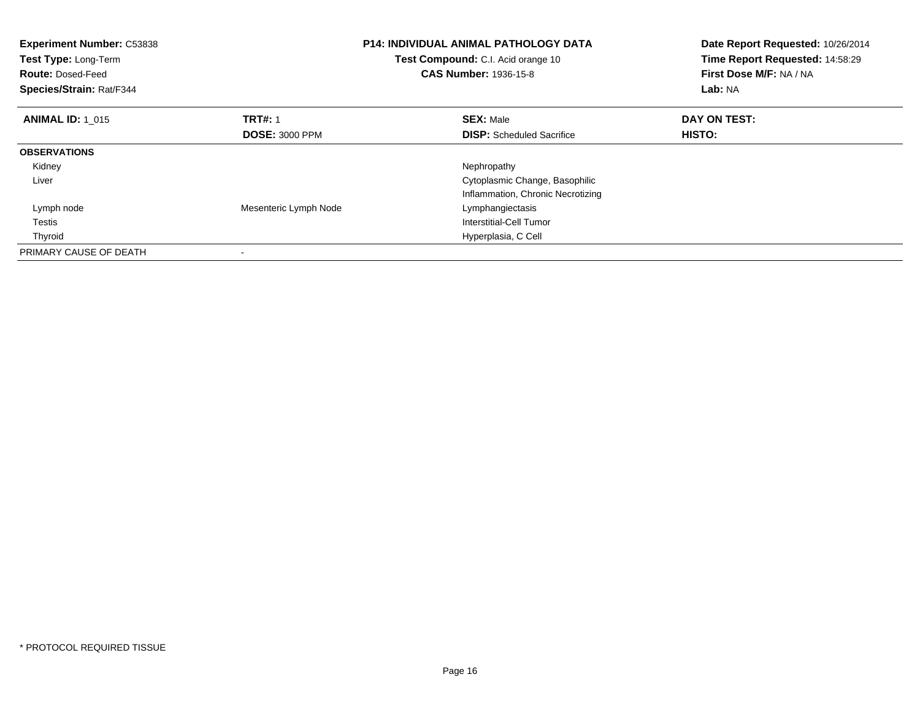| <b>Experiment Number: C53838</b><br>Test Type: Long-Term<br><b>Route: Dosed-Feed</b><br>Species/Strain: Rat/F344 |                       | <b>P14: INDIVIDUAL ANIMAL PATHOLOGY DATA</b><br>Test Compound: C.I. Acid orange 10<br><b>CAS Number: 1936-15-8</b> | Date Report Requested: 10/26/2014<br>Time Report Requested: 14:58:29<br>First Dose M/F: NA / NA<br>Lab: NA |
|------------------------------------------------------------------------------------------------------------------|-----------------------|--------------------------------------------------------------------------------------------------------------------|------------------------------------------------------------------------------------------------------------|
| <b>ANIMAL ID: 1_015</b>                                                                                          | <b>TRT#: 1</b>        | <b>SEX: Male</b>                                                                                                   | DAY ON TEST:                                                                                               |
|                                                                                                                  | <b>DOSE: 3000 PPM</b> | <b>DISP:</b> Scheduled Sacrifice                                                                                   | HISTO:                                                                                                     |
| <b>OBSERVATIONS</b>                                                                                              |                       |                                                                                                                    |                                                                                                            |
| Kidney                                                                                                           |                       | Nephropathy                                                                                                        |                                                                                                            |
| Liver                                                                                                            |                       | Cytoplasmic Change, Basophilic                                                                                     |                                                                                                            |
|                                                                                                                  |                       | Inflammation, Chronic Necrotizing                                                                                  |                                                                                                            |
| Lymph node                                                                                                       | Mesenteric Lymph Node | Lymphangiectasis                                                                                                   |                                                                                                            |
| Testis                                                                                                           |                       | Interstitial-Cell Tumor                                                                                            |                                                                                                            |
| Thyroid                                                                                                          |                       | Hyperplasia, C Cell                                                                                                |                                                                                                            |
| PRIMARY CAUSE OF DEATH                                                                                           |                       |                                                                                                                    |                                                                                                            |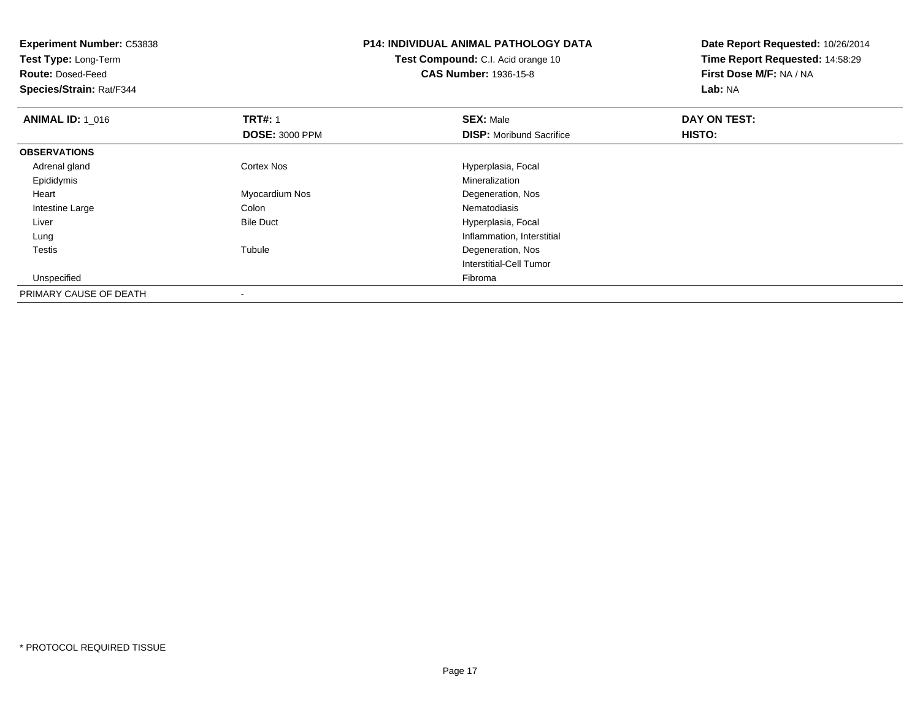| <b>Experiment Number: C53838</b> |                       | <b>P14: INDIVIDUAL ANIMAL PATHOLOGY DATA</b> | Date Report Requested: 10/26/2014 |
|----------------------------------|-----------------------|----------------------------------------------|-----------------------------------|
| Test Type: Long-Term             |                       | <b>Test Compound:</b> C.I. Acid orange 10    | Time Report Requested: 14:58:29   |
| <b>Route: Dosed-Feed</b>         |                       | <b>CAS Number: 1936-15-8</b>                 | First Dose M/F: NA / NA           |
| Species/Strain: Rat/F344         |                       |                                              | Lab: NA                           |
| <b>ANIMAL ID: 1_016</b>          | <b>TRT#: 1</b>        | <b>SEX: Male</b>                             | DAY ON TEST:                      |
|                                  | <b>DOSE: 3000 PPM</b> | <b>DISP:</b> Moribund Sacrifice              | HISTO:                            |
| <b>OBSERVATIONS</b>              |                       |                                              |                                   |
| Adrenal gland                    | Cortex Nos            | Hyperplasia, Focal                           |                                   |
| Epididymis                       |                       | Mineralization                               |                                   |
| Heart                            | Myocardium Nos        | Degeneration, Nos                            |                                   |
| Intestine Large                  | Colon                 | Nematodiasis                                 |                                   |
| Liver                            | <b>Bile Duct</b>      | Hyperplasia, Focal                           |                                   |
| Lung                             |                       | Inflammation, Interstitial                   |                                   |
| Testis                           | Tubule                | Degeneration, Nos                            |                                   |
|                                  |                       | Interstitial-Cell Tumor                      |                                   |
| Unspecified                      |                       | Fibroma                                      |                                   |
| PRIMARY CAUSE OF DEATH           |                       |                                              |                                   |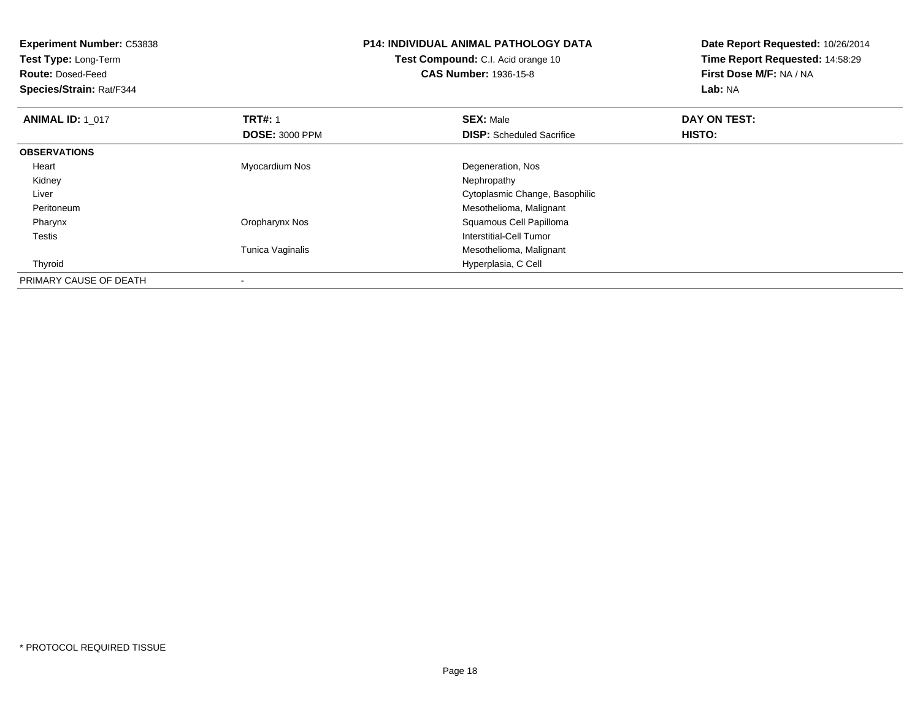| <b>Experiment Number: C53838</b><br>Test Type: Long-Term |                       | <b>P14: INDIVIDUAL ANIMAL PATHOLOGY DATA</b> | Date Report Requested: 10/26/2014<br>Time Report Requested: 14:58:29 |
|----------------------------------------------------------|-----------------------|----------------------------------------------|----------------------------------------------------------------------|
|                                                          |                       | Test Compound: C.I. Acid orange 10           |                                                                      |
| <b>Route: Dosed-Feed</b>                                 |                       | <b>CAS Number: 1936-15-8</b>                 | First Dose M/F: NA / NA                                              |
| Species/Strain: Rat/F344                                 |                       |                                              | Lab: NA                                                              |
| <b>ANIMAL ID: 1 017</b>                                  | <b>TRT#: 1</b>        | <b>SEX: Male</b>                             | DAY ON TEST:                                                         |
|                                                          | <b>DOSE: 3000 PPM</b> | <b>DISP:</b> Scheduled Sacrifice             | HISTO:                                                               |
| <b>OBSERVATIONS</b>                                      |                       |                                              |                                                                      |
| Heart                                                    | Myocardium Nos        | Degeneration, Nos                            |                                                                      |
| Kidney                                                   |                       | Nephropathy                                  |                                                                      |
| Liver                                                    |                       | Cytoplasmic Change, Basophilic               |                                                                      |
| Peritoneum                                               |                       | Mesothelioma, Malignant                      |                                                                      |
| Pharynx                                                  | Oropharynx Nos        | Squamous Cell Papilloma                      |                                                                      |
| Testis                                                   |                       | Interstitial-Cell Tumor                      |                                                                      |
|                                                          | Tunica Vaginalis      | Mesothelioma, Malignant                      |                                                                      |
| Thyroid                                                  |                       | Hyperplasia, C Cell                          |                                                                      |
| PRIMARY CAUSE OF DEATH                                   |                       |                                              |                                                                      |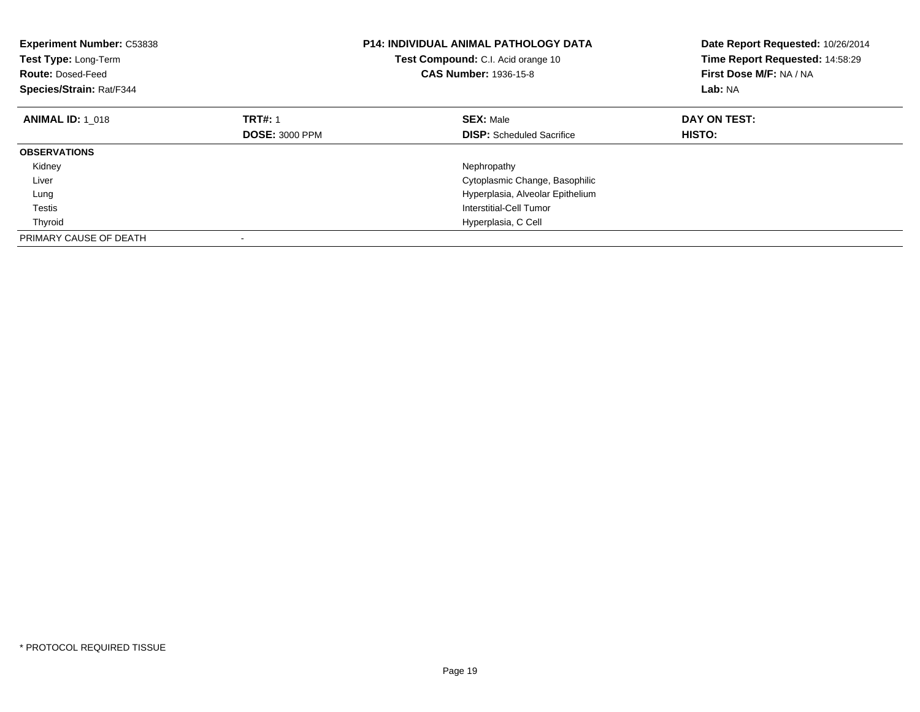| <b>Experiment Number: C53838</b><br>Test Type: Long-Term<br><b>Route: Dosed-Feed</b><br>Species/Strain: Rat/F344 | <b>P14: INDIVIDUAL ANIMAL PATHOLOGY DATA</b><br>Test Compound: C.I. Acid orange 10<br><b>CAS Number: 1936-15-8</b> |                                  | Date Report Requested: 10/26/2014<br>Time Report Requested: 14:58:29<br>First Dose M/F: NA / NA<br>Lab: NA |
|------------------------------------------------------------------------------------------------------------------|--------------------------------------------------------------------------------------------------------------------|----------------------------------|------------------------------------------------------------------------------------------------------------|
| <b>ANIMAL ID:</b> 1 018                                                                                          | <b>TRT#: 1</b>                                                                                                     | <b>SEX: Male</b>                 | DAY ON TEST:                                                                                               |
|                                                                                                                  | <b>DOSE: 3000 PPM</b>                                                                                              | <b>DISP:</b> Scheduled Sacrifice | <b>HISTO:</b>                                                                                              |
| <b>OBSERVATIONS</b>                                                                                              |                                                                                                                    |                                  |                                                                                                            |
| Kidney                                                                                                           |                                                                                                                    | Nephropathy                      |                                                                                                            |
| Liver                                                                                                            |                                                                                                                    | Cytoplasmic Change, Basophilic   |                                                                                                            |
| Lung                                                                                                             |                                                                                                                    | Hyperplasia, Alveolar Epithelium |                                                                                                            |
| Testis                                                                                                           |                                                                                                                    | Interstitial-Cell Tumor          |                                                                                                            |
| Thyroid                                                                                                          |                                                                                                                    | Hyperplasia, C Cell              |                                                                                                            |
| PRIMARY CAUSE OF DEATH                                                                                           |                                                                                                                    |                                  |                                                                                                            |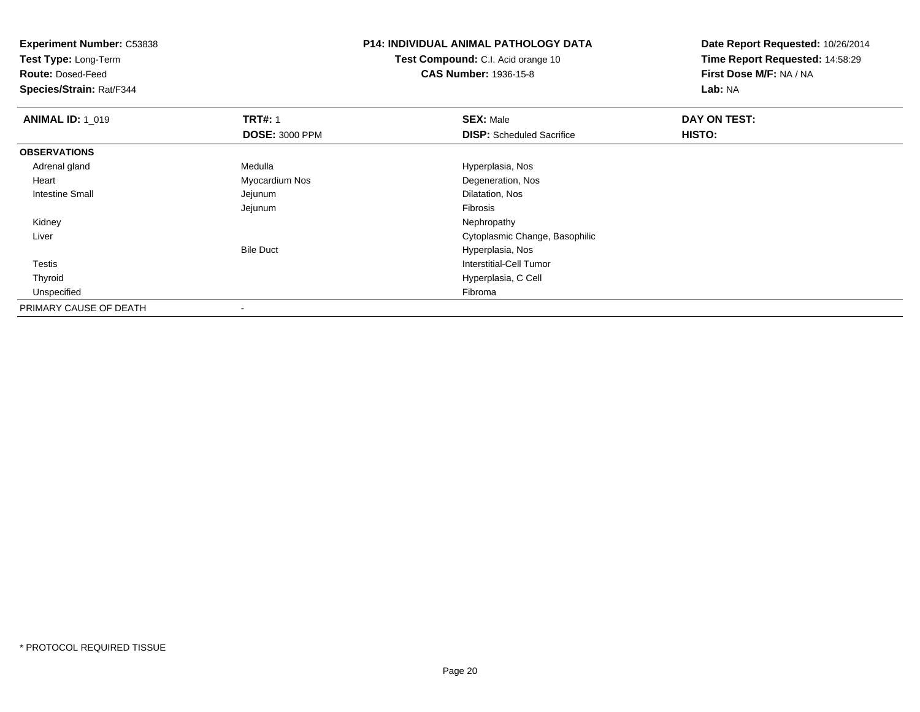**Experiment Number:** C53838**Test Type:** Long-Term**Route:** Dosed-Feed **Species/Strain:** Rat/F344**P14: INDIVIDUAL ANIMAL PATHOLOGY DATATest Compound:** C.I. Acid orange 10**CAS Number:** 1936-15-8**Date Report Requested:** 10/26/2014**Time Report Requested:** 14:58:29**First Dose M/F:** NA / NA**Lab:** NA**ANIMAL ID: 1\_019 9 TRT#:** 1 **SEX:** Male **SEX:** Male **DAY ON TEST: DOSE:** 3000 PPM**DISP:** Scheduled Sacrifice **HISTO: OBSERVATIONS** Adrenal glandMedulla Medulla entre a material de la Maria Hyperplasia, Nos Heart Myocardium Nos Degeneration, Nos Intestine Small Jejunum Dilatation, Nos Jejunum Fibrosis Kidneyy the control of the control of the control of the control of the control of the control of the control of the control of the control of the control of the control of the control of the control of the control of the contro Liver Cytoplasmic Change, BasophilicBile Duct Hyperplasia, Nos**Interstitial-Cell Tumor**  Testis Thyroid Hyperplasia, C Cell Unspecifiedd Fibroma and the contract of the contract of the contract of the contract of the contract of the contract of the contract of the contract of the contract of the contract of the contract of the contract of the contract of PRIMARY CAUSE OF DEATH-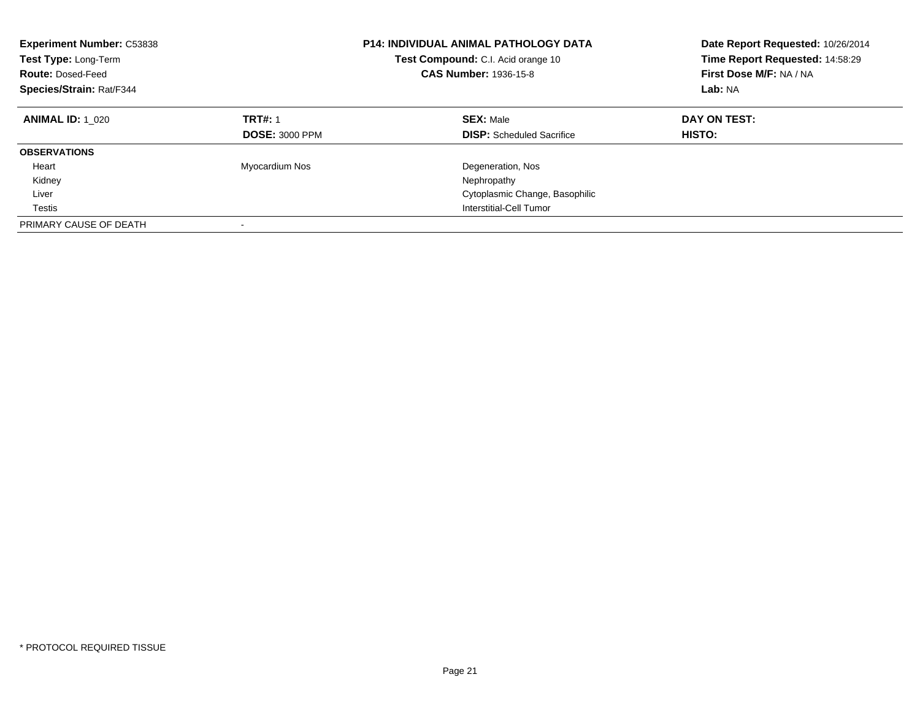| <b>Experiment Number: C53838</b><br>Test Type: Long-Term<br><b>Route: Dosed-Feed</b><br>Species/Strain: Rat/F344 |                                         | <b>P14: INDIVIDUAL ANIMAL PATHOLOGY DATA</b><br>Test Compound: C.I. Acid orange 10<br><b>CAS Number: 1936-15-8</b> | Date Report Requested: 10/26/2014<br>Time Report Requested: 14:58:29<br>First Dose M/F: NA / NA<br>Lab: NA |
|------------------------------------------------------------------------------------------------------------------|-----------------------------------------|--------------------------------------------------------------------------------------------------------------------|------------------------------------------------------------------------------------------------------------|
| <b>ANIMAL ID: 1 020</b>                                                                                          | <b>TRT#: 1</b><br><b>DOSE: 3000 PPM</b> | <b>SEX: Male</b><br><b>DISP:</b> Scheduled Sacrifice                                                               | DAY ON TEST:<br>HISTO:                                                                                     |
| <b>OBSERVATIONS</b>                                                                                              |                                         |                                                                                                                    |                                                                                                            |
| Heart                                                                                                            | Myocardium Nos                          | Degeneration, Nos                                                                                                  |                                                                                                            |
| Kidney                                                                                                           |                                         | Nephropathy                                                                                                        |                                                                                                            |
| Liver                                                                                                            |                                         | Cytoplasmic Change, Basophilic                                                                                     |                                                                                                            |
| Testis                                                                                                           |                                         | Interstitial-Cell Tumor                                                                                            |                                                                                                            |
| PRIMARY CAUSE OF DEATH                                                                                           |                                         |                                                                                                                    |                                                                                                            |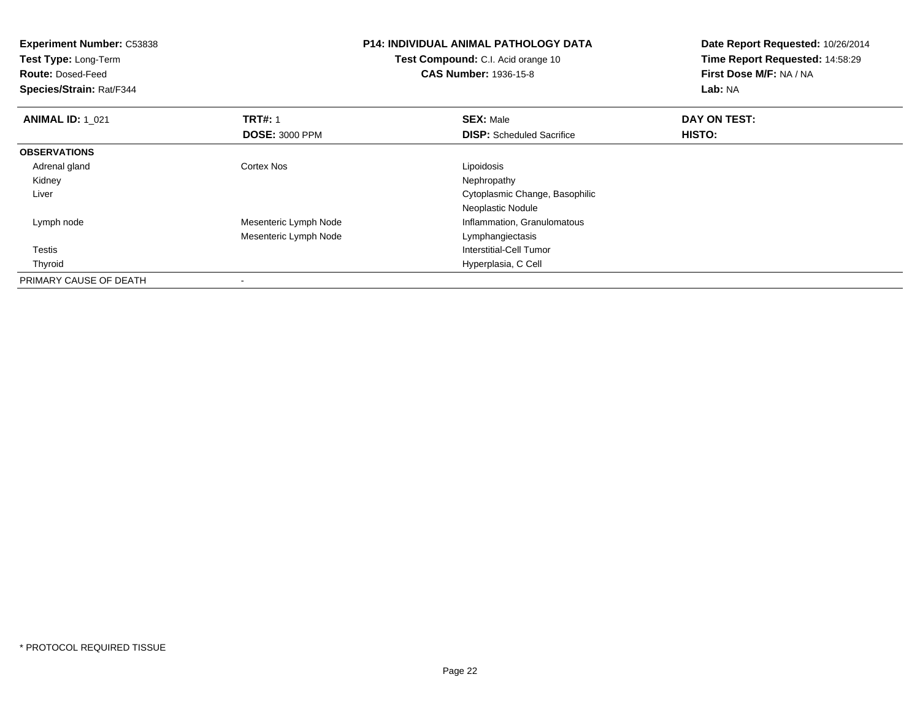| <b>Experiment Number: C53838</b><br>Test Type: Long-Term<br><b>Route: Dosed-Feed</b><br>Species/Strain: Rat/F344 |                       | <b>P14: INDIVIDUAL ANIMAL PATHOLOGY DATA</b><br>Test Compound: C.I. Acid orange 10<br><b>CAS Number: 1936-15-8</b> | Date Report Requested: 10/26/2014<br>Time Report Requested: 14:58:29<br>First Dose M/F: NA / NA<br>Lab: NA |
|------------------------------------------------------------------------------------------------------------------|-----------------------|--------------------------------------------------------------------------------------------------------------------|------------------------------------------------------------------------------------------------------------|
|                                                                                                                  |                       |                                                                                                                    |                                                                                                            |
| <b>ANIMAL ID: 1 021</b>                                                                                          | <b>TRT#: 1</b>        | <b>SEX: Male</b>                                                                                                   | DAY ON TEST:                                                                                               |
|                                                                                                                  | <b>DOSE: 3000 PPM</b> | <b>DISP:</b> Scheduled Sacrifice                                                                                   | HISTO:                                                                                                     |
| <b>OBSERVATIONS</b>                                                                                              |                       |                                                                                                                    |                                                                                                            |
| Adrenal gland                                                                                                    | Cortex Nos            | Lipoidosis                                                                                                         |                                                                                                            |
| Kidney                                                                                                           |                       | Nephropathy                                                                                                        |                                                                                                            |
| Liver                                                                                                            |                       | Cytoplasmic Change, Basophilic                                                                                     |                                                                                                            |
|                                                                                                                  |                       | Neoplastic Nodule                                                                                                  |                                                                                                            |
| Lymph node                                                                                                       | Mesenteric Lymph Node | Inflammation, Granulomatous                                                                                        |                                                                                                            |
|                                                                                                                  | Mesenteric Lymph Node | Lymphangiectasis                                                                                                   |                                                                                                            |
| Testis                                                                                                           |                       | Interstitial-Cell Tumor                                                                                            |                                                                                                            |
| Thyroid                                                                                                          |                       | Hyperplasia, C Cell                                                                                                |                                                                                                            |
| PRIMARY CAUSE OF DEATH                                                                                           |                       |                                                                                                                    |                                                                                                            |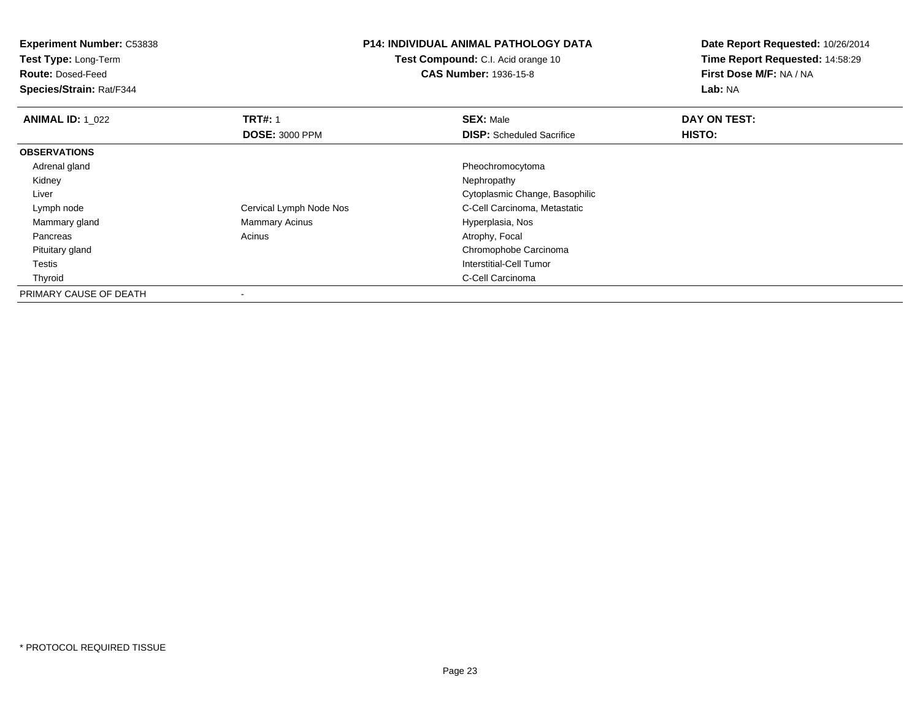**Experiment Number:** C53838

**Test Type:** Long-Term

**Route:** Dosed-Feed

**Species/Strain:** Rat/F344

## **P14: INDIVIDUAL ANIMAL PATHOLOGY DATA**

**Test Compound:** C.I. Acid orange 10**CAS Number:** 1936-15-8

**Date Report Requested:** 10/26/2014**Time Report Requested:** 14:58:29**First Dose M/F:** NA / NA**Lab:** NA

| <b>ANIMAL ID: 1 022</b> | <b>TRT#: 1</b>           | <b>SEX: Male</b>                 | DAY ON TEST: |  |
|-------------------------|--------------------------|----------------------------------|--------------|--|
|                         | <b>DOSE: 3000 PPM</b>    | <b>DISP:</b> Scheduled Sacrifice | HISTO:       |  |
| <b>OBSERVATIONS</b>     |                          |                                  |              |  |
| Adrenal gland           |                          | Pheochromocytoma                 |              |  |
| Kidney                  |                          | Nephropathy                      |              |  |
| Liver                   |                          | Cytoplasmic Change, Basophilic   |              |  |
| Lymph node              | Cervical Lymph Node Nos  | C-Cell Carcinoma, Metastatic     |              |  |
| Mammary gland           | <b>Mammary Acinus</b>    | Hyperplasia, Nos                 |              |  |
| Pancreas                | Acinus                   | Atrophy, Focal                   |              |  |
| Pituitary gland         |                          | Chromophobe Carcinoma            |              |  |
| Testis                  |                          | Interstitial-Cell Tumor          |              |  |
| Thyroid                 |                          | C-Cell Carcinoma                 |              |  |
| PRIMARY CAUSE OF DEATH  | $\overline{\phantom{a}}$ |                                  |              |  |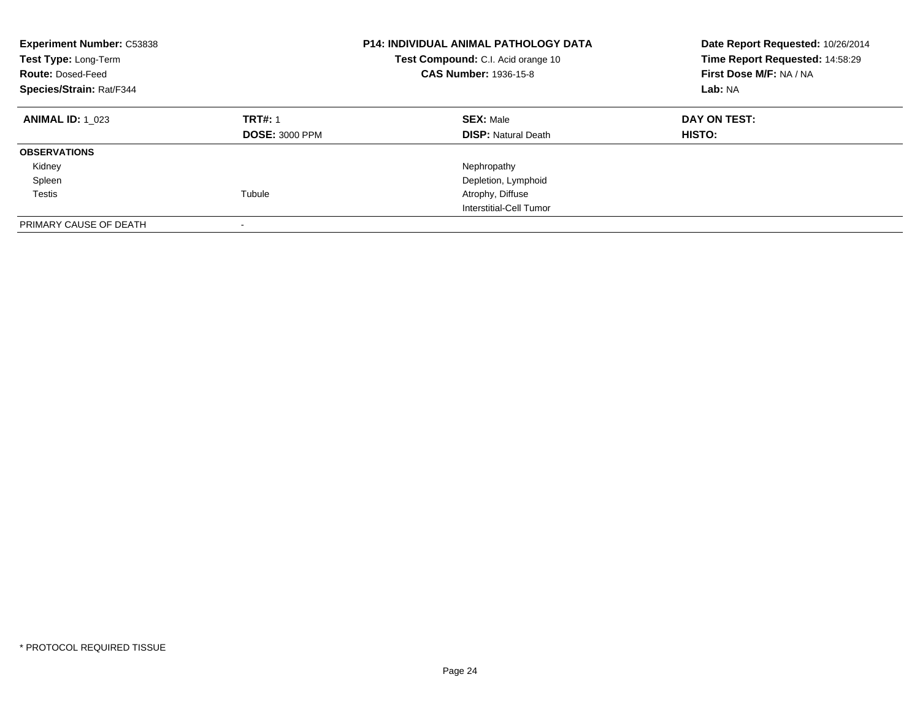| <b>Experiment Number: C53838</b><br>Test Type: Long-Term<br><b>Route: Dosed-Feed</b><br>Species/Strain: Rat/F344 |                                         | <b>P14: INDIVIDUAL ANIMAL PATHOLOGY DATA</b><br>Test Compound: C.I. Acid orange 10<br><b>CAS Number: 1936-15-8</b> | Date Report Requested: 10/26/2014<br>Time Report Requested: 14:58:29<br>First Dose M/F: NA / NA<br>Lab: NA |  |
|------------------------------------------------------------------------------------------------------------------|-----------------------------------------|--------------------------------------------------------------------------------------------------------------------|------------------------------------------------------------------------------------------------------------|--|
| <b>ANIMAL ID: 1 023</b>                                                                                          | <b>TRT#: 1</b><br><b>DOSE: 3000 PPM</b> | <b>SEX: Male</b><br><b>DISP: Natural Death</b>                                                                     | DAY ON TEST:<br><b>HISTO:</b>                                                                              |  |
| <b>OBSERVATIONS</b>                                                                                              |                                         |                                                                                                                    |                                                                                                            |  |
| Kidney                                                                                                           |                                         | Nephropathy                                                                                                        |                                                                                                            |  |
| Spleen                                                                                                           |                                         | Depletion, Lymphoid                                                                                                |                                                                                                            |  |
| Testis                                                                                                           | Tubule                                  | Atrophy, Diffuse                                                                                                   |                                                                                                            |  |
|                                                                                                                  |                                         | Interstitial-Cell Tumor                                                                                            |                                                                                                            |  |
| PRIMARY CAUSE OF DEATH                                                                                           |                                         |                                                                                                                    |                                                                                                            |  |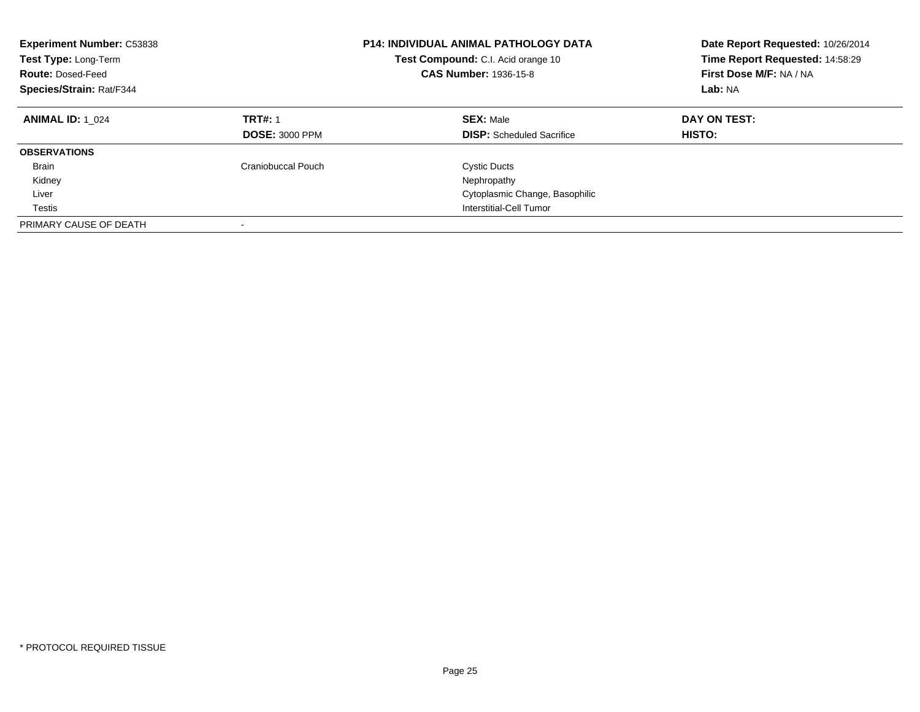| <b>Experiment Number: C53838</b><br>Test Type: Long-Term<br><b>Route: Dosed-Feed</b><br>Species/Strain: Rat/F344 |                                         | <b>P14: INDIVIDUAL ANIMAL PATHOLOGY DATA</b><br>Test Compound: C.I. Acid orange 10<br><b>CAS Number: 1936-15-8</b> | Date Report Requested: 10/26/2014<br>Time Report Requested: 14:58:29<br>First Dose M/F: NA / NA<br>Lab: NA |
|------------------------------------------------------------------------------------------------------------------|-----------------------------------------|--------------------------------------------------------------------------------------------------------------------|------------------------------------------------------------------------------------------------------------|
| <b>ANIMAL ID: 1 024</b>                                                                                          | <b>TRT#: 1</b><br><b>DOSE: 3000 PPM</b> | <b>SEX: Male</b><br><b>DISP:</b> Scheduled Sacrifice                                                               | DAY ON TEST:<br>HISTO:                                                                                     |
| <b>OBSERVATIONS</b>                                                                                              |                                         |                                                                                                                    |                                                                                                            |
| Brain                                                                                                            | Craniobuccal Pouch                      | <b>Cystic Ducts</b>                                                                                                |                                                                                                            |
| Kidney                                                                                                           |                                         | Nephropathy                                                                                                        |                                                                                                            |
| Liver                                                                                                            |                                         | Cytoplasmic Change, Basophilic                                                                                     |                                                                                                            |
| Testis                                                                                                           |                                         | Interstitial-Cell Tumor                                                                                            |                                                                                                            |
| PRIMARY CAUSE OF DEATH                                                                                           |                                         |                                                                                                                    |                                                                                                            |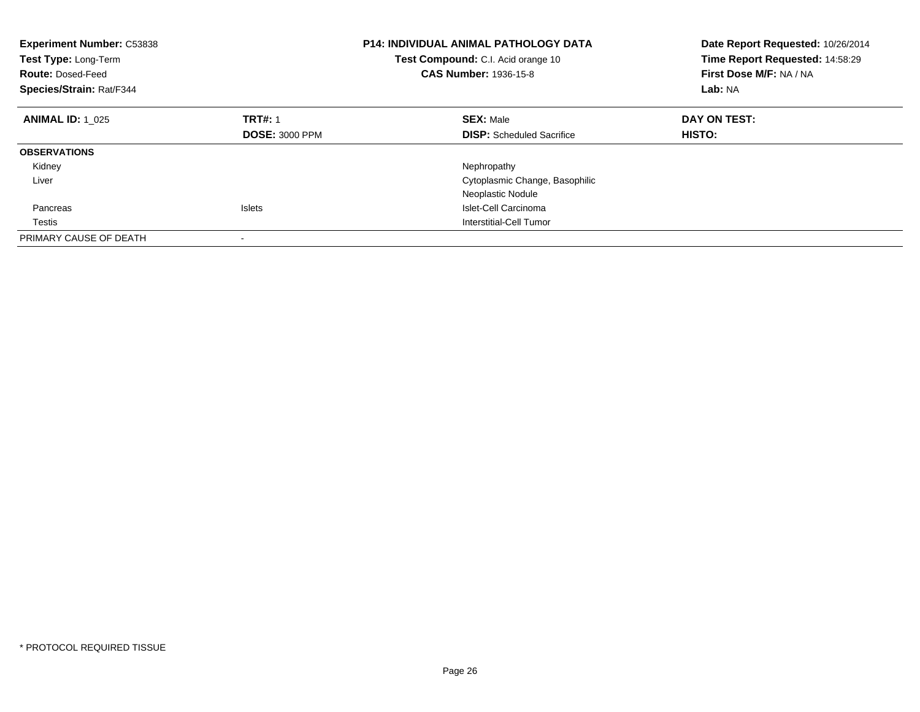| <b>Experiment Number: C53838</b><br>Test Type: Long-Term<br><b>Route: Dosed-Feed</b><br>Species/Strain: Rat/F344 |                       | <b>P14: INDIVIDUAL ANIMAL PATHOLOGY DATA</b><br>Test Compound: C.I. Acid orange 10<br><b>CAS Number: 1936-15-8</b> | Date Report Requested: 10/26/2014<br>Time Report Requested: 14:58:29<br>First Dose M/F: NA / NA<br>Lab: NA |
|------------------------------------------------------------------------------------------------------------------|-----------------------|--------------------------------------------------------------------------------------------------------------------|------------------------------------------------------------------------------------------------------------|
| <b>ANIMAL ID: 1 025</b>                                                                                          | <b>TRT#: 1</b>        | <b>SEX: Male</b>                                                                                                   | DAY ON TEST:                                                                                               |
|                                                                                                                  | <b>DOSE: 3000 PPM</b> | <b>DISP:</b> Scheduled Sacrifice                                                                                   | HISTO:                                                                                                     |
| <b>OBSERVATIONS</b>                                                                                              |                       |                                                                                                                    |                                                                                                            |
| Kidney                                                                                                           |                       | Nephropathy                                                                                                        |                                                                                                            |
| Liver                                                                                                            |                       | Cytoplasmic Change, Basophilic                                                                                     |                                                                                                            |
|                                                                                                                  |                       | Neoplastic Nodule                                                                                                  |                                                                                                            |
| Pancreas                                                                                                         | <b>Islets</b>         | Islet-Cell Carcinoma                                                                                               |                                                                                                            |
| Testis                                                                                                           |                       | Interstitial-Cell Tumor                                                                                            |                                                                                                            |
| PRIMARY CAUSE OF DEATH                                                                                           |                       |                                                                                                                    |                                                                                                            |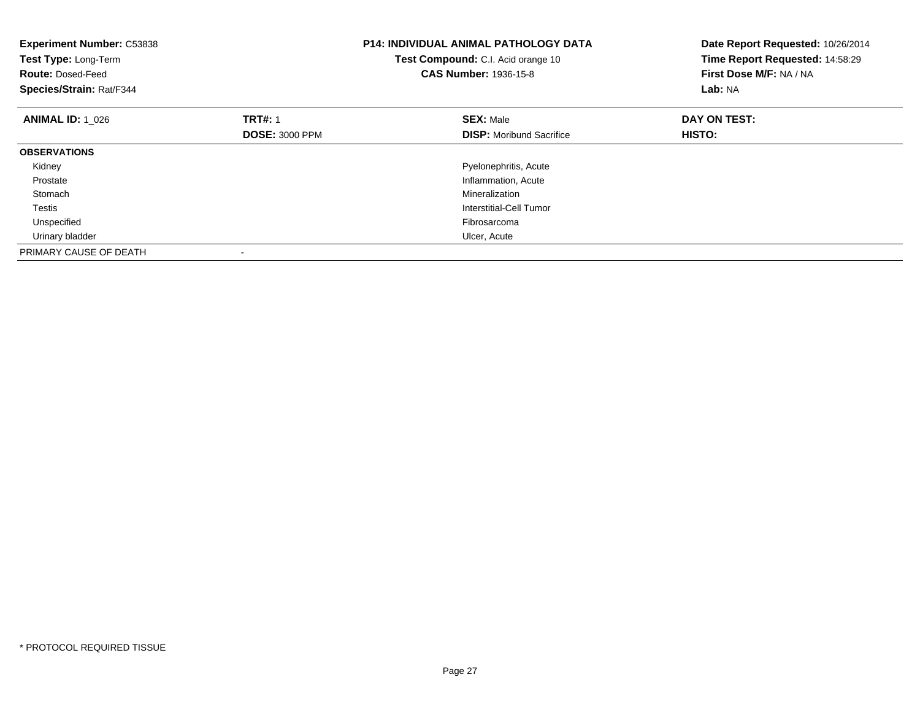| <b>Experiment Number: C53838</b><br>Test Type: Long-Term<br><b>Route: Dosed-Feed</b><br>Species/Strain: Rat/F344 |                       | <b>P14: INDIVIDUAL ANIMAL PATHOLOGY DATA</b><br>Test Compound: C.I. Acid orange 10<br><b>CAS Number: 1936-15-8</b> | Date Report Requested: 10/26/2014<br>Time Report Requested: 14:58:29<br>First Dose M/F: NA / NA<br>Lab: NA |
|------------------------------------------------------------------------------------------------------------------|-----------------------|--------------------------------------------------------------------------------------------------------------------|------------------------------------------------------------------------------------------------------------|
| <b>ANIMAL ID: 1 026</b>                                                                                          | <b>TRT#: 1</b>        | <b>SEX: Male</b>                                                                                                   | DAY ON TEST:                                                                                               |
|                                                                                                                  | <b>DOSE: 3000 PPM</b> | <b>DISP:</b> Moribund Sacrifice                                                                                    | HISTO:                                                                                                     |
| <b>OBSERVATIONS</b>                                                                                              |                       |                                                                                                                    |                                                                                                            |
| Kidney                                                                                                           |                       | Pyelonephritis, Acute                                                                                              |                                                                                                            |
| Prostate                                                                                                         |                       | Inflammation, Acute                                                                                                |                                                                                                            |
| Stomach                                                                                                          |                       | Mineralization                                                                                                     |                                                                                                            |
| <b>Testis</b>                                                                                                    |                       | Interstitial-Cell Tumor                                                                                            |                                                                                                            |
| Unspecified                                                                                                      |                       | Fibrosarcoma                                                                                                       |                                                                                                            |
| Urinary bladder                                                                                                  |                       | Ulcer, Acute                                                                                                       |                                                                                                            |
| PRIMARY CAUSE OF DEATH                                                                                           |                       |                                                                                                                    |                                                                                                            |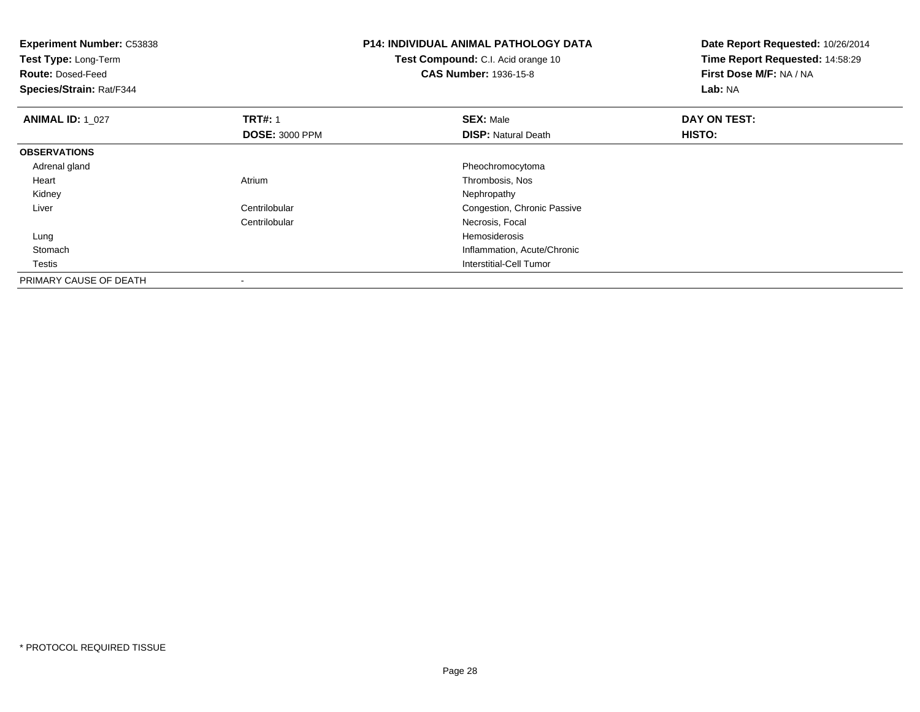| <b>Experiment Number: C53838</b><br>Test Type: Long-Term<br><b>Route: Dosed-Feed</b><br>Species/Strain: Rat/F344 |                                         | <b>P14: INDIVIDUAL ANIMAL PATHOLOGY DATA</b><br>Test Compound: C.I. Acid orange 10<br><b>CAS Number: 1936-15-8</b> | Date Report Requested: 10/26/2014<br>Time Report Requested: 14:58:29<br>First Dose M/F: NA / NA<br>Lab: NA |
|------------------------------------------------------------------------------------------------------------------|-----------------------------------------|--------------------------------------------------------------------------------------------------------------------|------------------------------------------------------------------------------------------------------------|
| <b>ANIMAL ID: 1 027</b>                                                                                          | <b>TRT#: 1</b><br><b>DOSE: 3000 PPM</b> | <b>SEX: Male</b><br><b>DISP:</b> Natural Death                                                                     | DAY ON TEST:<br><b>HISTO:</b>                                                                              |
| <b>OBSERVATIONS</b>                                                                                              |                                         |                                                                                                                    |                                                                                                            |
| Adrenal gland                                                                                                    |                                         | Pheochromocytoma                                                                                                   |                                                                                                            |
| Heart                                                                                                            | Atrium                                  | Thrombosis, Nos                                                                                                    |                                                                                                            |
| Kidney                                                                                                           |                                         | Nephropathy                                                                                                        |                                                                                                            |
| Liver                                                                                                            | Centrilobular                           | Congestion, Chronic Passive                                                                                        |                                                                                                            |
|                                                                                                                  | Centrilobular                           | Necrosis, Focal                                                                                                    |                                                                                                            |
| Lung                                                                                                             |                                         | Hemosiderosis                                                                                                      |                                                                                                            |
| Stomach                                                                                                          |                                         | Inflammation, Acute/Chronic                                                                                        |                                                                                                            |
| Testis                                                                                                           |                                         | <b>Interstitial-Cell Tumor</b>                                                                                     |                                                                                                            |
| PRIMARY CAUSE OF DEATH                                                                                           |                                         |                                                                                                                    |                                                                                                            |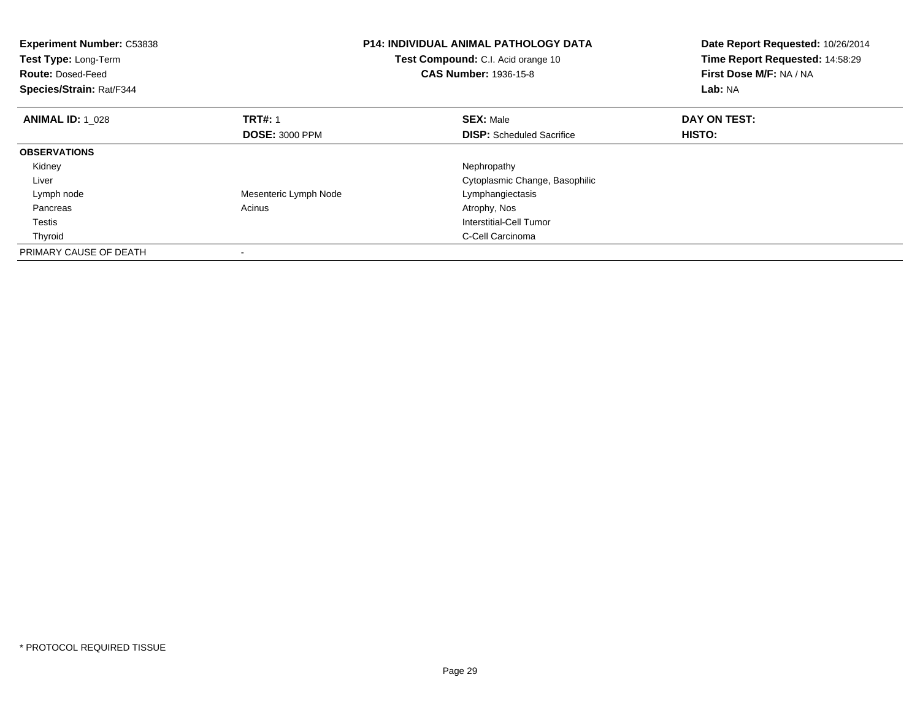| <b>Experiment Number: C53838</b><br>Test Type: Long-Term<br><b>Route: Dosed-Feed</b><br>Species/Strain: Rat/F344 |                       | <b>P14: INDIVIDUAL ANIMAL PATHOLOGY DATA</b><br>Test Compound: C.I. Acid orange 10<br><b>CAS Number: 1936-15-8</b> | Date Report Requested: 10/26/2014<br>Time Report Requested: 14:58:29<br>First Dose M/F: NA / NA<br>Lab: NA |
|------------------------------------------------------------------------------------------------------------------|-----------------------|--------------------------------------------------------------------------------------------------------------------|------------------------------------------------------------------------------------------------------------|
| <b>ANIMAL ID: 1 028</b>                                                                                          | <b>TRT#: 1</b>        | <b>SEX: Male</b>                                                                                                   | DAY ON TEST:                                                                                               |
|                                                                                                                  | <b>DOSE: 3000 PPM</b> | <b>DISP:</b> Scheduled Sacrifice                                                                                   | <b>HISTO:</b>                                                                                              |
| <b>OBSERVATIONS</b>                                                                                              |                       |                                                                                                                    |                                                                                                            |
| Kidney                                                                                                           |                       | Nephropathy                                                                                                        |                                                                                                            |
| Liver                                                                                                            |                       | Cytoplasmic Change, Basophilic                                                                                     |                                                                                                            |
| Lymph node                                                                                                       | Mesenteric Lymph Node | Lymphangiectasis                                                                                                   |                                                                                                            |
| Pancreas                                                                                                         | Acinus                | Atrophy, Nos                                                                                                       |                                                                                                            |
| Testis                                                                                                           |                       | Interstitial-Cell Tumor                                                                                            |                                                                                                            |
| Thyroid                                                                                                          |                       | C-Cell Carcinoma                                                                                                   |                                                                                                            |
| PRIMARY CAUSE OF DEATH                                                                                           |                       |                                                                                                                    |                                                                                                            |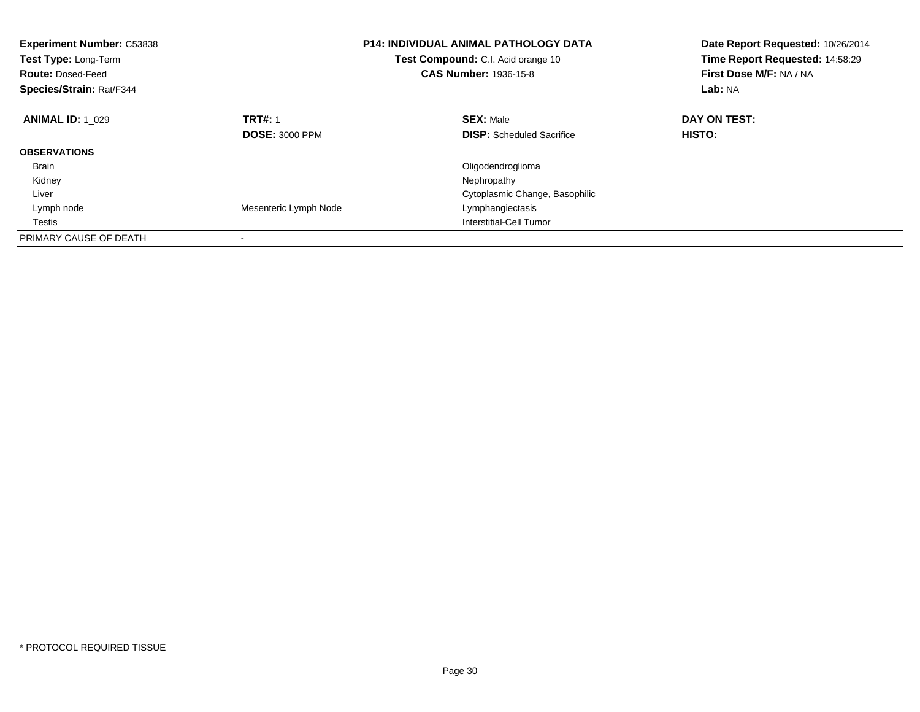| <b>Experiment Number: C53838</b><br>Test Type: Long-Term<br><b>Route: Dosed-Feed</b><br>Species/Strain: Rat/F344 |                       | <b>P14: INDIVIDUAL ANIMAL PATHOLOGY DATA</b><br>Test Compound: C.I. Acid orange 10<br><b>CAS Number: 1936-15-8</b> | Date Report Requested: 10/26/2014<br>Time Report Requested: 14:58:29<br>First Dose M/F: NA / NA<br>Lab: NA |
|------------------------------------------------------------------------------------------------------------------|-----------------------|--------------------------------------------------------------------------------------------------------------------|------------------------------------------------------------------------------------------------------------|
| <b>ANIMAL ID: 1 029</b>                                                                                          | <b>TRT#: 1</b>        | <b>SEX: Male</b>                                                                                                   | DAY ON TEST:                                                                                               |
|                                                                                                                  | <b>DOSE: 3000 PPM</b> | <b>DISP:</b> Scheduled Sacrifice                                                                                   | <b>HISTO:</b>                                                                                              |
| <b>OBSERVATIONS</b>                                                                                              |                       |                                                                                                                    |                                                                                                            |
| <b>Brain</b>                                                                                                     |                       | Oligodendroglioma                                                                                                  |                                                                                                            |
| Kidney                                                                                                           |                       | Nephropathy                                                                                                        |                                                                                                            |
| Liver                                                                                                            |                       | Cytoplasmic Change, Basophilic                                                                                     |                                                                                                            |
| Lymph node                                                                                                       | Mesenteric Lymph Node | Lymphangiectasis                                                                                                   |                                                                                                            |
| Testis                                                                                                           |                       | Interstitial-Cell Tumor                                                                                            |                                                                                                            |
| PRIMARY CAUSE OF DEATH                                                                                           |                       |                                                                                                                    |                                                                                                            |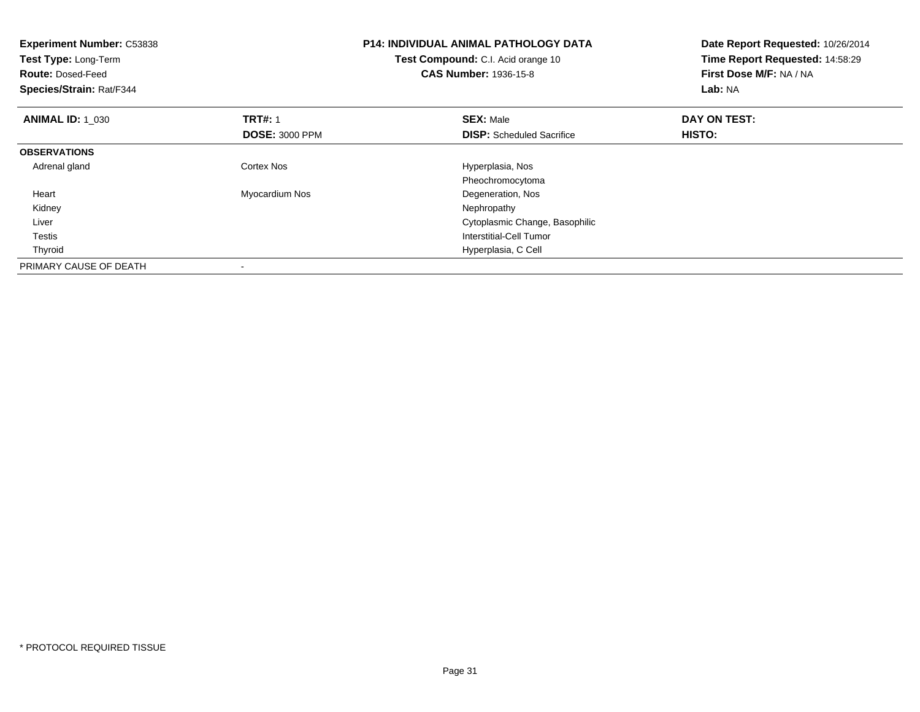| <b>Experiment Number: C53838</b><br>Test Type: Long-Term<br><b>Route: Dosed-Feed</b><br>Species/Strain: Rat/F344 |                       | <b>P14: INDIVIDUAL ANIMAL PATHOLOGY DATA</b><br>Test Compound: C.I. Acid orange 10<br><b>CAS Number: 1936-15-8</b> | Date Report Requested: 10/26/2014<br>Time Report Requested: 14:58:29<br>First Dose M/F: NA / NA<br>Lab: NA |
|------------------------------------------------------------------------------------------------------------------|-----------------------|--------------------------------------------------------------------------------------------------------------------|------------------------------------------------------------------------------------------------------------|
| <b>ANIMAL ID: 1 030</b>                                                                                          | <b>TRT#: 1</b>        | <b>SEX: Male</b>                                                                                                   | DAY ON TEST:                                                                                               |
|                                                                                                                  | <b>DOSE: 3000 PPM</b> | <b>DISP:</b> Scheduled Sacrifice                                                                                   | HISTO:                                                                                                     |
| <b>OBSERVATIONS</b>                                                                                              |                       |                                                                                                                    |                                                                                                            |
| Adrenal gland                                                                                                    | Cortex Nos            | Hyperplasia, Nos                                                                                                   |                                                                                                            |
|                                                                                                                  |                       | Pheochromocytoma                                                                                                   |                                                                                                            |
| Heart                                                                                                            | Myocardium Nos        | Degeneration, Nos                                                                                                  |                                                                                                            |
| Kidney                                                                                                           |                       | Nephropathy                                                                                                        |                                                                                                            |
| Liver                                                                                                            |                       | Cytoplasmic Change, Basophilic                                                                                     |                                                                                                            |
| <b>Testis</b>                                                                                                    |                       | <b>Interstitial-Cell Tumor</b>                                                                                     |                                                                                                            |
| Thyroid                                                                                                          |                       | Hyperplasia, C Cell                                                                                                |                                                                                                            |
| PRIMARY CAUSE OF DEATH                                                                                           |                       |                                                                                                                    |                                                                                                            |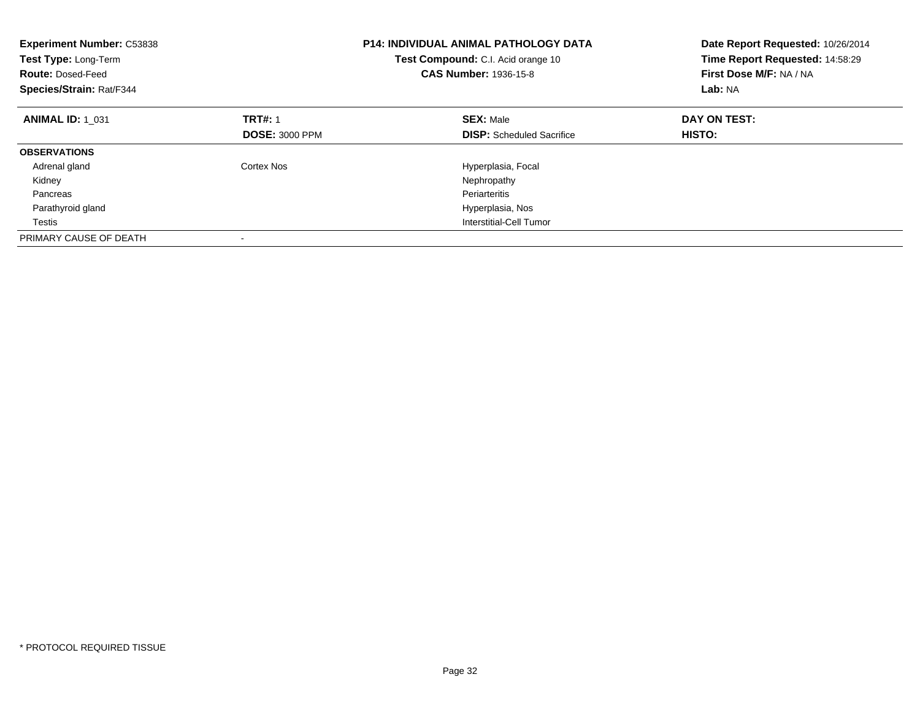| <b>Experiment Number: C53838</b><br>Test Type: Long-Term<br><b>Route: Dosed-Feed</b><br>Species/Strain: Rat/F344 |                                         | <b>P14: INDIVIDUAL ANIMAL PATHOLOGY DATA</b><br>Test Compound: C.I. Acid orange 10<br><b>CAS Number: 1936-15-8</b> | Date Report Requested: 10/26/2014<br>Time Report Requested: 14:58:29<br>First Dose M/F: NA / NA<br>Lab: NA |
|------------------------------------------------------------------------------------------------------------------|-----------------------------------------|--------------------------------------------------------------------------------------------------------------------|------------------------------------------------------------------------------------------------------------|
| <b>ANIMAL ID: 1_031</b>                                                                                          | <b>TRT#: 1</b><br><b>DOSE: 3000 PPM</b> | <b>SEX: Male</b><br><b>DISP:</b> Scheduled Sacrifice                                                               | DAY ON TEST:<br>HISTO:                                                                                     |
| <b>OBSERVATIONS</b>                                                                                              |                                         |                                                                                                                    |                                                                                                            |
| Adrenal gland                                                                                                    | Cortex Nos                              |                                                                                                                    |                                                                                                            |
|                                                                                                                  |                                         | Hyperplasia, Focal                                                                                                 |                                                                                                            |
| Kidney                                                                                                           |                                         | Nephropathy                                                                                                        |                                                                                                            |
| Pancreas                                                                                                         |                                         | Periarteritis                                                                                                      |                                                                                                            |
| Parathyroid gland                                                                                                |                                         | Hyperplasia, Nos                                                                                                   |                                                                                                            |
| Testis                                                                                                           |                                         | Interstitial-Cell Tumor                                                                                            |                                                                                                            |
| PRIMARY CAUSE OF DEATH                                                                                           |                                         |                                                                                                                    |                                                                                                            |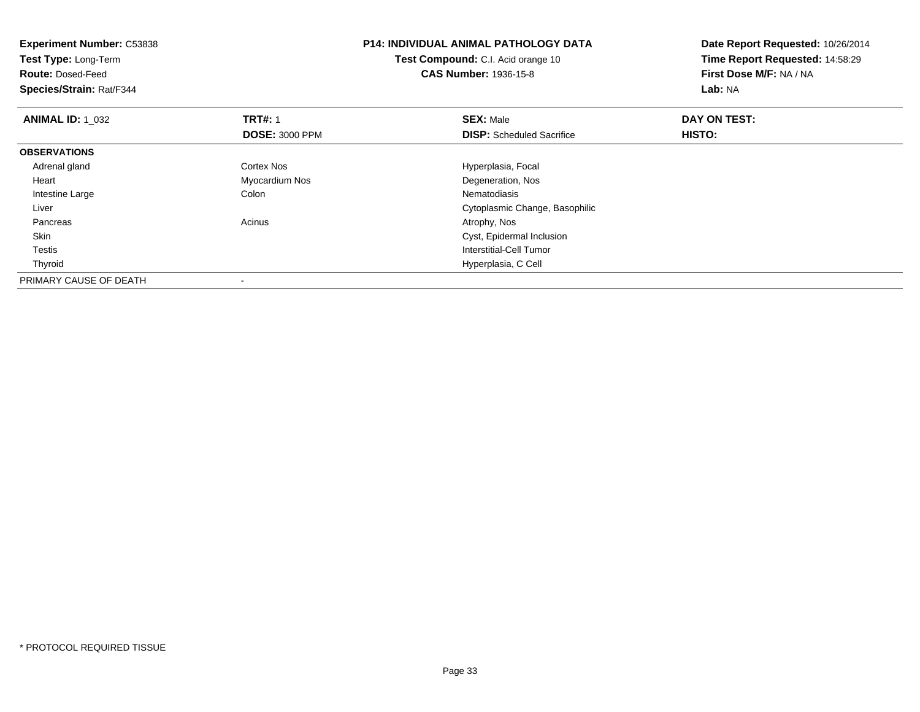| <b>Experiment Number: C53838</b> |                       | <b>P14: INDIVIDUAL ANIMAL PATHOLOGY DATA</b> | Date Report Requested: 10/26/2014 |
|----------------------------------|-----------------------|----------------------------------------------|-----------------------------------|
| Test Type: Long-Term             |                       | Test Compound: C.I. Acid orange 10           | Time Report Requested: 14:58:29   |
| <b>Route: Dosed-Feed</b>         |                       | <b>CAS Number: 1936-15-8</b>                 | First Dose M/F: NA / NA           |
| Species/Strain: Rat/F344         |                       |                                              | Lab: NA                           |
| <b>ANIMAL ID: 1 032</b>          | <b>TRT#: 1</b>        | <b>SEX: Male</b>                             | DAY ON TEST:                      |
|                                  | <b>DOSE: 3000 PPM</b> | <b>DISP:</b> Scheduled Sacrifice             | <b>HISTO:</b>                     |
| <b>OBSERVATIONS</b>              |                       |                                              |                                   |
| Adrenal gland                    | Cortex Nos            | Hyperplasia, Focal                           |                                   |
| Heart                            | Myocardium Nos        | Degeneration, Nos                            |                                   |
| Intestine Large                  | Colon                 | Nematodiasis                                 |                                   |
| Liver                            |                       | Cytoplasmic Change, Basophilic               |                                   |
| Pancreas                         | Acinus                | Atrophy, Nos                                 |                                   |
| Skin                             |                       | Cyst, Epidermal Inclusion                    |                                   |
| Testis                           |                       | Interstitial-Cell Tumor                      |                                   |
| Thyroid                          |                       | Hyperplasia, C Cell                          |                                   |
| PRIMARY CAUSE OF DEATH           |                       |                                              |                                   |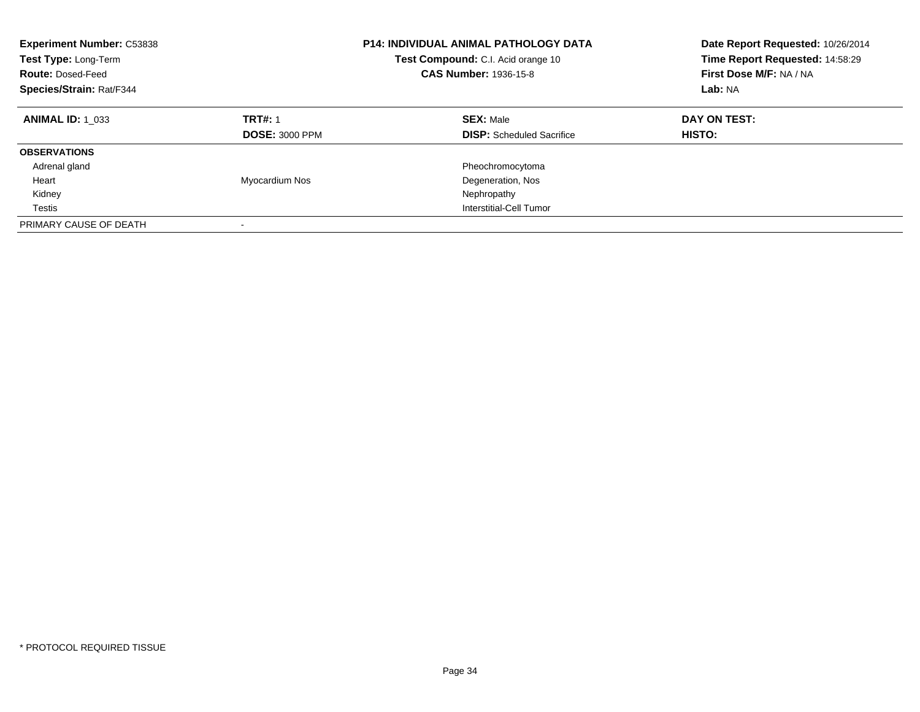| <b>Experiment Number: C53838</b><br>Test Type: Long-Term<br><b>Route: Dosed-Feed</b><br>Species/Strain: Rat/F344 |                                         | <b>P14: INDIVIDUAL ANIMAL PATHOLOGY DATA</b><br>Test Compound: C.I. Acid orange 10<br><b>CAS Number: 1936-15-8</b> | Date Report Requested: 10/26/2014<br>Time Report Requested: 14:58:29<br>First Dose M/F: NA / NA<br>Lab: NA |
|------------------------------------------------------------------------------------------------------------------|-----------------------------------------|--------------------------------------------------------------------------------------------------------------------|------------------------------------------------------------------------------------------------------------|
| <b>ANIMAL ID: 1 033</b>                                                                                          | <b>TRT#: 1</b><br><b>DOSE: 3000 PPM</b> | <b>SEX: Male</b><br><b>DISP:</b> Scheduled Sacrifice                                                               | DAY ON TEST:<br>HISTO:                                                                                     |
| <b>OBSERVATIONS</b>                                                                                              |                                         |                                                                                                                    |                                                                                                            |
| Adrenal gland                                                                                                    |                                         | Pheochromocytoma                                                                                                   |                                                                                                            |
| Heart                                                                                                            | Myocardium Nos                          | Degeneration, Nos                                                                                                  |                                                                                                            |
| Kidney                                                                                                           |                                         | Nephropathy                                                                                                        |                                                                                                            |
| Testis                                                                                                           |                                         | Interstitial-Cell Tumor                                                                                            |                                                                                                            |
| PRIMARY CAUSE OF DEATH                                                                                           |                                         |                                                                                                                    |                                                                                                            |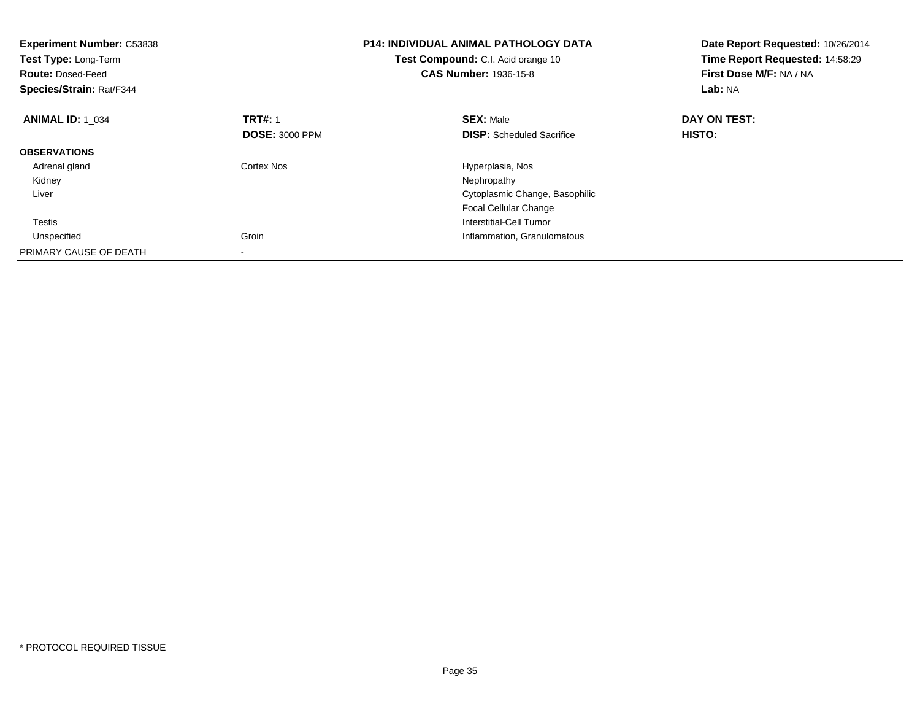| Experiment Number: C53838<br>Test Type: Long-Term<br><b>Route: Dosed-Feed</b><br>Species/Strain: Rat/F344 |                       | <b>P14: INDIVIDUAL ANIMAL PATHOLOGY DATA</b><br><b>Test Compound:</b> C.I. Acid orange 10<br><b>CAS Number: 1936-15-8</b> | Date Report Requested: 10/26/2014<br>Time Report Requested: 14:58:29<br>First Dose M/F: NA / NA<br>Lab: NA |
|-----------------------------------------------------------------------------------------------------------|-----------------------|---------------------------------------------------------------------------------------------------------------------------|------------------------------------------------------------------------------------------------------------|
| <b>ANIMAL ID: 1_034</b>                                                                                   | <b>TRT#: 1</b>        | <b>SEX: Male</b>                                                                                                          | DAY ON TEST:                                                                                               |
|                                                                                                           | <b>DOSE: 3000 PPM</b> | <b>DISP:</b> Scheduled Sacrifice                                                                                          | HISTO:                                                                                                     |
| <b>OBSERVATIONS</b>                                                                                       |                       |                                                                                                                           |                                                                                                            |
| Adrenal gland                                                                                             | Cortex Nos            | Hyperplasia, Nos                                                                                                          |                                                                                                            |
| Kidney                                                                                                    |                       | Nephropathy                                                                                                               |                                                                                                            |
| Liver                                                                                                     |                       | Cytoplasmic Change, Basophilic                                                                                            |                                                                                                            |
|                                                                                                           |                       | <b>Focal Cellular Change</b>                                                                                              |                                                                                                            |
| Testis                                                                                                    |                       | Interstitial-Cell Tumor                                                                                                   |                                                                                                            |
| Unspecified                                                                                               | Groin                 | Inflammation, Granulomatous                                                                                               |                                                                                                            |
| PRIMARY CAUSE OF DEATH                                                                                    |                       |                                                                                                                           |                                                                                                            |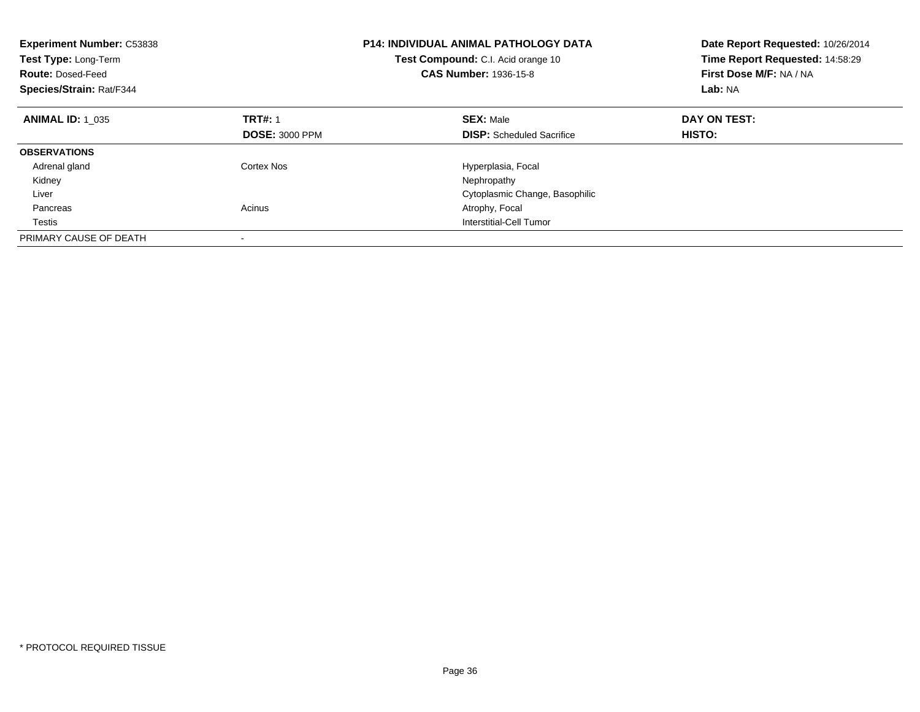| <b>Experiment Number: C53838</b><br>Test Type: Long-Term<br><b>Route: Dosed-Feed</b><br>Species/Strain: Rat/F344 |                                         | <b>P14: INDIVIDUAL ANIMAL PATHOLOGY DATA</b><br>Test Compound: C.I. Acid orange 10<br>CAS Number: 1936-15-8 | Date Report Requested: 10/26/2014<br>Time Report Requested: 14:58:29<br>First Dose M/F: NA / NA<br>Lab: NA |
|------------------------------------------------------------------------------------------------------------------|-----------------------------------------|-------------------------------------------------------------------------------------------------------------|------------------------------------------------------------------------------------------------------------|
| <b>ANIMAL ID: 1 035</b>                                                                                          | <b>TRT#: 1</b><br><b>DOSE: 3000 PPM</b> | <b>SEX: Male</b><br><b>DISP:</b> Scheduled Sacrifice                                                        | DAY ON TEST:<br><b>HISTO:</b>                                                                              |
|                                                                                                                  |                                         |                                                                                                             |                                                                                                            |
| <b>OBSERVATIONS</b>                                                                                              |                                         |                                                                                                             |                                                                                                            |
| Adrenal gland                                                                                                    | Cortex Nos                              | Hyperplasia, Focal                                                                                          |                                                                                                            |
| Kidney                                                                                                           |                                         | Nephropathy                                                                                                 |                                                                                                            |
| Liver                                                                                                            |                                         | Cytoplasmic Change, Basophilic                                                                              |                                                                                                            |
| Pancreas                                                                                                         | Acinus                                  | Atrophy, Focal                                                                                              |                                                                                                            |
| Testis                                                                                                           |                                         | Interstitial-Cell Tumor                                                                                     |                                                                                                            |
| PRIMARY CAUSE OF DEATH                                                                                           |                                         |                                                                                                             |                                                                                                            |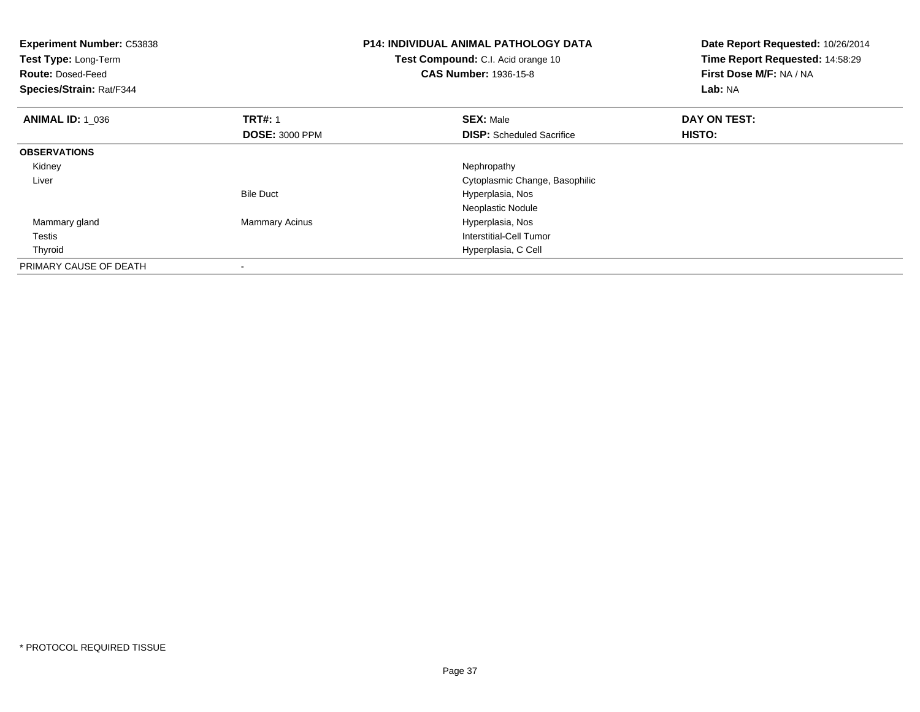| <b>Experiment Number: C53838</b><br>Test Type: Long-Term<br><b>Route: Dosed-Feed</b><br>Species/Strain: Rat/F344 |                       | <b>P14: INDIVIDUAL ANIMAL PATHOLOGY DATA</b><br>Test Compound: C.I. Acid orange 10<br><b>CAS Number: 1936-15-8</b> | Date Report Requested: 10/26/2014<br>Time Report Requested: 14:58:29<br>First Dose M/F: NA / NA<br>Lab: NA |
|------------------------------------------------------------------------------------------------------------------|-----------------------|--------------------------------------------------------------------------------------------------------------------|------------------------------------------------------------------------------------------------------------|
| <b>ANIMAL ID: 1 036</b>                                                                                          | <b>TRT#: 1</b>        | <b>SEX: Male</b>                                                                                                   | DAY ON TEST:                                                                                               |
|                                                                                                                  | <b>DOSE: 3000 PPM</b> | <b>DISP:</b> Scheduled Sacrifice                                                                                   | HISTO:                                                                                                     |
| <b>OBSERVATIONS</b>                                                                                              |                       |                                                                                                                    |                                                                                                            |
| Kidney                                                                                                           |                       | Nephropathy                                                                                                        |                                                                                                            |
| Liver                                                                                                            |                       | Cytoplasmic Change, Basophilic                                                                                     |                                                                                                            |
|                                                                                                                  | <b>Bile Duct</b>      | Hyperplasia, Nos                                                                                                   |                                                                                                            |
|                                                                                                                  |                       | Neoplastic Nodule                                                                                                  |                                                                                                            |
| Mammary gland                                                                                                    | <b>Mammary Acinus</b> | Hyperplasia, Nos                                                                                                   |                                                                                                            |
| Testis                                                                                                           |                       | Interstitial-Cell Tumor                                                                                            |                                                                                                            |
| Thyroid                                                                                                          |                       | Hyperplasia, C Cell                                                                                                |                                                                                                            |
| PRIMARY CAUSE OF DEATH                                                                                           |                       |                                                                                                                    |                                                                                                            |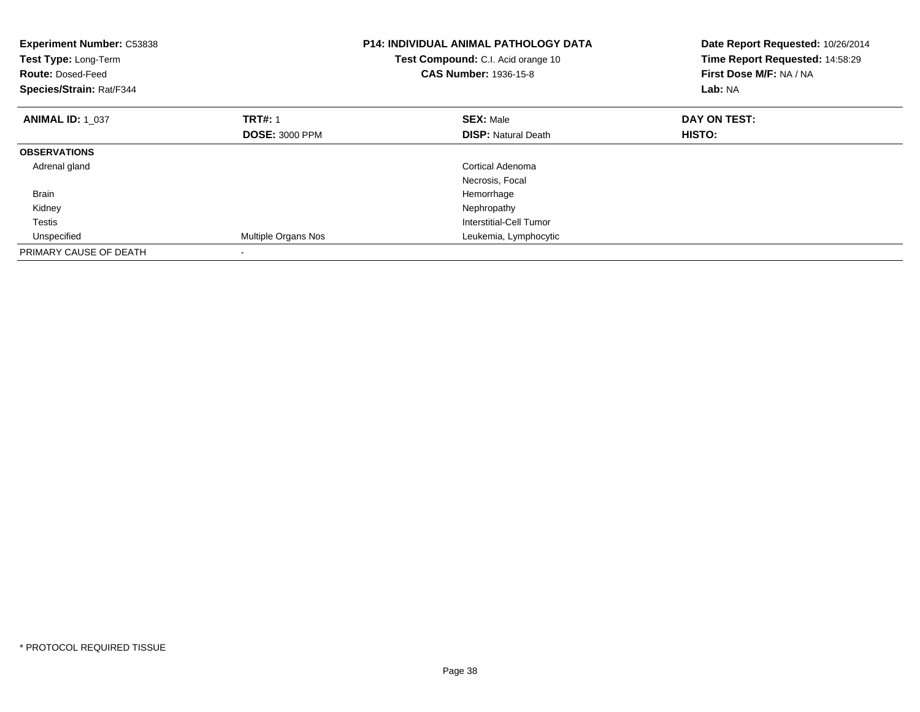| <b>Experiment Number: C53838</b><br>Test Type: Long-Term<br><b>Route: Dosed-Feed</b><br>Species/Strain: Rat/F344 |                       | <b>P14: INDIVIDUAL ANIMAL PATHOLOGY DATA</b><br>Test Compound: C.I. Acid orange 10<br><b>CAS Number: 1936-15-8</b> | Date Report Requested: 10/26/2014<br>Time Report Requested: 14:58:29<br>First Dose M/F: NA / NA<br>Lab: NA |
|------------------------------------------------------------------------------------------------------------------|-----------------------|--------------------------------------------------------------------------------------------------------------------|------------------------------------------------------------------------------------------------------------|
| <b>ANIMAL ID: 1_037</b>                                                                                          | <b>TRT#: 1</b>        | <b>SEX: Male</b>                                                                                                   | DAY ON TEST:                                                                                               |
|                                                                                                                  | <b>DOSE: 3000 PPM</b> | <b>DISP:</b> Natural Death                                                                                         | HISTO:                                                                                                     |
| <b>OBSERVATIONS</b>                                                                                              |                       |                                                                                                                    |                                                                                                            |
| Adrenal gland                                                                                                    |                       | Cortical Adenoma                                                                                                   |                                                                                                            |
|                                                                                                                  |                       | Necrosis, Focal                                                                                                    |                                                                                                            |
| <b>Brain</b>                                                                                                     |                       | Hemorrhage                                                                                                         |                                                                                                            |
| Kidney                                                                                                           |                       | Nephropathy                                                                                                        |                                                                                                            |
| Testis                                                                                                           |                       | Interstitial-Cell Tumor                                                                                            |                                                                                                            |
| Unspecified                                                                                                      | Multiple Organs Nos   | Leukemia, Lymphocytic                                                                                              |                                                                                                            |
| PRIMARY CAUSE OF DEATH                                                                                           |                       |                                                                                                                    |                                                                                                            |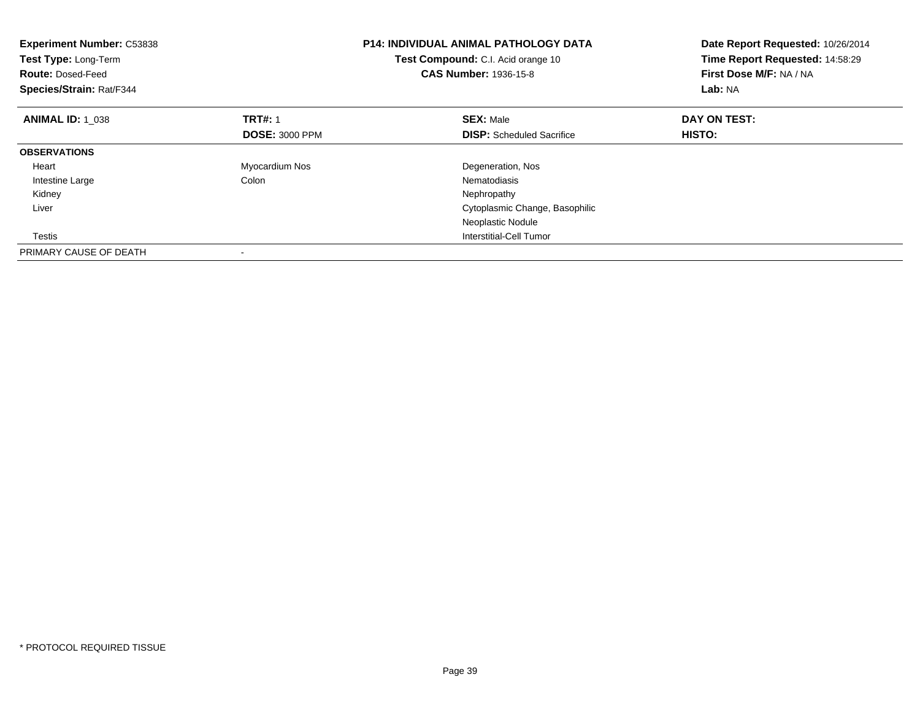| <b>Experiment Number: C53838</b><br>Test Type: Long-Term<br><b>Route: Dosed-Feed</b><br>Species/Strain: Rat/F344 |                       | <b>P14: INDIVIDUAL ANIMAL PATHOLOGY DATA</b><br>Test Compound: C.I. Acid orange 10<br><b>CAS Number: 1936-15-8</b> | Date Report Requested: 10/26/2014<br>Time Report Requested: 14:58:29<br>First Dose M/F: NA / NA<br>Lab: NA |
|------------------------------------------------------------------------------------------------------------------|-----------------------|--------------------------------------------------------------------------------------------------------------------|------------------------------------------------------------------------------------------------------------|
| <b>ANIMAL ID: 1 038</b>                                                                                          | <b>TRT#: 1</b>        | <b>SEX: Male</b>                                                                                                   | DAY ON TEST:                                                                                               |
|                                                                                                                  | <b>DOSE: 3000 PPM</b> | <b>DISP:</b> Scheduled Sacrifice                                                                                   | HISTO:                                                                                                     |
| <b>OBSERVATIONS</b>                                                                                              |                       |                                                                                                                    |                                                                                                            |
| Heart                                                                                                            | Myocardium Nos        | Degeneration, Nos                                                                                                  |                                                                                                            |
| Intestine Large                                                                                                  | Colon                 | Nematodiasis                                                                                                       |                                                                                                            |
| Kidney                                                                                                           |                       | Nephropathy                                                                                                        |                                                                                                            |
| Liver                                                                                                            |                       | Cytoplasmic Change, Basophilic                                                                                     |                                                                                                            |
|                                                                                                                  |                       | Neoplastic Nodule                                                                                                  |                                                                                                            |
| Testis                                                                                                           |                       | Interstitial-Cell Tumor                                                                                            |                                                                                                            |
| PRIMARY CAUSE OF DEATH                                                                                           |                       |                                                                                                                    |                                                                                                            |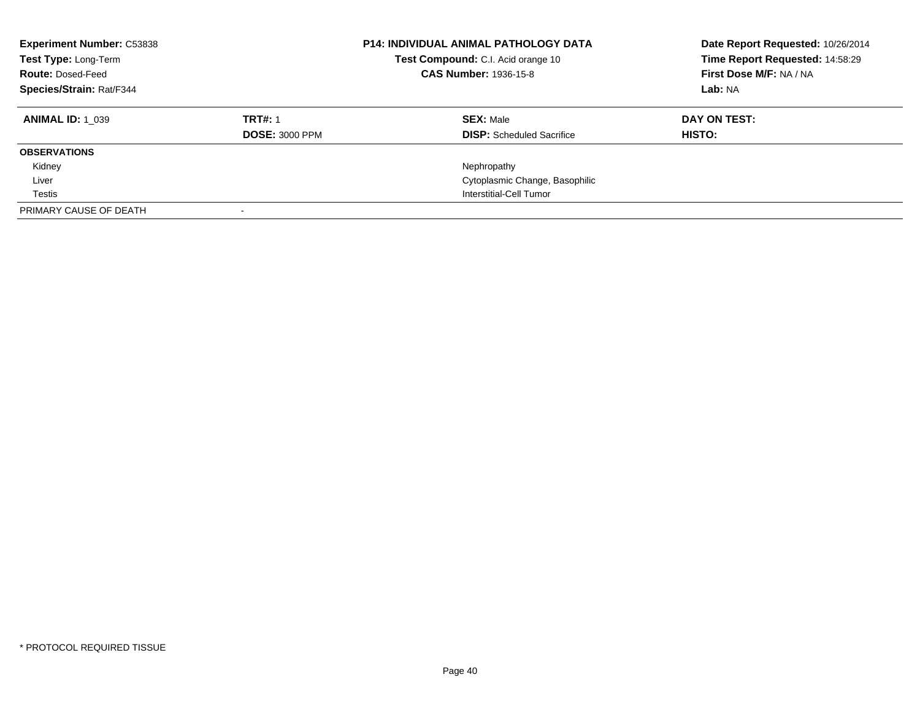| <b>Experiment Number: C53838</b><br>Test Type: Long-Term<br><b>Route: Dosed-Feed</b><br>Species/Strain: Rat/F344 |                       | <b>P14: INDIVIDUAL ANIMAL PATHOLOGY DATA</b><br>Test Compound: C.I. Acid orange 10<br><b>CAS Number: 1936-15-8</b> | Date Report Requested: 10/26/2014<br>Time Report Requested: 14:58:29<br>First Dose M/F: NA / NA<br>Lab: NA |
|------------------------------------------------------------------------------------------------------------------|-----------------------|--------------------------------------------------------------------------------------------------------------------|------------------------------------------------------------------------------------------------------------|
| <b>ANIMAL ID: 1 039</b>                                                                                          | <b>TRT#: 1</b>        | <b>SEX: Male</b>                                                                                                   | DAY ON TEST:                                                                                               |
|                                                                                                                  | <b>DOSE: 3000 PPM</b> | <b>DISP:</b> Scheduled Sacrifice                                                                                   | HISTO:                                                                                                     |
| <b>OBSERVATIONS</b>                                                                                              |                       |                                                                                                                    |                                                                                                            |
| Kidney                                                                                                           |                       | Nephropathy                                                                                                        |                                                                                                            |
| Liver                                                                                                            |                       | Cytoplasmic Change, Basophilic                                                                                     |                                                                                                            |
| Testis                                                                                                           |                       | Interstitial-Cell Tumor                                                                                            |                                                                                                            |
| PRIMARY CAUSE OF DEATH                                                                                           |                       |                                                                                                                    |                                                                                                            |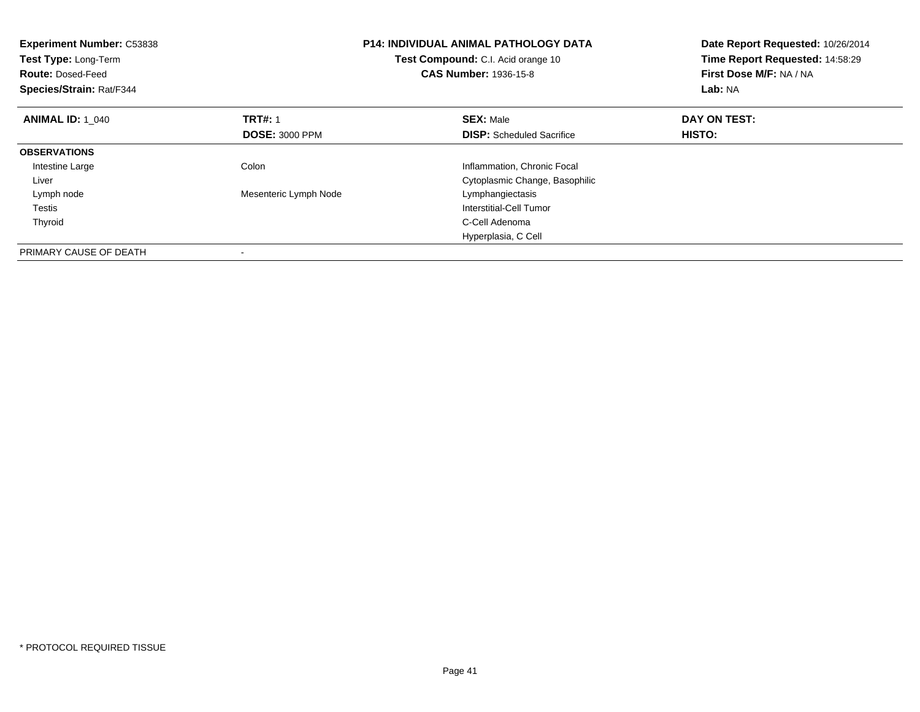| <b>Experiment Number: C53838</b><br>Test Type: Long-Term<br><b>Route: Dosed-Feed</b><br>Species/Strain: Rat/F344 | <b>P14: INDIVIDUAL ANIMAL PATHOLOGY DATA</b><br>Test Compound: C.I. Acid orange 10<br><b>CAS Number: 1936-15-8</b> |                                  | Date Report Requested: 10/26/2014<br>Time Report Requested: 14:58:29<br>First Dose M/F: NA / NA<br>Lab: NA |
|------------------------------------------------------------------------------------------------------------------|--------------------------------------------------------------------------------------------------------------------|----------------------------------|------------------------------------------------------------------------------------------------------------|
| <b>ANIMAL ID: 1 040</b>                                                                                          | <b>TRT#: 1</b>                                                                                                     | <b>SEX: Male</b>                 | DAY ON TEST:                                                                                               |
|                                                                                                                  | <b>DOSE: 3000 PPM</b>                                                                                              | <b>DISP:</b> Scheduled Sacrifice | <b>HISTO:</b>                                                                                              |
| <b>OBSERVATIONS</b>                                                                                              |                                                                                                                    |                                  |                                                                                                            |
| Intestine Large                                                                                                  | Colon                                                                                                              | Inflammation, Chronic Focal      |                                                                                                            |
| Liver                                                                                                            |                                                                                                                    | Cytoplasmic Change, Basophilic   |                                                                                                            |
| Lymph node                                                                                                       | Mesenteric Lymph Node                                                                                              | Lymphangiectasis                 |                                                                                                            |
| Testis                                                                                                           |                                                                                                                    | Interstitial-Cell Tumor          |                                                                                                            |
| Thyroid                                                                                                          |                                                                                                                    | C-Cell Adenoma                   |                                                                                                            |
|                                                                                                                  |                                                                                                                    | Hyperplasia, C Cell              |                                                                                                            |
| PRIMARY CAUSE OF DEATH                                                                                           |                                                                                                                    |                                  |                                                                                                            |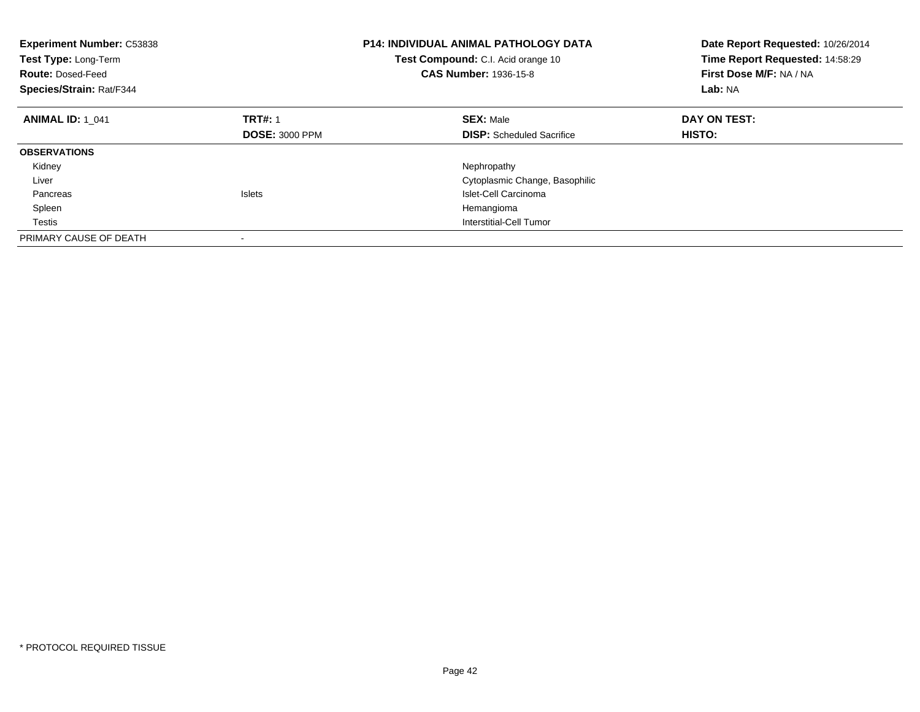| <b>Experiment Number: C53838</b><br>Test Type: Long-Term<br><b>Route: Dosed-Feed</b><br>Species/Strain: Rat/F344 | <b>P14: INDIVIDUAL ANIMAL PATHOLOGY DATA</b><br><b>Test Compound:</b> C.I. Acid orange 10<br><b>CAS Number: 1936-15-8</b> |                                  | Date Report Requested: 10/26/2014<br>Time Report Requested: 14:58:29<br>First Dose M/F: NA / NA<br>Lab: NA |
|------------------------------------------------------------------------------------------------------------------|---------------------------------------------------------------------------------------------------------------------------|----------------------------------|------------------------------------------------------------------------------------------------------------|
| <b>ANIMAL ID: 1 041</b>                                                                                          | <b>TRT#: 1</b>                                                                                                            | <b>SEX: Male</b>                 | DAY ON TEST:                                                                                               |
|                                                                                                                  | <b>DOSE: 3000 PPM</b>                                                                                                     | <b>DISP:</b> Scheduled Sacrifice | <b>HISTO:</b>                                                                                              |
| <b>OBSERVATIONS</b>                                                                                              |                                                                                                                           |                                  |                                                                                                            |
| Kidney                                                                                                           |                                                                                                                           | Nephropathy                      |                                                                                                            |
| Liver                                                                                                            |                                                                                                                           | Cytoplasmic Change, Basophilic   |                                                                                                            |
| Pancreas                                                                                                         | <b>Islets</b>                                                                                                             | Islet-Cell Carcinoma             |                                                                                                            |
| Spleen                                                                                                           |                                                                                                                           | Hemangioma                       |                                                                                                            |
| Testis                                                                                                           |                                                                                                                           | Interstitial-Cell Tumor          |                                                                                                            |
| PRIMARY CAUSE OF DEATH                                                                                           |                                                                                                                           |                                  |                                                                                                            |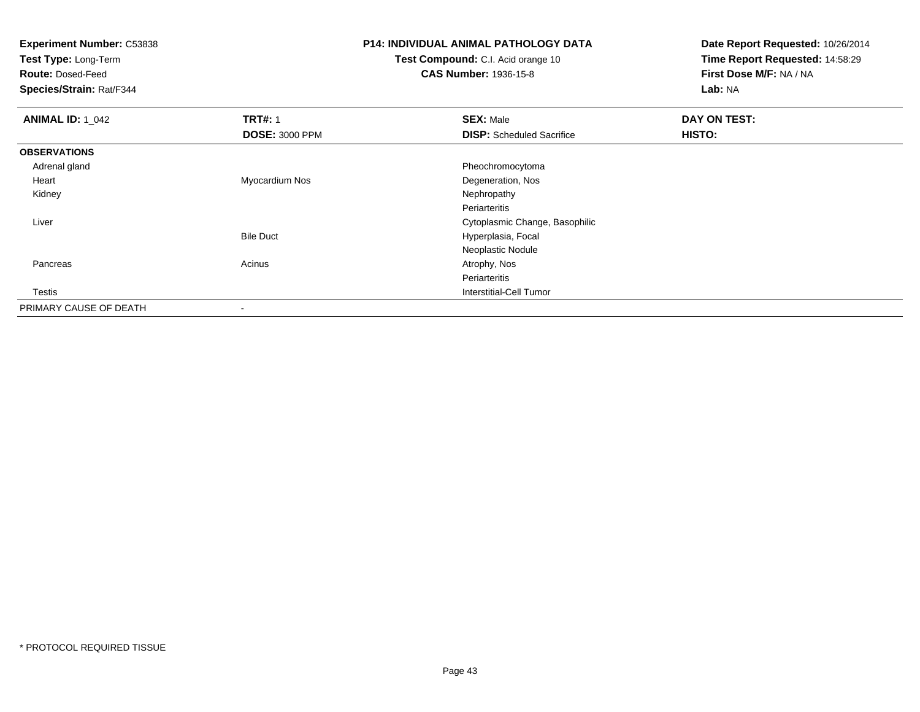**Test Type:** Long-Term

**Route:** Dosed-Feed

**Species/Strain:** Rat/F344

## **P14: INDIVIDUAL ANIMAL PATHOLOGY DATA**

**Test Compound:** C.I. Acid orange 10**CAS Number:** 1936-15-8

| <b>ANIMAL ID: 1_042</b> | <b>TRT#: 1</b>           | <b>SEX: Male</b>                 | DAY ON TEST:  |  |
|-------------------------|--------------------------|----------------------------------|---------------|--|
|                         | <b>DOSE: 3000 PPM</b>    | <b>DISP:</b> Scheduled Sacrifice | <b>HISTO:</b> |  |
| <b>OBSERVATIONS</b>     |                          |                                  |               |  |
| Adrenal gland           |                          | Pheochromocytoma                 |               |  |
| Heart                   | Myocardium Nos           | Degeneration, Nos                |               |  |
| Kidney                  |                          | Nephropathy                      |               |  |
|                         |                          | Periarteritis                    |               |  |
| Liver                   |                          | Cytoplasmic Change, Basophilic   |               |  |
|                         | <b>Bile Duct</b>         | Hyperplasia, Focal               |               |  |
|                         |                          | Neoplastic Nodule                |               |  |
| Pancreas                | Acinus                   | Atrophy, Nos                     |               |  |
|                         |                          | Periarteritis                    |               |  |
| Testis                  |                          | Interstitial-Cell Tumor          |               |  |
| PRIMARY CAUSE OF DEATH  | $\overline{\phantom{a}}$ |                                  |               |  |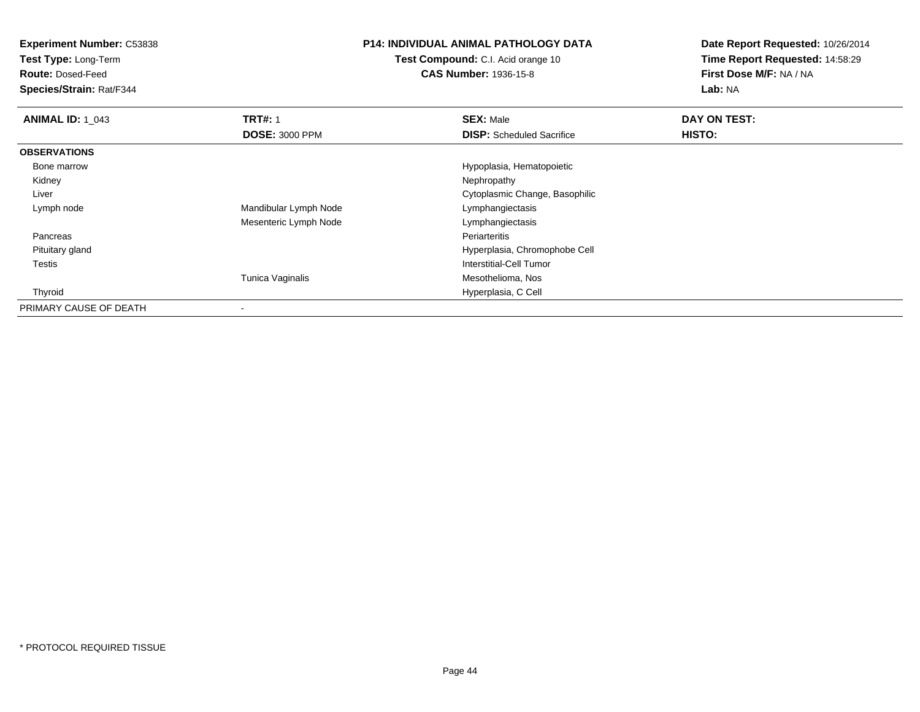**Test Type:** Long-Term

**Route:** Dosed-Feed

**Species/Strain:** Rat/F344

#### **P14: INDIVIDUAL ANIMAL PATHOLOGY DATA**

**Test Compound:** C.I. Acid orange 10**CAS Number:** 1936-15-8

| <b>ANIMAL ID: 1 043</b> | <b>TRT#: 1</b>        | <b>SEX: Male</b>                 | DAY ON TEST: |  |
|-------------------------|-----------------------|----------------------------------|--------------|--|
|                         | <b>DOSE: 3000 PPM</b> | <b>DISP:</b> Scheduled Sacrifice | HISTO:       |  |
| <b>OBSERVATIONS</b>     |                       |                                  |              |  |
| Bone marrow             |                       | Hypoplasia, Hematopoietic        |              |  |
| Kidney                  |                       | Nephropathy                      |              |  |
| Liver                   |                       | Cytoplasmic Change, Basophilic   |              |  |
| Lymph node              | Mandibular Lymph Node | Lymphangiectasis                 |              |  |
|                         | Mesenteric Lymph Node | Lymphangiectasis                 |              |  |
| Pancreas                |                       | Periarteritis                    |              |  |
| Pituitary gland         |                       | Hyperplasia, Chromophobe Cell    |              |  |
| Testis                  |                       | <b>Interstitial-Cell Tumor</b>   |              |  |
|                         | Tunica Vaginalis      | Mesothelioma, Nos                |              |  |
| Thyroid                 |                       | Hyperplasia, C Cell              |              |  |
| PRIMARY CAUSE OF DEATH  | $\,$                  |                                  |              |  |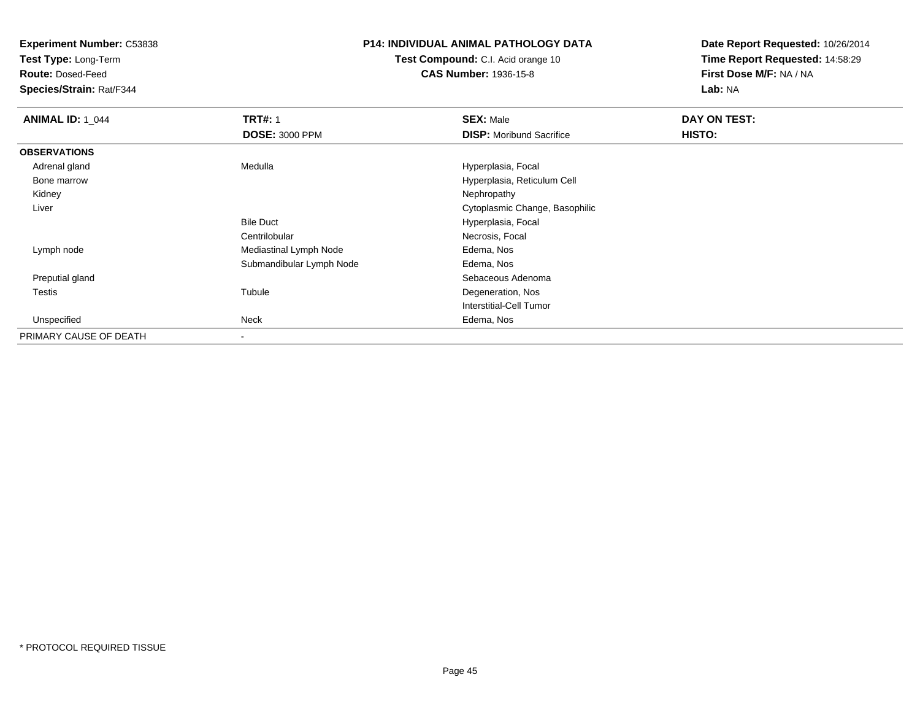**Test Type:** Long-Term

**Route:** Dosed-Feed

**Species/Strain:** Rat/F344

#### **P14: INDIVIDUAL ANIMAL PATHOLOGY DATA**

**Test Compound:** C.I. Acid orange 10**CAS Number:** 1936-15-8

| <b>ANIMAL ID: 1_044</b> | <b>TRT#: 1</b>           | <b>SEX: Male</b>                | DAY ON TEST: |  |
|-------------------------|--------------------------|---------------------------------|--------------|--|
|                         | <b>DOSE: 3000 PPM</b>    | <b>DISP:</b> Moribund Sacrifice | HISTO:       |  |
| <b>OBSERVATIONS</b>     |                          |                                 |              |  |
| Adrenal gland           | Medulla                  | Hyperplasia, Focal              |              |  |
| Bone marrow             |                          | Hyperplasia, Reticulum Cell     |              |  |
| Kidney                  |                          | Nephropathy                     |              |  |
| Liver                   |                          | Cytoplasmic Change, Basophilic  |              |  |
|                         | <b>Bile Duct</b>         | Hyperplasia, Focal              |              |  |
|                         | Centrilobular            | Necrosis, Focal                 |              |  |
| Lymph node              | Mediastinal Lymph Node   | Edema, Nos                      |              |  |
|                         | Submandibular Lymph Node | Edema, Nos                      |              |  |
| Preputial gland         |                          | Sebaceous Adenoma               |              |  |
| Testis                  | Tubule                   | Degeneration, Nos               |              |  |
|                         |                          | Interstitial-Cell Tumor         |              |  |
| Unspecified             | Neck                     | Edema, Nos                      |              |  |
| PRIMARY CAUSE OF DEATH  | $\blacksquare$           |                                 |              |  |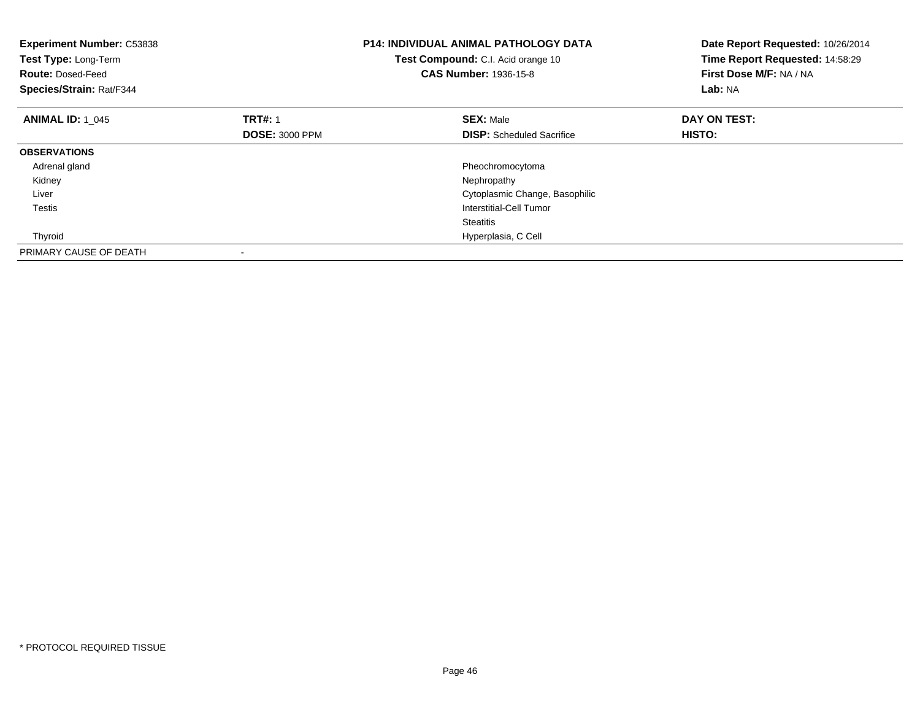| <b>Experiment Number: C53838</b><br>Test Type: Long-Term<br><b>Route: Dosed-Feed</b><br>Species/Strain: Rat/F344 |                       | <b>P14: INDIVIDUAL ANIMAL PATHOLOGY DATA</b><br>Test Compound: C.I. Acid orange 10<br><b>CAS Number: 1936-15-8</b> | Date Report Requested: 10/26/2014<br>Time Report Requested: 14:58:29<br>First Dose M/F: NA / NA<br>Lab: NA |
|------------------------------------------------------------------------------------------------------------------|-----------------------|--------------------------------------------------------------------------------------------------------------------|------------------------------------------------------------------------------------------------------------|
| <b>ANIMAL ID: 1 045</b>                                                                                          | <b>TRT#: 1</b>        | <b>SEX: Male</b>                                                                                                   | DAY ON TEST:                                                                                               |
|                                                                                                                  | <b>DOSE: 3000 PPM</b> | <b>DISP:</b> Scheduled Sacrifice                                                                                   | HISTO:                                                                                                     |
| <b>OBSERVATIONS</b>                                                                                              |                       |                                                                                                                    |                                                                                                            |
| Adrenal gland                                                                                                    |                       | Pheochromocytoma                                                                                                   |                                                                                                            |
| Kidney                                                                                                           |                       | Nephropathy                                                                                                        |                                                                                                            |
| Liver                                                                                                            |                       | Cytoplasmic Change, Basophilic                                                                                     |                                                                                                            |
| Testis                                                                                                           |                       | Interstitial-Cell Tumor                                                                                            |                                                                                                            |
|                                                                                                                  |                       | <b>Steatitis</b>                                                                                                   |                                                                                                            |
| Thyroid                                                                                                          |                       | Hyperplasia, C Cell                                                                                                |                                                                                                            |
| PRIMARY CAUSE OF DEATH                                                                                           |                       |                                                                                                                    |                                                                                                            |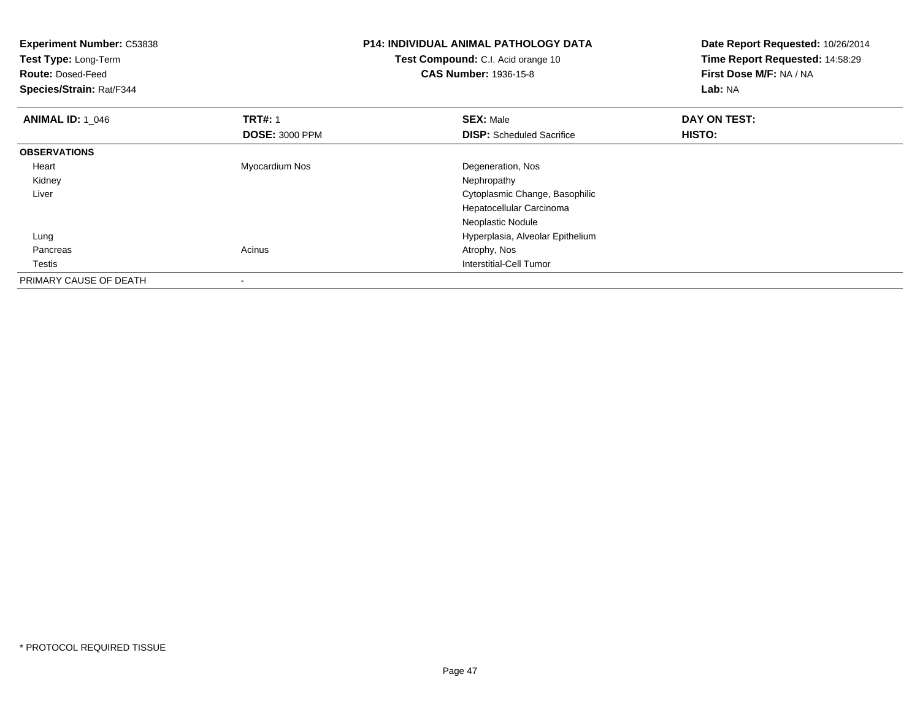| <b>Experiment Number: C53838</b><br>Test Type: Long-Term |                       | <b>P14: INDIVIDUAL ANIMAL PATHOLOGY DATA</b> | Date Report Requested: 10/26/2014 |
|----------------------------------------------------------|-----------------------|----------------------------------------------|-----------------------------------|
|                                                          |                       | Test Compound: C.I. Acid orange 10           | Time Report Requested: 14:58:29   |
| <b>Route: Dosed-Feed</b>                                 |                       | <b>CAS Number: 1936-15-8</b>                 | First Dose M/F: NA / NA           |
| Species/Strain: Rat/F344                                 |                       |                                              | Lab: NA                           |
| <b>ANIMAL ID: 1 046</b>                                  | <b>TRT#: 1</b>        | <b>SEX: Male</b>                             | DAY ON TEST:                      |
|                                                          | <b>DOSE: 3000 PPM</b> | <b>DISP:</b> Scheduled Sacrifice             | HISTO:                            |
| <b>OBSERVATIONS</b>                                      |                       |                                              |                                   |
| Heart                                                    | Myocardium Nos        | Degeneration, Nos                            |                                   |
| Kidney                                                   |                       | Nephropathy                                  |                                   |
| Liver                                                    |                       | Cytoplasmic Change, Basophilic               |                                   |
|                                                          |                       | Hepatocellular Carcinoma                     |                                   |
|                                                          |                       | Neoplastic Nodule                            |                                   |
| Lung                                                     |                       | Hyperplasia, Alveolar Epithelium             |                                   |
| Pancreas                                                 | Acinus                | Atrophy, Nos                                 |                                   |
| Testis                                                   |                       | Interstitial-Cell Tumor                      |                                   |
| PRIMARY CAUSE OF DEATH                                   |                       |                                              |                                   |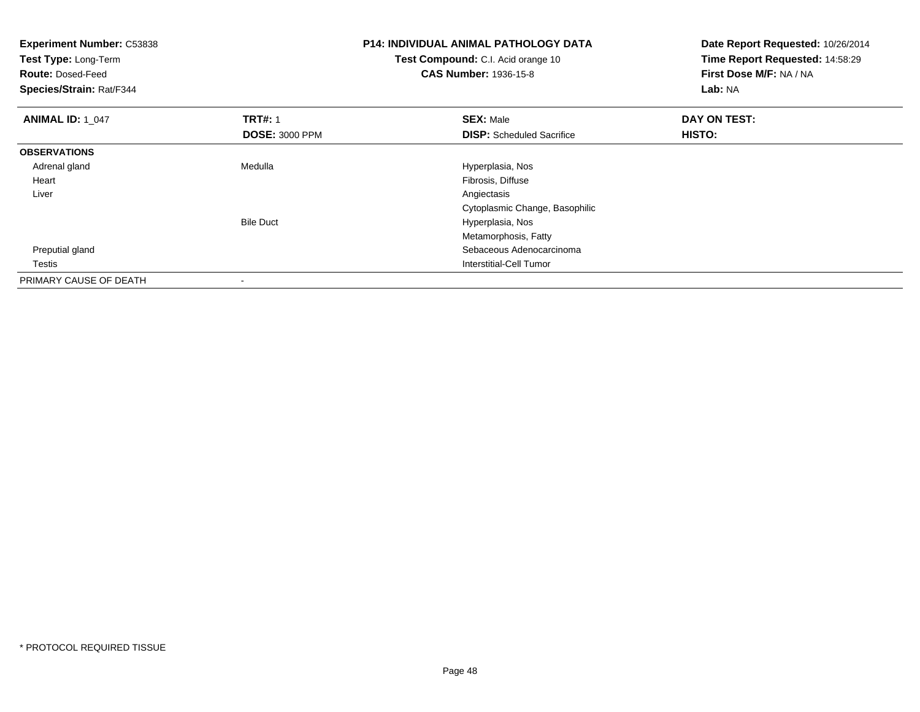| Experiment Number: C53838<br>Test Type: Long-Term<br><b>Route: Dosed-Feed</b><br>Species/Strain: Rat/F344 |                       | <b>P14: INDIVIDUAL ANIMAL PATHOLOGY DATA</b><br><b>Test Compound:</b> C.I. Acid orange 10<br><b>CAS Number: 1936-15-8</b> | Date Report Requested: 10/26/2014<br>Time Report Requested: 14:58:29<br>First Dose M/F: NA / NA<br>Lab: NA |
|-----------------------------------------------------------------------------------------------------------|-----------------------|---------------------------------------------------------------------------------------------------------------------------|------------------------------------------------------------------------------------------------------------|
| <b>ANIMAL ID: 1_047</b>                                                                                   | <b>TRT#: 1</b>        | <b>SEX: Male</b>                                                                                                          | DAY ON TEST:                                                                                               |
|                                                                                                           | <b>DOSE: 3000 PPM</b> | <b>DISP:</b> Scheduled Sacrifice                                                                                          | <b>HISTO:</b>                                                                                              |
| <b>OBSERVATIONS</b>                                                                                       |                       |                                                                                                                           |                                                                                                            |
| Adrenal gland                                                                                             | Medulla               | Hyperplasia, Nos                                                                                                          |                                                                                                            |
| Heart                                                                                                     |                       | Fibrosis, Diffuse                                                                                                         |                                                                                                            |
| Liver                                                                                                     |                       | Angiectasis                                                                                                               |                                                                                                            |
|                                                                                                           |                       | Cytoplasmic Change, Basophilic                                                                                            |                                                                                                            |
|                                                                                                           | <b>Bile Duct</b>      | Hyperplasia, Nos                                                                                                          |                                                                                                            |
|                                                                                                           |                       | Metamorphosis, Fatty                                                                                                      |                                                                                                            |
| Preputial gland                                                                                           |                       | Sebaceous Adenocarcinoma                                                                                                  |                                                                                                            |
| Testis                                                                                                    |                       | Interstitial-Cell Tumor                                                                                                   |                                                                                                            |
| PRIMARY CAUSE OF DEATH                                                                                    |                       |                                                                                                                           |                                                                                                            |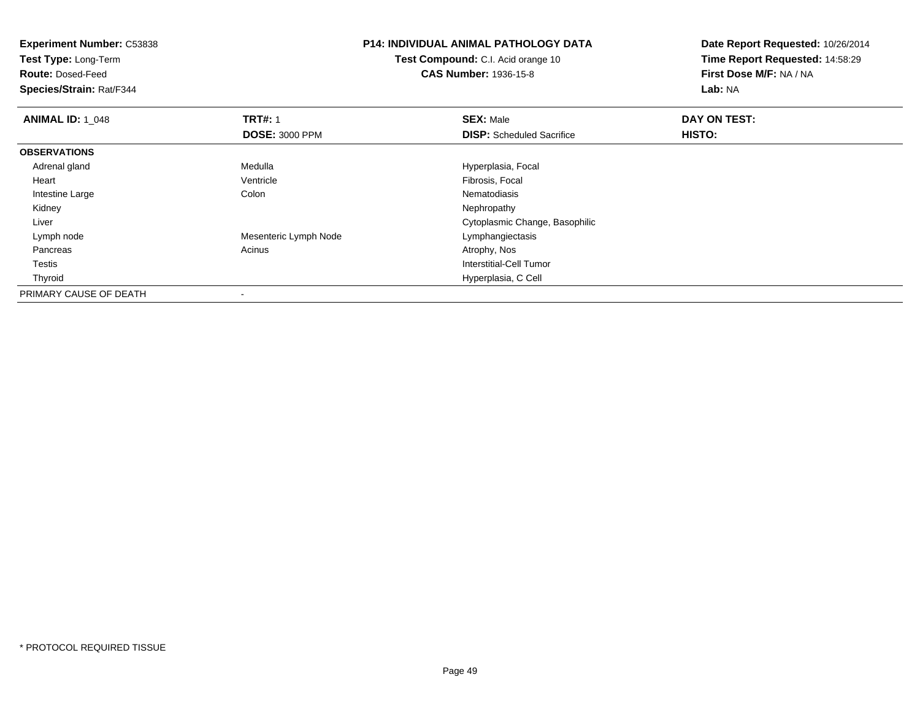**Test Type:** Long-Term

**Route:** Dosed-Feed

**Species/Strain:** Rat/F344

## **P14: INDIVIDUAL ANIMAL PATHOLOGY DATA**

**Test Compound:** C.I. Acid orange 10**CAS Number:** 1936-15-8

| <b>ANIMAL ID: 1 048</b> | <b>TRT#: 1</b>        | <b>SEX: Male</b>                 | DAY ON TEST: |  |
|-------------------------|-----------------------|----------------------------------|--------------|--|
|                         | <b>DOSE: 3000 PPM</b> | <b>DISP:</b> Scheduled Sacrifice | HISTO:       |  |
| <b>OBSERVATIONS</b>     |                       |                                  |              |  |
| Adrenal gland           | Medulla               | Hyperplasia, Focal               |              |  |
| Heart                   | Ventricle             | Fibrosis, Focal                  |              |  |
| Intestine Large         | Colon                 | Nematodiasis                     |              |  |
| Kidney                  |                       | Nephropathy                      |              |  |
| Liver                   |                       | Cytoplasmic Change, Basophilic   |              |  |
| Lymph node              | Mesenteric Lymph Node | Lymphangiectasis                 |              |  |
| Pancreas                | Acinus                | Atrophy, Nos                     |              |  |
| Testis                  |                       | Interstitial-Cell Tumor          |              |  |
| Thyroid                 |                       | Hyperplasia, C Cell              |              |  |
| PRIMARY CAUSE OF DEATH  |                       |                                  |              |  |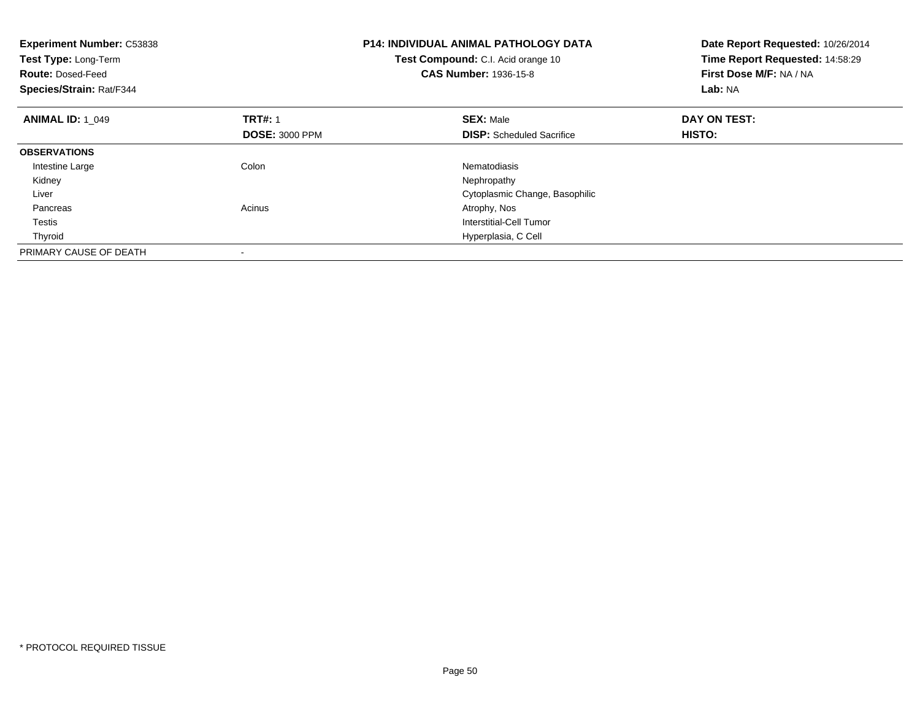| Experiment Number: C53838<br>Test Type: Long-Term<br><b>Route: Dosed-Feed</b><br>Species/Strain: Rat/F344 |                       | <b>P14: INDIVIDUAL ANIMAL PATHOLOGY DATA</b><br>Test Compound: C.I. Acid orange 10<br><b>CAS Number: 1936-15-8</b> | Date Report Requested: 10/26/2014<br>Time Report Requested: 14:58:29<br>First Dose M/F: NA / NA<br>Lab: NA |
|-----------------------------------------------------------------------------------------------------------|-----------------------|--------------------------------------------------------------------------------------------------------------------|------------------------------------------------------------------------------------------------------------|
| <b>ANIMAL ID: 1_049</b>                                                                                   | <b>TRT#: 1</b>        | <b>SEX: Male</b>                                                                                                   | DAY ON TEST:                                                                                               |
|                                                                                                           | <b>DOSE: 3000 PPM</b> | <b>DISP:</b> Scheduled Sacrifice                                                                                   | <b>HISTO:</b>                                                                                              |
| <b>OBSERVATIONS</b>                                                                                       |                       |                                                                                                                    |                                                                                                            |
| Intestine Large                                                                                           | Colon                 | Nematodiasis                                                                                                       |                                                                                                            |
| Kidney                                                                                                    |                       | Nephropathy                                                                                                        |                                                                                                            |
| Liver                                                                                                     |                       | Cytoplasmic Change, Basophilic                                                                                     |                                                                                                            |
| Pancreas                                                                                                  | Acinus                | Atrophy, Nos                                                                                                       |                                                                                                            |
| Testis                                                                                                    |                       | Interstitial-Cell Tumor                                                                                            |                                                                                                            |
| Thyroid                                                                                                   |                       | Hyperplasia, C Cell                                                                                                |                                                                                                            |
| PRIMARY CAUSE OF DEATH                                                                                    |                       |                                                                                                                    |                                                                                                            |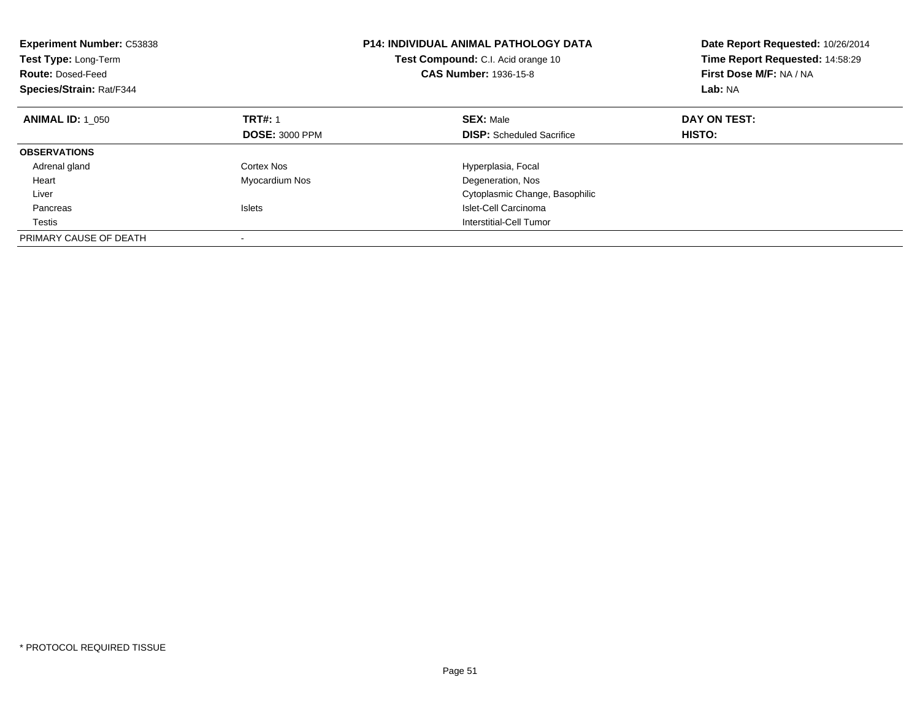| <b>Experiment Number: C53838</b><br>Test Type: Long-Term<br><b>Route: Dosed-Feed</b><br>Species/Strain: Rat/F344 |                       | <b>P14: INDIVIDUAL ANIMAL PATHOLOGY DATA</b><br>Test Compound: C.I. Acid orange 10<br><b>CAS Number: 1936-15-8</b> | Date Report Requested: 10/26/2014<br>Time Report Requested: 14:58:29<br>First Dose M/F: NA / NA<br>Lab: NA |
|------------------------------------------------------------------------------------------------------------------|-----------------------|--------------------------------------------------------------------------------------------------------------------|------------------------------------------------------------------------------------------------------------|
| <b>ANIMAL ID: 1 050</b>                                                                                          | <b>TRT#: 1</b>        | <b>SEX: Male</b>                                                                                                   | DAY ON TEST:                                                                                               |
|                                                                                                                  | <b>DOSE: 3000 PPM</b> | <b>DISP:</b> Scheduled Sacrifice                                                                                   | HISTO:                                                                                                     |
| <b>OBSERVATIONS</b>                                                                                              |                       |                                                                                                                    |                                                                                                            |
| Adrenal gland                                                                                                    | Cortex Nos            | Hyperplasia, Focal                                                                                                 |                                                                                                            |
| Heart                                                                                                            | Myocardium Nos        | Degeneration, Nos                                                                                                  |                                                                                                            |
| Liver                                                                                                            |                       | Cytoplasmic Change, Basophilic                                                                                     |                                                                                                            |
| Pancreas                                                                                                         | Islets                | Islet-Cell Carcinoma                                                                                               |                                                                                                            |
| Testis                                                                                                           |                       | Interstitial-Cell Tumor                                                                                            |                                                                                                            |
| PRIMARY CAUSE OF DEATH                                                                                           |                       |                                                                                                                    |                                                                                                            |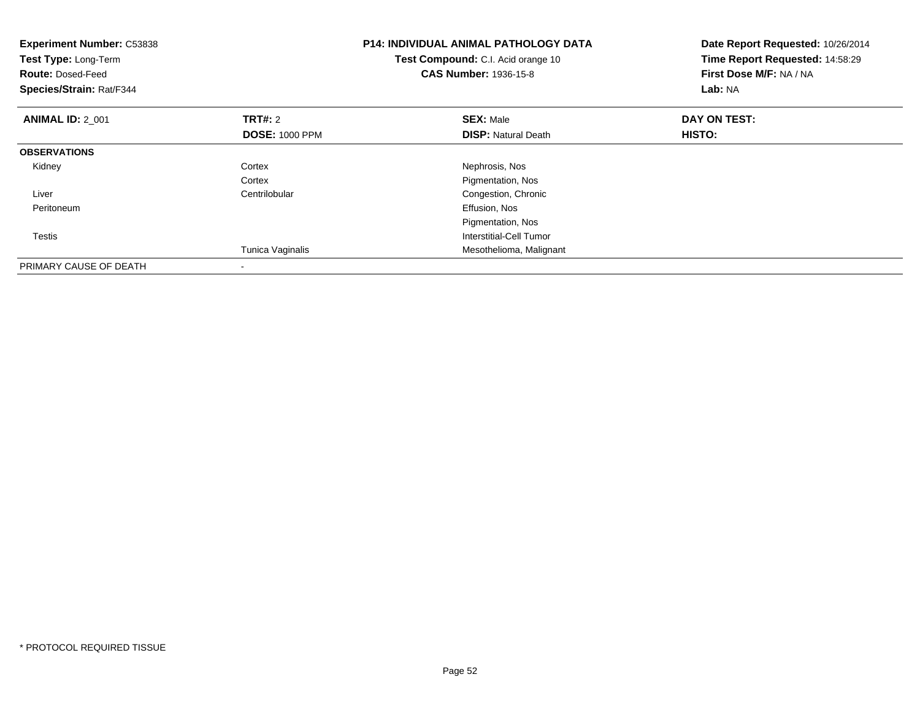| <b>Experiment Number: C53838</b><br>Test Type: Long-Term<br><b>Route: Dosed-Feed</b><br>Species/Strain: Rat/F344 |                                         | <b>P14: INDIVIDUAL ANIMAL PATHOLOGY DATA</b><br>Test Compound: C.I. Acid orange 10<br><b>CAS Number: 1936-15-8</b> | Date Report Requested: 10/26/2014<br>Time Report Requested: 14:58:29<br>First Dose M/F: NA / NA<br>Lab: NA |
|------------------------------------------------------------------------------------------------------------------|-----------------------------------------|--------------------------------------------------------------------------------------------------------------------|------------------------------------------------------------------------------------------------------------|
| <b>ANIMAL ID: 2 001</b>                                                                                          | <b>TRT#:</b> 2<br><b>DOSE: 1000 PPM</b> | <b>SEX: Male</b><br><b>DISP: Natural Death</b>                                                                     | DAY ON TEST:<br><b>HISTO:</b>                                                                              |
| <b>OBSERVATIONS</b>                                                                                              |                                         |                                                                                                                    |                                                                                                            |
| Kidney                                                                                                           | Cortex<br>Cortex                        | Nephrosis, Nos<br>Pigmentation, Nos                                                                                |                                                                                                            |
| Liver                                                                                                            | Centrilobular                           | Congestion, Chronic                                                                                                |                                                                                                            |
| Peritoneum                                                                                                       |                                         | Effusion, Nos                                                                                                      |                                                                                                            |
|                                                                                                                  |                                         | Pigmentation, Nos                                                                                                  |                                                                                                            |
| Testis                                                                                                           |                                         | Interstitial-Cell Tumor                                                                                            |                                                                                                            |
|                                                                                                                  | Tunica Vaginalis                        | Mesothelioma, Malignant                                                                                            |                                                                                                            |
| PRIMARY CAUSE OF DEATH                                                                                           |                                         |                                                                                                                    |                                                                                                            |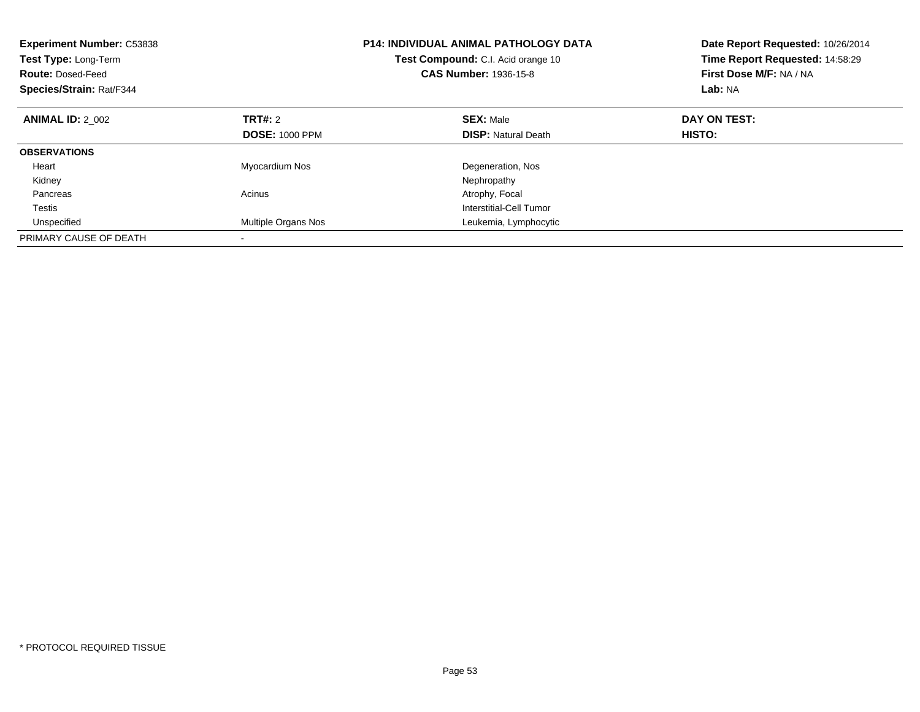| <b>Experiment Number: C53838</b><br>Test Type: Long-Term<br><b>Route: Dosed-Feed</b><br>Species/Strain: Rat/F344 |                       | <b>P14: INDIVIDUAL ANIMAL PATHOLOGY DATA</b><br>Test Compound: C.I. Acid orange 10<br><b>CAS Number: 1936-15-8</b> | Date Report Requested: 10/26/2014<br>Time Report Requested: 14:58:29<br>First Dose M/F: NA / NA<br>Lab: NA |
|------------------------------------------------------------------------------------------------------------------|-----------------------|--------------------------------------------------------------------------------------------------------------------|------------------------------------------------------------------------------------------------------------|
| <b>ANIMAL ID: 2 002</b>                                                                                          | TRT#: 2               | <b>SEX: Male</b>                                                                                                   | DAY ON TEST:                                                                                               |
|                                                                                                                  | <b>DOSE: 1000 PPM</b> | <b>DISP:</b> Natural Death                                                                                         | HISTO:                                                                                                     |
| <b>OBSERVATIONS</b>                                                                                              |                       |                                                                                                                    |                                                                                                            |
| Heart                                                                                                            | Myocardium Nos        | Degeneration, Nos                                                                                                  |                                                                                                            |
| Kidney                                                                                                           |                       | Nephropathy                                                                                                        |                                                                                                            |
| Pancreas                                                                                                         | Acinus                | Atrophy, Focal                                                                                                     |                                                                                                            |
| <b>Testis</b>                                                                                                    |                       | Interstitial-Cell Tumor                                                                                            |                                                                                                            |
| Unspecified                                                                                                      | Multiple Organs Nos   | Leukemia, Lymphocytic                                                                                              |                                                                                                            |
| PRIMARY CAUSE OF DEATH                                                                                           |                       |                                                                                                                    |                                                                                                            |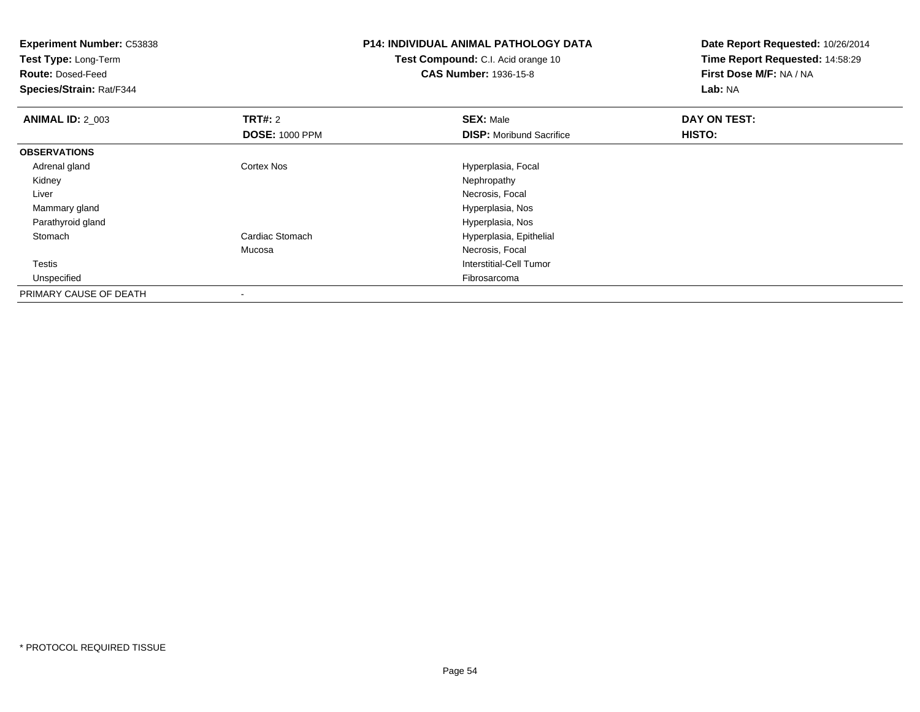| <b>Experiment Number: C53838</b><br>Test Type: Long-Term<br><b>Route: Dosed-Feed</b><br>Species/Strain: Rat/F344 |                                         | <b>P14: INDIVIDUAL ANIMAL PATHOLOGY DATA</b><br>Test Compound: C.I. Acid orange 10<br><b>CAS Number: 1936-15-8</b> | Date Report Requested: 10/26/2014<br>Time Report Requested: 14:58:29<br>First Dose M/F: NA / NA<br>Lab: NA |
|------------------------------------------------------------------------------------------------------------------|-----------------------------------------|--------------------------------------------------------------------------------------------------------------------|------------------------------------------------------------------------------------------------------------|
| <b>ANIMAL ID: 2_003</b>                                                                                          | <b>TRT#: 2</b><br><b>DOSE: 1000 PPM</b> | <b>SEX: Male</b><br><b>DISP:</b> Moribund Sacrifice                                                                | DAY ON TEST:<br>HISTO:                                                                                     |
| <b>OBSERVATIONS</b>                                                                                              |                                         |                                                                                                                    |                                                                                                            |
| Adrenal gland                                                                                                    | Cortex Nos                              | Hyperplasia, Focal                                                                                                 |                                                                                                            |
| Kidney                                                                                                           |                                         | Nephropathy                                                                                                        |                                                                                                            |
| Liver                                                                                                            |                                         | Necrosis, Focal                                                                                                    |                                                                                                            |
| Mammary gland                                                                                                    |                                         | Hyperplasia, Nos                                                                                                   |                                                                                                            |
| Parathyroid gland                                                                                                |                                         | Hyperplasia, Nos                                                                                                   |                                                                                                            |
| Stomach                                                                                                          | Cardiac Stomach                         | Hyperplasia, Epithelial                                                                                            |                                                                                                            |
|                                                                                                                  | Mucosa                                  | Necrosis, Focal                                                                                                    |                                                                                                            |
| Testis                                                                                                           |                                         | Interstitial-Cell Tumor                                                                                            |                                                                                                            |
| Unspecified                                                                                                      |                                         | Fibrosarcoma                                                                                                       |                                                                                                            |
| PRIMARY CAUSE OF DEATH                                                                                           |                                         |                                                                                                                    |                                                                                                            |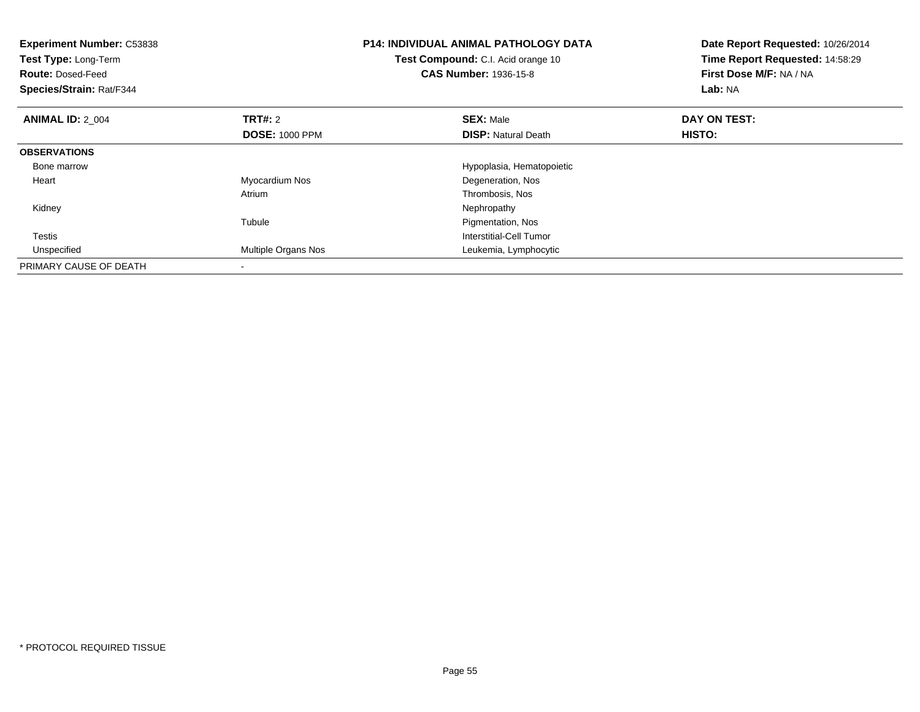| <b>Experiment Number: C53838</b><br>Test Type: Long-Term<br><b>Route: Dosed-Feed</b><br>Species/Strain: Rat/F344 |                            | <b>P14: INDIVIDUAL ANIMAL PATHOLOGY DATA</b><br>Test Compound: C.I. Acid orange 10<br><b>CAS Number: 1936-15-8</b> | Date Report Requested: 10/26/2014<br>Time Report Requested: 14:58:29<br>First Dose M/F: NA / NA<br>Lab: NA |
|------------------------------------------------------------------------------------------------------------------|----------------------------|--------------------------------------------------------------------------------------------------------------------|------------------------------------------------------------------------------------------------------------|
| <b>ANIMAL ID: 2 004</b>                                                                                          | <b>TRT#: 2</b>             | <b>SEX: Male</b>                                                                                                   | DAY ON TEST:                                                                                               |
|                                                                                                                  | <b>DOSE: 1000 PPM</b>      | <b>DISP:</b> Natural Death                                                                                         | HISTO:                                                                                                     |
| <b>OBSERVATIONS</b>                                                                                              |                            |                                                                                                                    |                                                                                                            |
| Bone marrow                                                                                                      |                            | Hypoplasia, Hematopoietic                                                                                          |                                                                                                            |
| Heart                                                                                                            | Myocardium Nos             | Degeneration, Nos                                                                                                  |                                                                                                            |
|                                                                                                                  | Atrium                     | Thrombosis, Nos                                                                                                    |                                                                                                            |
| Kidney                                                                                                           |                            | Nephropathy                                                                                                        |                                                                                                            |
|                                                                                                                  | Tubule                     | Pigmentation, Nos                                                                                                  |                                                                                                            |
| Testis                                                                                                           |                            | Interstitial-Cell Tumor                                                                                            |                                                                                                            |
| Unspecified                                                                                                      | <b>Multiple Organs Nos</b> | Leukemia, Lymphocytic                                                                                              |                                                                                                            |
| PRIMARY CAUSE OF DEATH                                                                                           |                            |                                                                                                                    |                                                                                                            |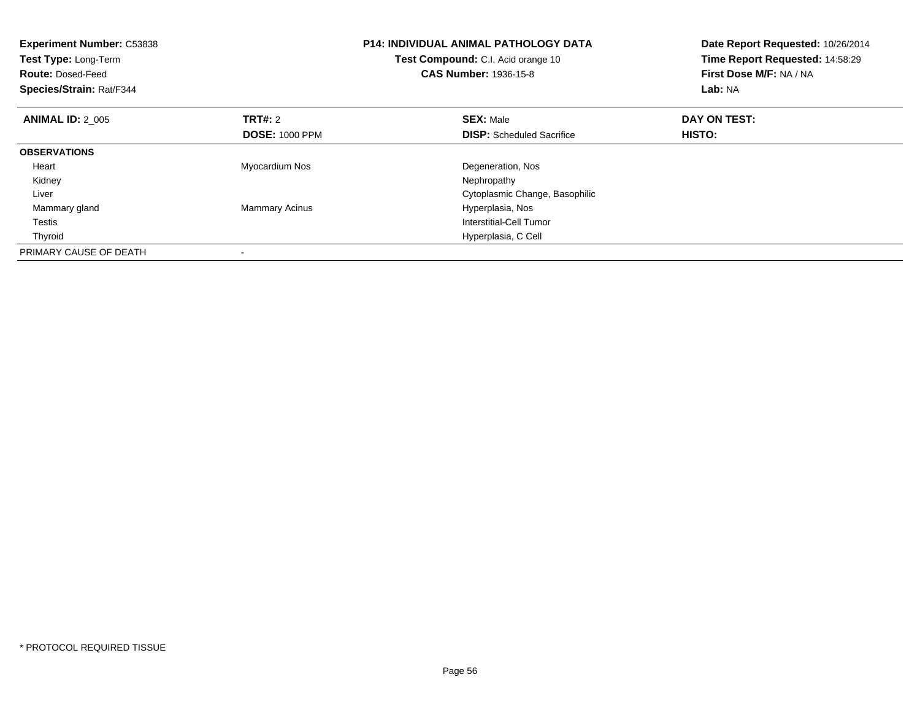| <b>Experiment Number: C53838</b><br>Test Type: Long-Term<br><b>Route: Dosed-Feed</b><br>Species/Strain: Rat/F344 |                       | <b>P14: INDIVIDUAL ANIMAL PATHOLOGY DATA</b><br>Test Compound: C.I. Acid orange 10<br><b>CAS Number: 1936-15-8</b> | Date Report Requested: 10/26/2014<br>Time Report Requested: 14:58:29<br>First Dose M/F: NA / NA<br>Lab: NA |
|------------------------------------------------------------------------------------------------------------------|-----------------------|--------------------------------------------------------------------------------------------------------------------|------------------------------------------------------------------------------------------------------------|
| <b>ANIMAL ID: 2 005</b>                                                                                          | <b>TRT#: 2</b>        | <b>SEX: Male</b>                                                                                                   | DAY ON TEST:                                                                                               |
|                                                                                                                  | <b>DOSE: 1000 PPM</b> | <b>DISP:</b> Scheduled Sacrifice                                                                                   | HISTO:                                                                                                     |
| <b>OBSERVATIONS</b>                                                                                              |                       |                                                                                                                    |                                                                                                            |
| Heart                                                                                                            | Myocardium Nos        | Degeneration, Nos                                                                                                  |                                                                                                            |
| Kidney                                                                                                           |                       | Nephropathy                                                                                                        |                                                                                                            |
| Liver                                                                                                            |                       | Cytoplasmic Change, Basophilic                                                                                     |                                                                                                            |
| Mammary gland                                                                                                    | <b>Mammary Acinus</b> | Hyperplasia, Nos                                                                                                   |                                                                                                            |
| Testis                                                                                                           |                       | Interstitial-Cell Tumor                                                                                            |                                                                                                            |
| Thyroid                                                                                                          |                       | Hyperplasia, C Cell                                                                                                |                                                                                                            |
| PRIMARY CAUSE OF DEATH                                                                                           |                       |                                                                                                                    |                                                                                                            |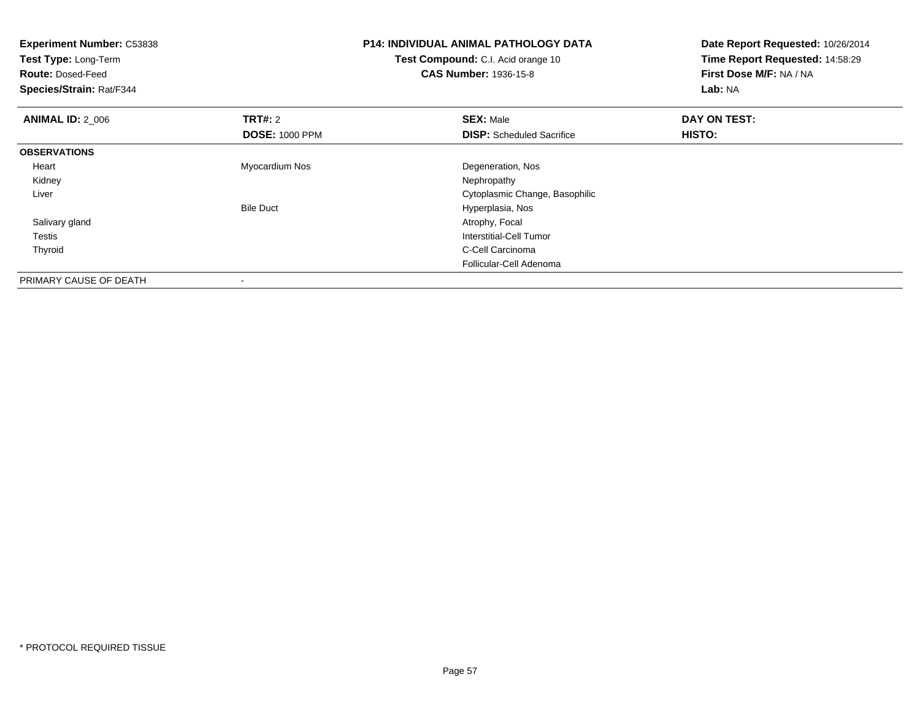| <b>Experiment Number: C53838</b><br>Test Type: Long-Term<br><b>Route: Dosed-Feed</b><br>Species/Strain: Rat/F344 |                                         | <b>P14: INDIVIDUAL ANIMAL PATHOLOGY DATA</b><br>Test Compound: C.I. Acid orange 10<br><b>CAS Number: 1936-15-8</b> | Date Report Requested: 10/26/2014<br>Time Report Requested: 14:58:29<br>First Dose M/F: NA / NA<br>Lab: NA |
|------------------------------------------------------------------------------------------------------------------|-----------------------------------------|--------------------------------------------------------------------------------------------------------------------|------------------------------------------------------------------------------------------------------------|
| <b>ANIMAL ID: 2 006</b>                                                                                          | <b>TRT#: 2</b><br><b>DOSE: 1000 PPM</b> | <b>SEX: Male</b><br><b>DISP:</b> Scheduled Sacrifice                                                               | DAY ON TEST:<br>HISTO:                                                                                     |
| <b>OBSERVATIONS</b>                                                                                              |                                         |                                                                                                                    |                                                                                                            |
| Heart                                                                                                            | Myocardium Nos                          | Degeneration, Nos                                                                                                  |                                                                                                            |
| Kidney                                                                                                           |                                         | Nephropathy                                                                                                        |                                                                                                            |
| Liver                                                                                                            |                                         | Cytoplasmic Change, Basophilic                                                                                     |                                                                                                            |
|                                                                                                                  | <b>Bile Duct</b>                        | Hyperplasia, Nos                                                                                                   |                                                                                                            |
| Salivary gland                                                                                                   |                                         | Atrophy, Focal                                                                                                     |                                                                                                            |
| Testis                                                                                                           |                                         | <b>Interstitial-Cell Tumor</b>                                                                                     |                                                                                                            |
| Thyroid                                                                                                          |                                         | C-Cell Carcinoma                                                                                                   |                                                                                                            |
|                                                                                                                  |                                         | Follicular-Cell Adenoma                                                                                            |                                                                                                            |
| PRIMARY CAUSE OF DEATH                                                                                           |                                         |                                                                                                                    |                                                                                                            |

-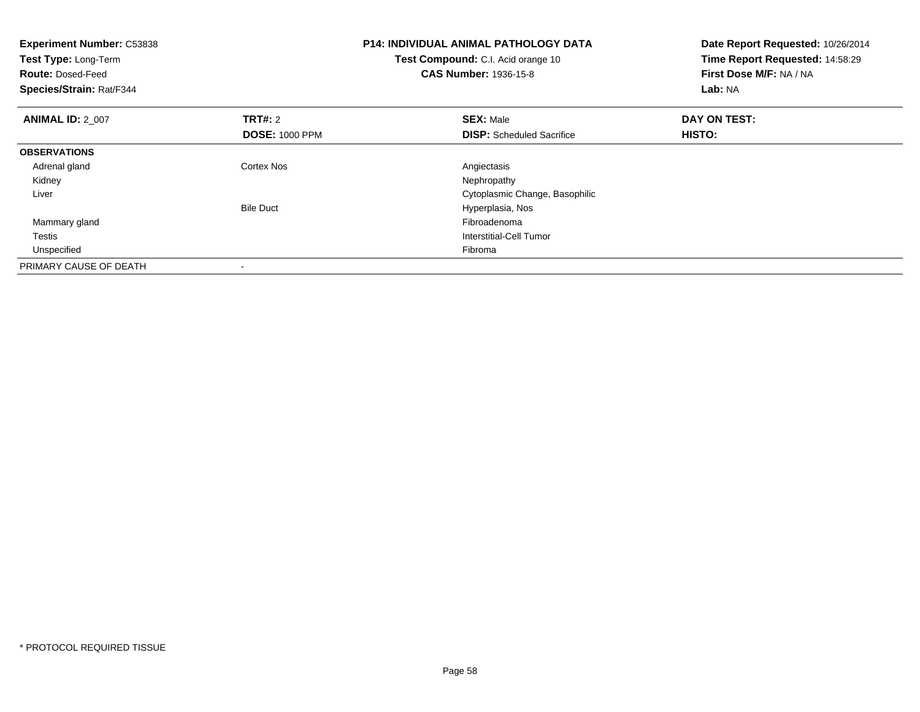| <b>Experiment Number: C53838</b><br>Test Type: Long-Term<br><b>Route: Dosed-Feed</b><br>Species/Strain: Rat/F344 |                                         | <b>P14: INDIVIDUAL ANIMAL PATHOLOGY DATA</b><br>Test Compound: C.I. Acid orange 10<br><b>CAS Number: 1936-15-8</b> | Date Report Requested: 10/26/2014<br>Time Report Requested: 14:58:29<br>First Dose M/F: NA / NA<br>Lab: NA |
|------------------------------------------------------------------------------------------------------------------|-----------------------------------------|--------------------------------------------------------------------------------------------------------------------|------------------------------------------------------------------------------------------------------------|
| <b>ANIMAL ID: 2 007</b>                                                                                          | <b>TRT#:</b> 2<br><b>DOSE: 1000 PPM</b> | <b>SEX: Male</b><br><b>DISP:</b> Scheduled Sacrifice                                                               | DAY ON TEST:<br>HISTO:                                                                                     |
| <b>OBSERVATIONS</b>                                                                                              |                                         |                                                                                                                    |                                                                                                            |
|                                                                                                                  |                                         |                                                                                                                    |                                                                                                            |
| Adrenal gland                                                                                                    | Cortex Nos                              | Angiectasis                                                                                                        |                                                                                                            |
| Kidney                                                                                                           |                                         | Nephropathy                                                                                                        |                                                                                                            |
| Liver                                                                                                            |                                         | Cytoplasmic Change, Basophilic                                                                                     |                                                                                                            |
|                                                                                                                  | <b>Bile Duct</b>                        | Hyperplasia, Nos                                                                                                   |                                                                                                            |
| Mammary gland                                                                                                    |                                         | Fibroadenoma                                                                                                       |                                                                                                            |
| Testis                                                                                                           |                                         | Interstitial-Cell Tumor                                                                                            |                                                                                                            |
| Unspecified                                                                                                      |                                         | Fibroma                                                                                                            |                                                                                                            |
| PRIMARY CAUSE OF DEATH                                                                                           |                                         |                                                                                                                    |                                                                                                            |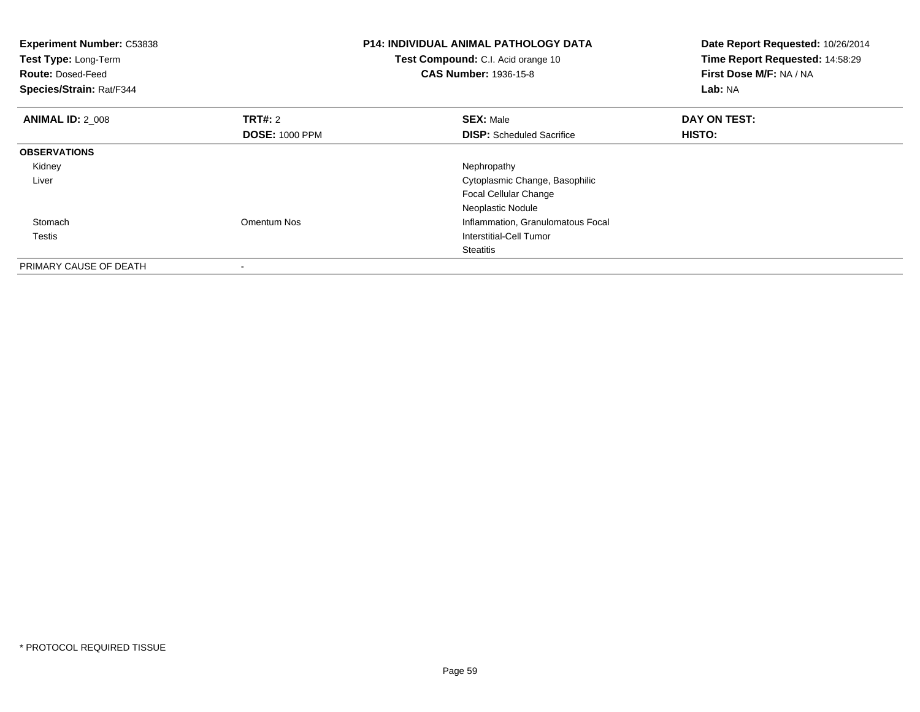| <b>Experiment Number: C53838</b><br>Test Type: Long-Term<br><b>Route: Dosed-Feed</b><br>Species/Strain: Rat/F344 |                       | <b>P14: INDIVIDUAL ANIMAL PATHOLOGY DATA</b><br>Test Compound: C.I. Acid orange 10<br><b>CAS Number: 1936-15-8</b> | Date Report Requested: 10/26/2014<br>Time Report Requested: 14:58:29<br>First Dose M/F: NA / NA<br>Lab: NA |
|------------------------------------------------------------------------------------------------------------------|-----------------------|--------------------------------------------------------------------------------------------------------------------|------------------------------------------------------------------------------------------------------------|
| <b>ANIMAL ID: 2 008</b>                                                                                          | TRT#: 2               | <b>SEX: Male</b>                                                                                                   | DAY ON TEST:                                                                                               |
|                                                                                                                  | <b>DOSE: 1000 PPM</b> | <b>DISP:</b> Scheduled Sacrifice                                                                                   | HISTO:                                                                                                     |
| <b>OBSERVATIONS</b>                                                                                              |                       |                                                                                                                    |                                                                                                            |
| Kidney                                                                                                           |                       | Nephropathy                                                                                                        |                                                                                                            |
| Liver                                                                                                            |                       | Cytoplasmic Change, Basophilic                                                                                     |                                                                                                            |
|                                                                                                                  |                       | <b>Focal Cellular Change</b>                                                                                       |                                                                                                            |
|                                                                                                                  |                       | Neoplastic Nodule                                                                                                  |                                                                                                            |
| Stomach                                                                                                          | Omentum Nos           | Inflammation, Granulomatous Focal                                                                                  |                                                                                                            |
| Testis                                                                                                           |                       | Interstitial-Cell Tumor                                                                                            |                                                                                                            |
|                                                                                                                  |                       | Steatitis                                                                                                          |                                                                                                            |
| PRIMARY CAUSE OF DEATH                                                                                           | $\,$                  |                                                                                                                    |                                                                                                            |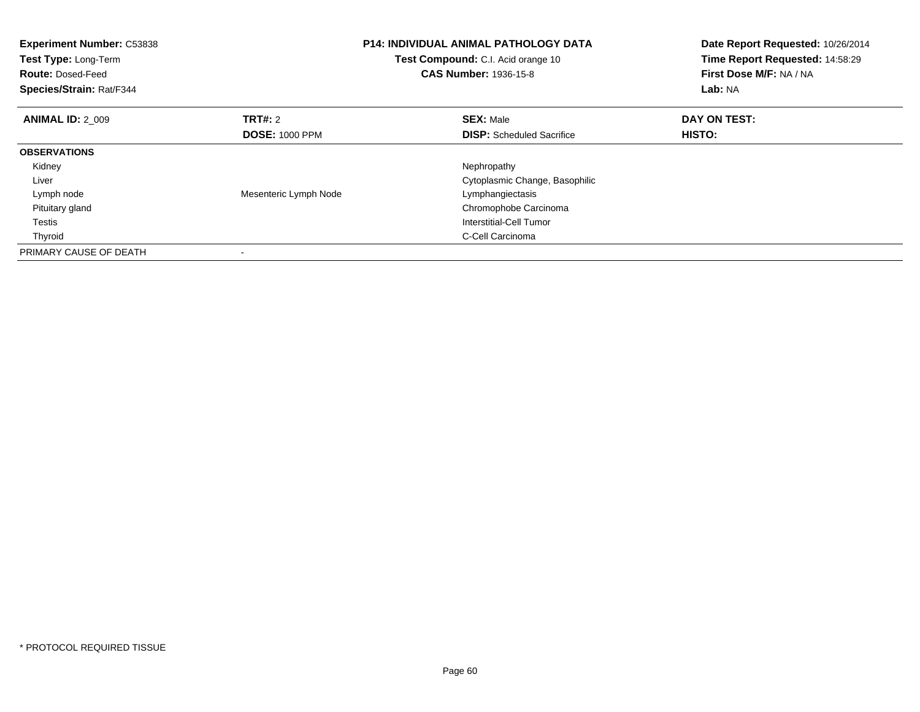| <b>Experiment Number: C53838</b><br>Test Type: Long-Term<br><b>Route: Dosed-Feed</b><br>Species/Strain: Rat/F344 |                       | <b>P14: INDIVIDUAL ANIMAL PATHOLOGY DATA</b><br>Test Compound: C.I. Acid orange 10<br><b>CAS Number: 1936-15-8</b> | Date Report Requested: 10/26/2014<br>Time Report Requested: 14:58:29<br>First Dose M/F: NA / NA<br>Lab: NA |
|------------------------------------------------------------------------------------------------------------------|-----------------------|--------------------------------------------------------------------------------------------------------------------|------------------------------------------------------------------------------------------------------------|
| <b>ANIMAL ID: 2 009</b>                                                                                          | <b>TRT#:</b> 2        | <b>SEX: Male</b>                                                                                                   | DAY ON TEST:                                                                                               |
|                                                                                                                  | <b>DOSE: 1000 PPM</b> | <b>DISP:</b> Scheduled Sacrifice                                                                                   | HISTO:                                                                                                     |
| <b>OBSERVATIONS</b>                                                                                              |                       |                                                                                                                    |                                                                                                            |
| Kidney                                                                                                           |                       | Nephropathy                                                                                                        |                                                                                                            |
| Liver                                                                                                            |                       | Cytoplasmic Change, Basophilic                                                                                     |                                                                                                            |
| Lymph node                                                                                                       | Mesenteric Lymph Node | Lymphangiectasis                                                                                                   |                                                                                                            |
| Pituitary gland                                                                                                  |                       | Chromophobe Carcinoma                                                                                              |                                                                                                            |
| Testis                                                                                                           |                       | Interstitial-Cell Tumor                                                                                            |                                                                                                            |
| Thyroid                                                                                                          |                       | C-Cell Carcinoma                                                                                                   |                                                                                                            |
| PRIMARY CAUSE OF DEATH                                                                                           |                       |                                                                                                                    |                                                                                                            |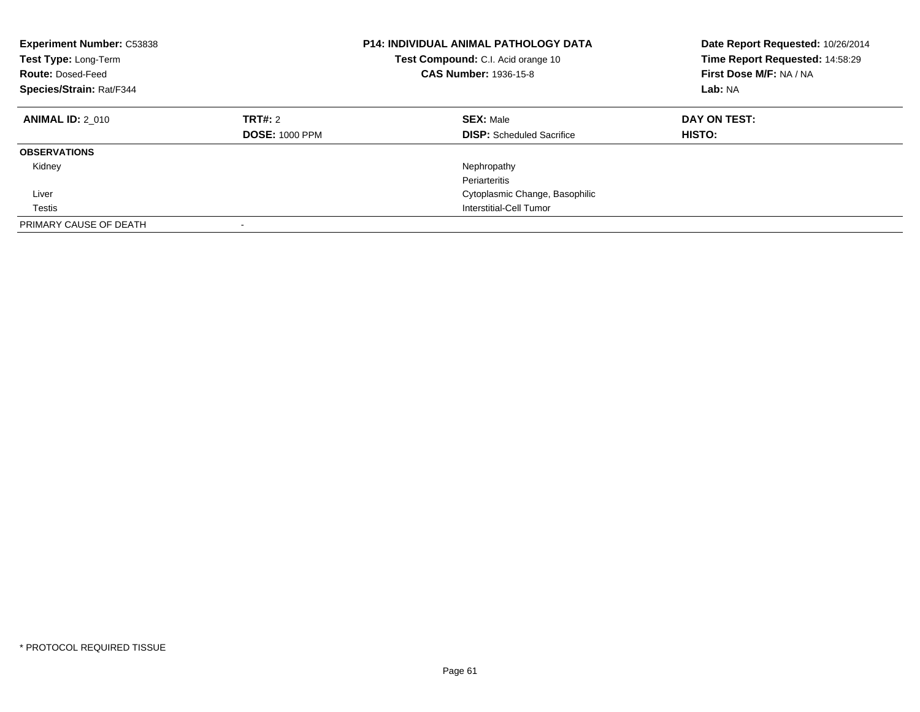| <b>Experiment Number: C53838</b><br>Test Type: Long-Term<br><b>Route: Dosed-Feed</b><br>Species/Strain: Rat/F344 |                                         | <b>P14: INDIVIDUAL ANIMAL PATHOLOGY DATA</b><br>Test Compound: C.I. Acid orange 10<br><b>CAS Number: 1936-15-8</b> | Date Report Requested: 10/26/2014<br>Time Report Requested: 14:58:29<br>First Dose M/F: NA / NA<br>Lab: NA |
|------------------------------------------------------------------------------------------------------------------|-----------------------------------------|--------------------------------------------------------------------------------------------------------------------|------------------------------------------------------------------------------------------------------------|
| <b>ANIMAL ID: 2 010</b>                                                                                          | <b>TRT#: 2</b><br><b>DOSE: 1000 PPM</b> | <b>SEX: Male</b><br><b>DISP:</b> Scheduled Sacrifice                                                               | DAY ON TEST:<br>HISTO:                                                                                     |
| <b>OBSERVATIONS</b>                                                                                              |                                         |                                                                                                                    |                                                                                                            |
| Kidney                                                                                                           |                                         | Nephropathy<br>Periarteritis                                                                                       |                                                                                                            |
| Liver                                                                                                            |                                         | Cytoplasmic Change, Basophilic                                                                                     |                                                                                                            |
| Testis                                                                                                           |                                         | Interstitial-Cell Tumor                                                                                            |                                                                                                            |
| PRIMARY CAUSE OF DEATH                                                                                           | -                                       |                                                                                                                    |                                                                                                            |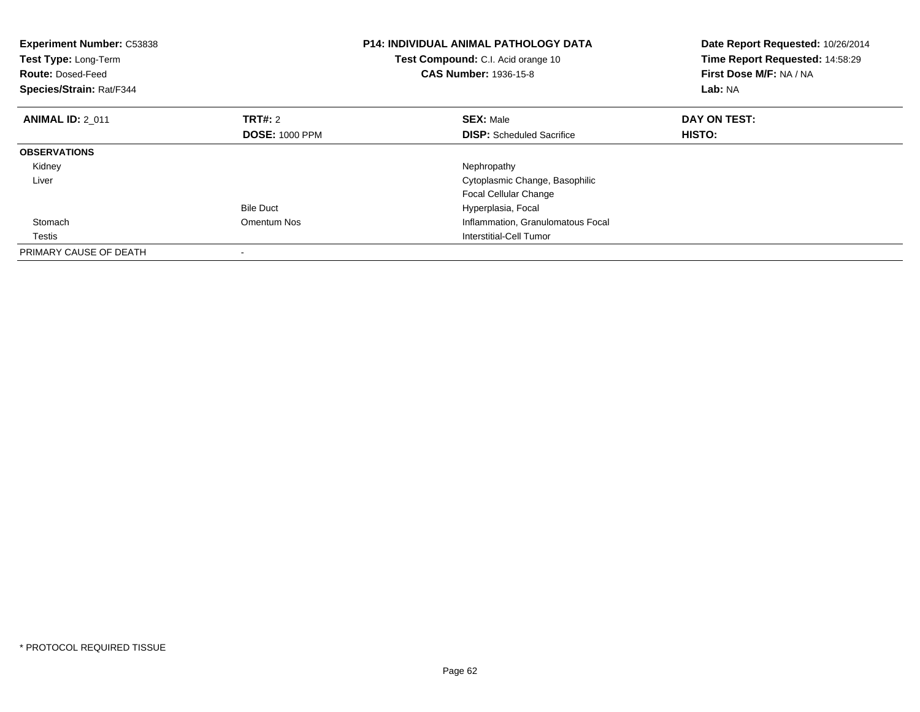| <b>Experiment Number: C53838</b><br>Test Type: Long-Term<br><b>Route: Dosed-Feed</b><br>Species/Strain: Rat/F344 |                       | <b>P14: INDIVIDUAL ANIMAL PATHOLOGY DATA</b><br><b>Test Compound:</b> C.I. Acid orange 10<br><b>CAS Number: 1936-15-8</b> | Date Report Requested: 10/26/2014<br>Time Report Requested: 14:58:29<br>First Dose M/F: NA / NA<br>Lab: NA |
|------------------------------------------------------------------------------------------------------------------|-----------------------|---------------------------------------------------------------------------------------------------------------------------|------------------------------------------------------------------------------------------------------------|
| <b>ANIMAL ID: 2 011</b>                                                                                          | TRT#: 2               | <b>SEX: Male</b>                                                                                                          | DAY ON TEST:                                                                                               |
|                                                                                                                  | <b>DOSE: 1000 PPM</b> | <b>DISP:</b> Scheduled Sacrifice                                                                                          | HISTO:                                                                                                     |
| <b>OBSERVATIONS</b>                                                                                              |                       |                                                                                                                           |                                                                                                            |
| Kidney                                                                                                           |                       | Nephropathy                                                                                                               |                                                                                                            |
| Liver                                                                                                            |                       | Cytoplasmic Change, Basophilic                                                                                            |                                                                                                            |
|                                                                                                                  |                       | <b>Focal Cellular Change</b>                                                                                              |                                                                                                            |
|                                                                                                                  | <b>Bile Duct</b>      | Hyperplasia, Focal                                                                                                        |                                                                                                            |
| Stomach                                                                                                          | Omentum Nos           | Inflammation, Granulomatous Focal                                                                                         |                                                                                                            |
| Testis                                                                                                           |                       | Interstitial-Cell Tumor                                                                                                   |                                                                                                            |
| PRIMARY CAUSE OF DEATH                                                                                           |                       |                                                                                                                           |                                                                                                            |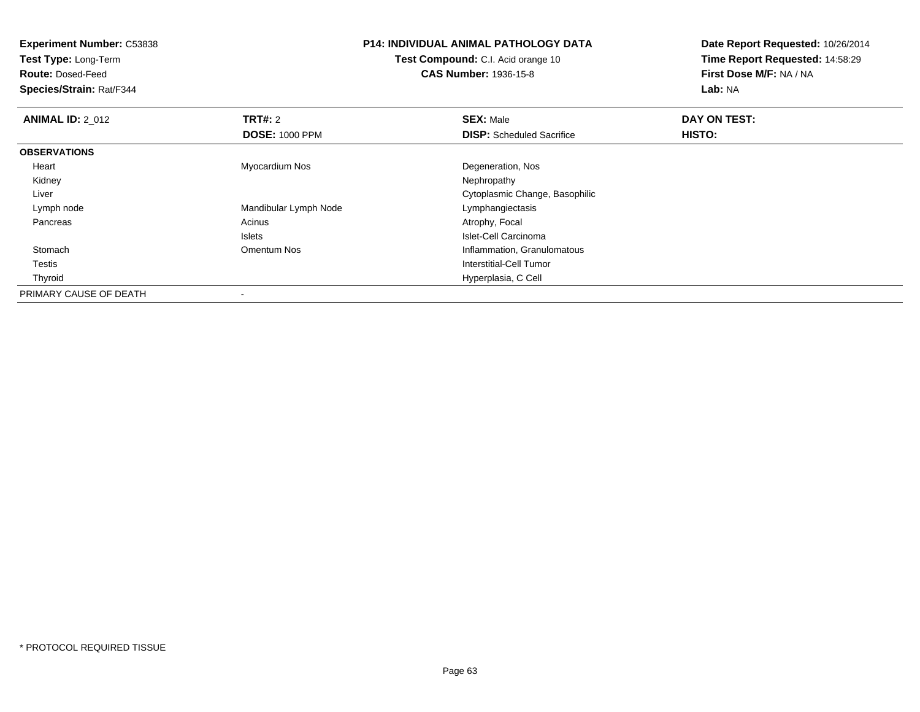**Test Type:** Long-Term

**Route:** Dosed-Feed

**Species/Strain:** Rat/F344

# **P14: INDIVIDUAL ANIMAL PATHOLOGY DATA**

**Test Compound:** C.I. Acid orange 10**CAS Number:** 1936-15-8

| <b>ANIMAL ID: 2 012</b> | TRT#: 2               | <b>SEX: Male</b>                 | DAY ON TEST: |  |
|-------------------------|-----------------------|----------------------------------|--------------|--|
|                         | <b>DOSE: 1000 PPM</b> | <b>DISP:</b> Scheduled Sacrifice | HISTO:       |  |
| <b>OBSERVATIONS</b>     |                       |                                  |              |  |
| Heart                   | Myocardium Nos        | Degeneration, Nos                |              |  |
| Kidney                  |                       | Nephropathy                      |              |  |
| Liver                   |                       | Cytoplasmic Change, Basophilic   |              |  |
| Lymph node              | Mandibular Lymph Node | Lymphangiectasis                 |              |  |
| Pancreas                | Acinus                | Atrophy, Focal                   |              |  |
|                         | <b>Islets</b>         | Islet-Cell Carcinoma             |              |  |
| Stomach                 | Omentum Nos           | Inflammation, Granulomatous      |              |  |
| Testis                  |                       | Interstitial-Cell Tumor          |              |  |
| Thyroid                 |                       | Hyperplasia, C Cell              |              |  |
| PRIMARY CAUSE OF DEATH  |                       |                                  |              |  |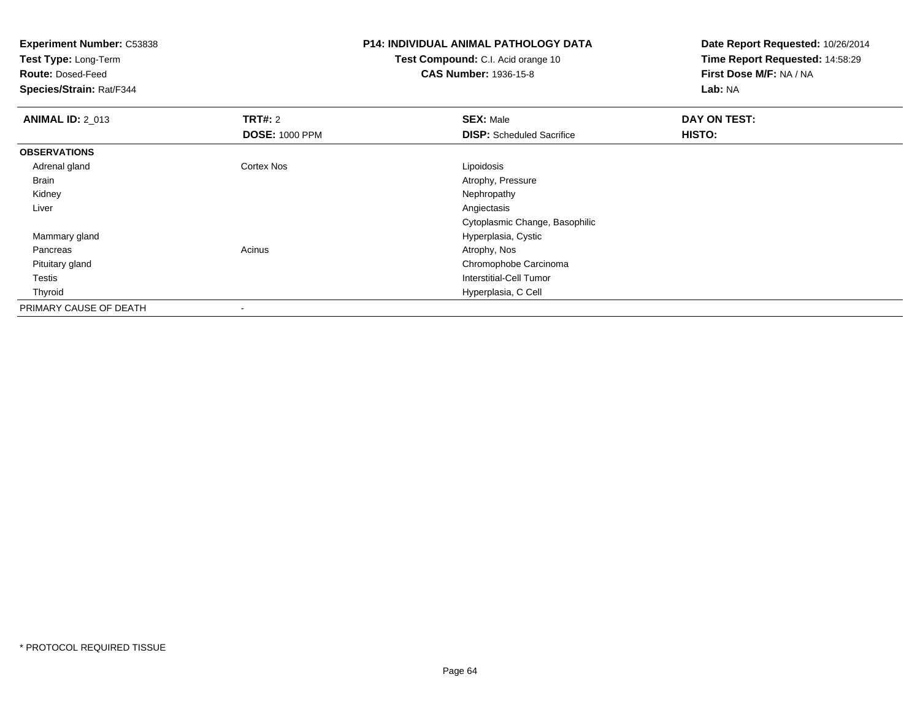**Test Type:** Long-Term

**Route:** Dosed-Feed

**Species/Strain:** Rat/F344

## **P14: INDIVIDUAL ANIMAL PATHOLOGY DATA**

**Test Compound:** C.I. Acid orange 10**CAS Number:** 1936-15-8

| <b>ANIMAL ID: 2_013</b> | <b>TRT#: 2</b>        | <b>SEX: Male</b>                 | DAY ON TEST: |  |
|-------------------------|-----------------------|----------------------------------|--------------|--|
|                         | <b>DOSE: 1000 PPM</b> | <b>DISP:</b> Scheduled Sacrifice | HISTO:       |  |
| <b>OBSERVATIONS</b>     |                       |                                  |              |  |
| Adrenal gland           | Cortex Nos            | Lipoidosis                       |              |  |
| Brain                   |                       | Atrophy, Pressure                |              |  |
| Kidney                  |                       | Nephropathy                      |              |  |
| Liver                   |                       | Angiectasis                      |              |  |
|                         |                       | Cytoplasmic Change, Basophilic   |              |  |
| Mammary gland           |                       | Hyperplasia, Cystic              |              |  |
| Pancreas                | Acinus                | Atrophy, Nos                     |              |  |
| Pituitary gland         |                       | Chromophobe Carcinoma            |              |  |
| Testis                  |                       | Interstitial-Cell Tumor          |              |  |
| Thyroid                 |                       | Hyperplasia, C Cell              |              |  |
| PRIMARY CAUSE OF DEATH  |                       |                                  |              |  |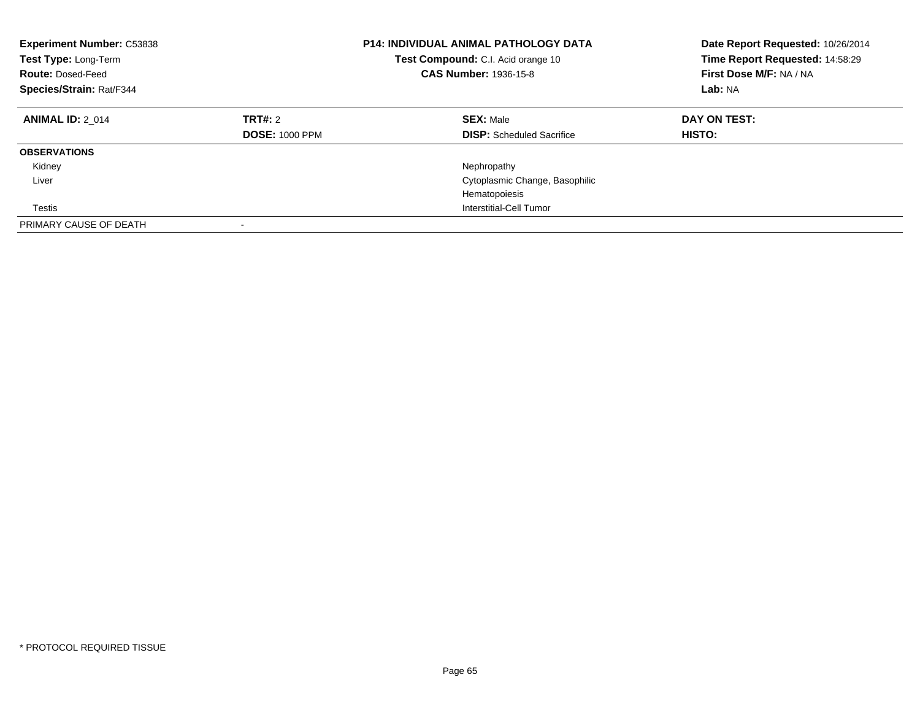| <b>Experiment Number: C53838</b><br>Test Type: Long-Term<br><b>Route: Dosed-Feed</b><br>Species/Strain: Rat/F344 |                                  | <b>P14: INDIVIDUAL ANIMAL PATHOLOGY DATA</b><br>Test Compound: C.I. Acid orange 10<br><b>CAS Number: 1936-15-8</b> | Date Report Requested: 10/26/2014<br>Time Report Requested: 14:58:29<br>First Dose M/F: NA / NA<br>Lab: NA |
|------------------------------------------------------------------------------------------------------------------|----------------------------------|--------------------------------------------------------------------------------------------------------------------|------------------------------------------------------------------------------------------------------------|
| <b>ANIMAL ID: 2 014</b>                                                                                          | TRT#: 2<br><b>DOSE: 1000 PPM</b> | <b>SEX: Male</b><br><b>DISP:</b> Scheduled Sacrifice                                                               | DAY ON TEST:<br><b>HISTO:</b>                                                                              |
| <b>OBSERVATIONS</b>                                                                                              |                                  |                                                                                                                    |                                                                                                            |
| Kidney                                                                                                           |                                  | Nephropathy                                                                                                        |                                                                                                            |
| Liver                                                                                                            |                                  | Cytoplasmic Change, Basophilic                                                                                     |                                                                                                            |
|                                                                                                                  |                                  | Hematopoiesis                                                                                                      |                                                                                                            |
| Testis                                                                                                           |                                  | Interstitial-Cell Tumor                                                                                            |                                                                                                            |
| PRIMARY CAUSE OF DEATH                                                                                           |                                  |                                                                                                                    |                                                                                                            |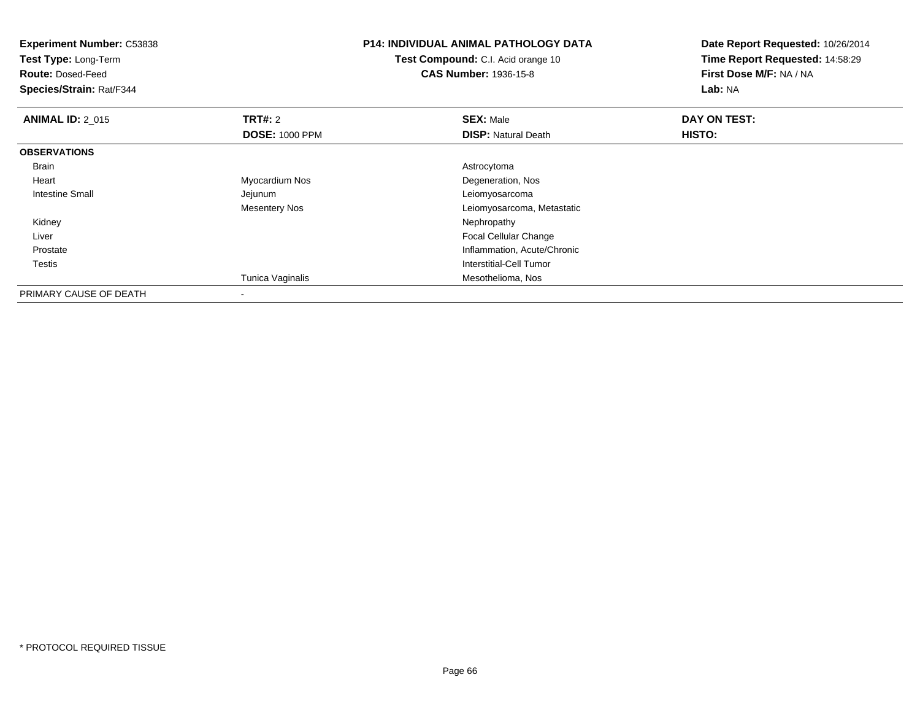| <b>Experiment Number: C53838</b><br>Test Type: Long-Term<br><b>Route: Dosed-Feed</b><br>Species/Strain: Rat/F344 |                       | <b>P14: INDIVIDUAL ANIMAL PATHOLOGY DATA</b><br><b>Test Compound:</b> C.I. Acid orange 10<br><b>CAS Number: 1936-15-8</b> | Date Report Requested: 10/26/2014<br>Time Report Requested: 14:58:29<br>First Dose M/F: NA / NA<br>Lab: NA |  |
|------------------------------------------------------------------------------------------------------------------|-----------------------|---------------------------------------------------------------------------------------------------------------------------|------------------------------------------------------------------------------------------------------------|--|
| <b>ANIMAL ID: 2_015</b>                                                                                          | <b>TRT#: 2</b>        | <b>SEX: Male</b>                                                                                                          | DAY ON TEST:                                                                                               |  |
|                                                                                                                  | <b>DOSE: 1000 PPM</b> | <b>DISP: Natural Death</b>                                                                                                | HISTO:                                                                                                     |  |
| <b>OBSERVATIONS</b>                                                                                              |                       |                                                                                                                           |                                                                                                            |  |
| Brain                                                                                                            |                       | Astrocytoma                                                                                                               |                                                                                                            |  |
| Heart                                                                                                            | Myocardium Nos        | Degeneration, Nos                                                                                                         |                                                                                                            |  |
| <b>Intestine Small</b>                                                                                           | Jejunum               | Leiomyosarcoma                                                                                                            |                                                                                                            |  |
|                                                                                                                  | Mesentery Nos         | Leiomyosarcoma, Metastatic                                                                                                |                                                                                                            |  |
| Kidney                                                                                                           |                       | Nephropathy                                                                                                               |                                                                                                            |  |
| Liver                                                                                                            |                       | <b>Focal Cellular Change</b>                                                                                              |                                                                                                            |  |
| Prostate                                                                                                         |                       | Inflammation, Acute/Chronic                                                                                               |                                                                                                            |  |
| Testis                                                                                                           |                       | Interstitial-Cell Tumor                                                                                                   |                                                                                                            |  |
|                                                                                                                  | Tunica Vaginalis      | Mesothelioma, Nos                                                                                                         |                                                                                                            |  |
| PRIMARY CAUSE OF DEATH                                                                                           |                       |                                                                                                                           |                                                                                                            |  |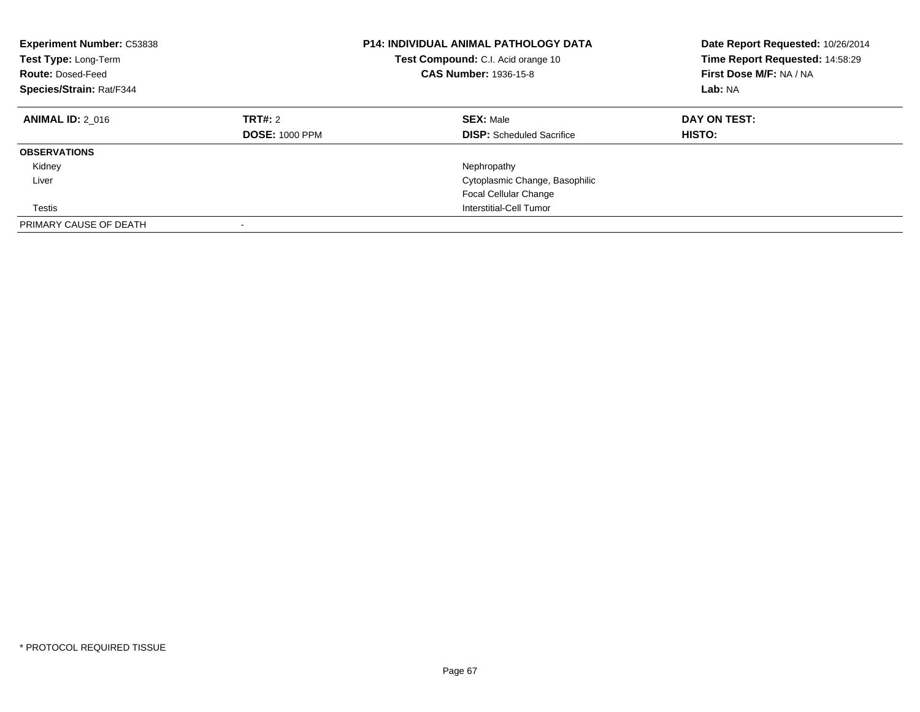| <b>Experiment Number: C53838</b><br>Test Type: Long-Term<br><b>Route: Dosed-Feed</b><br>Species/Strain: Rat/F344 |                                  | <b>P14: INDIVIDUAL ANIMAL PATHOLOGY DATA</b><br>Test Compound: C.I. Acid orange 10<br><b>CAS Number: 1936-15-8</b> | Date Report Requested: 10/26/2014<br>Time Report Requested: 14:58:29<br>First Dose M/F: NA / NA<br>Lab: NA |
|------------------------------------------------------------------------------------------------------------------|----------------------------------|--------------------------------------------------------------------------------------------------------------------|------------------------------------------------------------------------------------------------------------|
| <b>ANIMAL ID: 2 016</b>                                                                                          | TRT#: 2<br><b>DOSE: 1000 PPM</b> | <b>SEX: Male</b><br><b>DISP:</b> Scheduled Sacrifice                                                               | DAY ON TEST:<br><b>HISTO:</b>                                                                              |
| <b>OBSERVATIONS</b>                                                                                              |                                  |                                                                                                                    |                                                                                                            |
| Kidney                                                                                                           |                                  | Nephropathy                                                                                                        |                                                                                                            |
| Liver                                                                                                            |                                  | Cytoplasmic Change, Basophilic                                                                                     |                                                                                                            |
|                                                                                                                  |                                  | <b>Focal Cellular Change</b>                                                                                       |                                                                                                            |
| Testis                                                                                                           |                                  | Interstitial-Cell Tumor                                                                                            |                                                                                                            |
| PRIMARY CAUSE OF DEATH                                                                                           |                                  |                                                                                                                    |                                                                                                            |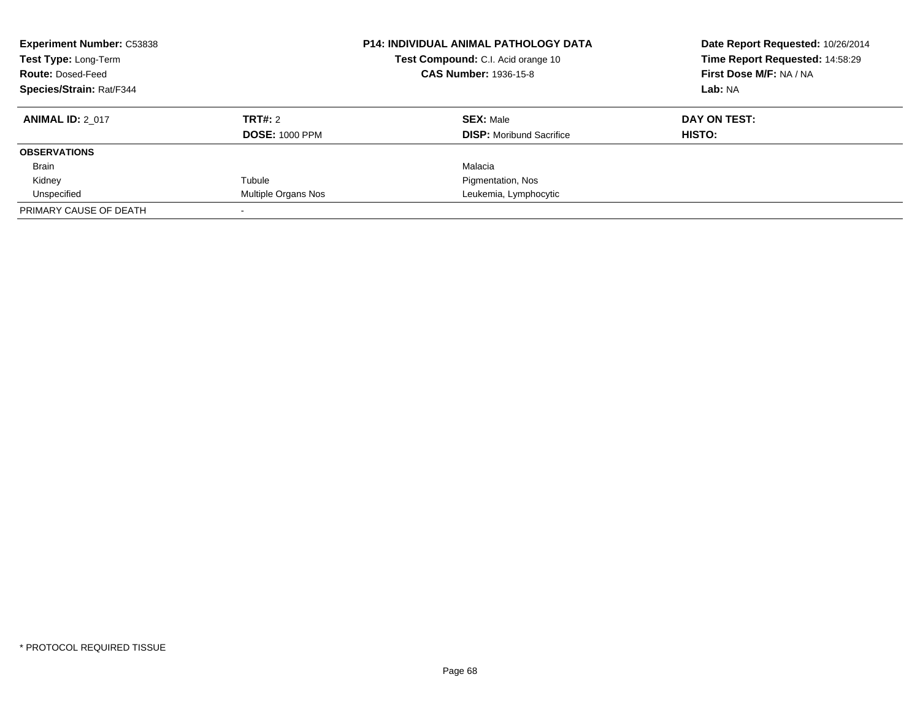| <b>Experiment Number: C53838</b><br>Test Type: Long-Term<br><b>Route: Dosed-Feed</b><br><b>Species/Strain: Rat/F344</b> |                                  | <b>P14: INDIVIDUAL ANIMAL PATHOLOGY DATA</b><br>Test Compound: C.I. Acid orange 10<br><b>CAS Number: 1936-15-8</b> | Date Report Requested: 10/26/2014<br>Time Report Requested: 14:58:29<br>First Dose M/F: NA / NA<br>Lab: NA |
|-------------------------------------------------------------------------------------------------------------------------|----------------------------------|--------------------------------------------------------------------------------------------------------------------|------------------------------------------------------------------------------------------------------------|
| <b>ANIMAL ID: 2 017</b>                                                                                                 | TRT#: 2<br><b>DOSE: 1000 PPM</b> | <b>SEX: Male</b><br><b>DISP:</b> Moribund Sacrifice                                                                | DAY ON TEST:<br>HISTO:                                                                                     |
| <b>OBSERVATIONS</b>                                                                                                     |                                  |                                                                                                                    |                                                                                                            |
| <b>Brain</b>                                                                                                            |                                  | Malacia                                                                                                            |                                                                                                            |
| Kidney                                                                                                                  | Tubule                           | Pigmentation, Nos                                                                                                  |                                                                                                            |
| Unspecified                                                                                                             | Multiple Organs Nos              | Leukemia, Lymphocytic                                                                                              |                                                                                                            |
| PRIMARY CAUSE OF DEATH                                                                                                  |                                  |                                                                                                                    |                                                                                                            |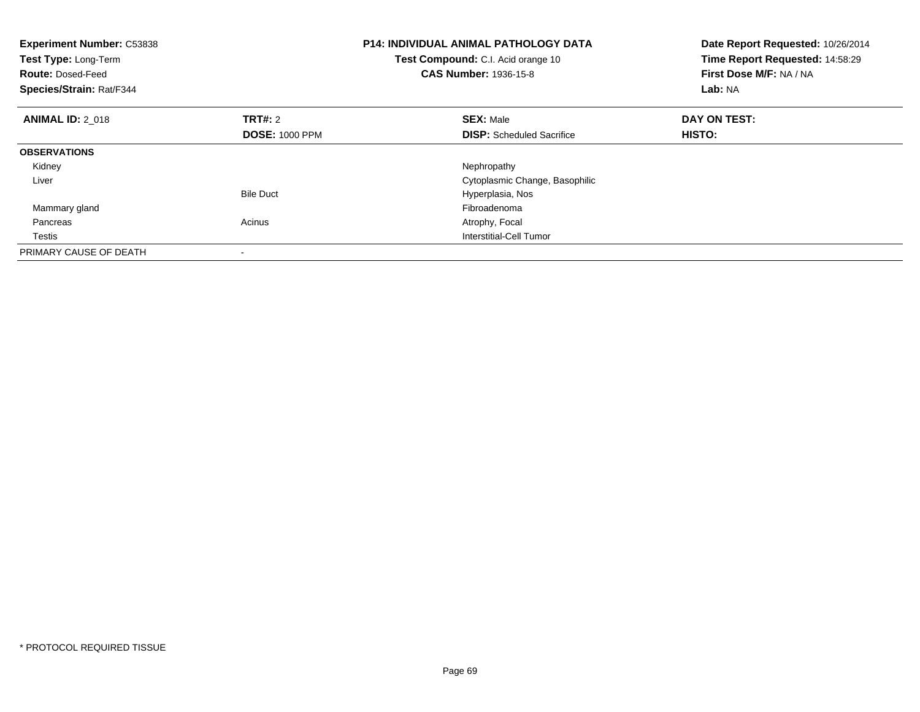| <b>Experiment Number: C53838</b><br>Test Type: Long-Term<br><b>Route: Dosed-Feed</b><br>Species/Strain: Rat/F344 |                       | <b>P14: INDIVIDUAL ANIMAL PATHOLOGY DATA</b><br>Test Compound: C.I. Acid orange 10<br><b>CAS Number: 1936-15-8</b> | Date Report Requested: 10/26/2014<br>Time Report Requested: 14:58:29<br>First Dose M/F: NA / NA<br>Lab: NA |
|------------------------------------------------------------------------------------------------------------------|-----------------------|--------------------------------------------------------------------------------------------------------------------|------------------------------------------------------------------------------------------------------------|
| <b>ANIMAL ID: 2 018</b>                                                                                          | <b>TRT#: 2</b>        | <b>SEX: Male</b>                                                                                                   | DAY ON TEST:                                                                                               |
|                                                                                                                  | <b>DOSE: 1000 PPM</b> | <b>DISP:</b> Scheduled Sacrifice                                                                                   | <b>HISTO:</b>                                                                                              |
| <b>OBSERVATIONS</b>                                                                                              |                       |                                                                                                                    |                                                                                                            |
| Kidney                                                                                                           |                       | Nephropathy                                                                                                        |                                                                                                            |
| Liver                                                                                                            |                       | Cytoplasmic Change, Basophilic                                                                                     |                                                                                                            |
|                                                                                                                  | <b>Bile Duct</b>      | Hyperplasia, Nos                                                                                                   |                                                                                                            |
| Mammary gland                                                                                                    |                       | Fibroadenoma                                                                                                       |                                                                                                            |
| Pancreas                                                                                                         | Acinus                | Atrophy, Focal                                                                                                     |                                                                                                            |
| Testis                                                                                                           |                       | Interstitial-Cell Tumor                                                                                            |                                                                                                            |
| PRIMARY CAUSE OF DEATH                                                                                           |                       |                                                                                                                    |                                                                                                            |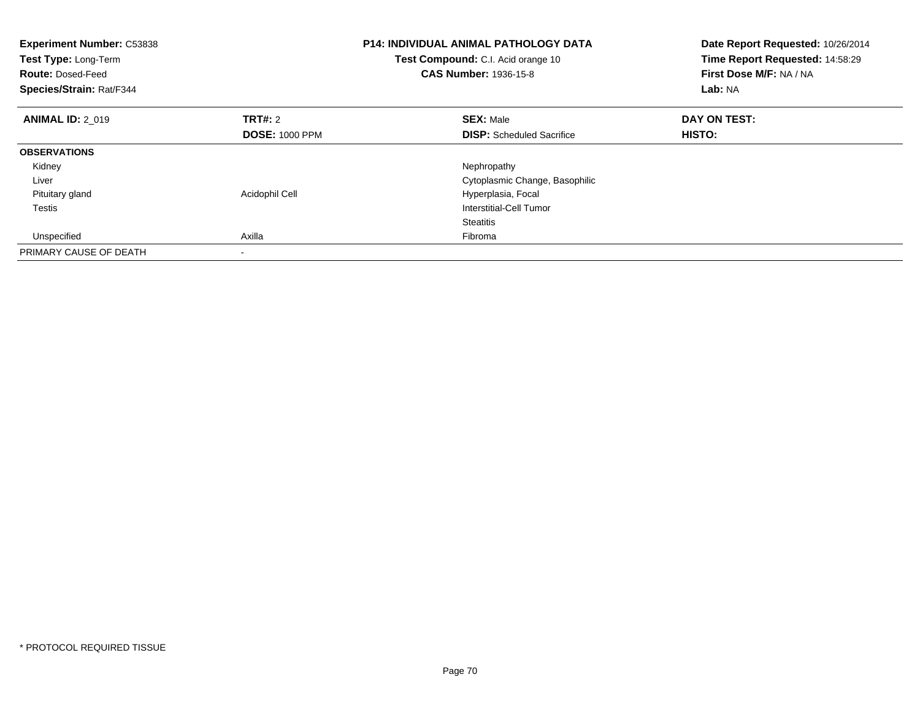| <b>Experiment Number: C53838</b><br>Test Type: Long-Term<br><b>Route: Dosed-Feed</b><br>Species/Strain: Rat/F344 |                       | <b>P14: INDIVIDUAL ANIMAL PATHOLOGY DATA</b><br>Test Compound: C.I. Acid orange 10<br><b>CAS Number: 1936-15-8</b> | Date Report Requested: 10/26/2014<br>Time Report Requested: 14:58:29<br>First Dose M/F: NA / NA<br>Lab: NA |
|------------------------------------------------------------------------------------------------------------------|-----------------------|--------------------------------------------------------------------------------------------------------------------|------------------------------------------------------------------------------------------------------------|
| <b>ANIMAL ID: 2 019</b>                                                                                          | TRT#: 2               | <b>SEX: Male</b>                                                                                                   | DAY ON TEST:                                                                                               |
|                                                                                                                  | <b>DOSE: 1000 PPM</b> | <b>DISP:</b> Scheduled Sacrifice                                                                                   | HISTO:                                                                                                     |
| <b>OBSERVATIONS</b>                                                                                              |                       |                                                                                                                    |                                                                                                            |
| Kidney                                                                                                           |                       | Nephropathy                                                                                                        |                                                                                                            |
| Liver                                                                                                            |                       | Cytoplasmic Change, Basophilic                                                                                     |                                                                                                            |
| Pituitary gland                                                                                                  | Acidophil Cell        | Hyperplasia, Focal                                                                                                 |                                                                                                            |
| Testis                                                                                                           |                       | <b>Interstitial-Cell Tumor</b>                                                                                     |                                                                                                            |
|                                                                                                                  |                       | <b>Steatitis</b>                                                                                                   |                                                                                                            |
| Unspecified                                                                                                      | Axilla                | Fibroma                                                                                                            |                                                                                                            |
| PRIMARY CAUSE OF DEATH                                                                                           |                       |                                                                                                                    |                                                                                                            |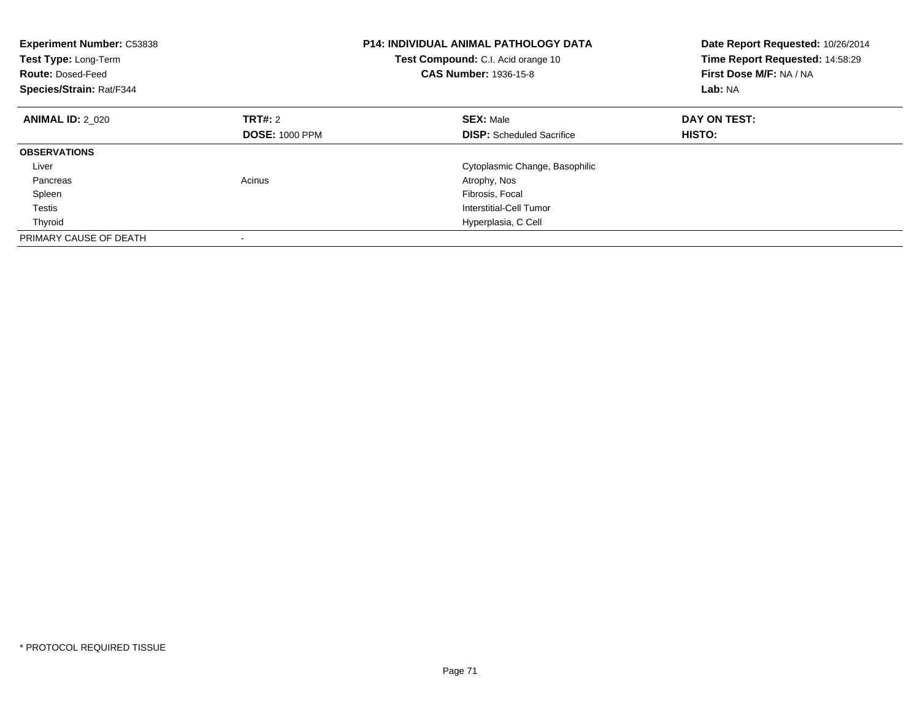| <b>Experiment Number: C53838</b><br>Test Type: Long-Term<br><b>Route: Dosed-Feed</b><br>Species/Strain: Rat/F344 |                       | <b>P14: INDIVIDUAL ANIMAL PATHOLOGY DATA</b><br><b>Test Compound:</b> C.I. Acid orange 10<br><b>CAS Number: 1936-15-8</b> | Date Report Requested: 10/26/2014<br>Time Report Requested: 14:58:29<br>First Dose M/F: NA / NA<br>Lab: NA |
|------------------------------------------------------------------------------------------------------------------|-----------------------|---------------------------------------------------------------------------------------------------------------------------|------------------------------------------------------------------------------------------------------------|
| <b>ANIMAL ID: 2 020</b>                                                                                          | TRT#: 2               | <b>SEX: Male</b>                                                                                                          | DAY ON TEST:                                                                                               |
|                                                                                                                  | <b>DOSE: 1000 PPM</b> | <b>DISP:</b> Scheduled Sacrifice                                                                                          | HISTO:                                                                                                     |
| <b>OBSERVATIONS</b>                                                                                              |                       |                                                                                                                           |                                                                                                            |
| Liver                                                                                                            |                       | Cytoplasmic Change, Basophilic                                                                                            |                                                                                                            |
| Pancreas                                                                                                         | Acinus                | Atrophy, Nos                                                                                                              |                                                                                                            |
| Spleen                                                                                                           |                       | Fibrosis, Focal                                                                                                           |                                                                                                            |
| Testis                                                                                                           |                       | Interstitial-Cell Tumor                                                                                                   |                                                                                                            |
| Thyroid                                                                                                          |                       | Hyperplasia, C Cell                                                                                                       |                                                                                                            |
| PRIMARY CAUSE OF DEATH                                                                                           |                       |                                                                                                                           |                                                                                                            |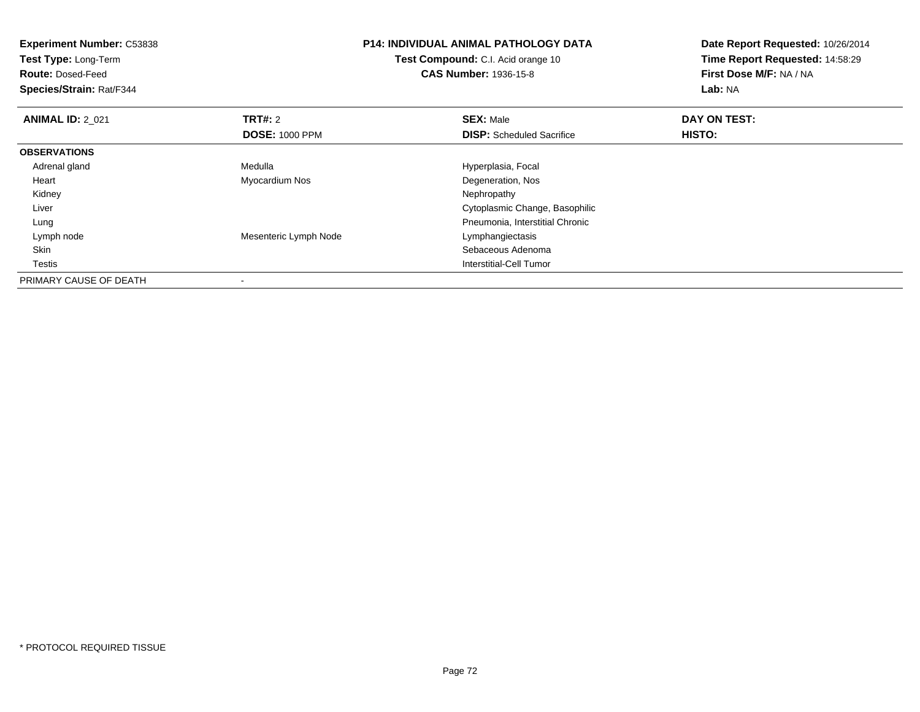| <b>P14: INDIVIDUAL ANIMAL PATHOLOGY DATA</b><br><b>Experiment Number: C53838</b> |                                    | Date Report Requested: 10/26/2014 |                                 |
|----------------------------------------------------------------------------------|------------------------------------|-----------------------------------|---------------------------------|
| Test Type: Long-Term                                                             | Test Compound: C.I. Acid orange 10 |                                   | Time Report Requested: 14:58:29 |
| <b>Route: Dosed-Feed</b>                                                         |                                    | <b>CAS Number: 1936-15-8</b>      | First Dose M/F: NA / NA         |
| Species/Strain: Rat/F344                                                         |                                    |                                   | Lab: NA                         |
| <b>ANIMAL ID: 2 021</b>                                                          | TRT#: 2                            | <b>SEX: Male</b>                  | DAY ON TEST:                    |
|                                                                                  | <b>DOSE: 1000 PPM</b>              | <b>DISP:</b> Scheduled Sacrifice  | HISTO:                          |
| <b>OBSERVATIONS</b>                                                              |                                    |                                   |                                 |
| Adrenal gland                                                                    | Medulla                            | Hyperplasia, Focal                |                                 |
| Heart                                                                            | Myocardium Nos                     | Degeneration, Nos                 |                                 |
| Kidney                                                                           |                                    | Nephropathy                       |                                 |
| Liver                                                                            |                                    | Cytoplasmic Change, Basophilic    |                                 |
| Lung                                                                             |                                    | Pneumonia, Interstitial Chronic   |                                 |
| Lymph node                                                                       | Mesenteric Lymph Node              | Lymphangiectasis                  |                                 |
| Skin                                                                             |                                    | Sebaceous Adenoma                 |                                 |
| Testis                                                                           |                                    | Interstitial-Cell Tumor           |                                 |
| PRIMARY CAUSE OF DEATH                                                           |                                    |                                   |                                 |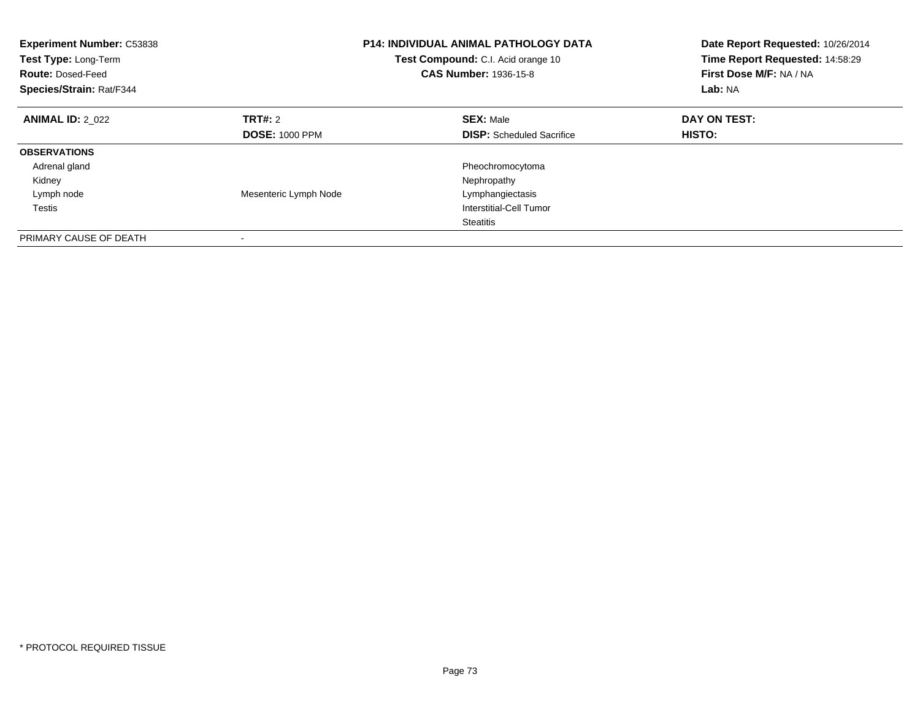| <b>Experiment Number: C53838</b><br>Test Type: Long-Term<br><b>Route: Dosed-Feed</b><br>Species/Strain: Rat/F344 | <b>P14: INDIVIDUAL ANIMAL PATHOLOGY DATA</b><br>Test Compound: C.I. Acid orange 10<br><b>CAS Number: 1936-15-8</b> |                                  | Date Report Requested: 10/26/2014<br>Time Report Requested: 14:58:29<br>First Dose M/F: NA / NA<br>Lab: NA |
|------------------------------------------------------------------------------------------------------------------|--------------------------------------------------------------------------------------------------------------------|----------------------------------|------------------------------------------------------------------------------------------------------------|
| <b>ANIMAL ID: 2 022</b>                                                                                          | TRT#: 2                                                                                                            | <b>SEX: Male</b>                 | DAY ON TEST:                                                                                               |
|                                                                                                                  | <b>DOSE: 1000 PPM</b>                                                                                              | <b>DISP:</b> Scheduled Sacrifice | HISTO:                                                                                                     |
| <b>OBSERVATIONS</b>                                                                                              |                                                                                                                    |                                  |                                                                                                            |
| Adrenal gland                                                                                                    |                                                                                                                    | Pheochromocytoma                 |                                                                                                            |
| Kidney                                                                                                           |                                                                                                                    | Nephropathy                      |                                                                                                            |
| Lymph node                                                                                                       | Mesenteric Lymph Node                                                                                              | Lymphangiectasis                 |                                                                                                            |
| Testis                                                                                                           |                                                                                                                    | Interstitial-Cell Tumor          |                                                                                                            |
|                                                                                                                  |                                                                                                                    | <b>Steatitis</b>                 |                                                                                                            |
| PRIMARY CAUSE OF DEATH                                                                                           |                                                                                                                    |                                  |                                                                                                            |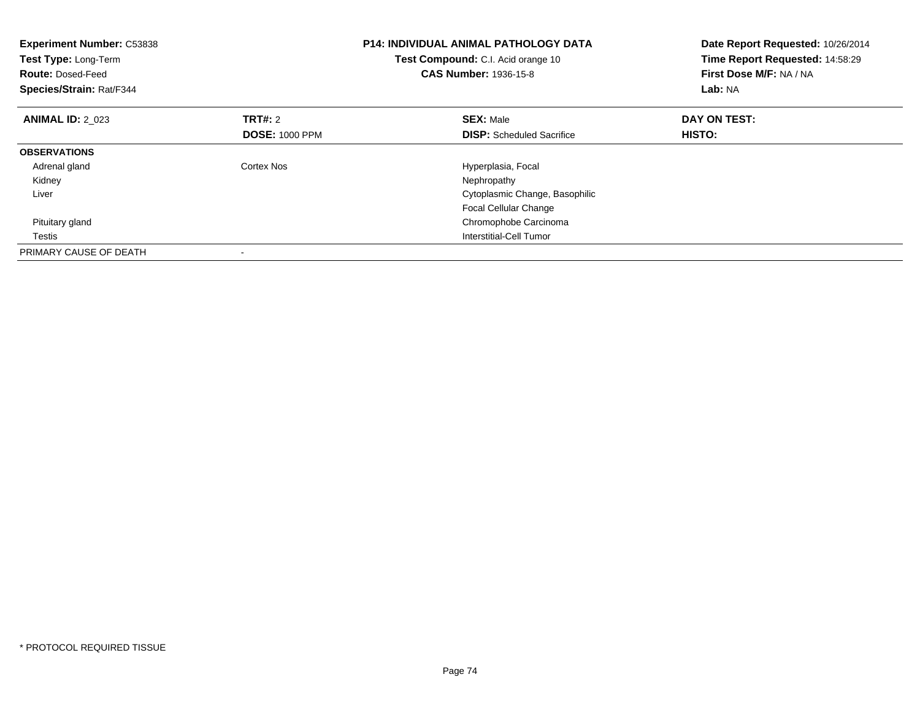| <b>Experiment Number: C53838</b><br>Test Type: Long-Term<br><b>Route: Dosed-Feed</b><br>Species/Strain: Rat/F344 |                       | <b>P14: INDIVIDUAL ANIMAL PATHOLOGY DATA</b><br>Test Compound: C.I. Acid orange 10<br><b>CAS Number: 1936-15-8</b> | Date Report Requested: 10/26/2014<br>Time Report Requested: 14:58:29<br>First Dose M/F: NA / NA<br>Lab: NA |
|------------------------------------------------------------------------------------------------------------------|-----------------------|--------------------------------------------------------------------------------------------------------------------|------------------------------------------------------------------------------------------------------------|
| <b>ANIMAL ID: 2 023</b>                                                                                          | TRT#: 2               | <b>SEX: Male</b>                                                                                                   | DAY ON TEST:                                                                                               |
|                                                                                                                  | <b>DOSE: 1000 PPM</b> | <b>DISP:</b> Scheduled Sacrifice                                                                                   | HISTO:                                                                                                     |
| <b>OBSERVATIONS</b>                                                                                              |                       |                                                                                                                    |                                                                                                            |
| Adrenal gland                                                                                                    | Cortex Nos            | Hyperplasia, Focal                                                                                                 |                                                                                                            |
| Kidney                                                                                                           |                       | Nephropathy                                                                                                        |                                                                                                            |
| Liver                                                                                                            |                       | Cytoplasmic Change, Basophilic                                                                                     |                                                                                                            |
|                                                                                                                  |                       | Focal Cellular Change                                                                                              |                                                                                                            |
| Pituitary gland                                                                                                  |                       | Chromophobe Carcinoma                                                                                              |                                                                                                            |
| Testis                                                                                                           |                       | Interstitial-Cell Tumor                                                                                            |                                                                                                            |
| PRIMARY CAUSE OF DEATH                                                                                           |                       |                                                                                                                    |                                                                                                            |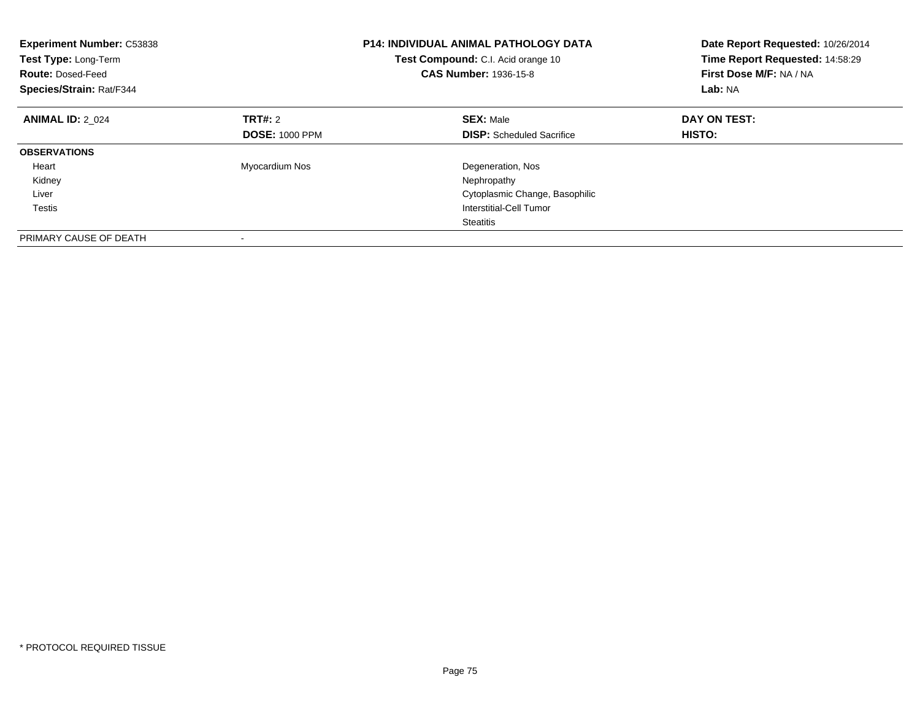| <b>Experiment Number: C53838</b><br>Test Type: Long-Term<br><b>Route: Dosed-Feed</b><br>Species/Strain: Rat/F344 |                       | <b>P14: INDIVIDUAL ANIMAL PATHOLOGY DATA</b><br>Test Compound: C.I. Acid orange 10<br><b>CAS Number: 1936-15-8</b> | Date Report Requested: 10/26/2014<br>Time Report Requested: 14:58:29<br>First Dose M/F: NA / NA<br>Lab: NA |
|------------------------------------------------------------------------------------------------------------------|-----------------------|--------------------------------------------------------------------------------------------------------------------|------------------------------------------------------------------------------------------------------------|
| <b>ANIMAL ID: 2 024</b>                                                                                          | <b>TRT#: 2</b>        | <b>SEX: Male</b>                                                                                                   | DAY ON TEST:                                                                                               |
|                                                                                                                  | <b>DOSE: 1000 PPM</b> | <b>DISP:</b> Scheduled Sacrifice                                                                                   | HISTO:                                                                                                     |
| <b>OBSERVATIONS</b>                                                                                              |                       |                                                                                                                    |                                                                                                            |
| Heart                                                                                                            | Myocardium Nos        | Degeneration, Nos                                                                                                  |                                                                                                            |
| Kidney                                                                                                           |                       | Nephropathy                                                                                                        |                                                                                                            |
| Liver                                                                                                            |                       | Cytoplasmic Change, Basophilic                                                                                     |                                                                                                            |
| <b>Testis</b>                                                                                                    |                       | Interstitial-Cell Tumor                                                                                            |                                                                                                            |
|                                                                                                                  |                       | <b>Steatitis</b>                                                                                                   |                                                                                                            |
| PRIMARY CAUSE OF DEATH                                                                                           |                       |                                                                                                                    |                                                                                                            |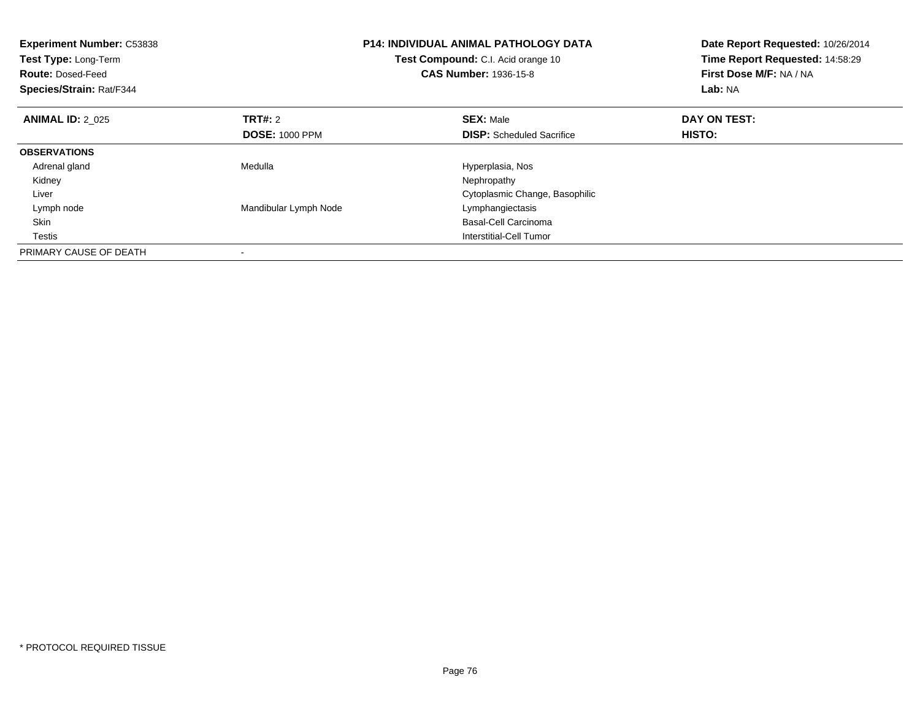| <b>Experiment Number: C53838</b><br>Test Type: Long-Term<br><b>Route: Dosed-Feed</b><br>Species/Strain: Rat/F344 |                       | <b>P14: INDIVIDUAL ANIMAL PATHOLOGY DATA</b><br>Test Compound: C.I. Acid orange 10<br><b>CAS Number: 1936-15-8</b> | Date Report Requested: 10/26/2014<br>Time Report Requested: 14:58:29<br>First Dose M/F: NA / NA<br>Lab: NA |
|------------------------------------------------------------------------------------------------------------------|-----------------------|--------------------------------------------------------------------------------------------------------------------|------------------------------------------------------------------------------------------------------------|
| <b>ANIMAL ID: 2 025</b>                                                                                          | <b>TRT#: 2</b>        | <b>SEX: Male</b>                                                                                                   | DAY ON TEST:                                                                                               |
|                                                                                                                  | <b>DOSE: 1000 PPM</b> | <b>DISP:</b> Scheduled Sacrifice                                                                                   | HISTO:                                                                                                     |
| <b>OBSERVATIONS</b>                                                                                              |                       |                                                                                                                    |                                                                                                            |
| Adrenal gland                                                                                                    | Medulla               | Hyperplasia, Nos                                                                                                   |                                                                                                            |
| Kidney                                                                                                           |                       | Nephropathy                                                                                                        |                                                                                                            |
| Liver                                                                                                            |                       | Cytoplasmic Change, Basophilic                                                                                     |                                                                                                            |
| Lymph node                                                                                                       | Mandibular Lymph Node | Lymphangiectasis                                                                                                   |                                                                                                            |
| <b>Skin</b>                                                                                                      |                       | Basal-Cell Carcinoma                                                                                               |                                                                                                            |
| Testis                                                                                                           |                       | Interstitial-Cell Tumor                                                                                            |                                                                                                            |
| PRIMARY CAUSE OF DEATH                                                                                           |                       |                                                                                                                    |                                                                                                            |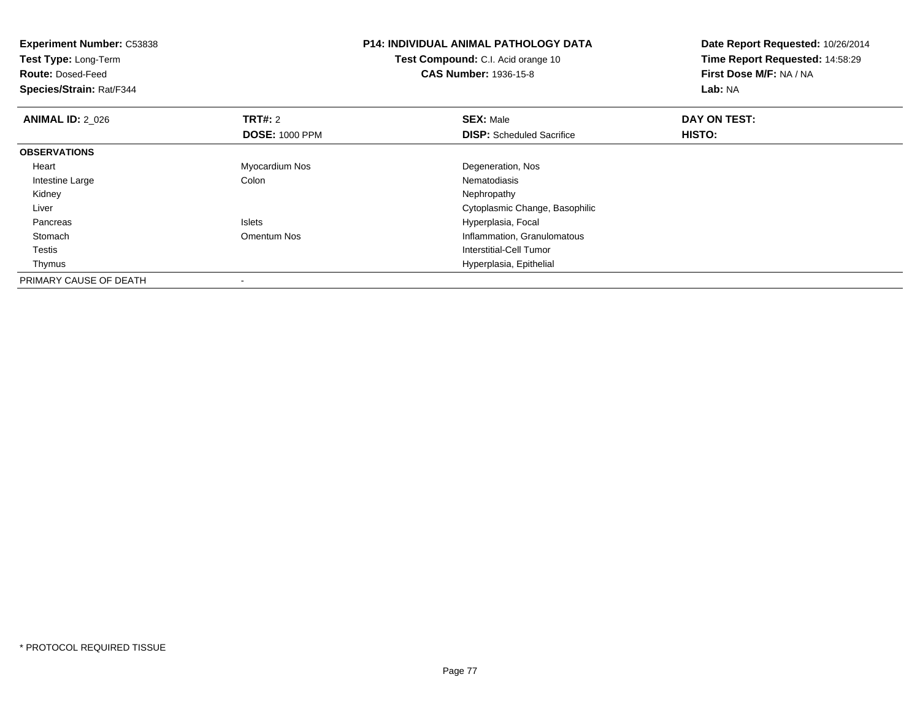| <b>Experiment Number: C53838</b> |                       | <b>P14: INDIVIDUAL ANIMAL PATHOLOGY DATA</b> | Date Report Requested: 10/26/2014 |
|----------------------------------|-----------------------|----------------------------------------------|-----------------------------------|
| Test Type: Long-Term             |                       | Test Compound: C.I. Acid orange 10           | Time Report Requested: 14:58:29   |
| <b>Route: Dosed-Feed</b>         |                       | <b>CAS Number: 1936-15-8</b>                 | First Dose M/F: NA / NA           |
| Species/Strain: Rat/F344         |                       |                                              | Lab: NA                           |
| <b>ANIMAL ID: 2 026</b>          | <b>TRT#: 2</b>        | <b>SEX: Male</b>                             | DAY ON TEST:                      |
|                                  | <b>DOSE: 1000 PPM</b> | <b>DISP:</b> Scheduled Sacrifice             | <b>HISTO:</b>                     |
| <b>OBSERVATIONS</b>              |                       |                                              |                                   |
| Heart                            | Myocardium Nos        | Degeneration, Nos                            |                                   |
| Intestine Large                  | Colon                 | Nematodiasis                                 |                                   |
| Kidney                           |                       | Nephropathy                                  |                                   |
| Liver                            |                       | Cytoplasmic Change, Basophilic               |                                   |
| Pancreas                         | <b>Islets</b>         | Hyperplasia, Focal                           |                                   |
| Stomach                          | Omentum Nos           | Inflammation, Granulomatous                  |                                   |
| Testis                           |                       | Interstitial-Cell Tumor                      |                                   |
| Thymus                           |                       | Hyperplasia, Epithelial                      |                                   |
| PRIMARY CAUSE OF DEATH           |                       |                                              |                                   |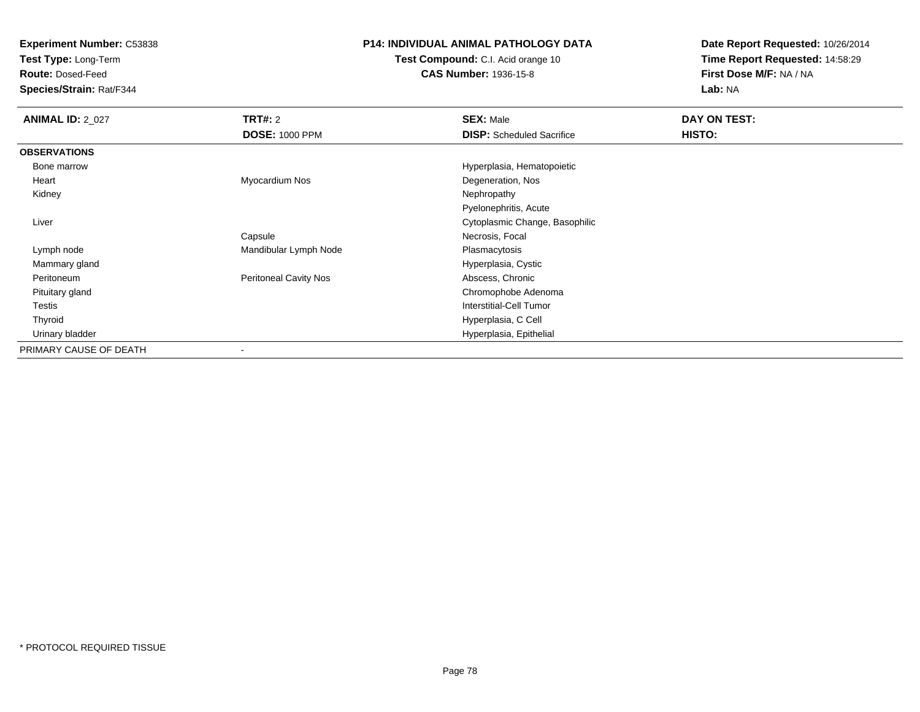**Experiment Number:** C53838

**Test Type:** Long-Term

**Route:** Dosed-Feed

**Species/Strain:** Rat/F344

## **P14: INDIVIDUAL ANIMAL PATHOLOGY DATA**

**Test Compound:** C.I. Acid orange 10**CAS Number:** 1936-15-8

**Date Report Requested:** 10/26/2014**Time Report Requested:** 14:58:29**First Dose M/F:** NA / NA**Lab:** NA

| <b>ANIMAL ID: 2_027</b> | <b>TRT#: 2</b>               | <b>SEX: Male</b>                 | DAY ON TEST: |  |
|-------------------------|------------------------------|----------------------------------|--------------|--|
|                         | <b>DOSE: 1000 PPM</b>        | <b>DISP:</b> Scheduled Sacrifice | HISTO:       |  |
| <b>OBSERVATIONS</b>     |                              |                                  |              |  |
| Bone marrow             |                              | Hyperplasia, Hematopoietic       |              |  |
| Heart                   | Myocardium Nos               | Degeneration, Nos                |              |  |
| Kidney                  |                              | Nephropathy                      |              |  |
|                         |                              | Pyelonephritis, Acute            |              |  |
| Liver                   |                              | Cytoplasmic Change, Basophilic   |              |  |
|                         | Capsule                      | Necrosis, Focal                  |              |  |
| Lymph node              | Mandibular Lymph Node        | Plasmacytosis                    |              |  |
| Mammary gland           |                              | Hyperplasia, Cystic              |              |  |
| Peritoneum              | <b>Peritoneal Cavity Nos</b> | Abscess, Chronic                 |              |  |
| Pituitary gland         |                              | Chromophobe Adenoma              |              |  |
| Testis                  |                              | Interstitial-Cell Tumor          |              |  |
| Thyroid                 |                              | Hyperplasia, C Cell              |              |  |
| Urinary bladder         |                              | Hyperplasia, Epithelial          |              |  |
| PRIMARY CAUSE OF DEATH  |                              |                                  |              |  |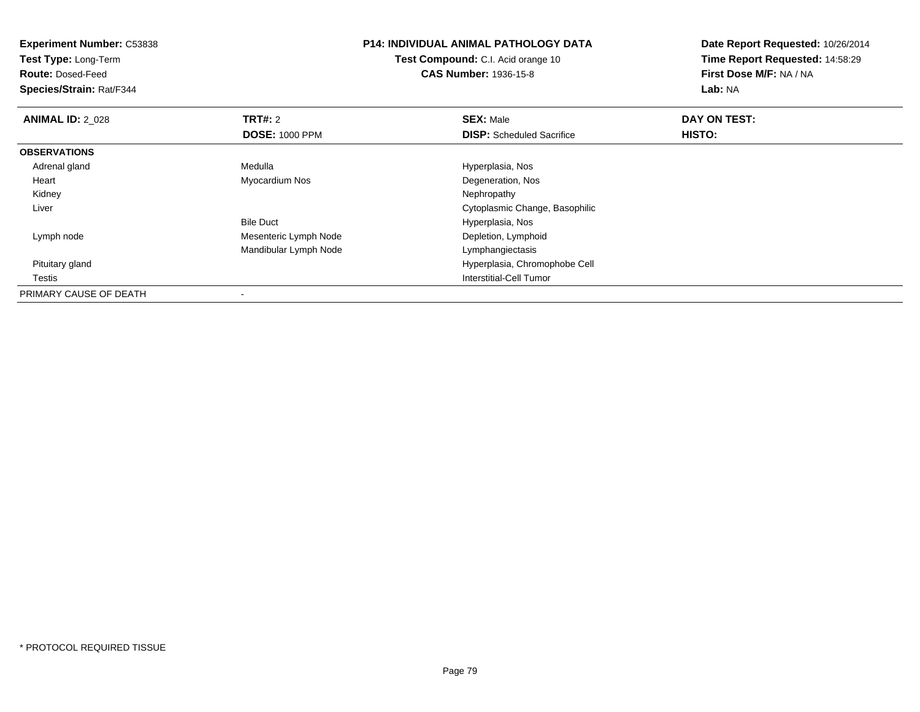| <b>Experiment Number: C53838</b> | <b>P14: INDIVIDUAL ANIMAL PATHOLOGY DATA</b><br><b>Test Compound:</b> C.I. Acid orange 10 |                                  | Date Report Requested: 10/26/2014<br>Time Report Requested: 14:58:29 |
|----------------------------------|-------------------------------------------------------------------------------------------|----------------------------------|----------------------------------------------------------------------|
| Test Type: Long-Term             |                                                                                           |                                  |                                                                      |
| <b>Route: Dosed-Feed</b>         |                                                                                           | <b>CAS Number: 1936-15-8</b>     | First Dose M/F: NA / NA                                              |
| Species/Strain: Rat/F344         |                                                                                           |                                  | Lab: NA                                                              |
| <b>ANIMAL ID: 2 028</b>          | <b>TRT#:</b> 2                                                                            | <b>SEX: Male</b>                 | DAY ON TEST:                                                         |
|                                  | <b>DOSE: 1000 PPM</b>                                                                     | <b>DISP:</b> Scheduled Sacrifice | HISTO:                                                               |
| <b>OBSERVATIONS</b>              |                                                                                           |                                  |                                                                      |
| Adrenal gland                    | Medulla                                                                                   | Hyperplasia, Nos                 |                                                                      |
| Heart                            | Myocardium Nos                                                                            | Degeneration, Nos                |                                                                      |
| Kidney                           |                                                                                           | Nephropathy                      |                                                                      |
| Liver                            |                                                                                           | Cytoplasmic Change, Basophilic   |                                                                      |
|                                  | <b>Bile Duct</b>                                                                          | Hyperplasia, Nos                 |                                                                      |
| Lymph node                       | Mesenteric Lymph Node                                                                     | Depletion, Lymphoid              |                                                                      |
|                                  | Mandibular Lymph Node                                                                     | Lymphangiectasis                 |                                                                      |
| Pituitary gland                  |                                                                                           | Hyperplasia, Chromophobe Cell    |                                                                      |
| Testis                           |                                                                                           | Interstitial-Cell Tumor          |                                                                      |
| PRIMARY CAUSE OF DEATH           |                                                                                           |                                  |                                                                      |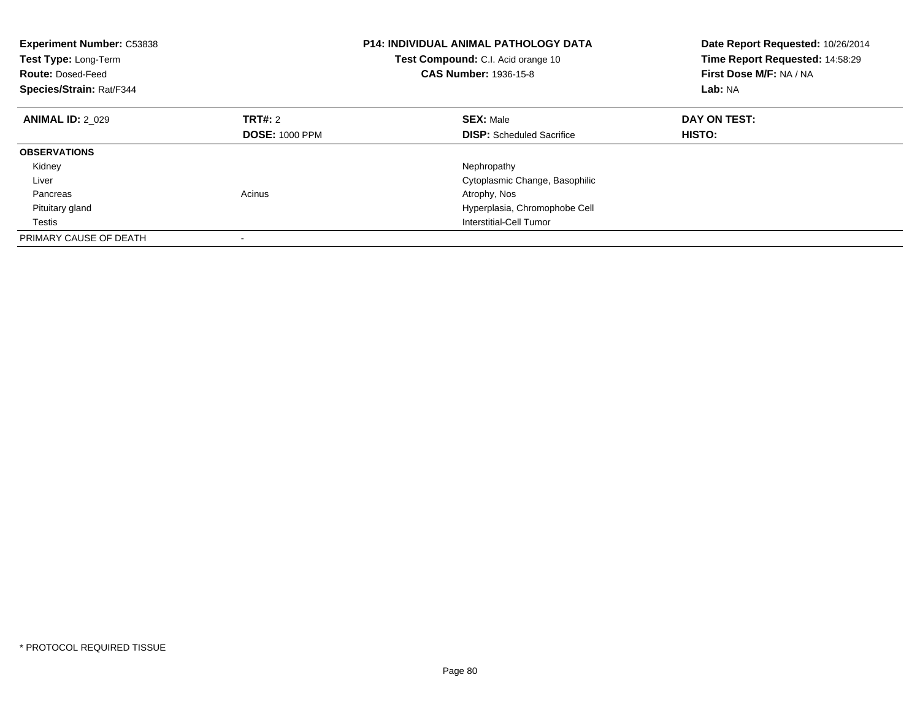| <b>Experiment Number: C53838</b><br>Test Type: Long-Term<br><b>Route: Dosed-Feed</b><br>Species/Strain: Rat/F344 |                       | <b>P14: INDIVIDUAL ANIMAL PATHOLOGY DATA</b><br>Test Compound: C.I. Acid orange 10<br><b>CAS Number: 1936-15-8</b> | Date Report Requested: 10/26/2014<br>Time Report Requested: 14:58:29<br>First Dose M/F: NA / NA<br>Lab: NA |
|------------------------------------------------------------------------------------------------------------------|-----------------------|--------------------------------------------------------------------------------------------------------------------|------------------------------------------------------------------------------------------------------------|
| <b>ANIMAL ID: 2 029</b>                                                                                          | TRT#: 2               | <b>SEX: Male</b>                                                                                                   | DAY ON TEST:                                                                                               |
|                                                                                                                  | <b>DOSE: 1000 PPM</b> | <b>DISP:</b> Scheduled Sacrifice                                                                                   | HISTO:                                                                                                     |
| <b>OBSERVATIONS</b>                                                                                              |                       |                                                                                                                    |                                                                                                            |
| Kidney                                                                                                           |                       | Nephropathy                                                                                                        |                                                                                                            |
| Liver                                                                                                            |                       | Cytoplasmic Change, Basophilic                                                                                     |                                                                                                            |
| Pancreas                                                                                                         | Acinus                | Atrophy, Nos                                                                                                       |                                                                                                            |
| Pituitary gland                                                                                                  |                       | Hyperplasia, Chromophobe Cell                                                                                      |                                                                                                            |
| Testis                                                                                                           |                       | Interstitial-Cell Tumor                                                                                            |                                                                                                            |
| PRIMARY CAUSE OF DEATH                                                                                           |                       |                                                                                                                    |                                                                                                            |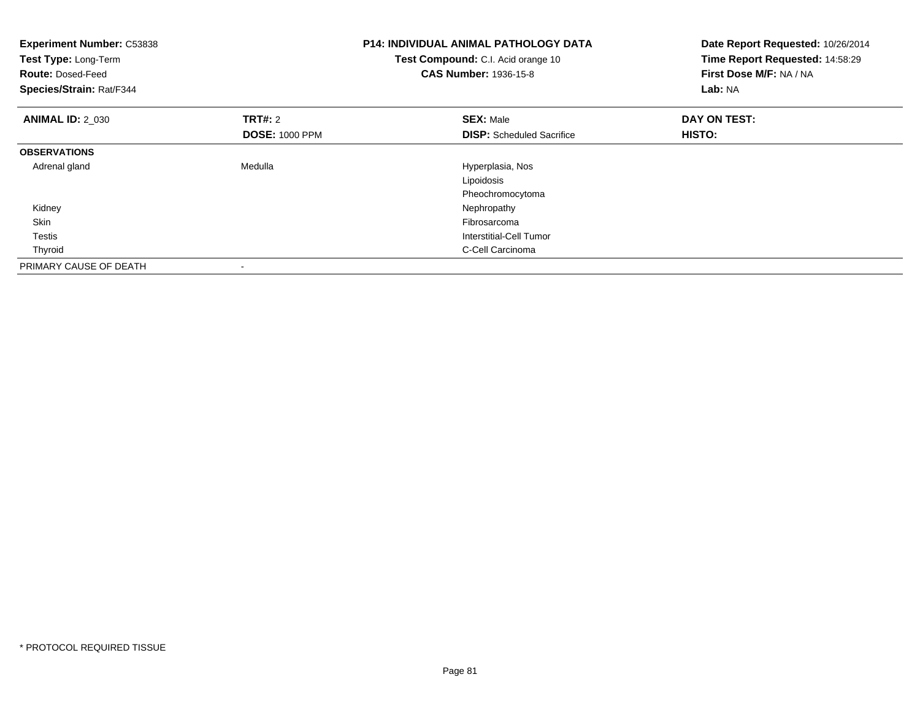| <b>Experiment Number: C53838</b><br>Test Type: Long-Term<br><b>Route: Dosed-Feed</b><br>Species/Strain: Rat/F344 |                                         | <b>P14: INDIVIDUAL ANIMAL PATHOLOGY DATA</b><br>Test Compound: C.I. Acid orange 10<br><b>CAS Number: 1936-15-8</b> | Date Report Requested: 10/26/2014<br>Time Report Requested: 14:58:29<br>First Dose M/F: NA / NA<br>Lab: NA |
|------------------------------------------------------------------------------------------------------------------|-----------------------------------------|--------------------------------------------------------------------------------------------------------------------|------------------------------------------------------------------------------------------------------------|
| <b>ANIMAL ID: 2_030</b>                                                                                          | <b>TRT#: 2</b><br><b>DOSE: 1000 PPM</b> | <b>SEX: Male</b><br><b>DISP:</b> Scheduled Sacrifice                                                               | DAY ON TEST:<br>HISTO:                                                                                     |
| <b>OBSERVATIONS</b>                                                                                              |                                         |                                                                                                                    |                                                                                                            |
| Adrenal gland                                                                                                    | Medulla                                 | Hyperplasia, Nos<br>Lipoidosis<br>Pheochromocytoma                                                                 |                                                                                                            |
| Kidney                                                                                                           |                                         | Nephropathy                                                                                                        |                                                                                                            |
| Skin                                                                                                             |                                         | Fibrosarcoma                                                                                                       |                                                                                                            |
| Testis                                                                                                           |                                         | Interstitial-Cell Tumor                                                                                            |                                                                                                            |
| Thyroid                                                                                                          |                                         | C-Cell Carcinoma                                                                                                   |                                                                                                            |
| PRIMARY CAUSE OF DEATH                                                                                           | -                                       |                                                                                                                    |                                                                                                            |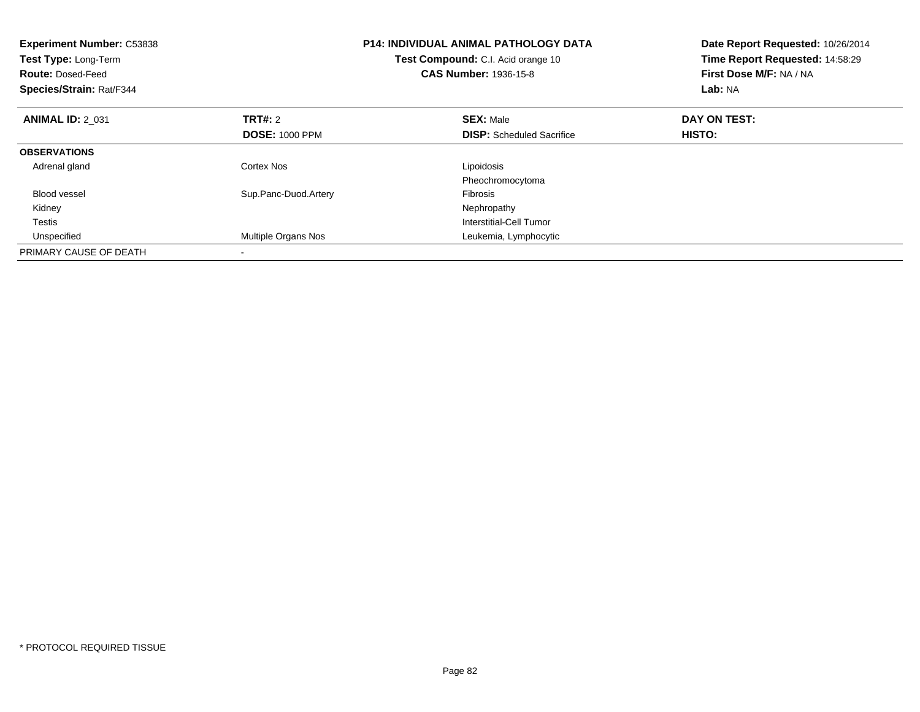| <b>Experiment Number: C53838</b><br>Test Type: Long-Term<br><b>Route: Dosed-Feed</b><br>Species/Strain: Rat/F344 |                       | <b>P14: INDIVIDUAL ANIMAL PATHOLOGY DATA</b><br>Test Compound: C.I. Acid orange 10<br><b>CAS Number: 1936-15-8</b> | Date Report Requested: 10/26/2014<br>Time Report Requested: 14:58:29<br>First Dose M/F: NA / NA<br>Lab: NA |
|------------------------------------------------------------------------------------------------------------------|-----------------------|--------------------------------------------------------------------------------------------------------------------|------------------------------------------------------------------------------------------------------------|
| <b>ANIMAL ID: 2 031</b>                                                                                          | <b>TRT#:</b> 2        | <b>SEX: Male</b>                                                                                                   | DAY ON TEST:                                                                                               |
|                                                                                                                  | <b>DOSE: 1000 PPM</b> | <b>DISP:</b> Scheduled Sacrifice                                                                                   | HISTO:                                                                                                     |
| <b>OBSERVATIONS</b>                                                                                              |                       |                                                                                                                    |                                                                                                            |
| Adrenal gland                                                                                                    | Cortex Nos            | Lipoidosis                                                                                                         |                                                                                                            |
|                                                                                                                  |                       | Pheochromocytoma                                                                                                   |                                                                                                            |
| Blood vessel                                                                                                     | Sup.Panc-Duod.Artery  | Fibrosis                                                                                                           |                                                                                                            |
| Kidney                                                                                                           |                       | Nephropathy                                                                                                        |                                                                                                            |
| Testis                                                                                                           |                       | Interstitial-Cell Tumor                                                                                            |                                                                                                            |
| Unspecified                                                                                                      | Multiple Organs Nos   | Leukemia, Lymphocytic                                                                                              |                                                                                                            |
| PRIMARY CAUSE OF DEATH                                                                                           |                       |                                                                                                                    |                                                                                                            |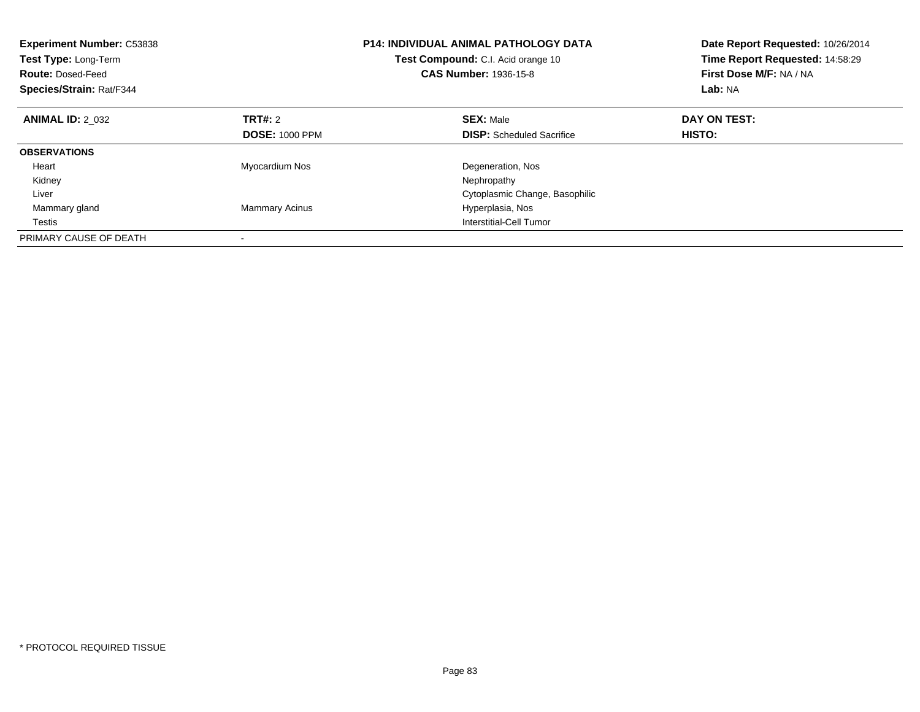| <b>Experiment Number: C53838</b><br>Test Type: Long-Term<br><b>Route: Dosed-Feed</b><br>Species/Strain: Rat/F344 |                       | <b>P14: INDIVIDUAL ANIMAL PATHOLOGY DATA</b><br>Test Compound: C.I. Acid orange 10<br><b>CAS Number: 1936-15-8</b> | Date Report Requested: 10/26/2014<br>Time Report Requested: 14:58:29<br>First Dose M/F: NA / NA<br>Lab: NA |
|------------------------------------------------------------------------------------------------------------------|-----------------------|--------------------------------------------------------------------------------------------------------------------|------------------------------------------------------------------------------------------------------------|
| <b>ANIMAL ID: 2 032</b>                                                                                          | TRT#: 2               | <b>SEX: Male</b>                                                                                                   | DAY ON TEST:                                                                                               |
|                                                                                                                  | <b>DOSE: 1000 PPM</b> | <b>DISP:</b> Scheduled Sacrifice                                                                                   | HISTO:                                                                                                     |
| <b>OBSERVATIONS</b>                                                                                              |                       |                                                                                                                    |                                                                                                            |
| Heart                                                                                                            | Myocardium Nos        | Degeneration, Nos                                                                                                  |                                                                                                            |
| Kidney                                                                                                           |                       | Nephropathy                                                                                                        |                                                                                                            |
| Liver                                                                                                            |                       | Cytoplasmic Change, Basophilic                                                                                     |                                                                                                            |
| Mammary gland                                                                                                    | <b>Mammary Acinus</b> | Hyperplasia, Nos                                                                                                   |                                                                                                            |
| Testis                                                                                                           |                       | Interstitial-Cell Tumor                                                                                            |                                                                                                            |
| PRIMARY CAUSE OF DEATH                                                                                           |                       |                                                                                                                    |                                                                                                            |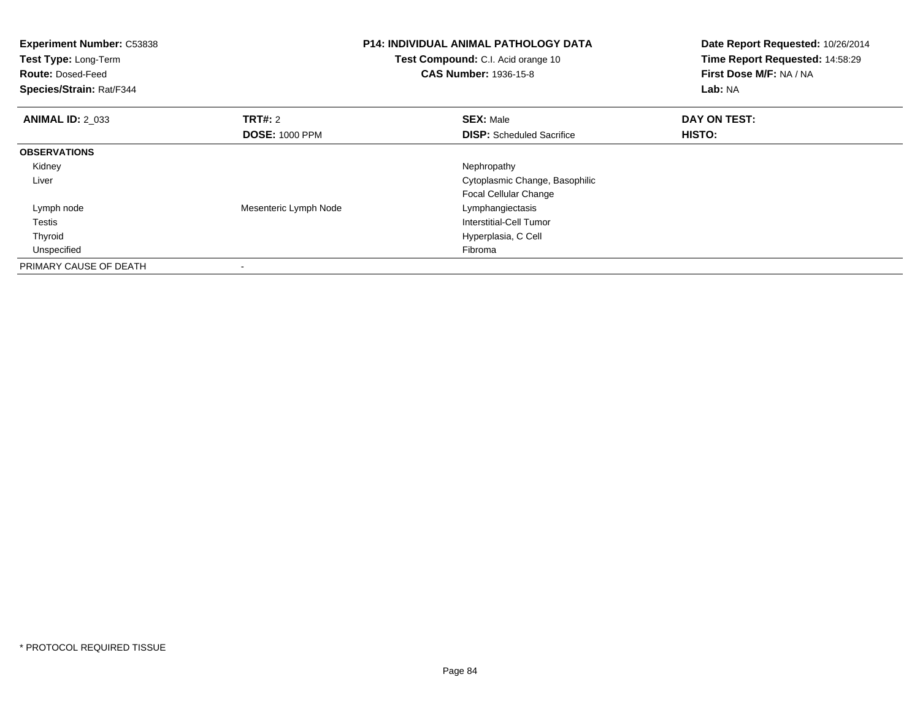| <b>Experiment Number: C53838</b><br>Test Type: Long-Term<br><b>Route: Dosed-Feed</b><br>Species/Strain: Rat/F344 |                       | <b>P14: INDIVIDUAL ANIMAL PATHOLOGY DATA</b><br>Test Compound: C.I. Acid orange 10<br><b>CAS Number: 1936-15-8</b> | Date Report Requested: 10/26/2014<br>Time Report Requested: 14:58:29<br>First Dose M/F: NA / NA<br>Lab: NA |  |
|------------------------------------------------------------------------------------------------------------------|-----------------------|--------------------------------------------------------------------------------------------------------------------|------------------------------------------------------------------------------------------------------------|--|
| <b>ANIMAL ID: 2 033</b>                                                                                          | <b>TRT#:</b> 2        | <b>SEX: Male</b>                                                                                                   | DAY ON TEST:                                                                                               |  |
|                                                                                                                  | <b>DOSE: 1000 PPM</b> | <b>DISP:</b> Scheduled Sacrifice                                                                                   | HISTO:                                                                                                     |  |
| <b>OBSERVATIONS</b>                                                                                              |                       |                                                                                                                    |                                                                                                            |  |
| Kidney                                                                                                           |                       | Nephropathy                                                                                                        |                                                                                                            |  |
| Liver                                                                                                            |                       | Cytoplasmic Change, Basophilic                                                                                     |                                                                                                            |  |
|                                                                                                                  |                       | <b>Focal Cellular Change</b>                                                                                       |                                                                                                            |  |
| Lymph node                                                                                                       | Mesenteric Lymph Node | Lymphangiectasis                                                                                                   |                                                                                                            |  |
| Testis                                                                                                           |                       | Interstitial-Cell Tumor                                                                                            |                                                                                                            |  |
| Thyroid                                                                                                          |                       | Hyperplasia, C Cell                                                                                                |                                                                                                            |  |
| Unspecified                                                                                                      |                       | Fibroma                                                                                                            |                                                                                                            |  |
| PRIMARY CAUSE OF DEATH                                                                                           |                       |                                                                                                                    |                                                                                                            |  |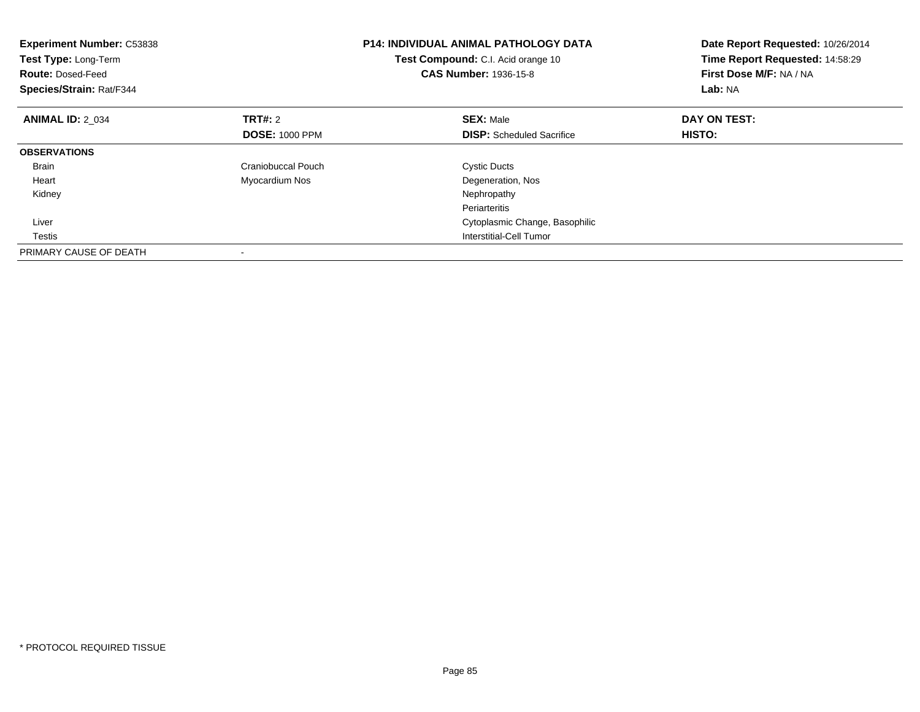| <b>Experiment Number: C53838</b><br>Test Type: Long-Term<br><b>Route: Dosed-Feed</b><br>Species/Strain: Rat/F344 |                           | <b>P14: INDIVIDUAL ANIMAL PATHOLOGY DATA</b><br>Test Compound: C.I. Acid orange 10<br><b>CAS Number: 1936-15-8</b> | Date Report Requested: 10/26/2014<br>Time Report Requested: 14:58:29<br>First Dose M/F: NA / NA<br>Lab: NA |
|------------------------------------------------------------------------------------------------------------------|---------------------------|--------------------------------------------------------------------------------------------------------------------|------------------------------------------------------------------------------------------------------------|
| <b>ANIMAL ID: 2 034</b>                                                                                          | <b>TRT#:</b> 2            | <b>SEX: Male</b>                                                                                                   | DAY ON TEST:                                                                                               |
|                                                                                                                  | <b>DOSE: 1000 PPM</b>     | <b>DISP:</b> Scheduled Sacrifice                                                                                   | HISTO:                                                                                                     |
| <b>OBSERVATIONS</b>                                                                                              |                           |                                                                                                                    |                                                                                                            |
| <b>Brain</b>                                                                                                     | <b>Craniobuccal Pouch</b> | <b>Cystic Ducts</b>                                                                                                |                                                                                                            |
| Heart                                                                                                            | Myocardium Nos            | Degeneration, Nos                                                                                                  |                                                                                                            |
| Kidney                                                                                                           |                           | Nephropathy                                                                                                        |                                                                                                            |
|                                                                                                                  |                           | Periarteritis                                                                                                      |                                                                                                            |
| Liver                                                                                                            |                           | Cytoplasmic Change, Basophilic                                                                                     |                                                                                                            |
| Testis                                                                                                           |                           | Interstitial-Cell Tumor                                                                                            |                                                                                                            |
| PRIMARY CAUSE OF DEATH                                                                                           |                           |                                                                                                                    |                                                                                                            |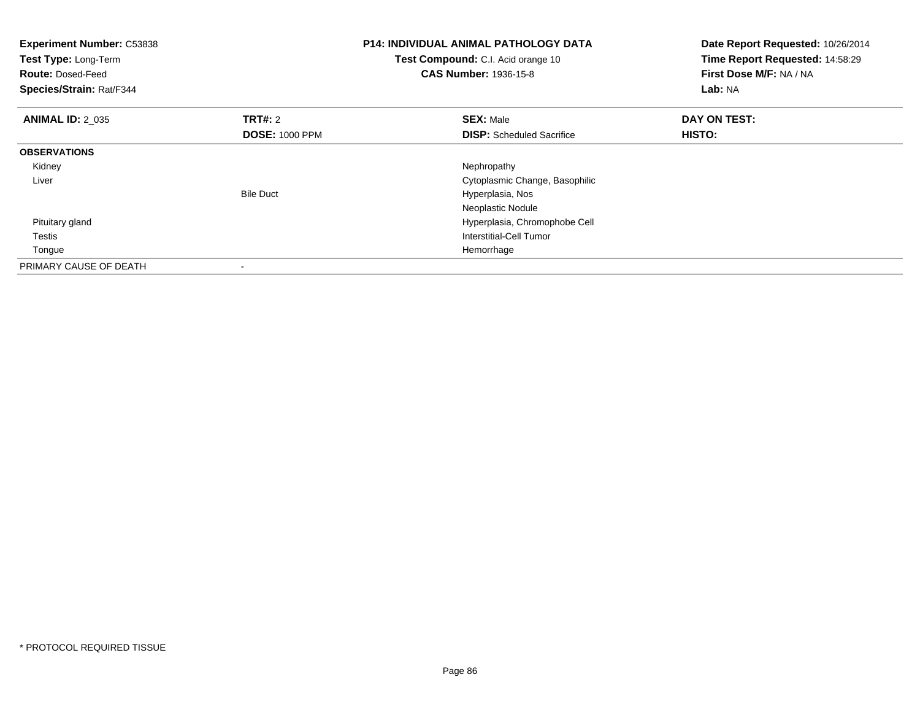| <b>Experiment Number: C53838</b><br>Test Type: Long-Term<br><b>Route: Dosed-Feed</b><br>Species/Strain: Rat/F344 |                       | <b>P14: INDIVIDUAL ANIMAL PATHOLOGY DATA</b><br>Test Compound: C.I. Acid orange 10<br><b>CAS Number: 1936-15-8</b> | Date Report Requested: 10/26/2014<br>Time Report Requested: 14:58:29<br>First Dose M/F: NA / NA<br>Lab: NA |
|------------------------------------------------------------------------------------------------------------------|-----------------------|--------------------------------------------------------------------------------------------------------------------|------------------------------------------------------------------------------------------------------------|
| <b>ANIMAL ID: 2 035</b>                                                                                          | <b>TRT#: 2</b>        | <b>SEX: Male</b>                                                                                                   | DAY ON TEST:                                                                                               |
|                                                                                                                  | <b>DOSE: 1000 PPM</b> | <b>DISP:</b> Scheduled Sacrifice                                                                                   | HISTO:                                                                                                     |
| <b>OBSERVATIONS</b>                                                                                              |                       |                                                                                                                    |                                                                                                            |
| Kidney                                                                                                           |                       | Nephropathy                                                                                                        |                                                                                                            |
| Liver                                                                                                            |                       | Cytoplasmic Change, Basophilic                                                                                     |                                                                                                            |
|                                                                                                                  | <b>Bile Duct</b>      | Hyperplasia, Nos                                                                                                   |                                                                                                            |
|                                                                                                                  |                       | Neoplastic Nodule                                                                                                  |                                                                                                            |
| Pituitary gland                                                                                                  |                       | Hyperplasia, Chromophobe Cell                                                                                      |                                                                                                            |
| Testis                                                                                                           |                       | Interstitial-Cell Tumor                                                                                            |                                                                                                            |
| Tongue                                                                                                           |                       | Hemorrhage                                                                                                         |                                                                                                            |
| PRIMARY CAUSE OF DEATH                                                                                           |                       |                                                                                                                    |                                                                                                            |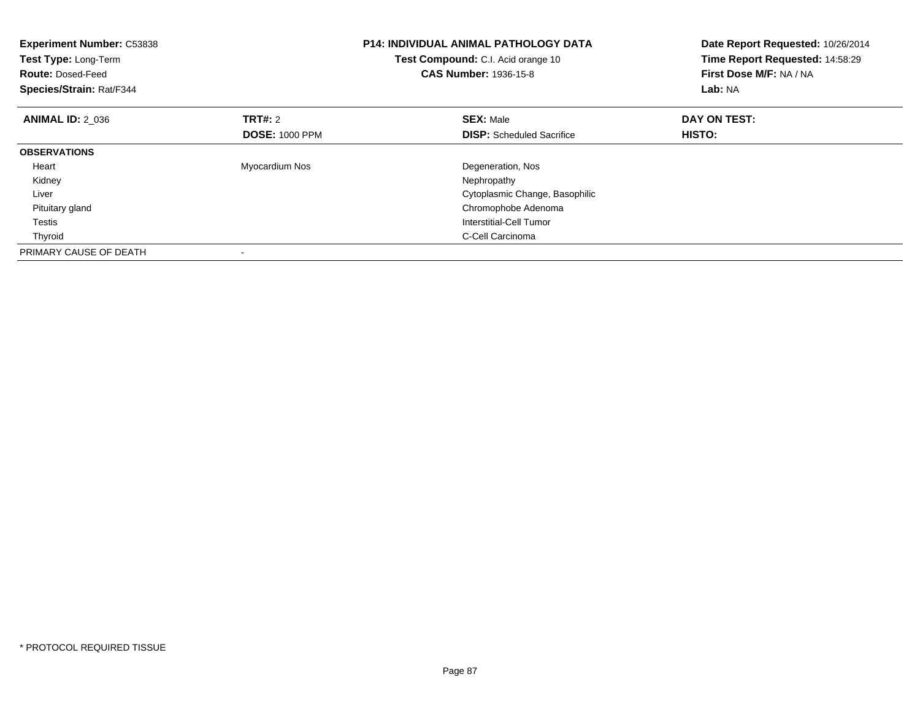| <b>Experiment Number: C53838</b><br>Test Type: Long-Term<br><b>Route: Dosed-Feed</b><br>Species/Strain: Rat/F344 |                       | <b>P14: INDIVIDUAL ANIMAL PATHOLOGY DATA</b><br><b>Test Compound:</b> C.I. Acid orange 10<br><b>CAS Number: 1936-15-8</b> | Date Report Requested: 10/26/2014<br>Time Report Requested: 14:58:29<br>First Dose M/F: NA / NA<br>Lab: NA |
|------------------------------------------------------------------------------------------------------------------|-----------------------|---------------------------------------------------------------------------------------------------------------------------|------------------------------------------------------------------------------------------------------------|
| <b>ANIMAL ID: 2 036</b>                                                                                          | TRT#: 2               | <b>SEX: Male</b>                                                                                                          | DAY ON TEST:                                                                                               |
|                                                                                                                  | <b>DOSE: 1000 PPM</b> | <b>DISP:</b> Scheduled Sacrifice                                                                                          | HISTO:                                                                                                     |
| <b>OBSERVATIONS</b>                                                                                              |                       |                                                                                                                           |                                                                                                            |
| Heart                                                                                                            | Myocardium Nos        | Degeneration, Nos                                                                                                         |                                                                                                            |
| Kidney                                                                                                           |                       | Nephropathy                                                                                                               |                                                                                                            |
| Liver                                                                                                            |                       | Cytoplasmic Change, Basophilic                                                                                            |                                                                                                            |
| Pituitary gland                                                                                                  |                       | Chromophobe Adenoma                                                                                                       |                                                                                                            |
| Testis                                                                                                           |                       | Interstitial-Cell Tumor                                                                                                   |                                                                                                            |
| Thyroid                                                                                                          |                       | C-Cell Carcinoma                                                                                                          |                                                                                                            |
| PRIMARY CAUSE OF DEATH                                                                                           |                       |                                                                                                                           |                                                                                                            |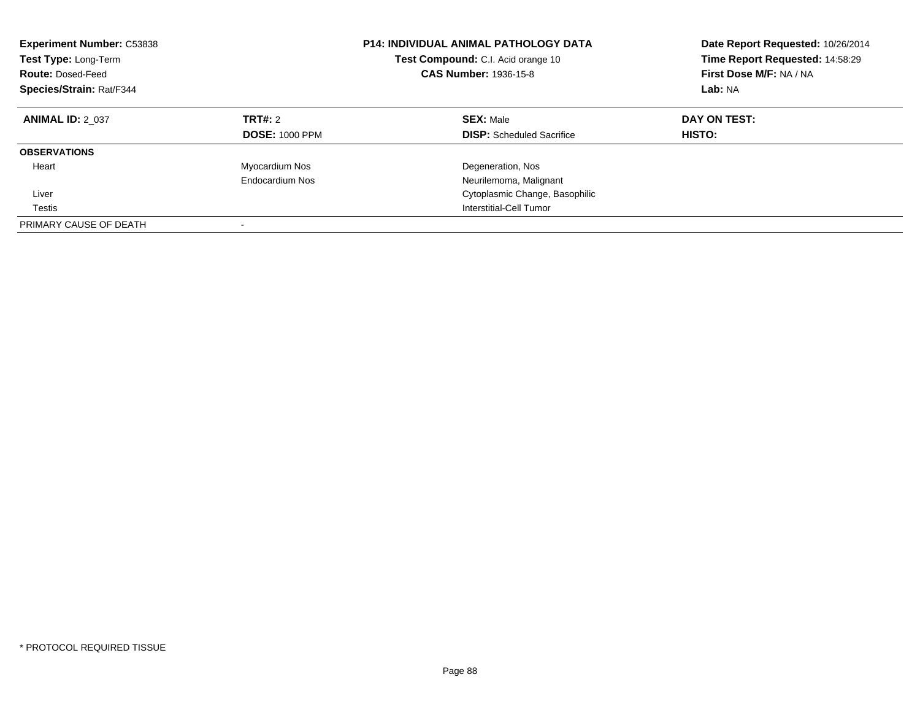| <b>Experiment Number: C53838</b><br>Test Type: Long-Term<br><b>Route: Dosed-Feed</b><br>Species/Strain: Rat/F344 |                                  | <b>P14: INDIVIDUAL ANIMAL PATHOLOGY DATA</b><br>Test Compound: C.I. Acid orange 10<br><b>CAS Number: 1936-15-8</b> | Date Report Requested: 10/26/2014<br>Time Report Requested: 14:58:29<br>First Dose M/F: NA / NA<br>Lab: NA |
|------------------------------------------------------------------------------------------------------------------|----------------------------------|--------------------------------------------------------------------------------------------------------------------|------------------------------------------------------------------------------------------------------------|
| <b>ANIMAL ID: 2 037</b>                                                                                          | TRT#: 2<br><b>DOSE: 1000 PPM</b> | <b>SEX: Male</b><br><b>DISP:</b> Scheduled Sacrifice                                                               | DAY ON TEST:<br><b>HISTO:</b>                                                                              |
| <b>OBSERVATIONS</b>                                                                                              |                                  |                                                                                                                    |                                                                                                            |
| Heart                                                                                                            | Myocardium Nos                   | Degeneration, Nos                                                                                                  |                                                                                                            |
|                                                                                                                  | Endocardium Nos                  | Neurilemoma, Malignant                                                                                             |                                                                                                            |
| Liver                                                                                                            |                                  | Cytoplasmic Change, Basophilic                                                                                     |                                                                                                            |
| Testis                                                                                                           |                                  | Interstitial-Cell Tumor                                                                                            |                                                                                                            |
| PRIMARY CAUSE OF DEATH                                                                                           |                                  |                                                                                                                    |                                                                                                            |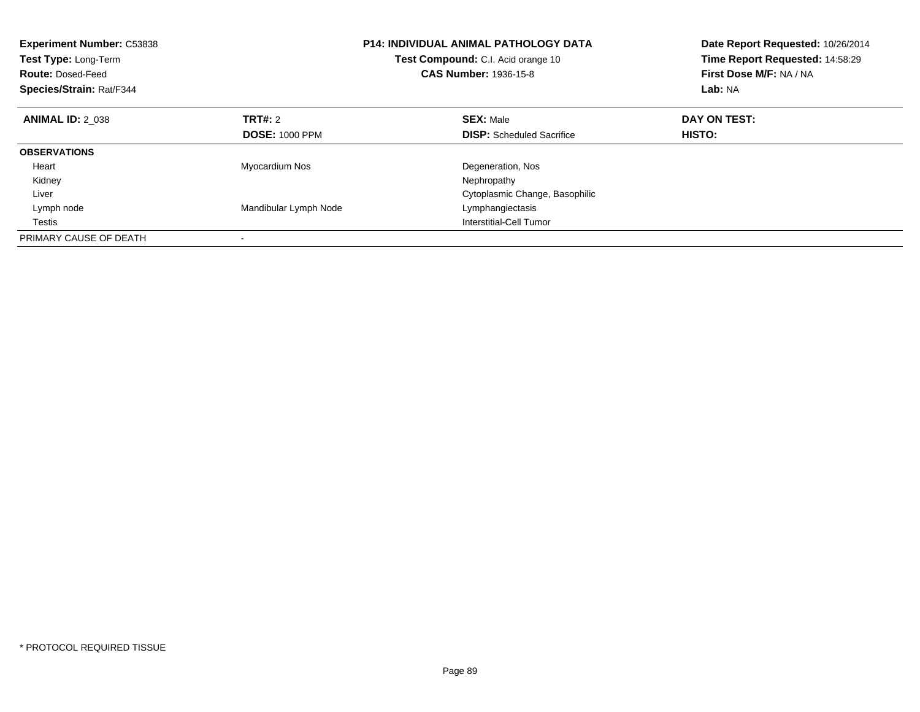| <b>Experiment Number: C53838</b><br>Test Type: Long-Term<br><b>Route: Dosed-Feed</b><br>Species/Strain: Rat/F344 |                       | <b>P14: INDIVIDUAL ANIMAL PATHOLOGY DATA</b><br>Test Compound: C.I. Acid orange 10<br><b>CAS Number: 1936-15-8</b> | Date Report Requested: 10/26/2014<br>Time Report Requested: 14:58:29<br>First Dose M/F: NA / NA<br>Lab: NA |
|------------------------------------------------------------------------------------------------------------------|-----------------------|--------------------------------------------------------------------------------------------------------------------|------------------------------------------------------------------------------------------------------------|
| <b>ANIMAL ID: 2 038</b>                                                                                          | TRT#: 2               | <b>SEX: Male</b>                                                                                                   | DAY ON TEST:                                                                                               |
|                                                                                                                  | <b>DOSE: 1000 PPM</b> | <b>DISP:</b> Scheduled Sacrifice                                                                                   | HISTO:                                                                                                     |
| <b>OBSERVATIONS</b>                                                                                              |                       |                                                                                                                    |                                                                                                            |
| Heart                                                                                                            | Myocardium Nos        | Degeneration, Nos                                                                                                  |                                                                                                            |
| Kidney                                                                                                           |                       | Nephropathy                                                                                                        |                                                                                                            |
| Liver                                                                                                            |                       | Cytoplasmic Change, Basophilic                                                                                     |                                                                                                            |
| Lymph node                                                                                                       | Mandibular Lymph Node | Lymphangiectasis                                                                                                   |                                                                                                            |
| Testis                                                                                                           |                       | Interstitial-Cell Tumor                                                                                            |                                                                                                            |
| PRIMARY CAUSE OF DEATH                                                                                           |                       |                                                                                                                    |                                                                                                            |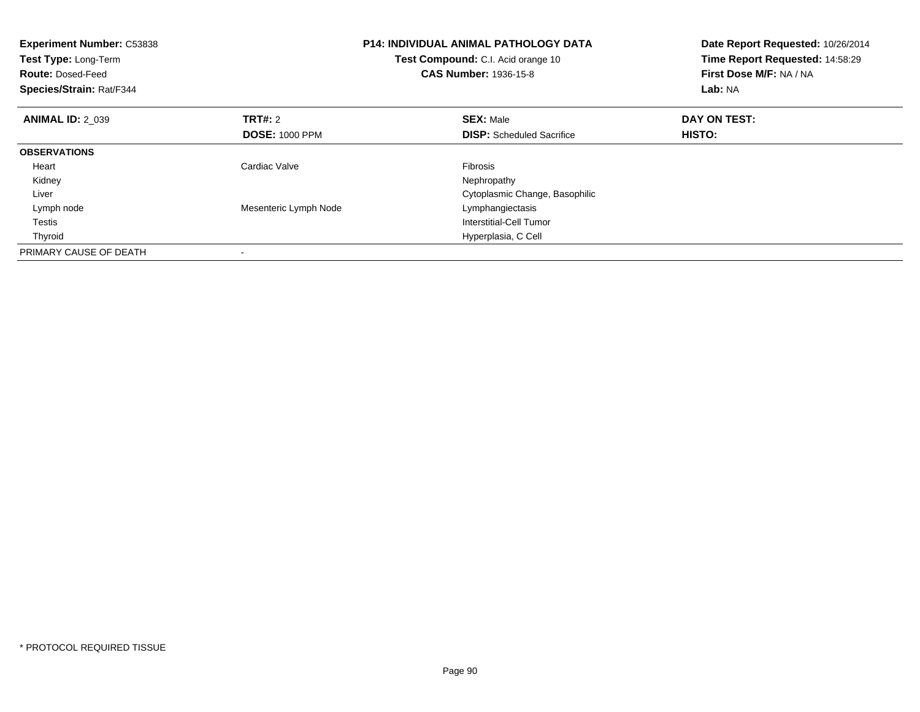| <b>Experiment Number: C53838</b><br>Test Type: Long-Term<br><b>Route: Dosed-Feed</b><br>Species/Strain: Rat/F344 |                       | <b>P14: INDIVIDUAL ANIMAL PATHOLOGY DATA</b><br>Test Compound: C.I. Acid orange 10<br><b>CAS Number: 1936-15-8</b> | Date Report Requested: 10/26/2014<br>Time Report Requested: 14:58:29<br>First Dose M/F: NA / NA<br>Lab: NA |
|------------------------------------------------------------------------------------------------------------------|-----------------------|--------------------------------------------------------------------------------------------------------------------|------------------------------------------------------------------------------------------------------------|
| <b>ANIMAL ID: 2 039</b>                                                                                          | <b>TRT#:</b> 2        | <b>SEX: Male</b>                                                                                                   | DAY ON TEST:                                                                                               |
|                                                                                                                  | <b>DOSE: 1000 PPM</b> | <b>DISP:</b> Scheduled Sacrifice                                                                                   | HISTO:                                                                                                     |
| <b>OBSERVATIONS</b>                                                                                              |                       |                                                                                                                    |                                                                                                            |
| Heart                                                                                                            | Cardiac Valve         | <b>Fibrosis</b>                                                                                                    |                                                                                                            |
| Kidney                                                                                                           |                       | Nephropathy                                                                                                        |                                                                                                            |
| Liver                                                                                                            |                       | Cytoplasmic Change, Basophilic                                                                                     |                                                                                                            |
| Lymph node                                                                                                       | Mesenteric Lymph Node | Lymphangiectasis                                                                                                   |                                                                                                            |
| Testis                                                                                                           |                       | Interstitial-Cell Tumor                                                                                            |                                                                                                            |
| Thyroid                                                                                                          |                       | Hyperplasia, C Cell                                                                                                |                                                                                                            |
| PRIMARY CAUSE OF DEATH                                                                                           |                       |                                                                                                                    |                                                                                                            |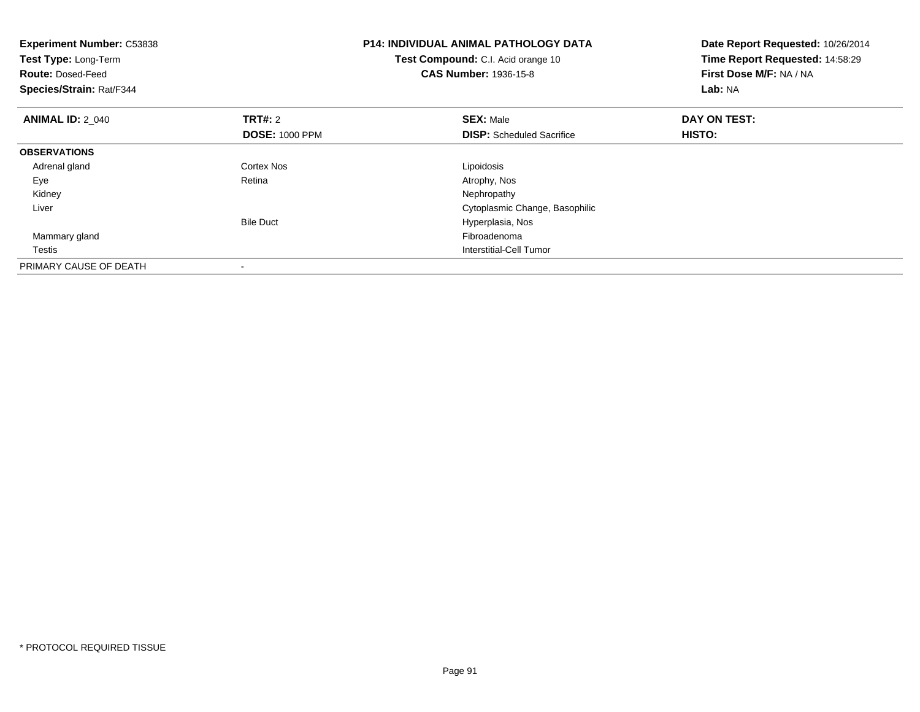| <b>Experiment Number: C53838</b><br>Test Type: Long-Term<br><b>Route: Dosed-Feed</b><br>Species/Strain: Rat/F344 |                                         | <b>P14: INDIVIDUAL ANIMAL PATHOLOGY DATA</b><br>Test Compound: C.I. Acid orange 10<br><b>CAS Number: 1936-15-8</b> | Date Report Requested: 10/26/2014<br>Time Report Requested: 14:58:29<br>First Dose M/F: NA / NA<br>Lab: NA |
|------------------------------------------------------------------------------------------------------------------|-----------------------------------------|--------------------------------------------------------------------------------------------------------------------|------------------------------------------------------------------------------------------------------------|
| <b>ANIMAL ID: 2_040</b>                                                                                          | <b>TRT#:</b> 2<br><b>DOSE: 1000 PPM</b> | <b>SEX: Male</b><br><b>DISP:</b> Scheduled Sacrifice                                                               | DAY ON TEST:<br>HISTO:                                                                                     |
| <b>OBSERVATIONS</b>                                                                                              |                                         |                                                                                                                    |                                                                                                            |
| Adrenal gland                                                                                                    | Cortex Nos                              | Lipoidosis                                                                                                         |                                                                                                            |
| Eye                                                                                                              | Retina                                  | Atrophy, Nos                                                                                                       |                                                                                                            |
| Kidney                                                                                                           |                                         | Nephropathy                                                                                                        |                                                                                                            |
| Liver                                                                                                            |                                         | Cytoplasmic Change, Basophilic                                                                                     |                                                                                                            |
|                                                                                                                  | <b>Bile Duct</b>                        | Hyperplasia, Nos                                                                                                   |                                                                                                            |
| Mammary gland                                                                                                    |                                         | Fibroadenoma                                                                                                       |                                                                                                            |
| Testis                                                                                                           |                                         | Interstitial-Cell Tumor                                                                                            |                                                                                                            |
| PRIMARY CAUSE OF DEATH                                                                                           |                                         |                                                                                                                    |                                                                                                            |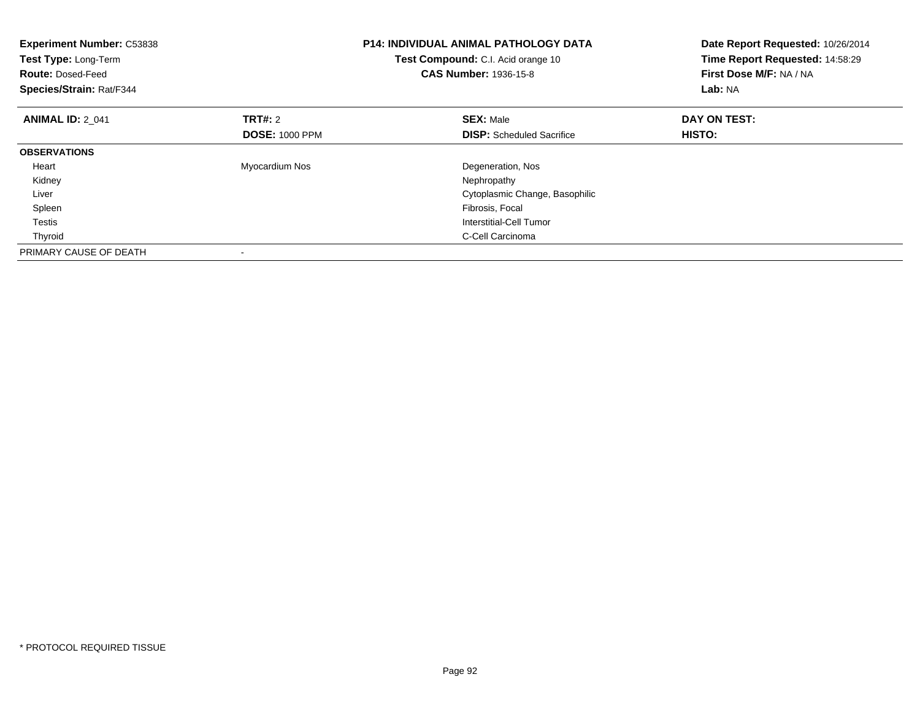| <b>Experiment Number: C53838</b><br>Test Type: Long-Term<br><b>Route: Dosed-Feed</b><br>Species/Strain: Rat/F344 |                       | <b>P14: INDIVIDUAL ANIMAL PATHOLOGY DATA</b><br>Test Compound: C.I. Acid orange 10<br><b>CAS Number: 1936-15-8</b> | Date Report Requested: 10/26/2014<br>Time Report Requested: 14:58:29<br>First Dose M/F: NA / NA<br>Lab: NA |
|------------------------------------------------------------------------------------------------------------------|-----------------------|--------------------------------------------------------------------------------------------------------------------|------------------------------------------------------------------------------------------------------------|
| <b>ANIMAL ID: 2 041</b>                                                                                          | <b>TRT#:</b> 2        | <b>SEX: Male</b>                                                                                                   | DAY ON TEST:                                                                                               |
|                                                                                                                  | <b>DOSE: 1000 PPM</b> | <b>DISP:</b> Scheduled Sacrifice                                                                                   | HISTO:                                                                                                     |
| <b>OBSERVATIONS</b>                                                                                              |                       |                                                                                                                    |                                                                                                            |
| Heart                                                                                                            | Myocardium Nos        | Degeneration, Nos                                                                                                  |                                                                                                            |
| Kidney                                                                                                           |                       | Nephropathy                                                                                                        |                                                                                                            |
| Liver                                                                                                            |                       | Cytoplasmic Change, Basophilic                                                                                     |                                                                                                            |
| Spleen                                                                                                           |                       | Fibrosis, Focal                                                                                                    |                                                                                                            |
| Testis                                                                                                           |                       | Interstitial-Cell Tumor                                                                                            |                                                                                                            |
| Thyroid                                                                                                          |                       | C-Cell Carcinoma                                                                                                   |                                                                                                            |
| PRIMARY CAUSE OF DEATH                                                                                           |                       |                                                                                                                    |                                                                                                            |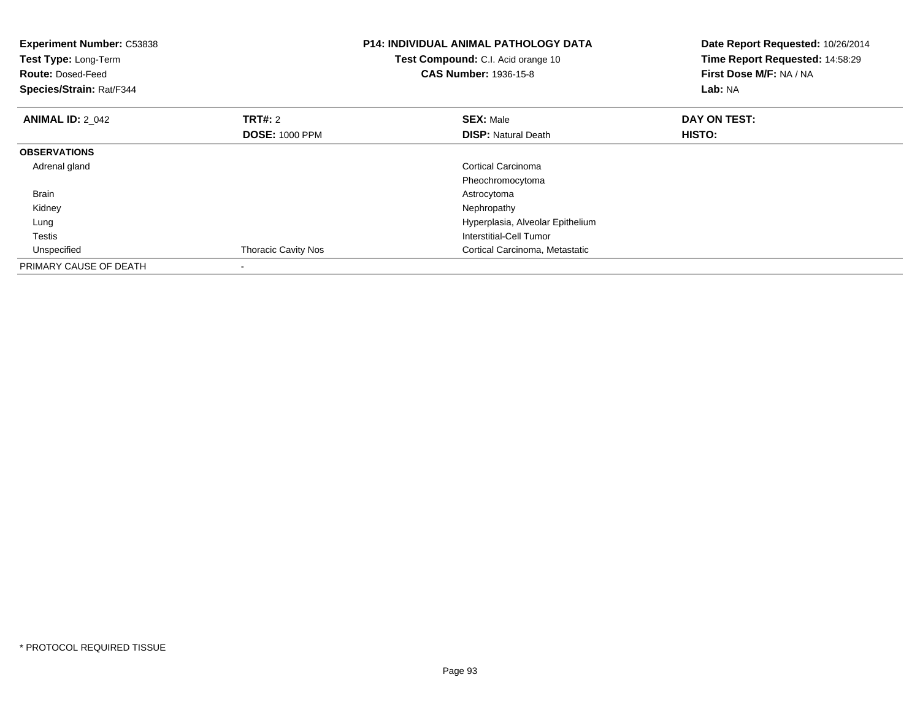| <b>Experiment Number: C53838</b><br>Test Type: Long-Term<br><b>Route: Dosed-Feed</b><br>Species/Strain: Rat/F344 |                                         | <b>P14: INDIVIDUAL ANIMAL PATHOLOGY DATA</b><br>Test Compound: C.I. Acid orange 10<br><b>CAS Number: 1936-15-8</b> | Date Report Requested: 10/26/2014<br>Time Report Requested: 14:58:29<br>First Dose M/F: NA / NA<br>Lab: NA |
|------------------------------------------------------------------------------------------------------------------|-----------------------------------------|--------------------------------------------------------------------------------------------------------------------|------------------------------------------------------------------------------------------------------------|
| <b>ANIMAL ID: 2 042</b>                                                                                          | <b>TRT#: 2</b><br><b>DOSE: 1000 PPM</b> | <b>SEX: Male</b><br><b>DISP: Natural Death</b>                                                                     | DAY ON TEST:<br>HISTO:                                                                                     |
| <b>OBSERVATIONS</b>                                                                                              |                                         |                                                                                                                    |                                                                                                            |
| Adrenal gland                                                                                                    |                                         | Cortical Carcinoma<br>Pheochromocytoma                                                                             |                                                                                                            |
| Brain                                                                                                            |                                         | Astrocytoma                                                                                                        |                                                                                                            |
| Kidney                                                                                                           |                                         | Nephropathy                                                                                                        |                                                                                                            |
| Lung                                                                                                             |                                         | Hyperplasia, Alveolar Epithelium                                                                                   |                                                                                                            |
| Testis                                                                                                           |                                         | Interstitial-Cell Tumor                                                                                            |                                                                                                            |
| Unspecified                                                                                                      | <b>Thoracic Cavity Nos</b>              | Cortical Carcinoma, Metastatic                                                                                     |                                                                                                            |
| PRIMARY CAUSE OF DEATH                                                                                           | $\overline{\phantom{a}}$                |                                                                                                                    |                                                                                                            |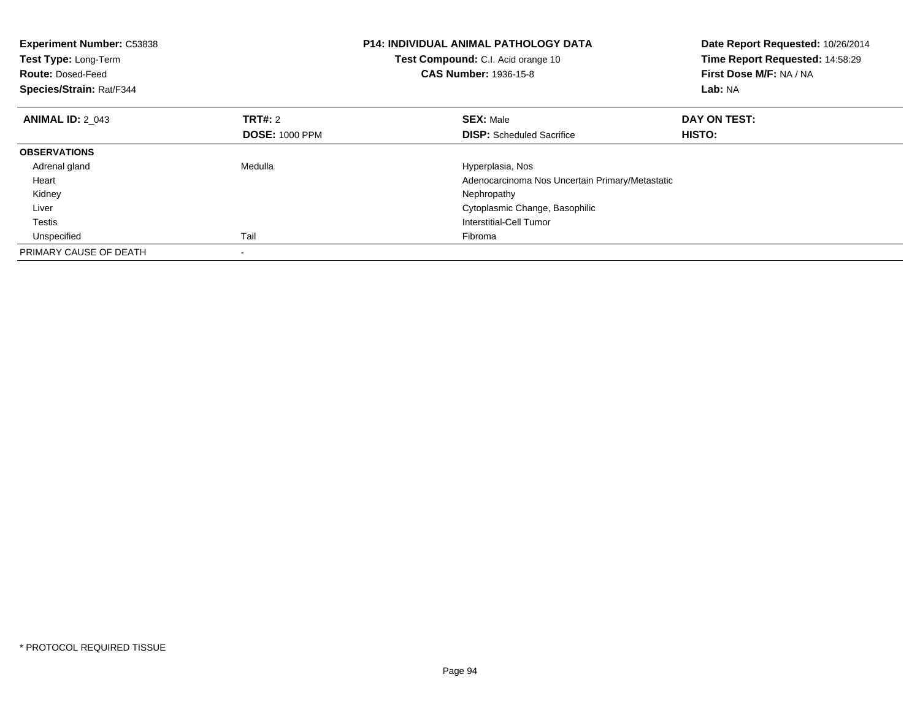| <b>Experiment Number: C53838</b><br>Test Type: Long-Term<br><b>Route: Dosed-Feed</b><br>Species/Strain: Rat/F344 |                       | <b>P14: INDIVIDUAL ANIMAL PATHOLOGY DATA</b><br>Test Compound: C.I. Acid orange 10<br><b>CAS Number: 1936-15-8</b> | Date Report Requested: 10/26/2014<br>Time Report Requested: 14:58:29<br>First Dose M/F: NA / NA<br>Lab: NA |
|------------------------------------------------------------------------------------------------------------------|-----------------------|--------------------------------------------------------------------------------------------------------------------|------------------------------------------------------------------------------------------------------------|
| <b>ANIMAL ID: 2 043</b>                                                                                          | <b>TRT#: 2</b>        | <b>SEX: Male</b>                                                                                                   | DAY ON TEST:                                                                                               |
|                                                                                                                  | <b>DOSE: 1000 PPM</b> | <b>DISP:</b> Scheduled Sacrifice                                                                                   | <b>HISTO:</b>                                                                                              |
| <b>OBSERVATIONS</b>                                                                                              |                       |                                                                                                                    |                                                                                                            |
| Adrenal gland                                                                                                    | Medulla               | Hyperplasia, Nos                                                                                                   |                                                                                                            |
| Heart                                                                                                            |                       | Adenocarcinoma Nos Uncertain Primary/Metastatic                                                                    |                                                                                                            |
| Kidney                                                                                                           |                       | Nephropathy                                                                                                        |                                                                                                            |
| Liver                                                                                                            |                       | Cytoplasmic Change, Basophilic                                                                                     |                                                                                                            |
| Testis                                                                                                           |                       | Interstitial-Cell Tumor                                                                                            |                                                                                                            |
| Unspecified                                                                                                      | Tail                  | Fibroma                                                                                                            |                                                                                                            |
| PRIMARY CAUSE OF DEATH                                                                                           |                       |                                                                                                                    |                                                                                                            |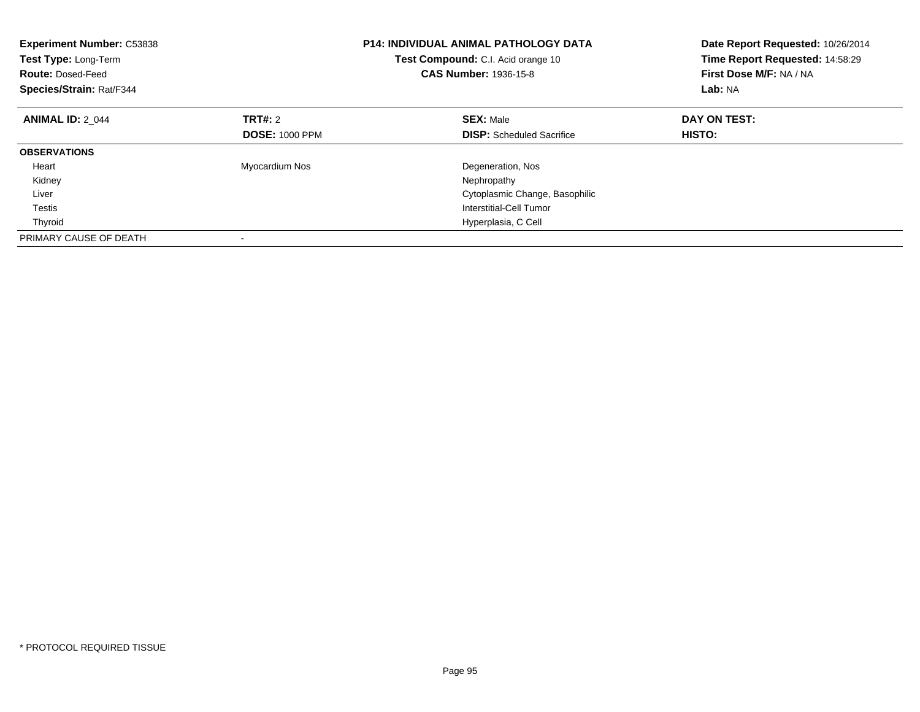| <b>Experiment Number: C53838</b><br>Test Type: Long-Term<br><b>Route: Dosed-Feed</b><br>Species/Strain: Rat/F344 |                       | <b>P14: INDIVIDUAL ANIMAL PATHOLOGY DATA</b><br><b>Test Compound:</b> C.I. Acid orange 10<br><b>CAS Number: 1936-15-8</b> | Date Report Requested: 10/26/2014<br>Time Report Requested: 14:58:29<br>First Dose M/F: NA / NA<br>Lab: NA |
|------------------------------------------------------------------------------------------------------------------|-----------------------|---------------------------------------------------------------------------------------------------------------------------|------------------------------------------------------------------------------------------------------------|
| <b>ANIMAL ID: 2 044</b>                                                                                          | TRT#: 2               | <b>SEX: Male</b>                                                                                                          | DAY ON TEST:                                                                                               |
|                                                                                                                  | <b>DOSE: 1000 PPM</b> | <b>DISP:</b> Scheduled Sacrifice                                                                                          | HISTO:                                                                                                     |
| <b>OBSERVATIONS</b>                                                                                              |                       |                                                                                                                           |                                                                                                            |
| Heart                                                                                                            | Myocardium Nos        | Degeneration, Nos                                                                                                         |                                                                                                            |
| Kidney                                                                                                           |                       | Nephropathy                                                                                                               |                                                                                                            |
| Liver                                                                                                            |                       | Cytoplasmic Change, Basophilic                                                                                            |                                                                                                            |
| <b>Testis</b>                                                                                                    |                       | Interstitial-Cell Tumor                                                                                                   |                                                                                                            |
| Thyroid                                                                                                          |                       | Hyperplasia, C Cell                                                                                                       |                                                                                                            |
| PRIMARY CAUSE OF DEATH                                                                                           |                       |                                                                                                                           |                                                                                                            |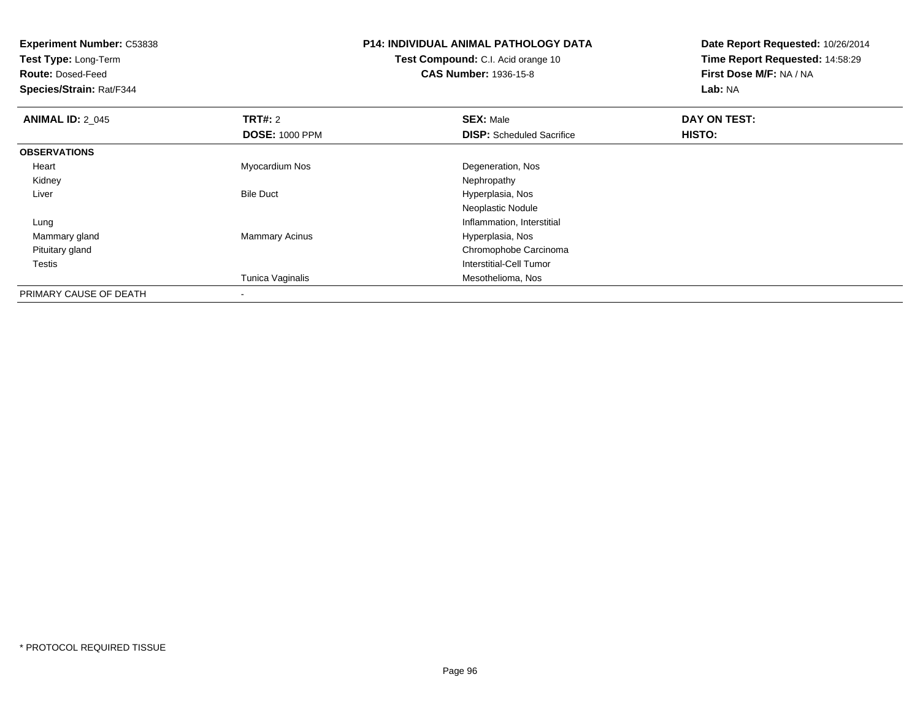**Experiment Number:** C53838**Test Type:** Long-Term**Route:** Dosed-Feed **Species/Strain:** Rat/F344**P14: INDIVIDUAL ANIMAL PATHOLOGY DATATest Compound:** C.I. Acid orange 10**CAS Number:** 1936-15-8**Date Report Requested:** 10/26/2014**Time Report Requested:** 14:58:29**First Dose M/F:** NA / NA**Lab:** NA**ANIMAL ID: 2 045 TRT#:** <sup>2</sup> **SEX:** Male **DAY ON TEST: DOSE:** 1000 PPM**DISP:** Scheduled Sacrifice **HISTO: OBSERVATIONS** Heart Myocardium Nos Degeneration, Nos Kidneyy the control of the control of the control of the control of the control of the control of the control of the control of the control of the control of the control of the control of the control of the control of the contro LiverBile Duct **Hyperplasia**, Nos Neoplastic Noduleg and the state of the state of the state of the state of the state of the state of the state of the state of the state of the state of the state of the state of the state of the state of the state of the state of the stat Lung Mammary glandMammary Acinus **Hyperplasia**, Nos Pituitary gland Chromophobe Carcinoma Testis Interstitial-Cell Tumor Tunica Vaginalis Mesothelioma, Nos PRIMARY CAUSE OF DEATH-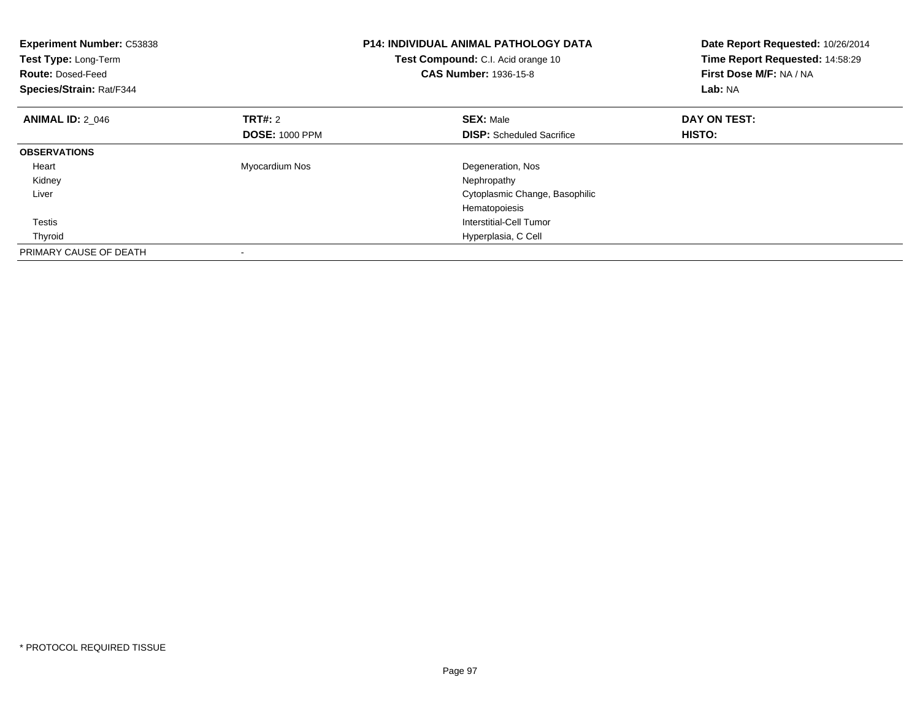| <b>Experiment Number: C53838</b><br>Test Type: Long-Term<br><b>Route: Dosed-Feed</b><br>Species/Strain: Rat/F344 |                       | <b>P14: INDIVIDUAL ANIMAL PATHOLOGY DATA</b><br><b>Test Compound:</b> C.I. Acid orange 10<br><b>CAS Number: 1936-15-8</b> | Date Report Requested: 10/26/2014<br>Time Report Requested: 14:58:29<br>First Dose M/F: NA / NA<br>Lab: NA |
|------------------------------------------------------------------------------------------------------------------|-----------------------|---------------------------------------------------------------------------------------------------------------------------|------------------------------------------------------------------------------------------------------------|
| <b>ANIMAL ID: 2 046</b>                                                                                          | TRT#: 2               | <b>SEX: Male</b>                                                                                                          | DAY ON TEST:                                                                                               |
|                                                                                                                  | <b>DOSE: 1000 PPM</b> | <b>DISP:</b> Scheduled Sacrifice                                                                                          | HISTO:                                                                                                     |
| <b>OBSERVATIONS</b>                                                                                              |                       |                                                                                                                           |                                                                                                            |
| Heart                                                                                                            | Myocardium Nos        | Degeneration, Nos                                                                                                         |                                                                                                            |
| Kidney                                                                                                           |                       | Nephropathy                                                                                                               |                                                                                                            |
| Liver                                                                                                            |                       | Cytoplasmic Change, Basophilic                                                                                            |                                                                                                            |
|                                                                                                                  |                       | Hematopoiesis                                                                                                             |                                                                                                            |
| Testis                                                                                                           |                       | Interstitial-Cell Tumor                                                                                                   |                                                                                                            |
| Thyroid                                                                                                          |                       | Hyperplasia, C Cell                                                                                                       |                                                                                                            |
| PRIMARY CAUSE OF DEATH                                                                                           |                       |                                                                                                                           |                                                                                                            |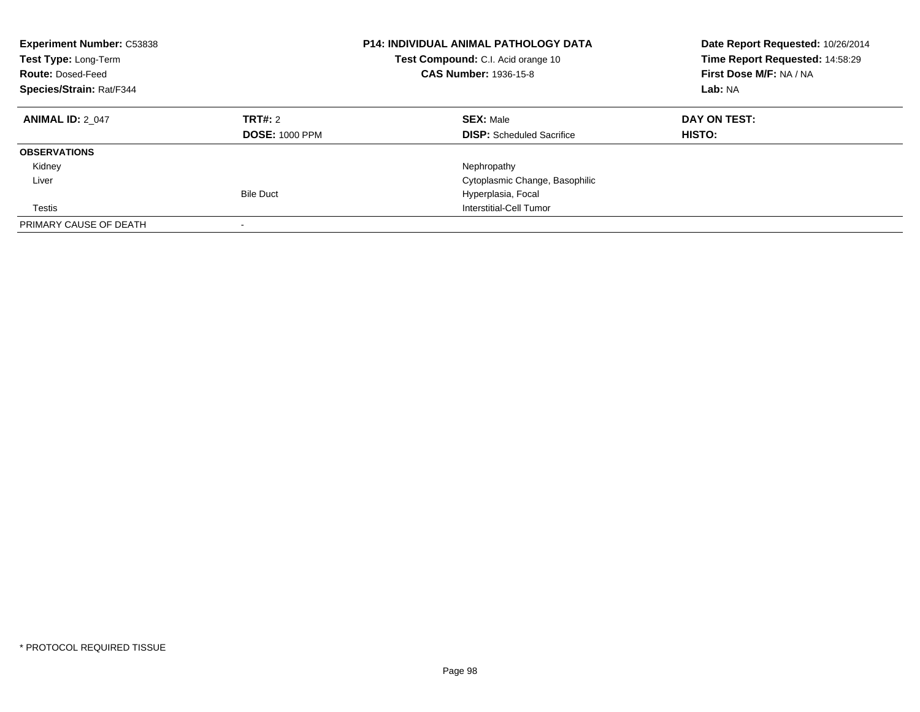| <b>Experiment Number: C53838</b><br><b>Test Type: Long-Term</b><br><b>Route: Dosed-Feed</b><br>Species/Strain: Rat/F344 |                                  | <b>P14: INDIVIDUAL ANIMAL PATHOLOGY DATA</b><br>Test Compound: C.I. Acid orange 10<br><b>CAS Number: 1936-15-8</b> | Date Report Requested: 10/26/2014<br>Time Report Requested: 14:58:29<br>First Dose M/F: NA / NA<br>Lab: NA |
|-------------------------------------------------------------------------------------------------------------------------|----------------------------------|--------------------------------------------------------------------------------------------------------------------|------------------------------------------------------------------------------------------------------------|
| <b>ANIMAL ID: 2 047</b>                                                                                                 | TRT#: 2<br><b>DOSE: 1000 PPM</b> | <b>SEX: Male</b><br><b>DISP:</b> Scheduled Sacrifice                                                               | DAY ON TEST:<br><b>HISTO:</b>                                                                              |
| <b>OBSERVATIONS</b>                                                                                                     |                                  |                                                                                                                    |                                                                                                            |
| Kidney                                                                                                                  |                                  | Nephropathy                                                                                                        |                                                                                                            |
| Liver                                                                                                                   |                                  | Cytoplasmic Change, Basophilic                                                                                     |                                                                                                            |
|                                                                                                                         | <b>Bile Duct</b>                 | Hyperplasia, Focal                                                                                                 |                                                                                                            |
| Testis                                                                                                                  |                                  | Interstitial-Cell Tumor                                                                                            |                                                                                                            |
| PRIMARY CAUSE OF DEATH                                                                                                  |                                  |                                                                                                                    |                                                                                                            |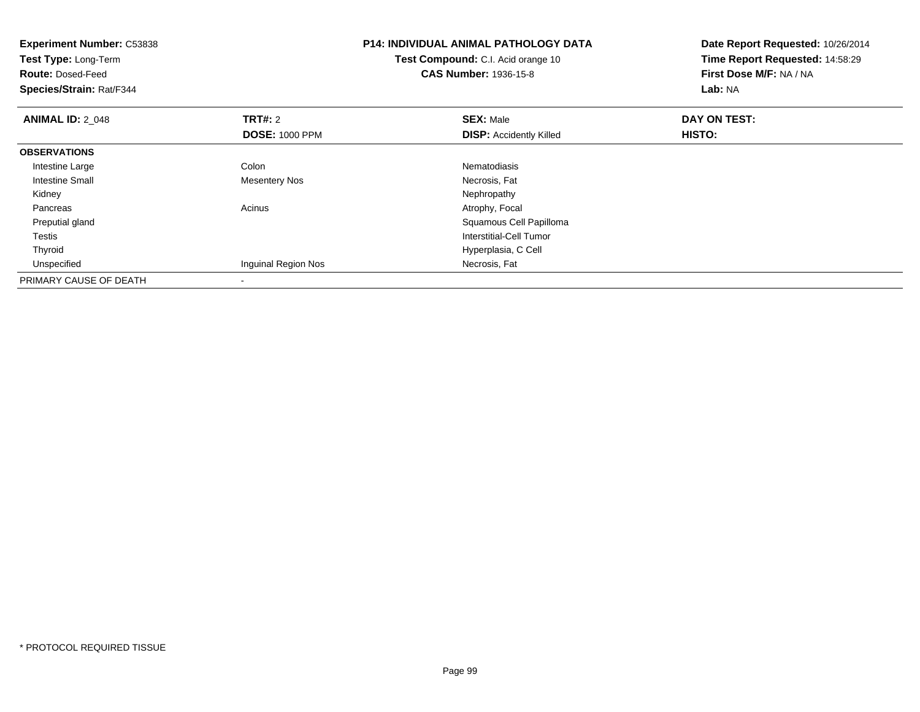| <b>Experiment Number: C53838</b><br>Test Type: Long-Term<br><b>Route: Dosed-Feed</b><br>Species/Strain: Rat/F344 |                       | <b>P14: INDIVIDUAL ANIMAL PATHOLOGY DATA</b><br><b>Test Compound:</b> C.I. Acid orange 10<br><b>CAS Number: 1936-15-8</b> | Date Report Requested: 10/26/2014<br>Time Report Requested: 14:58:29<br>First Dose M/F: NA / NA<br>Lab: NA |
|------------------------------------------------------------------------------------------------------------------|-----------------------|---------------------------------------------------------------------------------------------------------------------------|------------------------------------------------------------------------------------------------------------|
| <b>ANIMAL ID: 2 048</b>                                                                                          | <b>TRT#: 2</b>        | <b>SEX: Male</b>                                                                                                          | DAY ON TEST:                                                                                               |
|                                                                                                                  | <b>DOSE: 1000 PPM</b> | <b>DISP:</b> Accidently Killed                                                                                            | HISTO:                                                                                                     |
| <b>OBSERVATIONS</b>                                                                                              |                       |                                                                                                                           |                                                                                                            |
| Intestine Large                                                                                                  | Colon                 | Nematodiasis                                                                                                              |                                                                                                            |
| <b>Intestine Small</b>                                                                                           | Mesentery Nos         | Necrosis, Fat                                                                                                             |                                                                                                            |
| Kidney                                                                                                           |                       | Nephropathy                                                                                                               |                                                                                                            |
| Pancreas                                                                                                         | Acinus                | Atrophy, Focal                                                                                                            |                                                                                                            |
| Preputial gland                                                                                                  |                       | Squamous Cell Papilloma                                                                                                   |                                                                                                            |
| <b>Testis</b>                                                                                                    |                       | <b>Interstitial-Cell Tumor</b>                                                                                            |                                                                                                            |
| Thyroid                                                                                                          |                       | Hyperplasia, C Cell                                                                                                       |                                                                                                            |
| Unspecified                                                                                                      | Inguinal Region Nos   | Necrosis, Fat                                                                                                             |                                                                                                            |
| PRIMARY CAUSE OF DEATH                                                                                           |                       |                                                                                                                           |                                                                                                            |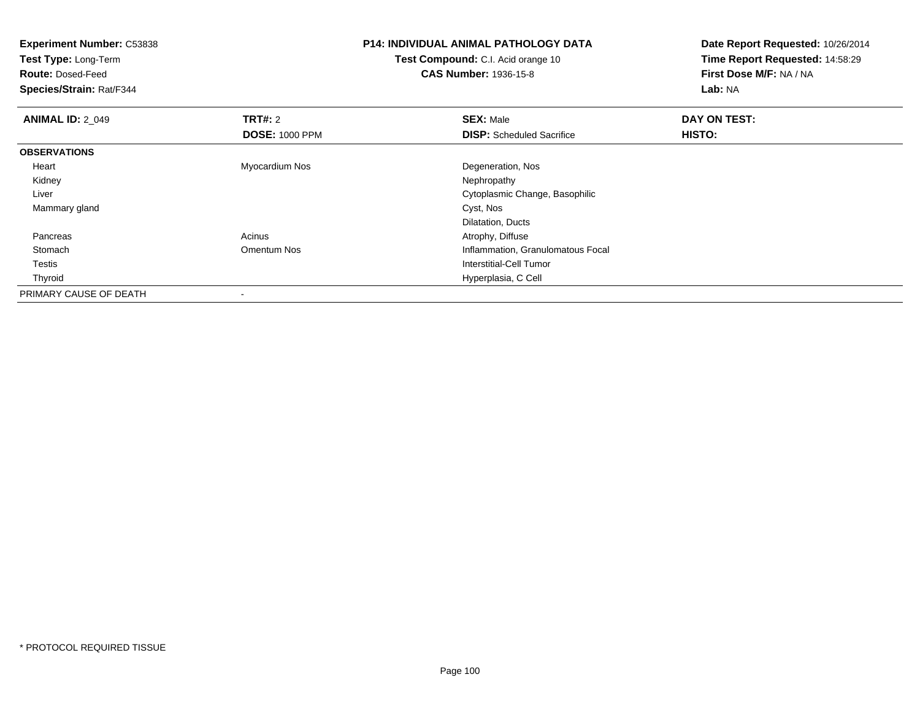| <b>Experiment Number: C53838</b><br>Test Type: Long-Term<br><b>Route: Dosed-Feed</b><br>Species/Strain: Rat/F344 |                                         | <b>P14: INDIVIDUAL ANIMAL PATHOLOGY DATA</b><br>Test Compound: C.I. Acid orange 10<br><b>CAS Number: 1936-15-8</b> | Date Report Requested: 10/26/2014<br>Time Report Requested: 14:58:29<br>First Dose M/F: NA / NA<br>Lab: NA |
|------------------------------------------------------------------------------------------------------------------|-----------------------------------------|--------------------------------------------------------------------------------------------------------------------|------------------------------------------------------------------------------------------------------------|
| <b>ANIMAL ID: 2_049</b>                                                                                          | <b>TRT#: 2</b><br><b>DOSE: 1000 PPM</b> | <b>SEX: Male</b><br><b>DISP:</b> Scheduled Sacrifice                                                               | DAY ON TEST:<br>HISTO:                                                                                     |
| <b>OBSERVATIONS</b>                                                                                              |                                         |                                                                                                                    |                                                                                                            |
| Heart                                                                                                            | Myocardium Nos                          | Degeneration, Nos                                                                                                  |                                                                                                            |
| Kidney                                                                                                           |                                         | Nephropathy                                                                                                        |                                                                                                            |
| Liver                                                                                                            |                                         | Cytoplasmic Change, Basophilic                                                                                     |                                                                                                            |
| Mammary gland                                                                                                    |                                         | Cyst, Nos                                                                                                          |                                                                                                            |
|                                                                                                                  |                                         | Dilatation, Ducts                                                                                                  |                                                                                                            |
| Pancreas                                                                                                         | Acinus                                  | Atrophy, Diffuse                                                                                                   |                                                                                                            |
| Stomach                                                                                                          | Omentum Nos                             | Inflammation, Granulomatous Focal                                                                                  |                                                                                                            |
| Testis                                                                                                           |                                         | Interstitial-Cell Tumor                                                                                            |                                                                                                            |
| Thyroid                                                                                                          |                                         | Hyperplasia, C Cell                                                                                                |                                                                                                            |
| PRIMARY CAUSE OF DEATH                                                                                           |                                         |                                                                                                                    |                                                                                                            |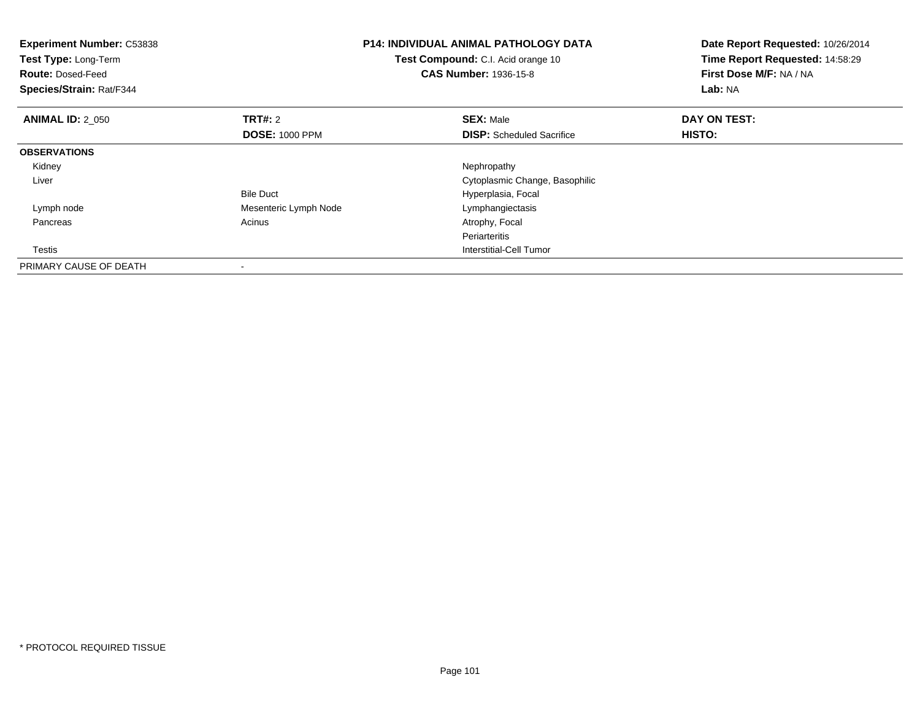| <b>Experiment Number: C53838</b><br>Test Type: Long-Term<br><b>Route: Dosed-Feed</b><br>Species/Strain: Rat/F344 |                       | <b>P14: INDIVIDUAL ANIMAL PATHOLOGY DATA</b><br>Test Compound: C.I. Acid orange 10<br><b>CAS Number: 1936-15-8</b> | Date Report Requested: 10/26/2014<br>Time Report Requested: 14:58:29<br>First Dose M/F: NA / NA<br>Lab: NA |
|------------------------------------------------------------------------------------------------------------------|-----------------------|--------------------------------------------------------------------------------------------------------------------|------------------------------------------------------------------------------------------------------------|
| <b>ANIMAL ID: 2 050</b>                                                                                          | <b>TRT#:</b> 2        | <b>SEX: Male</b>                                                                                                   | DAY ON TEST:                                                                                               |
|                                                                                                                  | <b>DOSE: 1000 PPM</b> | <b>DISP:</b> Scheduled Sacrifice                                                                                   | HISTO:                                                                                                     |
| <b>OBSERVATIONS</b>                                                                                              |                       |                                                                                                                    |                                                                                                            |
| Kidney                                                                                                           |                       | Nephropathy                                                                                                        |                                                                                                            |
| Liver                                                                                                            |                       | Cytoplasmic Change, Basophilic                                                                                     |                                                                                                            |
|                                                                                                                  | <b>Bile Duct</b>      | Hyperplasia, Focal                                                                                                 |                                                                                                            |
| Lymph node                                                                                                       | Mesenteric Lymph Node | Lymphangiectasis                                                                                                   |                                                                                                            |
| Pancreas                                                                                                         | Acinus                | Atrophy, Focal                                                                                                     |                                                                                                            |
|                                                                                                                  |                       | Periarteritis                                                                                                      |                                                                                                            |
| Testis                                                                                                           |                       | Interstitial-Cell Tumor                                                                                            |                                                                                                            |
| PRIMARY CAUSE OF DEATH                                                                                           |                       |                                                                                                                    |                                                                                                            |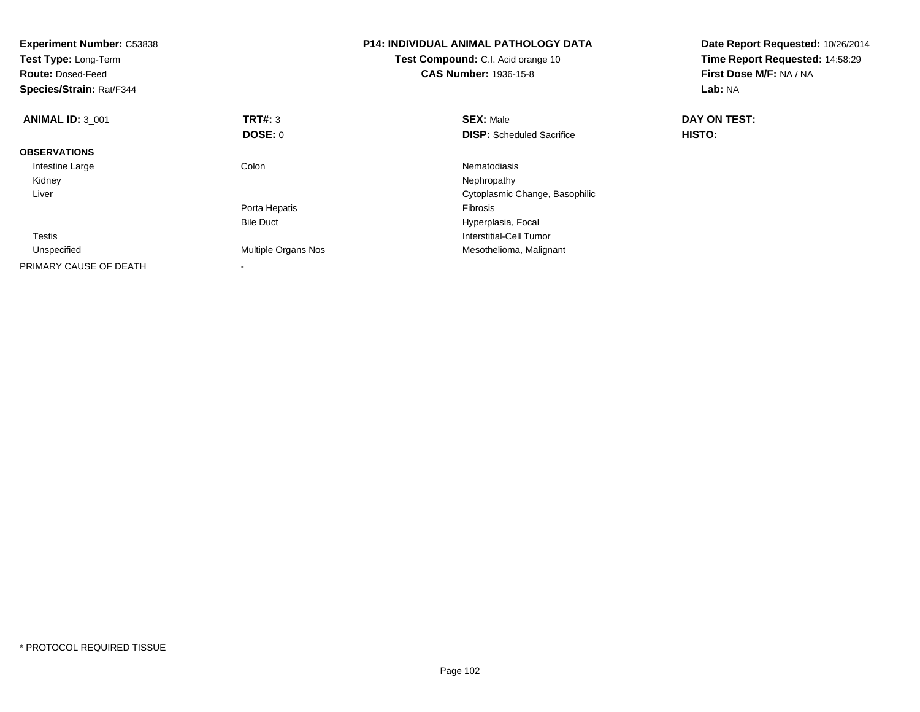| <b>Experiment Number: C53838</b><br>Test Type: Long-Term<br><b>Route: Dosed-Feed</b><br>Species/Strain: Rat/F344 |                     | <b>P14: INDIVIDUAL ANIMAL PATHOLOGY DATA</b><br>Test Compound: C.I. Acid orange 10<br><b>CAS Number: 1936-15-8</b> | Date Report Requested: 10/26/2014<br>Time Report Requested: 14:58:29<br>First Dose M/F: NA / NA<br>Lab: NA |
|------------------------------------------------------------------------------------------------------------------|---------------------|--------------------------------------------------------------------------------------------------------------------|------------------------------------------------------------------------------------------------------------|
| <b>ANIMAL ID: 3 001</b>                                                                                          | <b>TRT#: 3</b>      | <b>SEX: Male</b>                                                                                                   | DAY ON TEST:                                                                                               |
|                                                                                                                  | <b>DOSE: 0</b>      | <b>DISP:</b> Scheduled Sacrifice                                                                                   | HISTO:                                                                                                     |
| <b>OBSERVATIONS</b>                                                                                              |                     |                                                                                                                    |                                                                                                            |
| Intestine Large                                                                                                  | Colon               | Nematodiasis                                                                                                       |                                                                                                            |
| Kidney                                                                                                           |                     | Nephropathy                                                                                                        |                                                                                                            |
| Liver                                                                                                            |                     | Cytoplasmic Change, Basophilic                                                                                     |                                                                                                            |
|                                                                                                                  | Porta Hepatis       | Fibrosis                                                                                                           |                                                                                                            |
|                                                                                                                  | <b>Bile Duct</b>    | Hyperplasia, Focal                                                                                                 |                                                                                                            |
| <b>Testis</b>                                                                                                    |                     | Interstitial-Cell Tumor                                                                                            |                                                                                                            |
| Unspecified                                                                                                      | Multiple Organs Nos | Mesothelioma, Malignant                                                                                            |                                                                                                            |
| PRIMARY CAUSE OF DEATH                                                                                           |                     |                                                                                                                    |                                                                                                            |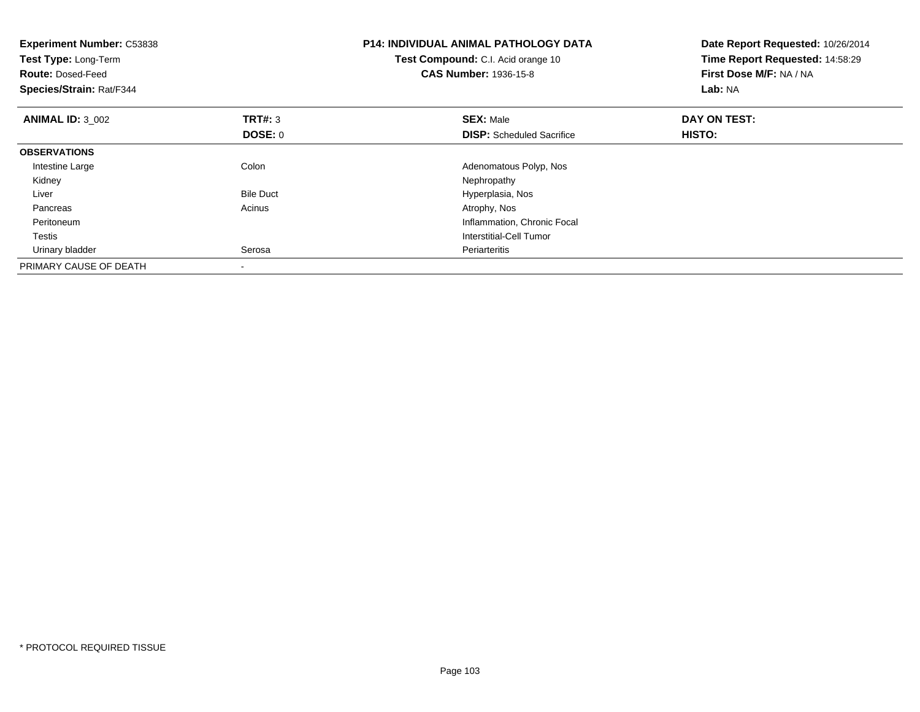| <b>Experiment Number: C53838</b><br>Test Type: Long-Term<br><b>Route: Dosed-Feed</b><br>Species/Strain: Rat/F344 |                  | <b>P14: INDIVIDUAL ANIMAL PATHOLOGY DATA</b><br>Test Compound: C.I. Acid orange 10<br><b>CAS Number: 1936-15-8</b> | Date Report Requested: 10/26/2014<br>Time Report Requested: 14:58:29<br>First Dose M/F: NA / NA<br>Lab: NA |
|------------------------------------------------------------------------------------------------------------------|------------------|--------------------------------------------------------------------------------------------------------------------|------------------------------------------------------------------------------------------------------------|
| <b>ANIMAL ID: 3 002</b>                                                                                          | <b>TRT#: 3</b>   | <b>SEX: Male</b>                                                                                                   | DAY ON TEST:                                                                                               |
|                                                                                                                  | DOSE: 0          | <b>DISP:</b> Scheduled Sacrifice                                                                                   | HISTO:                                                                                                     |
| <b>OBSERVATIONS</b>                                                                                              |                  |                                                                                                                    |                                                                                                            |
| Intestine Large                                                                                                  | Colon            | Adenomatous Polyp, Nos                                                                                             |                                                                                                            |
| Kidney                                                                                                           |                  | Nephropathy                                                                                                        |                                                                                                            |
| Liver                                                                                                            | <b>Bile Duct</b> | Hyperplasia, Nos                                                                                                   |                                                                                                            |
| Pancreas                                                                                                         | Acinus           | Atrophy, Nos                                                                                                       |                                                                                                            |
| Peritoneum                                                                                                       |                  | Inflammation, Chronic Focal                                                                                        |                                                                                                            |
| Testis                                                                                                           |                  | Interstitial-Cell Tumor                                                                                            |                                                                                                            |
| Urinary bladder                                                                                                  | Serosa           | Periarteritis                                                                                                      |                                                                                                            |
| PRIMARY CAUSE OF DEATH                                                                                           |                  |                                                                                                                    |                                                                                                            |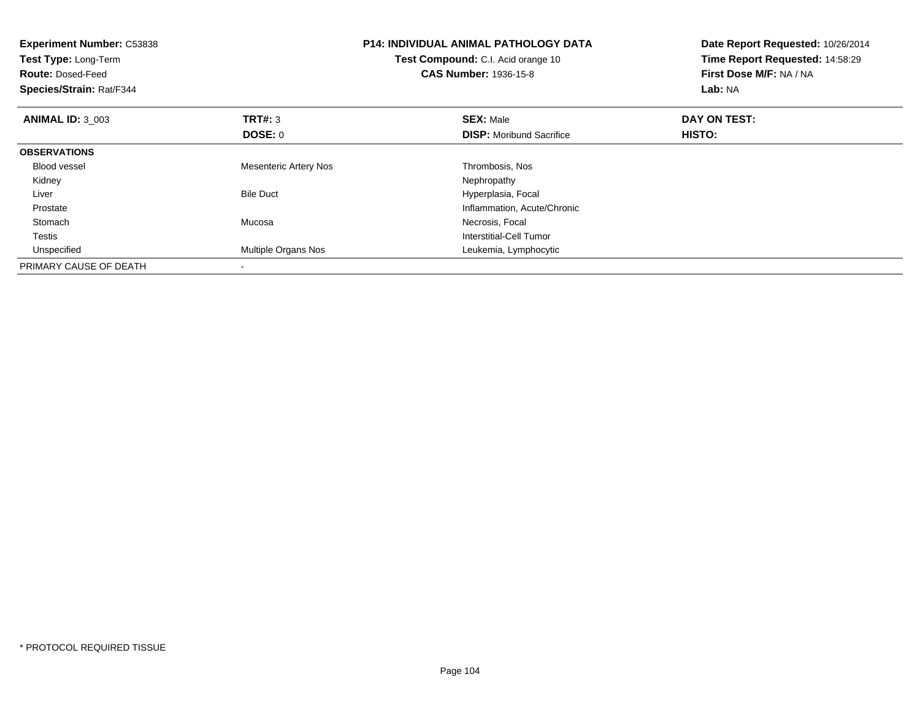| <b>Experiment Number: C53838</b><br>Test Type: Long-Term<br><b>Route: Dosed-Feed</b><br>Species/Strain: Rat/F344 |                              | <b>P14: INDIVIDUAL ANIMAL PATHOLOGY DATA</b><br>Test Compound: C.I. Acid orange 10<br><b>CAS Number: 1936-15-8</b> | Date Report Requested: 10/26/2014<br>Time Report Requested: 14:58:29<br>First Dose M/F: NA / NA<br>Lab: NA |
|------------------------------------------------------------------------------------------------------------------|------------------------------|--------------------------------------------------------------------------------------------------------------------|------------------------------------------------------------------------------------------------------------|
| <b>ANIMAL ID: 3 003</b>                                                                                          | TRT#: 3                      | <b>SEX: Male</b>                                                                                                   | DAY ON TEST:                                                                                               |
|                                                                                                                  | DOSE: 0                      | <b>DISP:</b> Moribund Sacrifice                                                                                    | HISTO:                                                                                                     |
| <b>OBSERVATIONS</b>                                                                                              |                              |                                                                                                                    |                                                                                                            |
| <b>Blood vessel</b>                                                                                              | <b>Mesenteric Artery Nos</b> | Thrombosis, Nos                                                                                                    |                                                                                                            |
| Kidney                                                                                                           |                              | Nephropathy                                                                                                        |                                                                                                            |
| Liver                                                                                                            | <b>Bile Duct</b>             | Hyperplasia, Focal                                                                                                 |                                                                                                            |
| Prostate                                                                                                         |                              | Inflammation, Acute/Chronic                                                                                        |                                                                                                            |
| Stomach                                                                                                          | Mucosa                       | Necrosis, Focal                                                                                                    |                                                                                                            |
| Testis                                                                                                           |                              | Interstitial-Cell Tumor                                                                                            |                                                                                                            |
| Unspecified                                                                                                      | <b>Multiple Organs Nos</b>   | Leukemia, Lymphocytic                                                                                              |                                                                                                            |
| PRIMARY CAUSE OF DEATH                                                                                           |                              |                                                                                                                    |                                                                                                            |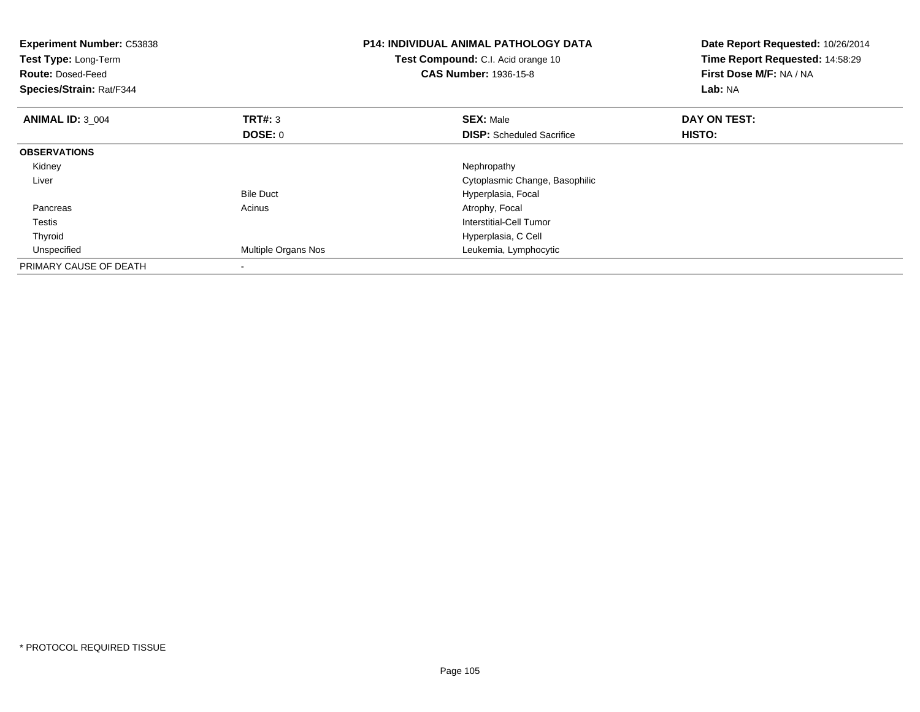| <b>Experiment Number: C53838</b><br>Test Type: Long-Term<br><b>Route: Dosed-Feed</b><br>Species/Strain: Rat/F344 |                     | <b>P14: INDIVIDUAL ANIMAL PATHOLOGY DATA</b><br>Test Compound: C.I. Acid orange 10<br><b>CAS Number: 1936-15-8</b> | Date Report Requested: 10/26/2014<br>Time Report Requested: 14:58:29<br>First Dose M/F: NA / NA<br>Lab: NA |
|------------------------------------------------------------------------------------------------------------------|---------------------|--------------------------------------------------------------------------------------------------------------------|------------------------------------------------------------------------------------------------------------|
| <b>ANIMAL ID: 3 004</b>                                                                                          | <b>TRT#: 3</b>      | <b>SEX: Male</b>                                                                                                   | DAY ON TEST:                                                                                               |
|                                                                                                                  | DOSE: 0             | <b>DISP:</b> Scheduled Sacrifice                                                                                   | HISTO:                                                                                                     |
| <b>OBSERVATIONS</b>                                                                                              |                     |                                                                                                                    |                                                                                                            |
| Kidney                                                                                                           |                     | Nephropathy                                                                                                        |                                                                                                            |
| Liver                                                                                                            |                     | Cytoplasmic Change, Basophilic                                                                                     |                                                                                                            |
|                                                                                                                  | <b>Bile Duct</b>    | Hyperplasia, Focal                                                                                                 |                                                                                                            |
| Pancreas                                                                                                         | Acinus              | Atrophy, Focal                                                                                                     |                                                                                                            |
| Testis                                                                                                           |                     | Interstitial-Cell Tumor                                                                                            |                                                                                                            |
| Thyroid                                                                                                          |                     | Hyperplasia, C Cell                                                                                                |                                                                                                            |
| Unspecified                                                                                                      | Multiple Organs Nos | Leukemia, Lymphocytic                                                                                              |                                                                                                            |
| PRIMARY CAUSE OF DEATH                                                                                           |                     |                                                                                                                    |                                                                                                            |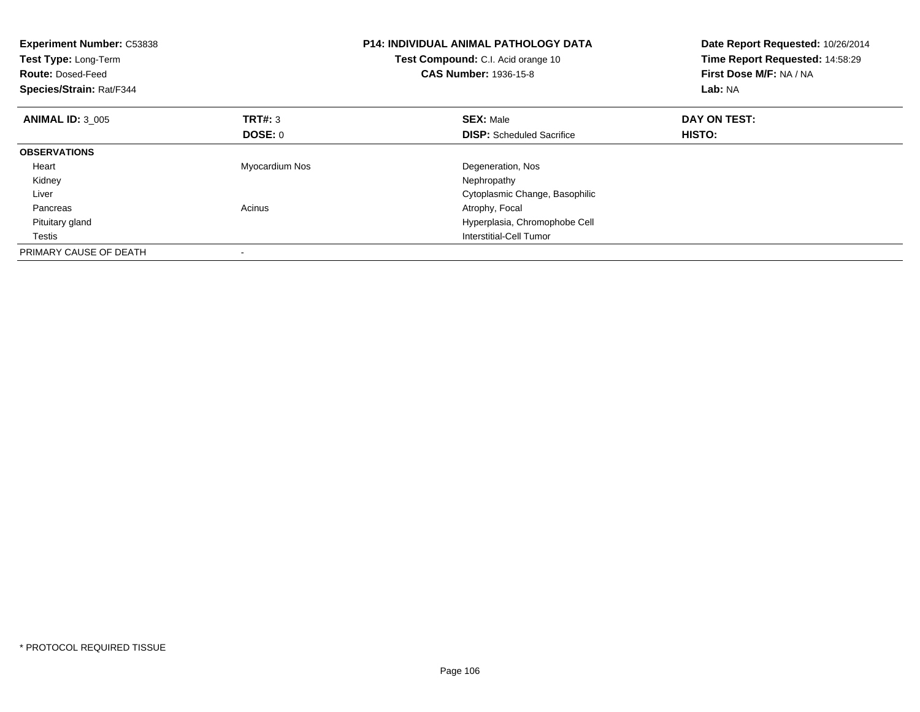| <b>Experiment Number: C53838</b><br>Test Type: Long-Term<br><b>Route: Dosed-Feed</b><br>Species/Strain: Rat/F344 |                | <b>P14: INDIVIDUAL ANIMAL PATHOLOGY DATA</b><br>Test Compound: C.I. Acid orange 10<br><b>CAS Number: 1936-15-8</b> | Date Report Requested: 10/26/2014<br>Time Report Requested: 14:58:29<br>First Dose M/F: NA / NA<br>Lab: NA |
|------------------------------------------------------------------------------------------------------------------|----------------|--------------------------------------------------------------------------------------------------------------------|------------------------------------------------------------------------------------------------------------|
| <b>ANIMAL ID: 3 005</b>                                                                                          | <b>TRT#: 3</b> | <b>SEX: Male</b>                                                                                                   | DAY ON TEST:                                                                                               |
|                                                                                                                  | DOSE: 0        | <b>DISP:</b> Scheduled Sacrifice                                                                                   | HISTO:                                                                                                     |
| <b>OBSERVATIONS</b>                                                                                              |                |                                                                                                                    |                                                                                                            |
| Heart                                                                                                            | Myocardium Nos | Degeneration, Nos                                                                                                  |                                                                                                            |
| Kidney                                                                                                           |                | Nephropathy                                                                                                        |                                                                                                            |
| Liver                                                                                                            |                | Cytoplasmic Change, Basophilic                                                                                     |                                                                                                            |
| Pancreas                                                                                                         | Acinus         | Atrophy, Focal                                                                                                     |                                                                                                            |
| Pituitary gland                                                                                                  |                | Hyperplasia, Chromophobe Cell                                                                                      |                                                                                                            |
| Testis                                                                                                           |                | Interstitial-Cell Tumor                                                                                            |                                                                                                            |
| PRIMARY CAUSE OF DEATH                                                                                           |                |                                                                                                                    |                                                                                                            |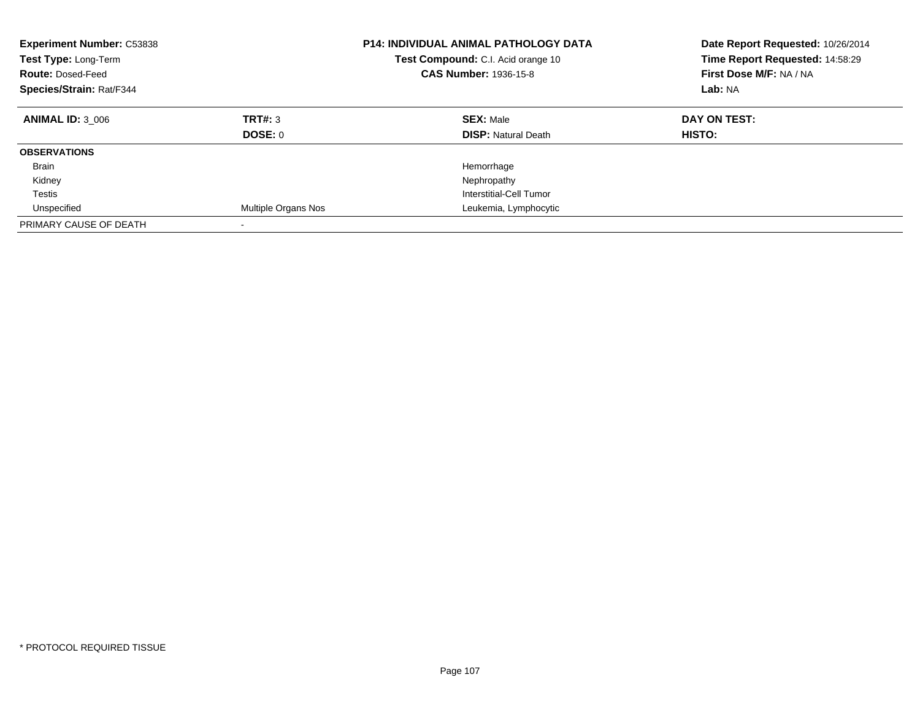| <b>Experiment Number: C53838</b><br>Test Type: Long-Term<br><b>Route: Dosed-Feed</b><br>Species/Strain: Rat/F344 |                           | <b>P14: INDIVIDUAL ANIMAL PATHOLOGY DATA</b><br><b>Test Compound:</b> C.I. Acid orange 10<br><b>CAS Number: 1936-15-8</b> | Date Report Requested: 10/26/2014<br>Time Report Requested: 14:58:29<br>First Dose M/F: NA / NA<br>Lab: NA |
|------------------------------------------------------------------------------------------------------------------|---------------------------|---------------------------------------------------------------------------------------------------------------------------|------------------------------------------------------------------------------------------------------------|
| <b>ANIMAL ID: 3 006</b>                                                                                          | TRT#: 3<br><b>DOSE: 0</b> | <b>SEX: Male</b><br><b>DISP:</b> Natural Death                                                                            | DAY ON TEST:<br><b>HISTO:</b>                                                                              |
| <b>OBSERVATIONS</b>                                                                                              |                           |                                                                                                                           |                                                                                                            |
| <b>Brain</b>                                                                                                     |                           | Hemorrhage                                                                                                                |                                                                                                            |
| Kidney                                                                                                           |                           | Nephropathy                                                                                                               |                                                                                                            |
| Testis                                                                                                           |                           | Interstitial-Cell Tumor                                                                                                   |                                                                                                            |
| Unspecified                                                                                                      | Multiple Organs Nos       | Leukemia, Lymphocytic                                                                                                     |                                                                                                            |
| PRIMARY CAUSE OF DEATH                                                                                           | $\overline{\phantom{a}}$  |                                                                                                                           |                                                                                                            |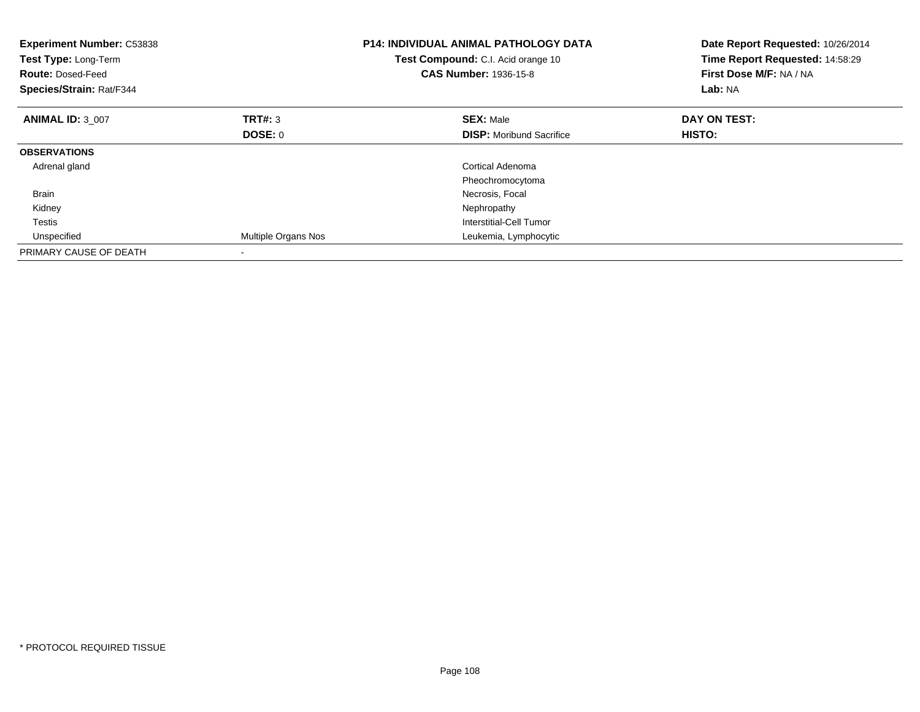| <b>Experiment Number: C53838</b><br>Test Type: Long-Term<br><b>Route: Dosed-Feed</b><br>Species/Strain: Rat/F344 |                     | <b>P14: INDIVIDUAL ANIMAL PATHOLOGY DATA</b><br>Test Compound: C.I. Acid orange 10<br><b>CAS Number: 1936-15-8</b> | Date Report Requested: 10/26/2014<br>Time Report Requested: 14:58:29<br>First Dose M/F: NA / NA<br>Lab: NA |
|------------------------------------------------------------------------------------------------------------------|---------------------|--------------------------------------------------------------------------------------------------------------------|------------------------------------------------------------------------------------------------------------|
| <b>ANIMAL ID: 3 007</b>                                                                                          | TRT#: 3             | <b>SEX: Male</b>                                                                                                   | DAY ON TEST:                                                                                               |
|                                                                                                                  | <b>DOSE: 0</b>      | <b>DISP:</b> Moribund Sacrifice                                                                                    | HISTO:                                                                                                     |
| <b>OBSERVATIONS</b>                                                                                              |                     |                                                                                                                    |                                                                                                            |
| Adrenal gland                                                                                                    |                     | <b>Cortical Adenoma</b>                                                                                            |                                                                                                            |
|                                                                                                                  |                     | Pheochromocytoma                                                                                                   |                                                                                                            |
| <b>Brain</b>                                                                                                     |                     | Necrosis, Focal                                                                                                    |                                                                                                            |
| Kidney                                                                                                           |                     | Nephropathy                                                                                                        |                                                                                                            |
| Testis                                                                                                           |                     | Interstitial-Cell Tumor                                                                                            |                                                                                                            |
| Unspecified                                                                                                      | Multiple Organs Nos | Leukemia, Lymphocytic                                                                                              |                                                                                                            |
| PRIMARY CAUSE OF DEATH                                                                                           |                     |                                                                                                                    |                                                                                                            |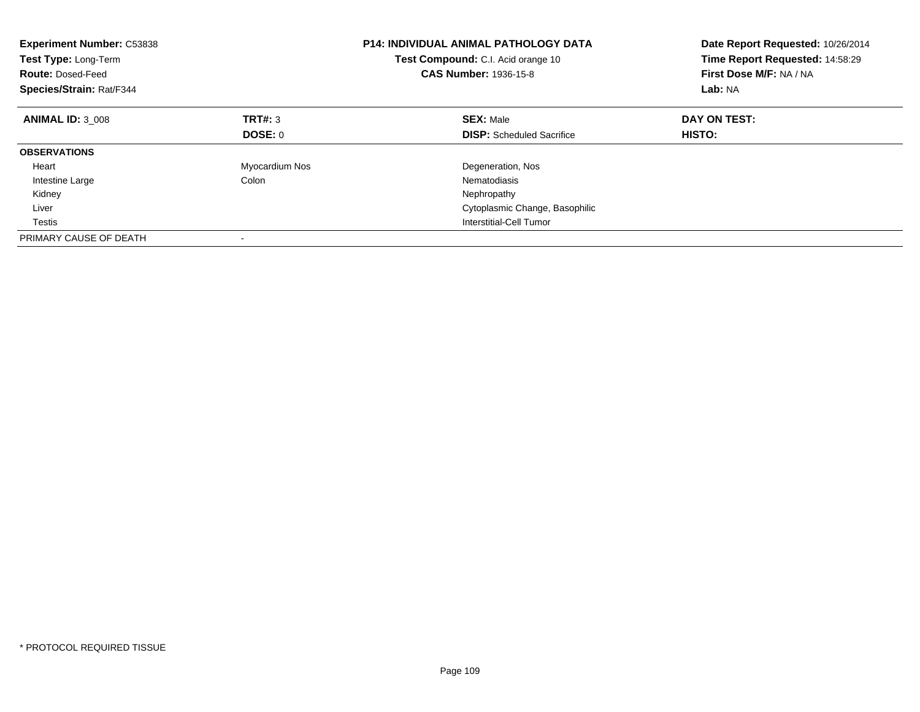| <b>Experiment Number: C53838</b><br>Test Type: Long-Term<br><b>Route: Dosed-Feed</b><br>Species/Strain: Rat/F344 |                | <b>P14: INDIVIDUAL ANIMAL PATHOLOGY DATA</b><br>Test Compound: C.I. Acid orange 10<br><b>CAS Number: 1936-15-8</b> | Date Report Requested: 10/26/2014<br>Time Report Requested: 14:58:29<br>First Dose M/F: NA / NA<br>Lab: NA |
|------------------------------------------------------------------------------------------------------------------|----------------|--------------------------------------------------------------------------------------------------------------------|------------------------------------------------------------------------------------------------------------|
| <b>ANIMAL ID: 3 008</b>                                                                                          | TRT#: 3        | <b>SEX: Male</b>                                                                                                   | DAY ON TEST:                                                                                               |
|                                                                                                                  | DOSE: 0        | <b>DISP:</b> Scheduled Sacrifice                                                                                   | <b>HISTO:</b>                                                                                              |
| <b>OBSERVATIONS</b>                                                                                              |                |                                                                                                                    |                                                                                                            |
| Heart                                                                                                            | Myocardium Nos | Degeneration, Nos                                                                                                  |                                                                                                            |
| Intestine Large                                                                                                  | Colon          | Nematodiasis                                                                                                       |                                                                                                            |
| Kidney                                                                                                           |                | Nephropathy                                                                                                        |                                                                                                            |
| Liver                                                                                                            |                | Cytoplasmic Change, Basophilic                                                                                     |                                                                                                            |
| Testis                                                                                                           |                | Interstitial-Cell Tumor                                                                                            |                                                                                                            |
| PRIMARY CAUSE OF DEATH                                                                                           |                |                                                                                                                    |                                                                                                            |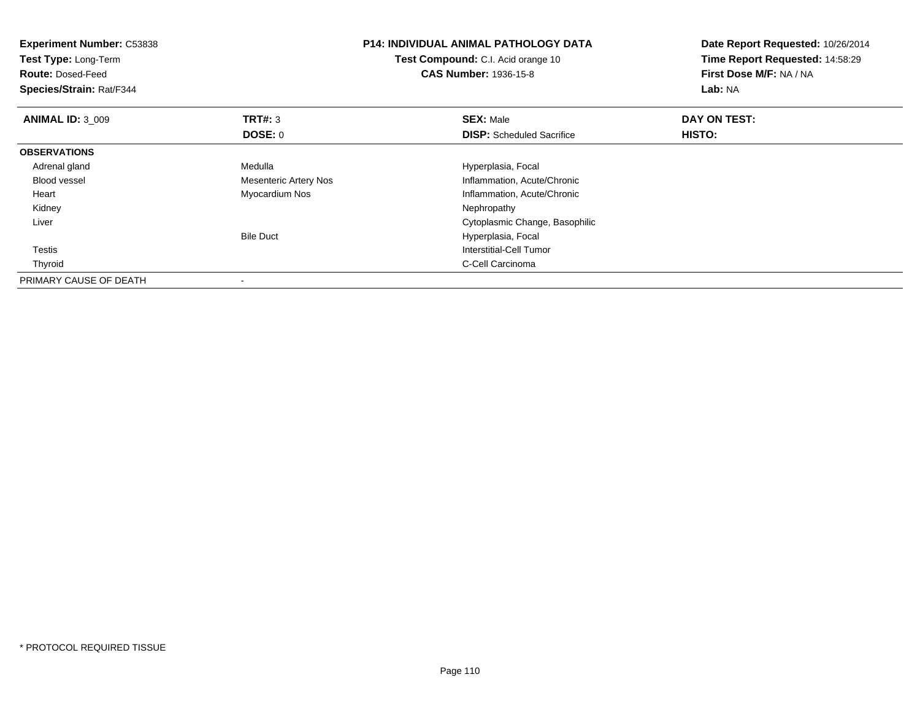| <b>Experiment Number: C53838</b><br>Test Type: Long-Term<br><b>Route: Dosed-Feed</b><br>Species/Strain: Rat/F344 |                       | <b>P14: INDIVIDUAL ANIMAL PATHOLOGY DATA</b><br><b>Test Compound:</b> C.I. Acid orange 10<br><b>CAS Number: 1936-15-8</b> | Date Report Requested: 10/26/2014<br>Time Report Requested: 14:58:29<br>First Dose M/F: NA / NA<br>Lab: NA |
|------------------------------------------------------------------------------------------------------------------|-----------------------|---------------------------------------------------------------------------------------------------------------------------|------------------------------------------------------------------------------------------------------------|
| <b>ANIMAL ID: 3 009</b>                                                                                          | TRT#: 3               | <b>SEX: Male</b>                                                                                                          | DAY ON TEST:                                                                                               |
|                                                                                                                  | DOSE: 0               | <b>DISP:</b> Scheduled Sacrifice                                                                                          | HISTO:                                                                                                     |
| <b>OBSERVATIONS</b>                                                                                              |                       |                                                                                                                           |                                                                                                            |
| Adrenal gland                                                                                                    | Medulla               | Hyperplasia, Focal                                                                                                        |                                                                                                            |
| Blood vessel                                                                                                     | Mesenteric Artery Nos | Inflammation, Acute/Chronic                                                                                               |                                                                                                            |
| Heart                                                                                                            | Myocardium Nos        | Inflammation, Acute/Chronic                                                                                               |                                                                                                            |
| Kidney                                                                                                           |                       | Nephropathy                                                                                                               |                                                                                                            |
| Liver                                                                                                            |                       | Cytoplasmic Change, Basophilic                                                                                            |                                                                                                            |
|                                                                                                                  | <b>Bile Duct</b>      | Hyperplasia, Focal                                                                                                        |                                                                                                            |
| Testis                                                                                                           |                       | Interstitial-Cell Tumor                                                                                                   |                                                                                                            |
| Thyroid                                                                                                          |                       | C-Cell Carcinoma                                                                                                          |                                                                                                            |
| PRIMARY CAUSE OF DEATH                                                                                           |                       |                                                                                                                           |                                                                                                            |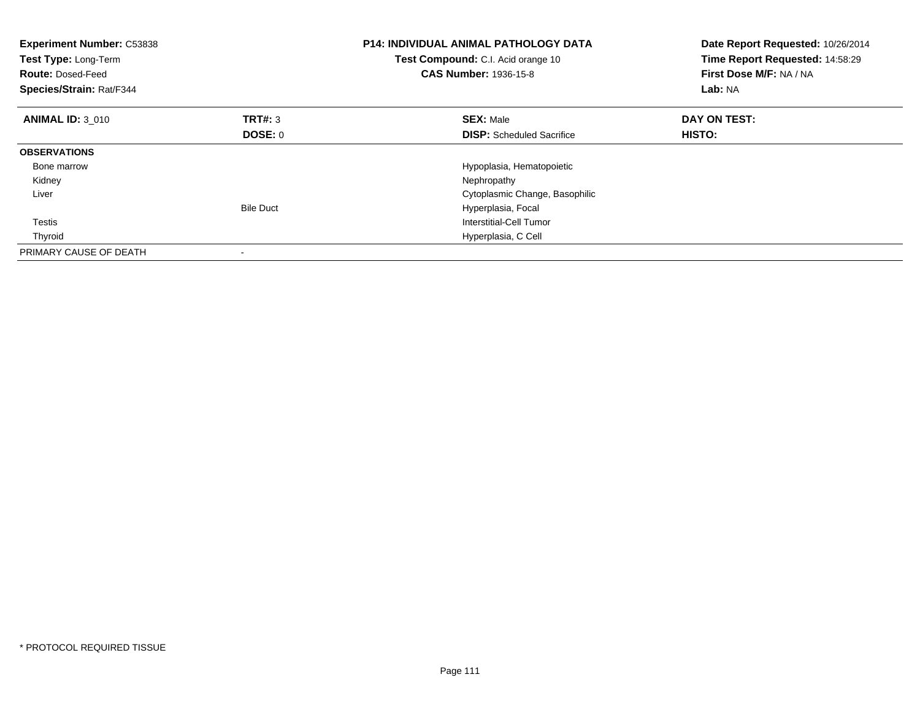| <b>Experiment Number: C53838</b><br>Test Type: Long-Term<br><b>Route: Dosed-Feed</b><br>Species/Strain: Rat/F344 |                  | <b>P14: INDIVIDUAL ANIMAL PATHOLOGY DATA</b><br>Test Compound: C.I. Acid orange 10<br><b>CAS Number: 1936-15-8</b> | Date Report Requested: 10/26/2014<br>Time Report Requested: 14:58:29<br>First Dose M/F: NA / NA<br>Lab: NA |
|------------------------------------------------------------------------------------------------------------------|------------------|--------------------------------------------------------------------------------------------------------------------|------------------------------------------------------------------------------------------------------------|
| <b>ANIMAL ID: 3 010</b>                                                                                          | TRT#: 3          | <b>SEX: Male</b>                                                                                                   | DAY ON TEST:                                                                                               |
|                                                                                                                  | <b>DOSE: 0</b>   | <b>DISP:</b> Scheduled Sacrifice                                                                                   | HISTO:                                                                                                     |
| <b>OBSERVATIONS</b>                                                                                              |                  |                                                                                                                    |                                                                                                            |
| Bone marrow                                                                                                      |                  | Hypoplasia, Hematopoietic                                                                                          |                                                                                                            |
| Kidney                                                                                                           |                  | Nephropathy                                                                                                        |                                                                                                            |
| Liver                                                                                                            |                  | Cytoplasmic Change, Basophilic                                                                                     |                                                                                                            |
|                                                                                                                  | <b>Bile Duct</b> | Hyperplasia, Focal                                                                                                 |                                                                                                            |
| Testis                                                                                                           |                  | Interstitial-Cell Tumor                                                                                            |                                                                                                            |
| Thyroid                                                                                                          |                  | Hyperplasia, C Cell                                                                                                |                                                                                                            |
| PRIMARY CAUSE OF DEATH                                                                                           |                  |                                                                                                                    |                                                                                                            |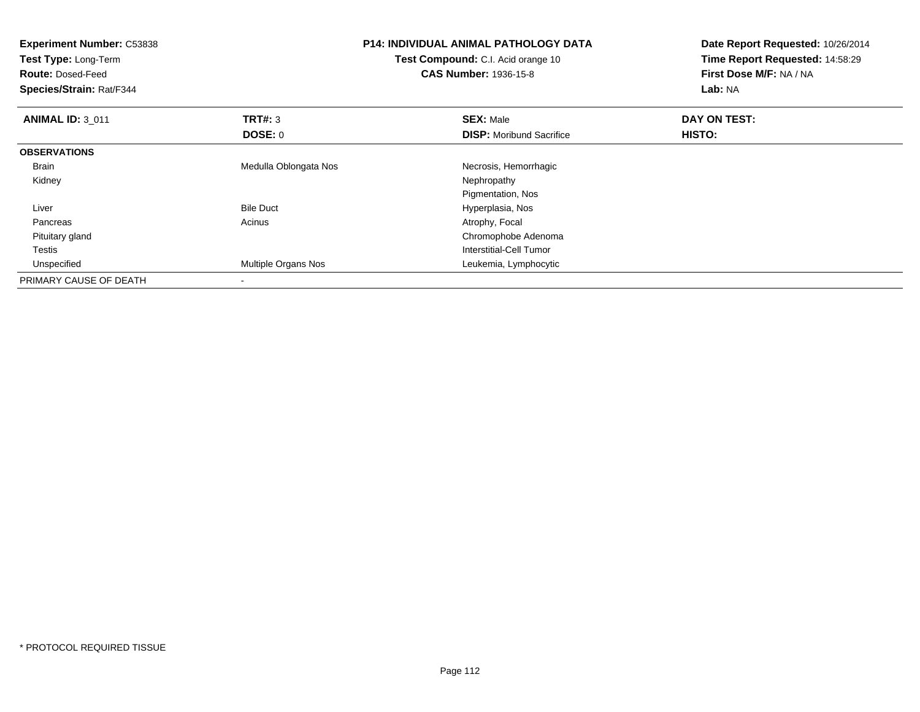| <b>Experiment Number: C53838</b><br>Test Type: Long-Term<br><b>Route: Dosed-Feed</b><br>Species/Strain: Rat/F344 |                       | <b>P14: INDIVIDUAL ANIMAL PATHOLOGY DATA</b><br>Test Compound: C.I. Acid orange 10<br><b>CAS Number: 1936-15-8</b> | Date Report Requested: 10/26/2014<br>Time Report Requested: 14:58:29<br>First Dose M/F: NA / NA<br>Lab: NA |
|------------------------------------------------------------------------------------------------------------------|-----------------------|--------------------------------------------------------------------------------------------------------------------|------------------------------------------------------------------------------------------------------------|
| <b>ANIMAL ID: 3 011</b>                                                                                          | TRT#: 3               | <b>SEX: Male</b>                                                                                                   | DAY ON TEST:                                                                                               |
|                                                                                                                  | <b>DOSE: 0</b>        | <b>DISP:</b> Moribund Sacrifice                                                                                    | HISTO:                                                                                                     |
| <b>OBSERVATIONS</b>                                                                                              |                       |                                                                                                                    |                                                                                                            |
| <b>Brain</b>                                                                                                     | Medulla Oblongata Nos | Necrosis, Hemorrhagic                                                                                              |                                                                                                            |
| Kidney                                                                                                           |                       | Nephropathy                                                                                                        |                                                                                                            |
|                                                                                                                  |                       | Pigmentation, Nos                                                                                                  |                                                                                                            |
| Liver                                                                                                            | <b>Bile Duct</b>      | Hyperplasia, Nos                                                                                                   |                                                                                                            |
| Pancreas                                                                                                         | Acinus                | Atrophy, Focal                                                                                                     |                                                                                                            |
| Pituitary gland                                                                                                  |                       | Chromophobe Adenoma                                                                                                |                                                                                                            |
| Testis                                                                                                           |                       | Interstitial-Cell Tumor                                                                                            |                                                                                                            |
| Unspecified                                                                                                      | Multiple Organs Nos   | Leukemia, Lymphocytic                                                                                              |                                                                                                            |
| PRIMARY CAUSE OF DEATH                                                                                           |                       |                                                                                                                    |                                                                                                            |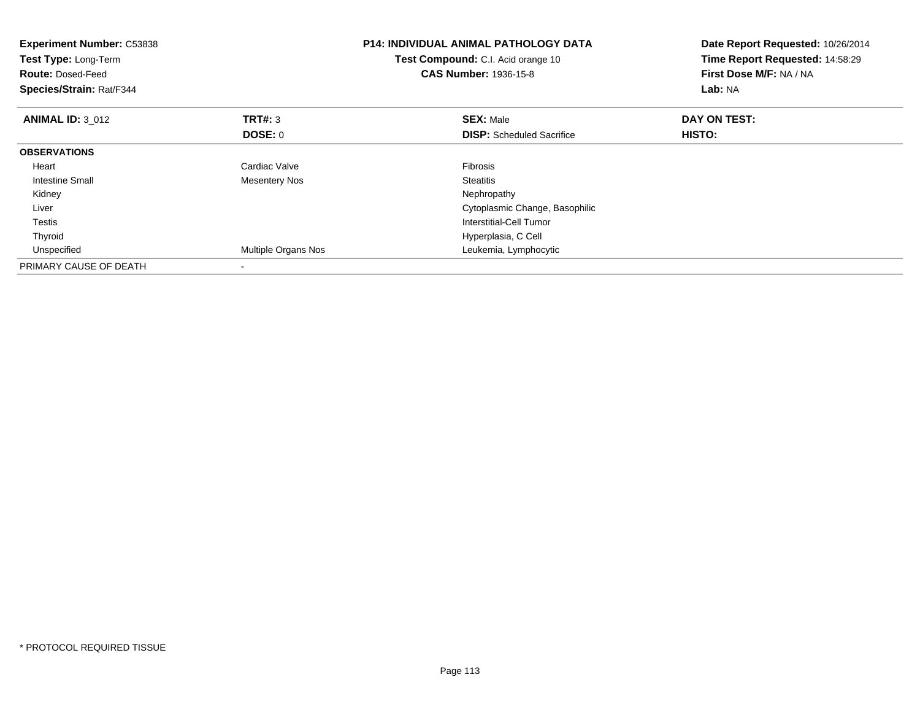| <b>Experiment Number: C53838</b><br>Test Type: Long-Term<br><b>Route: Dosed-Feed</b><br>Species/Strain: Rat/F344 |                      | <b>P14: INDIVIDUAL ANIMAL PATHOLOGY DATA</b><br>Test Compound: C.I. Acid orange 10<br><b>CAS Number: 1936-15-8</b> | Date Report Requested: 10/26/2014<br>Time Report Requested: 14:58:29<br>First Dose M/F: NA / NA<br>Lab: NA |
|------------------------------------------------------------------------------------------------------------------|----------------------|--------------------------------------------------------------------------------------------------------------------|------------------------------------------------------------------------------------------------------------|
| <b>ANIMAL ID: 3 012</b>                                                                                          | <b>TRT#: 3</b>       | <b>SEX: Male</b>                                                                                                   | DAY ON TEST:                                                                                               |
|                                                                                                                  | DOSE: 0              | <b>DISP:</b> Scheduled Sacrifice                                                                                   | HISTO:                                                                                                     |
| <b>OBSERVATIONS</b>                                                                                              |                      |                                                                                                                    |                                                                                                            |
| Heart                                                                                                            | Cardiac Valve        | <b>Fibrosis</b>                                                                                                    |                                                                                                            |
| Intestine Small                                                                                                  | <b>Mesentery Nos</b> | <b>Steatitis</b>                                                                                                   |                                                                                                            |
| Kidney                                                                                                           |                      | Nephropathy                                                                                                        |                                                                                                            |
| Liver                                                                                                            |                      | Cytoplasmic Change, Basophilic                                                                                     |                                                                                                            |
| <b>Testis</b>                                                                                                    |                      | Interstitial-Cell Tumor                                                                                            |                                                                                                            |
| Thyroid                                                                                                          |                      | Hyperplasia, C Cell                                                                                                |                                                                                                            |
| Unspecified                                                                                                      | Multiple Organs Nos  | Leukemia, Lymphocytic                                                                                              |                                                                                                            |
| PRIMARY CAUSE OF DEATH                                                                                           |                      |                                                                                                                    |                                                                                                            |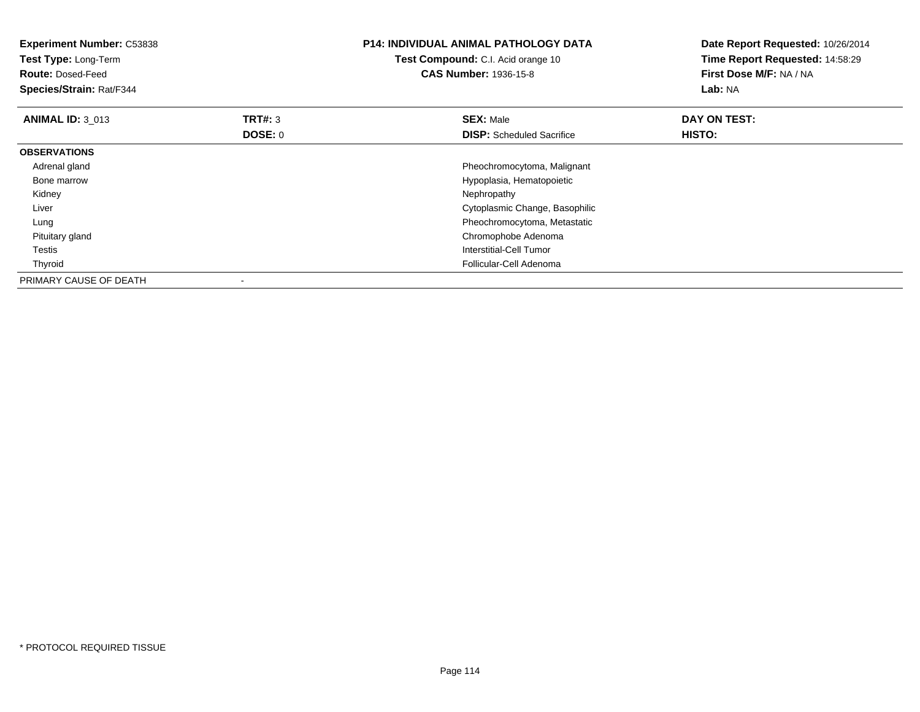| Experiment Number: C53838<br>Test Type: Long-Term<br><b>Route: Dosed-Feed</b><br>Species/Strain: Rat/F344 |                           | <b>P14: INDIVIDUAL ANIMAL PATHOLOGY DATA</b><br>Test Compound: C.I. Acid orange 10<br><b>CAS Number: 1936-15-8</b> | Date Report Requested: 10/26/2014<br>Time Report Requested: 14:58:29<br>First Dose M/F: NA / NA<br>Lab: NA |
|-----------------------------------------------------------------------------------------------------------|---------------------------|--------------------------------------------------------------------------------------------------------------------|------------------------------------------------------------------------------------------------------------|
| <b>ANIMAL ID: 3_013</b>                                                                                   | <b>TRT#: 3</b><br>DOSE: 0 | <b>SEX: Male</b><br><b>DISP:</b> Scheduled Sacrifice                                                               | DAY ON TEST:<br>HISTO:                                                                                     |
| <b>OBSERVATIONS</b>                                                                                       |                           |                                                                                                                    |                                                                                                            |
| Adrenal gland                                                                                             |                           | Pheochromocytoma, Malignant                                                                                        |                                                                                                            |
| Bone marrow                                                                                               |                           | Hypoplasia, Hematopoietic                                                                                          |                                                                                                            |
| Kidney                                                                                                    |                           | Nephropathy                                                                                                        |                                                                                                            |
| Liver                                                                                                     |                           | Cytoplasmic Change, Basophilic                                                                                     |                                                                                                            |
| Lung                                                                                                      |                           | Pheochromocytoma, Metastatic                                                                                       |                                                                                                            |
| Pituitary gland                                                                                           |                           | Chromophobe Adenoma                                                                                                |                                                                                                            |
| Testis                                                                                                    |                           | Interstitial-Cell Tumor                                                                                            |                                                                                                            |
| Thyroid                                                                                                   |                           | Follicular-Cell Adenoma                                                                                            |                                                                                                            |
| PRIMARY CAUSE OF DEATH                                                                                    |                           |                                                                                                                    |                                                                                                            |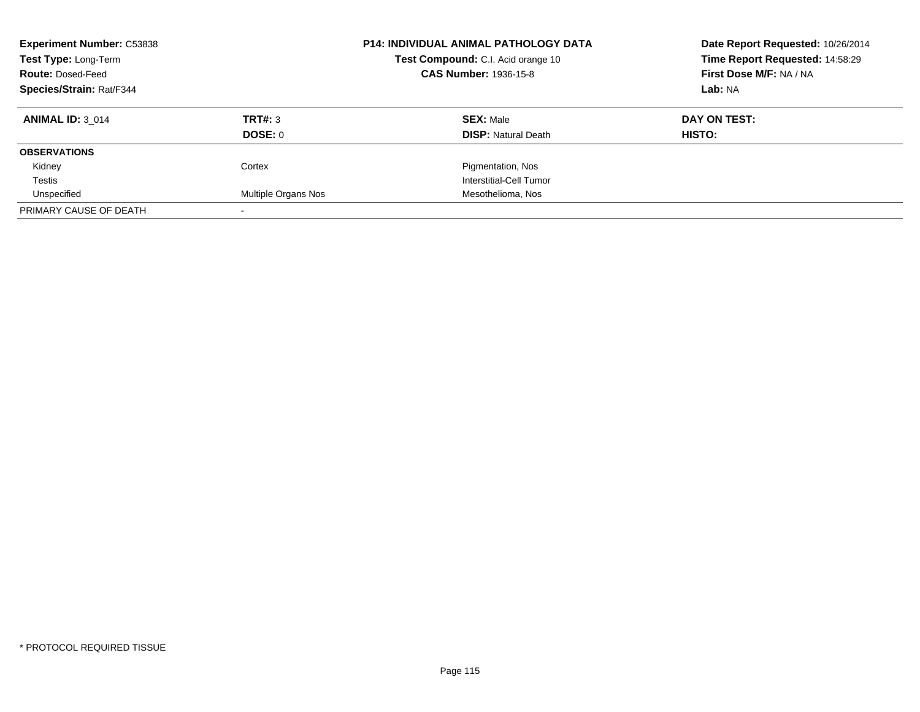| <b>Experiment Number: C53838</b><br>Test Type: Long-Term<br><b>Route: Dosed-Feed</b><br>Species/Strain: Rat/F344 |                     | <b>P14: INDIVIDUAL ANIMAL PATHOLOGY DATA</b><br>Test Compound: C.I. Acid orange 10<br><b>CAS Number: 1936-15-8</b> | Date Report Requested: 10/26/2014<br>Time Report Requested: 14:58:29<br>First Dose M/F: NA / NA<br>Lab: NA |
|------------------------------------------------------------------------------------------------------------------|---------------------|--------------------------------------------------------------------------------------------------------------------|------------------------------------------------------------------------------------------------------------|
| <b>ANIMAL ID: 3 014</b>                                                                                          | TRT#: 3<br>DOSE: 0  | <b>SEX: Male</b><br><b>DISP:</b> Natural Death                                                                     | DAY ON TEST:<br>HISTO:                                                                                     |
| <b>OBSERVATIONS</b>                                                                                              |                     |                                                                                                                    |                                                                                                            |
| Kidney                                                                                                           | Cortex              | Pigmentation, Nos                                                                                                  |                                                                                                            |
| Testis                                                                                                           |                     | Interstitial-Cell Tumor                                                                                            |                                                                                                            |
| Unspecified                                                                                                      | Multiple Organs Nos | Mesothelioma, Nos                                                                                                  |                                                                                                            |
| PRIMARY CAUSE OF DEATH                                                                                           |                     |                                                                                                                    |                                                                                                            |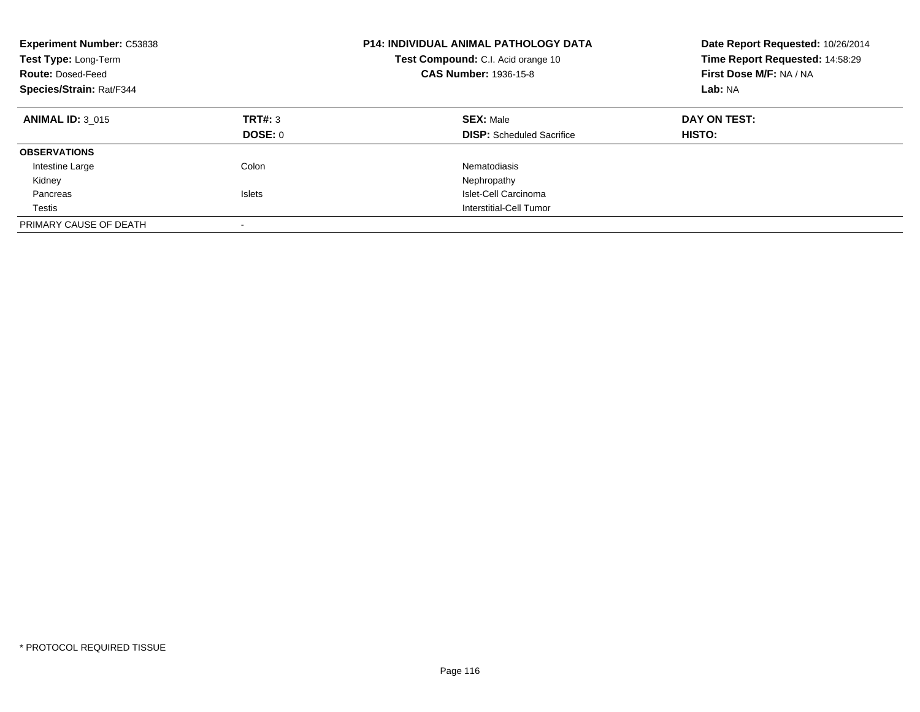| <b>Experiment Number: C53838</b><br>Test Type: Long-Term<br><b>Route: Dosed-Feed</b><br>Species/Strain: Rat/F344 |                          | <b>P14: INDIVIDUAL ANIMAL PATHOLOGY DATA</b><br>Test Compound: C.I. Acid orange 10<br><b>CAS Number: 1936-15-8</b> | Date Report Requested: 10/26/2014<br>Time Report Requested: 14:58:29<br>First Dose M/F: NA / NA<br>Lab: NA |
|------------------------------------------------------------------------------------------------------------------|--------------------------|--------------------------------------------------------------------------------------------------------------------|------------------------------------------------------------------------------------------------------------|
| <b>ANIMAL ID: 3 015</b>                                                                                          | TRT#: 3<br>DOSE: 0       | <b>SEX: Male</b><br><b>DISP:</b> Scheduled Sacrifice                                                               | DAY ON TEST:<br><b>HISTO:</b>                                                                              |
| <b>OBSERVATIONS</b>                                                                                              |                          |                                                                                                                    |                                                                                                            |
| Intestine Large                                                                                                  | Colon                    | Nematodiasis                                                                                                       |                                                                                                            |
| Kidney                                                                                                           |                          | Nephropathy                                                                                                        |                                                                                                            |
| Pancreas                                                                                                         | <b>Islets</b>            | Islet-Cell Carcinoma                                                                                               |                                                                                                            |
| Testis                                                                                                           |                          | Interstitial-Cell Tumor                                                                                            |                                                                                                            |
| PRIMARY CAUSE OF DEATH                                                                                           | $\overline{\phantom{a}}$ |                                                                                                                    |                                                                                                            |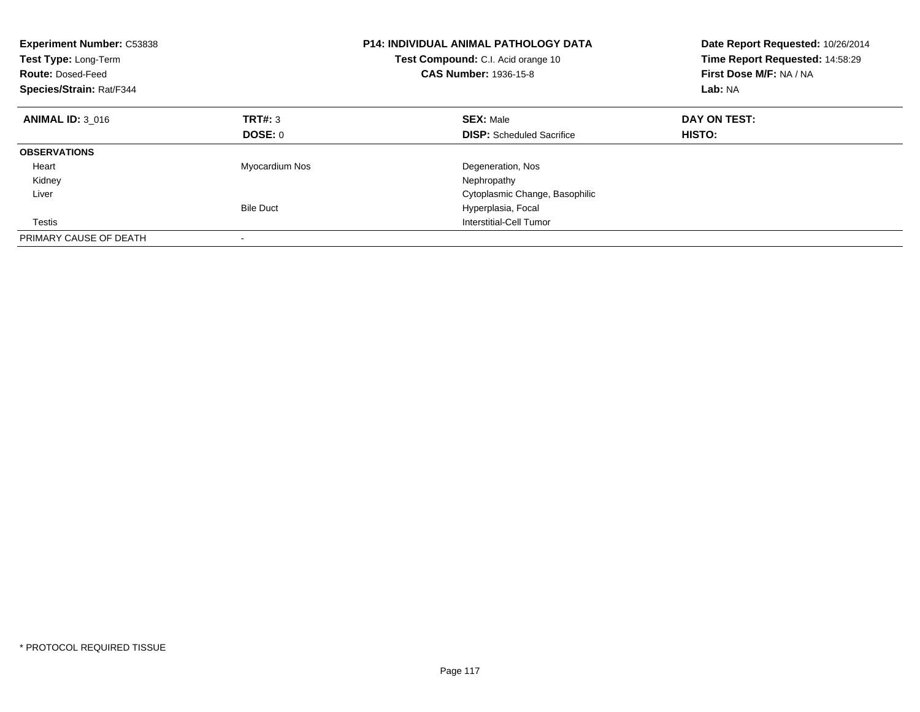| <b>Experiment Number: C53838</b><br>Test Type: Long-Term<br><b>Route: Dosed-Feed</b><br>Species/Strain: Rat/F344 |                  | <b>P14: INDIVIDUAL ANIMAL PATHOLOGY DATA</b><br>Test Compound: C.I. Acid orange 10<br>CAS Number: 1936-15-8 | Date Report Requested: 10/26/2014<br>Time Report Requested: 14:58:29<br>First Dose M/F: NA / NA<br>Lab: NA |
|------------------------------------------------------------------------------------------------------------------|------------------|-------------------------------------------------------------------------------------------------------------|------------------------------------------------------------------------------------------------------------|
| <b>ANIMAL ID: 3 016</b>                                                                                          | TRT#: 3          | <b>SEX: Male</b>                                                                                            | DAY ON TEST:                                                                                               |
|                                                                                                                  | DOSE: 0          | <b>DISP:</b> Scheduled Sacrifice                                                                            | HISTO:                                                                                                     |
| <b>OBSERVATIONS</b>                                                                                              |                  |                                                                                                             |                                                                                                            |
| Heart                                                                                                            | Myocardium Nos   | Degeneration, Nos                                                                                           |                                                                                                            |
| Kidney                                                                                                           |                  | Nephropathy                                                                                                 |                                                                                                            |
| Liver                                                                                                            |                  | Cytoplasmic Change, Basophilic                                                                              |                                                                                                            |
|                                                                                                                  | <b>Bile Duct</b> | Hyperplasia, Focal                                                                                          |                                                                                                            |
| Testis                                                                                                           |                  | Interstitial-Cell Tumor                                                                                     |                                                                                                            |
| PRIMARY CAUSE OF DEATH                                                                                           |                  |                                                                                                             |                                                                                                            |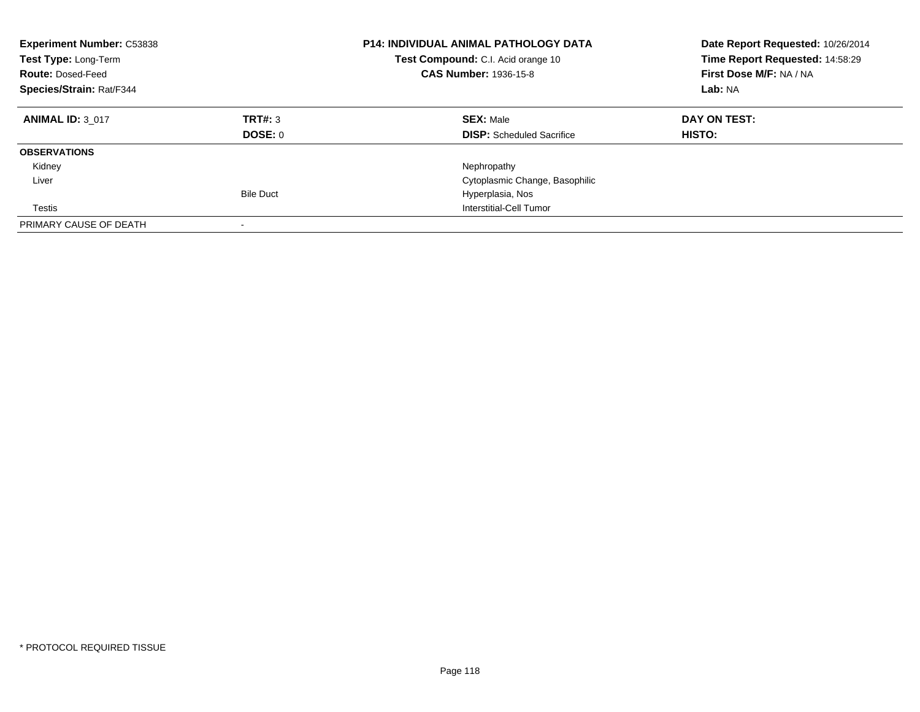| <b>Experiment Number: C53838</b><br>Test Type: Long-Term<br><b>Route: Dosed-Feed</b><br>Species/Strain: Rat/F344 |                    | <b>P14: INDIVIDUAL ANIMAL PATHOLOGY DATA</b><br>Test Compound: C.I. Acid orange 10<br><b>CAS Number: 1936-15-8</b> | Date Report Requested: 10/26/2014<br>Time Report Requested: 14:58:29<br>First Dose M/F: NA / NA<br>Lab: NA |
|------------------------------------------------------------------------------------------------------------------|--------------------|--------------------------------------------------------------------------------------------------------------------|------------------------------------------------------------------------------------------------------------|
| <b>ANIMAL ID: 3 017</b>                                                                                          | TRT#: 3<br>DOSE: 0 | <b>SEX: Male</b><br><b>DISP:</b> Scheduled Sacrifice                                                               | DAY ON TEST:<br><b>HISTO:</b>                                                                              |
| <b>OBSERVATIONS</b>                                                                                              |                    |                                                                                                                    |                                                                                                            |
| Kidney                                                                                                           |                    | Nephropathy                                                                                                        |                                                                                                            |
| Liver                                                                                                            |                    | Cytoplasmic Change, Basophilic                                                                                     |                                                                                                            |
|                                                                                                                  | <b>Bile Duct</b>   | Hyperplasia, Nos                                                                                                   |                                                                                                            |
| Testis                                                                                                           |                    | Interstitial-Cell Tumor                                                                                            |                                                                                                            |
| PRIMARY CAUSE OF DEATH                                                                                           |                    |                                                                                                                    |                                                                                                            |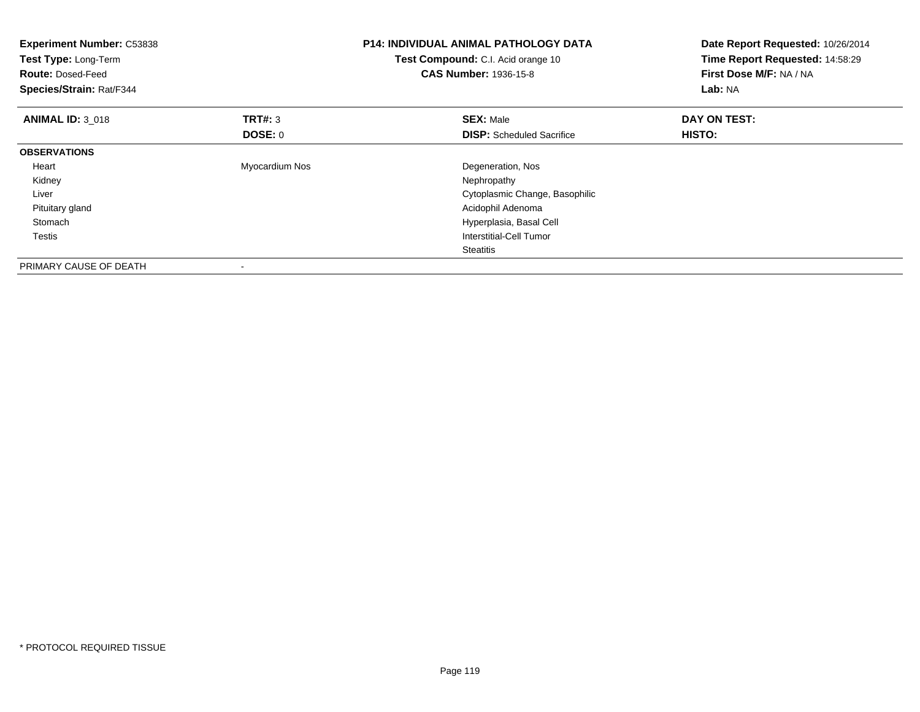| <b>Experiment Number: C53838</b><br>Test Type: Long-Term<br><b>Route: Dosed-Feed</b><br>Species/Strain: Rat/F344 |                           | <b>P14: INDIVIDUAL ANIMAL PATHOLOGY DATA</b><br>Test Compound: C.I. Acid orange 10<br><b>CAS Number: 1936-15-8</b> | Date Report Requested: 10/26/2014<br>Time Report Requested: 14:58:29<br>First Dose M/F: NA / NA<br>Lab: NA |
|------------------------------------------------------------------------------------------------------------------|---------------------------|--------------------------------------------------------------------------------------------------------------------|------------------------------------------------------------------------------------------------------------|
| <b>ANIMAL ID: 3 018</b>                                                                                          | <b>TRT#: 3</b><br>DOSE: 0 | <b>SEX: Male</b><br><b>DISP:</b> Scheduled Sacrifice                                                               | DAY ON TEST:<br><b>HISTO:</b>                                                                              |
| <b>OBSERVATIONS</b>                                                                                              |                           |                                                                                                                    |                                                                                                            |
| Heart                                                                                                            | Myocardium Nos            | Degeneration, Nos                                                                                                  |                                                                                                            |
| Kidney                                                                                                           |                           | Nephropathy                                                                                                        |                                                                                                            |
| Liver                                                                                                            |                           | Cytoplasmic Change, Basophilic                                                                                     |                                                                                                            |
| Pituitary gland                                                                                                  |                           | Acidophil Adenoma                                                                                                  |                                                                                                            |
| Stomach                                                                                                          |                           | Hyperplasia, Basal Cell                                                                                            |                                                                                                            |
| Testis                                                                                                           |                           | Interstitial-Cell Tumor                                                                                            |                                                                                                            |
|                                                                                                                  |                           | Steatitis                                                                                                          |                                                                                                            |
| PRIMARY CAUSE OF DEATH                                                                                           |                           |                                                                                                                    |                                                                                                            |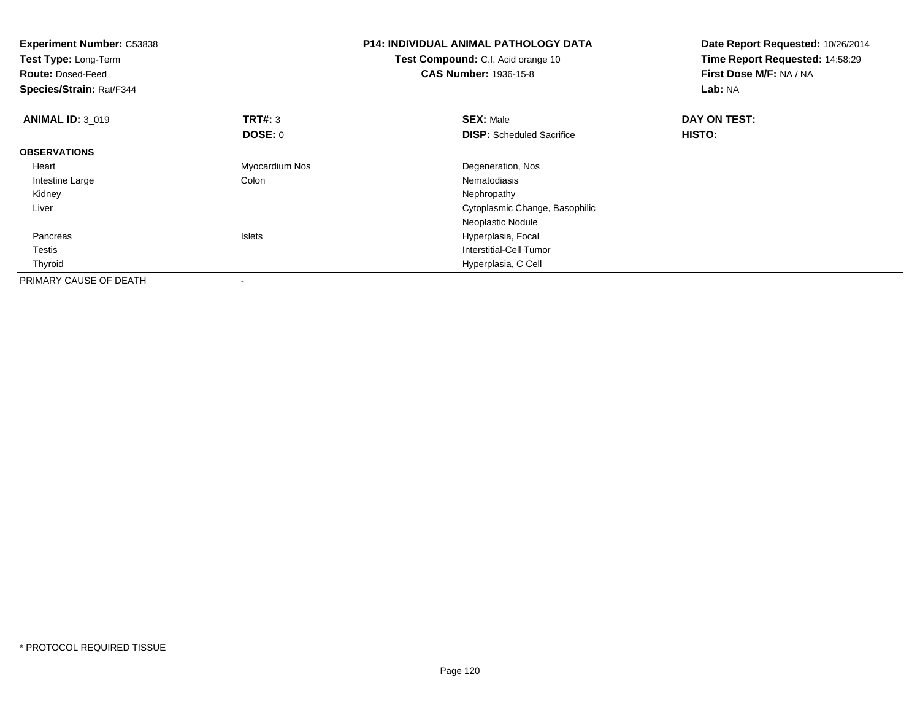| <b>Experiment Number: C53838</b><br>Test Type: Long-Term<br><b>Route: Dosed-Feed</b><br>Species/Strain: Rat/F344 |                | <b>P14: INDIVIDUAL ANIMAL PATHOLOGY DATA</b><br>Test Compound: C.I. Acid orange 10<br><b>CAS Number: 1936-15-8</b> | Date Report Requested: 10/26/2014<br>Time Report Requested: 14:58:29<br>First Dose M/F: NA / NA<br>Lab: NA |
|------------------------------------------------------------------------------------------------------------------|----------------|--------------------------------------------------------------------------------------------------------------------|------------------------------------------------------------------------------------------------------------|
| <b>ANIMAL ID: 3 019</b>                                                                                          | TRT#: 3        | <b>SEX: Male</b>                                                                                                   | DAY ON TEST:                                                                                               |
|                                                                                                                  | <b>DOSE: 0</b> | <b>DISP:</b> Scheduled Sacrifice                                                                                   | <b>HISTO:</b>                                                                                              |
| <b>OBSERVATIONS</b>                                                                                              |                |                                                                                                                    |                                                                                                            |
| Heart                                                                                                            | Myocardium Nos | Degeneration, Nos                                                                                                  |                                                                                                            |
| Intestine Large                                                                                                  | Colon          | Nematodiasis                                                                                                       |                                                                                                            |
| Kidney                                                                                                           |                | Nephropathy                                                                                                        |                                                                                                            |
| Liver                                                                                                            |                | Cytoplasmic Change, Basophilic                                                                                     |                                                                                                            |
|                                                                                                                  |                | Neoplastic Nodule                                                                                                  |                                                                                                            |
| Pancreas                                                                                                         | <b>Islets</b>  | Hyperplasia, Focal                                                                                                 |                                                                                                            |
| Testis                                                                                                           |                | Interstitial-Cell Tumor                                                                                            |                                                                                                            |
| Thyroid                                                                                                          |                | Hyperplasia, C Cell                                                                                                |                                                                                                            |
| PRIMARY CAUSE OF DEATH                                                                                           |                |                                                                                                                    |                                                                                                            |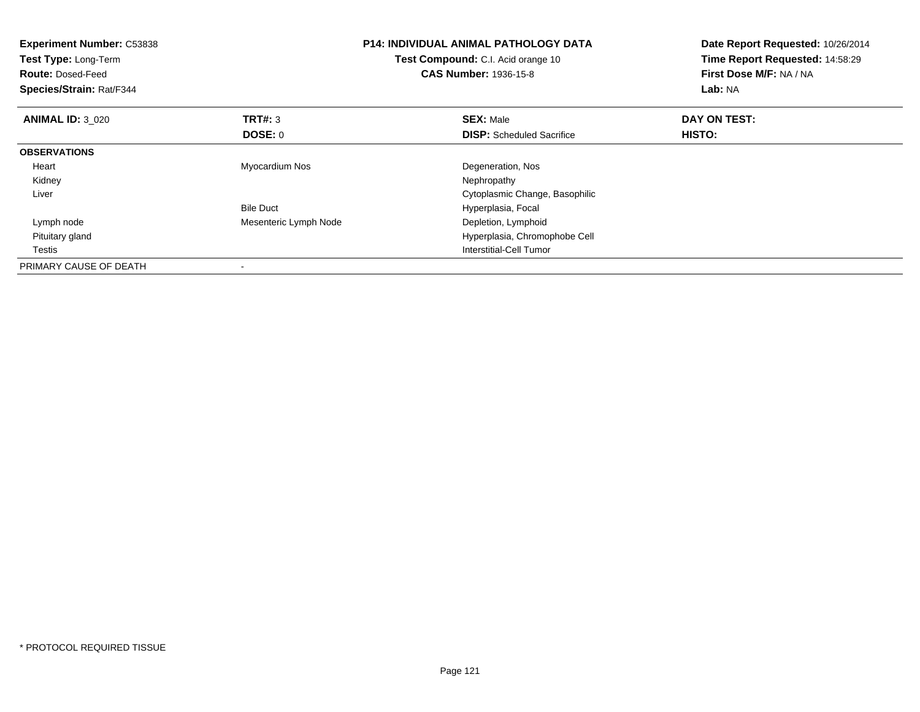| <b>Experiment Number: C53838</b><br>Test Type: Long-Term<br><b>Route: Dosed-Feed</b><br>Species/Strain: Rat/F344 |                       | <b>P14: INDIVIDUAL ANIMAL PATHOLOGY DATA</b><br>Test Compound: C.I. Acid orange 10<br><b>CAS Number: 1936-15-8</b> | Date Report Requested: 10/26/2014<br>Time Report Requested: 14:58:29<br>First Dose M/F: NA / NA<br>Lab: NA |
|------------------------------------------------------------------------------------------------------------------|-----------------------|--------------------------------------------------------------------------------------------------------------------|------------------------------------------------------------------------------------------------------------|
| <b>ANIMAL ID: 3_020</b>                                                                                          | TRT#: 3               | <b>SEX: Male</b>                                                                                                   | DAY ON TEST:                                                                                               |
|                                                                                                                  | DOSE: 0               | <b>DISP:</b> Scheduled Sacrifice                                                                                   | HISTO:                                                                                                     |
| <b>OBSERVATIONS</b>                                                                                              |                       |                                                                                                                    |                                                                                                            |
| Heart                                                                                                            | Myocardium Nos        | Degeneration, Nos                                                                                                  |                                                                                                            |
| Kidney                                                                                                           |                       | Nephropathy                                                                                                        |                                                                                                            |
| Liver                                                                                                            |                       | Cytoplasmic Change, Basophilic                                                                                     |                                                                                                            |
|                                                                                                                  | <b>Bile Duct</b>      | Hyperplasia, Focal                                                                                                 |                                                                                                            |
| Lymph node                                                                                                       | Mesenteric Lymph Node | Depletion, Lymphoid                                                                                                |                                                                                                            |
| Pituitary gland                                                                                                  |                       | Hyperplasia, Chromophobe Cell                                                                                      |                                                                                                            |
| Testis                                                                                                           |                       | Interstitial-Cell Tumor                                                                                            |                                                                                                            |
| PRIMARY CAUSE OF DEATH                                                                                           |                       |                                                                                                                    |                                                                                                            |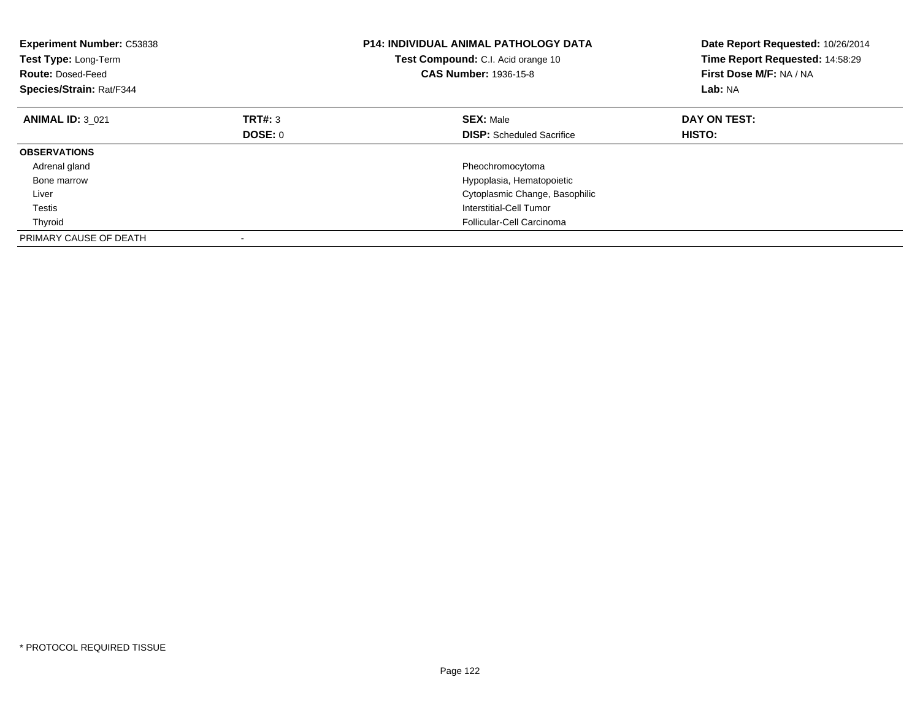| <b>Experiment Number: C53838</b><br>Test Type: Long-Term<br><b>Route: Dosed-Feed</b><br>Species/Strain: Rat/F344 |         | <b>P14: INDIVIDUAL ANIMAL PATHOLOGY DATA</b><br>Test Compound: C.I. Acid orange 10<br><b>CAS Number: 1936-15-8</b> | Date Report Requested: 10/26/2014<br>Time Report Requested: 14:58:29<br>First Dose M/F: NA / NA<br>Lab: NA |
|------------------------------------------------------------------------------------------------------------------|---------|--------------------------------------------------------------------------------------------------------------------|------------------------------------------------------------------------------------------------------------|
| <b>ANIMAL ID: 3 021</b>                                                                                          | TRT#: 3 | <b>SEX: Male</b>                                                                                                   | DAY ON TEST:                                                                                               |
|                                                                                                                  | DOSE: 0 | <b>DISP:</b> Scheduled Sacrifice                                                                                   | <b>HISTO:</b>                                                                                              |
| <b>OBSERVATIONS</b>                                                                                              |         |                                                                                                                    |                                                                                                            |
| Adrenal gland                                                                                                    |         | Pheochromocytoma                                                                                                   |                                                                                                            |
| Bone marrow                                                                                                      |         | Hypoplasia, Hematopoietic                                                                                          |                                                                                                            |
| Liver                                                                                                            |         | Cytoplasmic Change, Basophilic                                                                                     |                                                                                                            |
| Testis                                                                                                           |         | Interstitial-Cell Tumor                                                                                            |                                                                                                            |
| Thyroid                                                                                                          |         | Follicular-Cell Carcinoma                                                                                          |                                                                                                            |
| PRIMARY CAUSE OF DEATH                                                                                           |         |                                                                                                                    |                                                                                                            |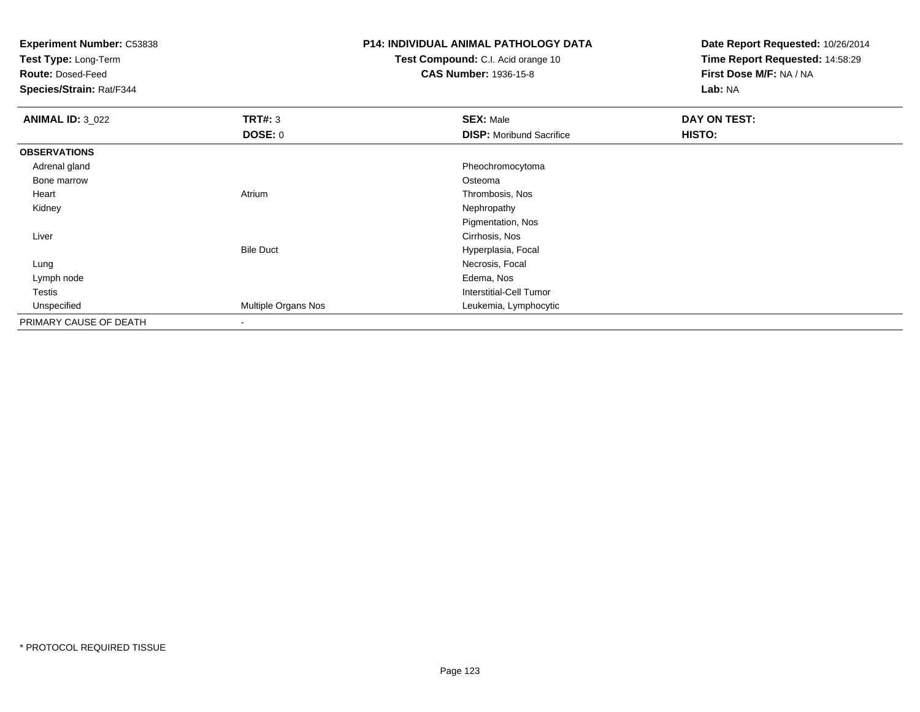**Experiment Number:** C53838

**Test Type:** Long-Term

**Route:** Dosed-Feed

**Species/Strain:** Rat/F344

## **P14: INDIVIDUAL ANIMAL PATHOLOGY DATA**

**Test Compound:** C.I. Acid orange 10**CAS Number:** 1936-15-8

**Date Report Requested:** 10/26/2014**Time Report Requested:** 14:58:29**First Dose M/F:** NA / NA**Lab:** NA

| <b>ANIMAL ID: 3_022</b> | TRT#: 3             | <b>SEX: Male</b>                | DAY ON TEST: |  |
|-------------------------|---------------------|---------------------------------|--------------|--|
|                         | DOSE: 0             | <b>DISP:</b> Moribund Sacrifice | HISTO:       |  |
| <b>OBSERVATIONS</b>     |                     |                                 |              |  |
| Adrenal gland           |                     | Pheochromocytoma                |              |  |
| Bone marrow             |                     | Osteoma                         |              |  |
| Heart                   | Atrium              | Thrombosis, Nos                 |              |  |
| Kidney                  |                     | Nephropathy                     |              |  |
|                         |                     | Pigmentation, Nos               |              |  |
| Liver                   |                     | Cirrhosis, Nos                  |              |  |
|                         | <b>Bile Duct</b>    | Hyperplasia, Focal              |              |  |
| Lung                    |                     | Necrosis, Focal                 |              |  |
| Lymph node              |                     | Edema, Nos                      |              |  |
| Testis                  |                     | Interstitial-Cell Tumor         |              |  |
| Unspecified             | Multiple Organs Nos | Leukemia, Lymphocytic           |              |  |
| PRIMARY CAUSE OF DEATH  | $\blacksquare$      |                                 |              |  |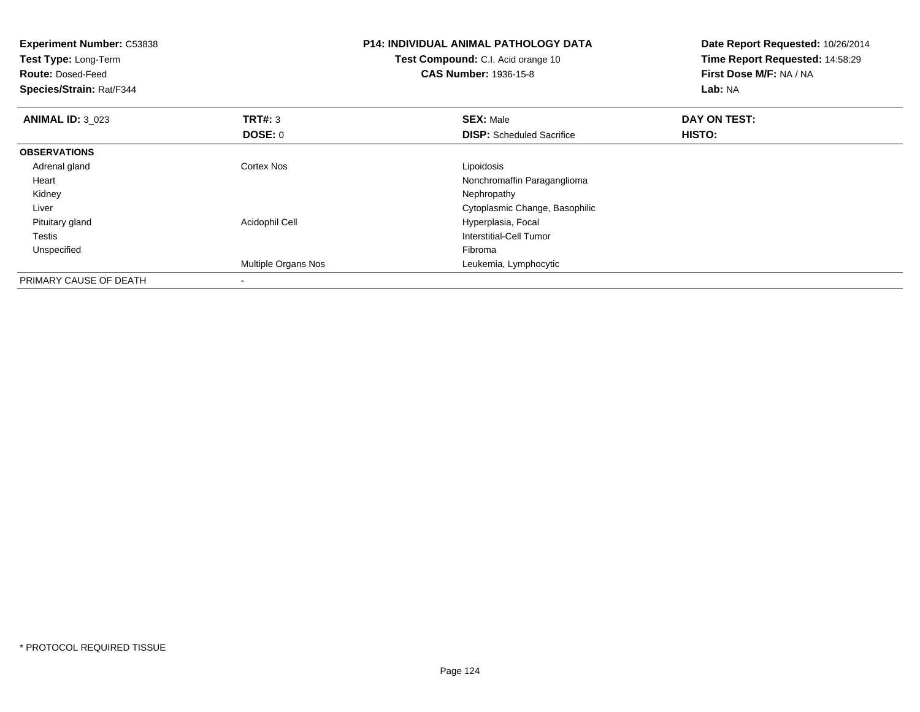| <b>Experiment Number: C53838</b><br>Test Type: Long-Term<br><b>Route: Dosed-Feed</b><br>Species/Strain: Rat/F344 |                          | <b>P14: INDIVIDUAL ANIMAL PATHOLOGY DATA</b><br>Test Compound: C.I. Acid orange 10<br><b>CAS Number: 1936-15-8</b> | Date Report Requested: 10/26/2014<br>Time Report Requested: 14:58:29<br>First Dose M/F: NA / NA<br>Lab: NA |
|------------------------------------------------------------------------------------------------------------------|--------------------------|--------------------------------------------------------------------------------------------------------------------|------------------------------------------------------------------------------------------------------------|
| <b>ANIMAL ID: 3 023</b>                                                                                          | <b>TRT#: 3</b>           | <b>SEX: Male</b>                                                                                                   | DAY ON TEST:                                                                                               |
|                                                                                                                  | DOSE: 0                  | <b>DISP:</b> Scheduled Sacrifice                                                                                   | <b>HISTO:</b>                                                                                              |
| <b>OBSERVATIONS</b>                                                                                              |                          |                                                                                                                    |                                                                                                            |
| Adrenal gland                                                                                                    | <b>Cortex Nos</b>        | Lipoidosis                                                                                                         |                                                                                                            |
| Heart                                                                                                            |                          | Nonchromaffin Paraganglioma                                                                                        |                                                                                                            |
| Kidney                                                                                                           |                          | Nephropathy                                                                                                        |                                                                                                            |
| Liver                                                                                                            |                          | Cytoplasmic Change, Basophilic                                                                                     |                                                                                                            |
| Pituitary gland                                                                                                  | Acidophil Cell           | Hyperplasia, Focal                                                                                                 |                                                                                                            |
| <b>Testis</b>                                                                                                    |                          | Interstitial-Cell Tumor                                                                                            |                                                                                                            |
| Unspecified                                                                                                      |                          | Fibroma                                                                                                            |                                                                                                            |
|                                                                                                                  | Multiple Organs Nos      | Leukemia, Lymphocytic                                                                                              |                                                                                                            |
| PRIMARY CAUSE OF DEATH                                                                                           | $\overline{\phantom{a}}$ |                                                                                                                    |                                                                                                            |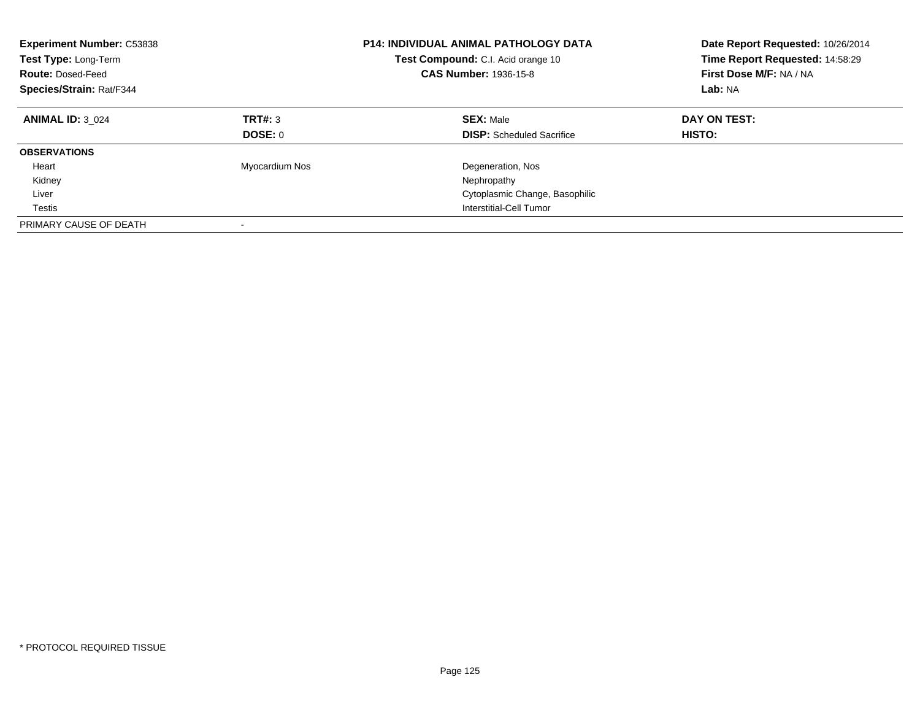| <b>Experiment Number: C53838</b><br>Test Type: Long-Term<br><b>Route: Dosed-Feed</b><br>Species/Strain: Rat/F344 |                    | <b>P14: INDIVIDUAL ANIMAL PATHOLOGY DATA</b><br>Test Compound: C.I. Acid orange 10<br><b>CAS Number: 1936-15-8</b> | Date Report Requested: 10/26/2014<br>Time Report Requested: 14:58:29<br>First Dose M/F: NA / NA<br>Lab: NA |
|------------------------------------------------------------------------------------------------------------------|--------------------|--------------------------------------------------------------------------------------------------------------------|------------------------------------------------------------------------------------------------------------|
| <b>ANIMAL ID: 3 024</b>                                                                                          | TRT#: 3<br>DOSE: 0 | <b>SEX: Male</b><br><b>DISP:</b> Scheduled Sacrifice                                                               | DAY ON TEST:<br><b>HISTO:</b>                                                                              |
| <b>OBSERVATIONS</b>                                                                                              |                    |                                                                                                                    |                                                                                                            |
| Heart<br>Kidney                                                                                                  | Myocardium Nos     | Degeneration, Nos<br>Nephropathy                                                                                   |                                                                                                            |
| Liver                                                                                                            |                    | Cytoplasmic Change, Basophilic                                                                                     |                                                                                                            |
| Testis                                                                                                           |                    | Interstitial-Cell Tumor                                                                                            |                                                                                                            |
| PRIMARY CAUSE OF DEATH                                                                                           |                    |                                                                                                                    |                                                                                                            |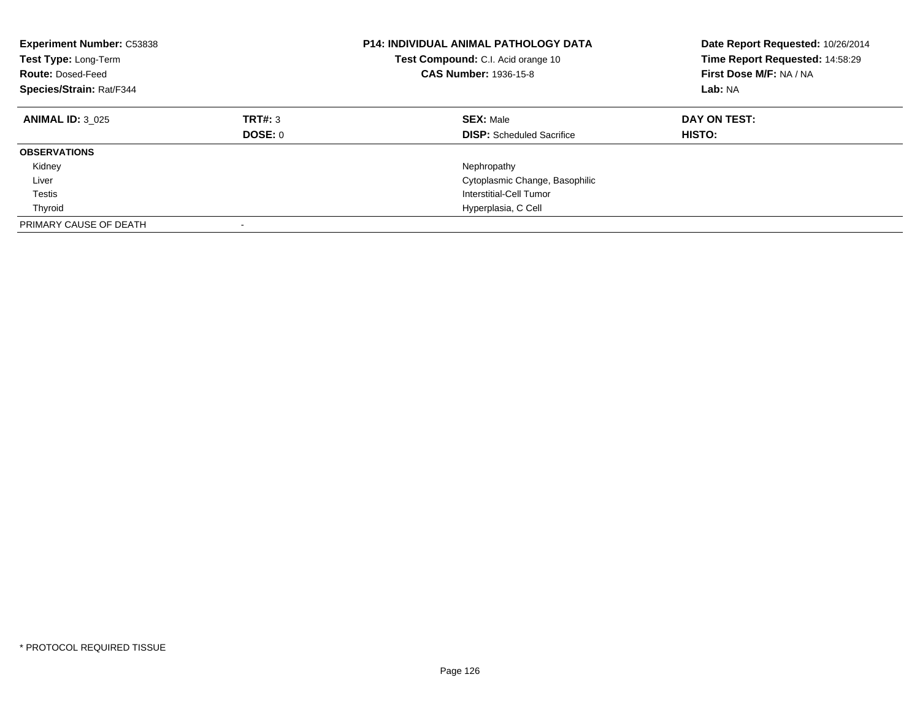| <b>Experiment Number: C53838</b><br>Test Type: Long-Term<br><b>Route: Dosed-Feed</b><br>Species/Strain: Rat/F344 |                           | P14: INDIVIDUAL ANIMAL PATHOLOGY DATA<br>Test Compound: C.I. Acid orange 10<br><b>CAS Number: 1936-15-8</b> | Date Report Requested: 10/26/2014<br>Time Report Requested: 14:58:29<br>First Dose M/F: NA / NA<br>Lab: NA |
|------------------------------------------------------------------------------------------------------------------|---------------------------|-------------------------------------------------------------------------------------------------------------|------------------------------------------------------------------------------------------------------------|
| <b>ANIMAL ID: 3 025</b>                                                                                          | TRT#: 3<br><b>DOSE: 0</b> | <b>SEX: Male</b><br><b>DISP:</b> Scheduled Sacrifice                                                        | DAY ON TEST:<br><b>HISTO:</b>                                                                              |
| <b>OBSERVATIONS</b>                                                                                              |                           |                                                                                                             |                                                                                                            |
| Kidney                                                                                                           |                           | Nephropathy                                                                                                 |                                                                                                            |
| Liver                                                                                                            |                           | Cytoplasmic Change, Basophilic                                                                              |                                                                                                            |
| Testis                                                                                                           |                           | Interstitial-Cell Tumor                                                                                     |                                                                                                            |
| Thyroid                                                                                                          |                           | Hyperplasia, C Cell                                                                                         |                                                                                                            |
| PRIMARY CAUSE OF DEATH                                                                                           | $\overline{\phantom{a}}$  |                                                                                                             |                                                                                                            |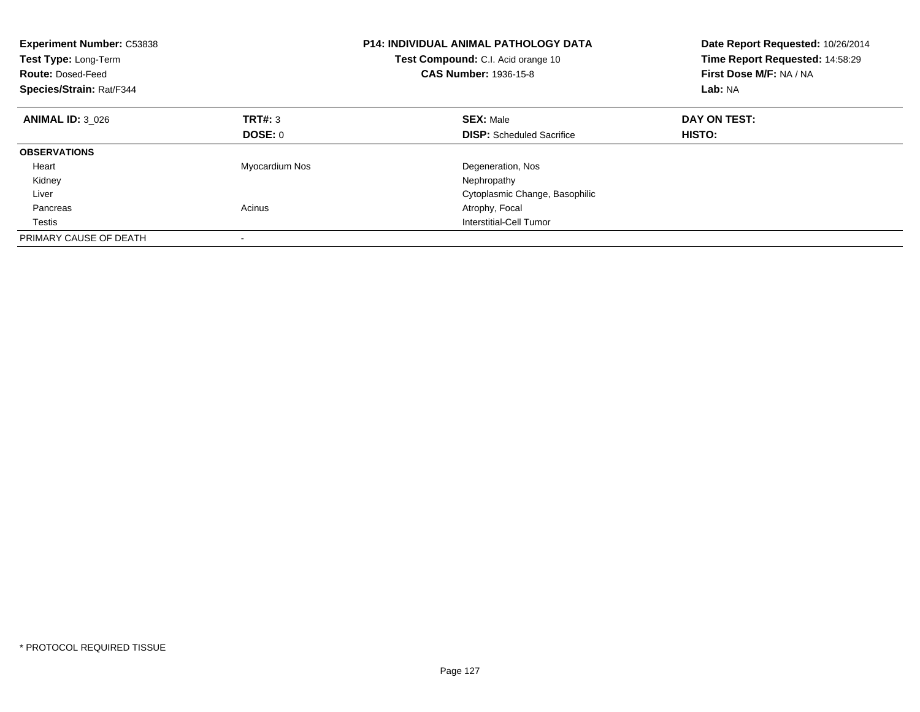| <b>Experiment Number: C53838</b><br>Test Type: Long-Term<br><b>Route: Dosed-Feed</b><br>Species/Strain: Rat/F344 |                | <b>P14: INDIVIDUAL ANIMAL PATHOLOGY DATA</b><br>Test Compound: C.I. Acid orange 10<br>CAS Number: 1936-15-8 | Date Report Requested: 10/26/2014<br>Time Report Requested: 14:58:29<br>First Dose M/F: NA / NA<br>Lab: NA |
|------------------------------------------------------------------------------------------------------------------|----------------|-------------------------------------------------------------------------------------------------------------|------------------------------------------------------------------------------------------------------------|
| <b>ANIMAL ID: 3 026</b>                                                                                          | TRT#: 3        | <b>SEX: Male</b>                                                                                            | DAY ON TEST:                                                                                               |
|                                                                                                                  | DOSE: 0        | <b>DISP:</b> Scheduled Sacrifice                                                                            | HISTO:                                                                                                     |
| <b>OBSERVATIONS</b>                                                                                              |                |                                                                                                             |                                                                                                            |
| Heart                                                                                                            | Myocardium Nos | Degeneration, Nos                                                                                           |                                                                                                            |
| Kidney                                                                                                           |                | Nephropathy                                                                                                 |                                                                                                            |
| Liver                                                                                                            |                | Cytoplasmic Change, Basophilic                                                                              |                                                                                                            |
| Pancreas                                                                                                         | Acinus         | Atrophy, Focal                                                                                              |                                                                                                            |
| Testis                                                                                                           |                | Interstitial-Cell Tumor                                                                                     |                                                                                                            |
| PRIMARY CAUSE OF DEATH                                                                                           |                |                                                                                                             |                                                                                                            |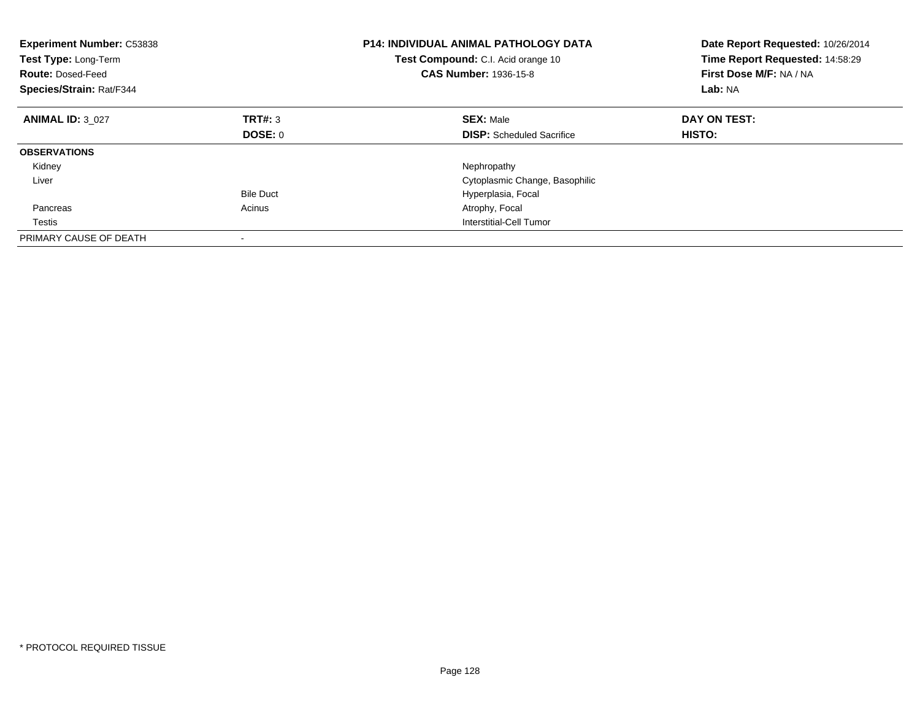| <b>Experiment Number: C53838</b><br>Test Type: Long-Term<br><b>Route: Dosed-Feed</b><br>Species/Strain: Rat/F344 |                  | <b>P14: INDIVIDUAL ANIMAL PATHOLOGY DATA</b><br>Test Compound: C.I. Acid orange 10<br><b>CAS Number: 1936-15-8</b> | Date Report Requested: 10/26/2014<br>Time Report Requested: 14:58:29<br>First Dose M/F: NA / NA<br>Lab: NA |
|------------------------------------------------------------------------------------------------------------------|------------------|--------------------------------------------------------------------------------------------------------------------|------------------------------------------------------------------------------------------------------------|
| <b>ANIMAL ID: 3 027</b>                                                                                          | TRT#: 3          | <b>SEX: Male</b>                                                                                                   | DAY ON TEST:                                                                                               |
|                                                                                                                  | DOSE: 0          | <b>DISP:</b> Scheduled Sacrifice                                                                                   | <b>HISTO:</b>                                                                                              |
| <b>OBSERVATIONS</b>                                                                                              |                  |                                                                                                                    |                                                                                                            |
| Kidney                                                                                                           |                  | Nephropathy                                                                                                        |                                                                                                            |
| Liver                                                                                                            |                  | Cytoplasmic Change, Basophilic                                                                                     |                                                                                                            |
|                                                                                                                  | <b>Bile Duct</b> | Hyperplasia, Focal                                                                                                 |                                                                                                            |
| Pancreas                                                                                                         | Acinus           | Atrophy, Focal                                                                                                     |                                                                                                            |
| Testis                                                                                                           |                  | Interstitial-Cell Tumor                                                                                            |                                                                                                            |
| PRIMARY CAUSE OF DEATH                                                                                           |                  |                                                                                                                    |                                                                                                            |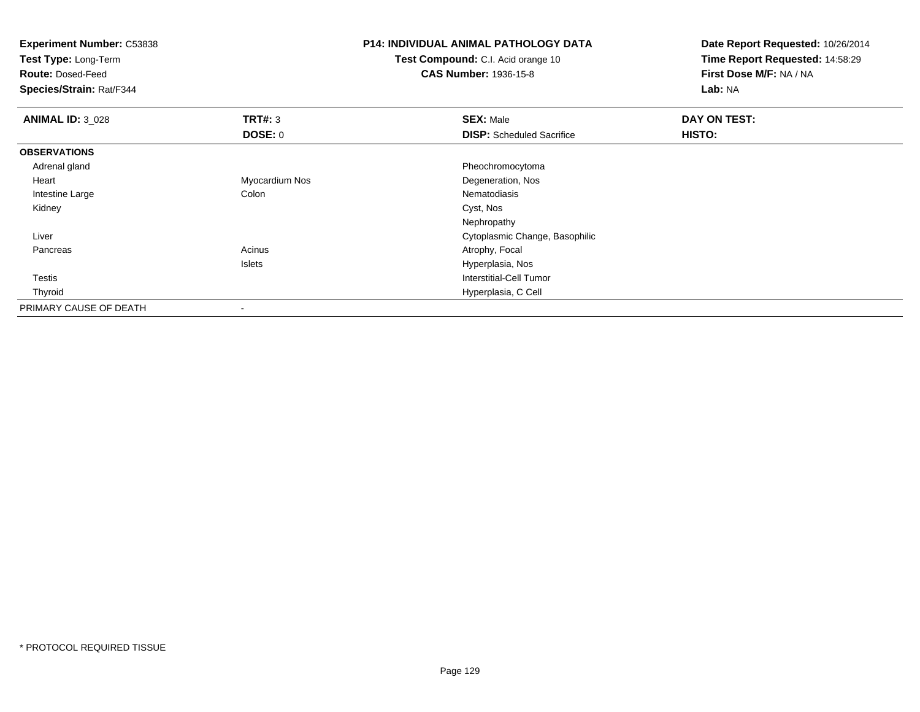| <b>Experiment Number: C53838</b> | <b>P14: INDIVIDUAL ANIMAL PATHOLOGY DATA</b> |                                           | Date Report Requested: 10/26/2014 |  |
|----------------------------------|----------------------------------------------|-------------------------------------------|-----------------------------------|--|
| Test Type: Long-Term             |                                              | <b>Test Compound: C.I. Acid orange 10</b> | Time Report Requested: 14:58:29   |  |
| <b>Route: Dosed-Feed</b>         |                                              | <b>CAS Number: 1936-15-8</b>              | First Dose M/F: NA / NA           |  |
| Species/Strain: Rat/F344         |                                              |                                           | Lab: NA                           |  |
| <b>ANIMAL ID: 3_028</b>          | TRT#: 3                                      | <b>SEX: Male</b>                          | DAY ON TEST:                      |  |
|                                  | <b>DOSE: 0</b>                               | <b>DISP:</b> Scheduled Sacrifice          | <b>HISTO:</b>                     |  |
| <b>OBSERVATIONS</b>              |                                              |                                           |                                   |  |
| Adrenal gland                    |                                              | Pheochromocytoma                          |                                   |  |
| Heart                            | Myocardium Nos                               | Degeneration, Nos                         |                                   |  |
| Intestine Large                  | Colon                                        | Nematodiasis                              |                                   |  |
| Kidney                           |                                              | Cyst, Nos                                 |                                   |  |
|                                  |                                              | Nephropathy                               |                                   |  |
| Liver                            |                                              | Cytoplasmic Change, Basophilic            |                                   |  |
| Pancreas                         | Acinus                                       | Atrophy, Focal                            |                                   |  |
|                                  | Islets                                       | Hyperplasia, Nos                          |                                   |  |
| Testis                           |                                              | Interstitial-Cell Tumor                   |                                   |  |
| Thyroid                          |                                              | Hyperplasia, C Cell                       |                                   |  |
| PRIMARY CAUSE OF DEATH           |                                              |                                           |                                   |  |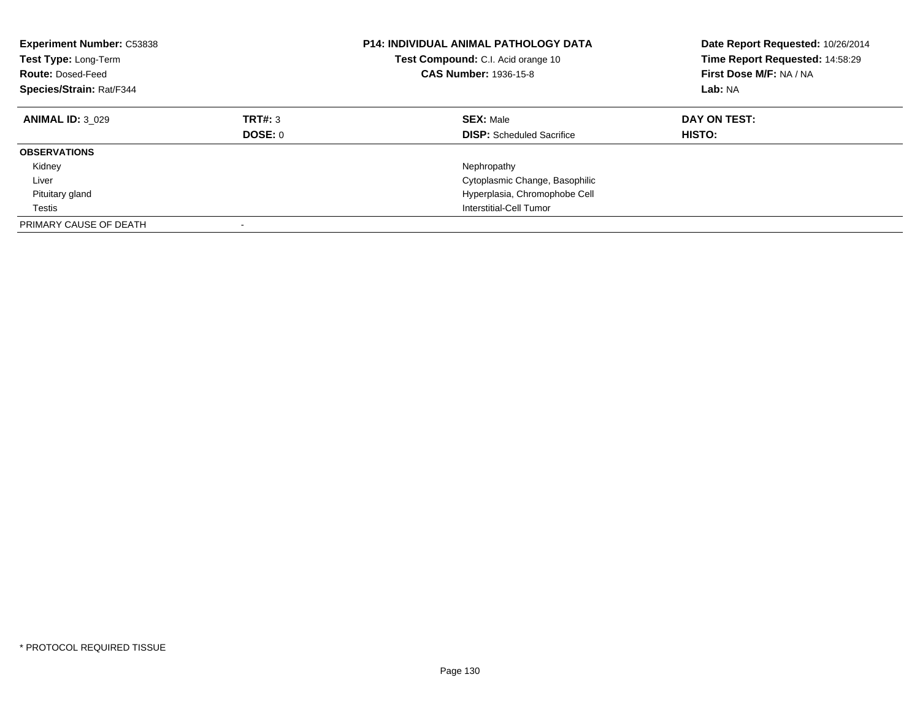| <b>Experiment Number: C53838</b><br>Test Type: Long-Term<br><b>Route: Dosed-Feed</b><br>Species/Strain: Rat/F344 |                           | <b>P14: INDIVIDUAL ANIMAL PATHOLOGY DATA</b><br><b>Test Compound:</b> C.I. Acid orange 10<br><b>CAS Number: 1936-15-8</b> | Date Report Requested: 10/26/2014<br>Time Report Requested: 14:58:29<br>First Dose M/F: NA / NA<br>Lab: NA |
|------------------------------------------------------------------------------------------------------------------|---------------------------|---------------------------------------------------------------------------------------------------------------------------|------------------------------------------------------------------------------------------------------------|
| <b>ANIMAL ID: 3 029</b>                                                                                          | TRT#: 3<br><b>DOSE: 0</b> | <b>SEX: Male</b><br><b>DISP:</b> Scheduled Sacrifice                                                                      | DAY ON TEST:<br><b>HISTO:</b>                                                                              |
| <b>OBSERVATIONS</b>                                                                                              |                           |                                                                                                                           |                                                                                                            |
| Kidney                                                                                                           |                           | Nephropathy                                                                                                               |                                                                                                            |
| Liver                                                                                                            |                           | Cytoplasmic Change, Basophilic                                                                                            |                                                                                                            |
| Pituitary gland                                                                                                  |                           | Hyperplasia, Chromophobe Cell                                                                                             |                                                                                                            |
| Testis                                                                                                           |                           | Interstitial-Cell Tumor                                                                                                   |                                                                                                            |
| PRIMARY CAUSE OF DEATH                                                                                           |                           |                                                                                                                           |                                                                                                            |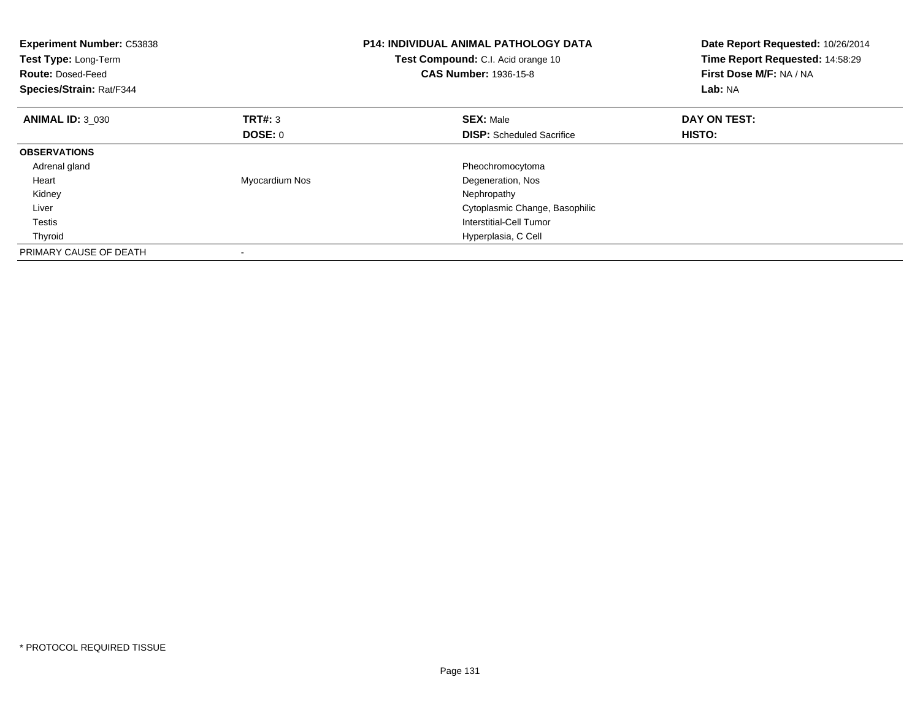| <b>Experiment Number: C53838</b><br>Test Type: Long-Term<br><b>Route: Dosed-Feed</b><br>Species/Strain: Rat/F344 |                | <b>P14: INDIVIDUAL ANIMAL PATHOLOGY DATA</b><br>Test Compound: C.I. Acid orange 10<br><b>CAS Number: 1936-15-8</b> | Date Report Requested: 10/26/2014<br>Time Report Requested: 14:58:29<br>First Dose M/F: NA / NA<br>Lab: NA |
|------------------------------------------------------------------------------------------------------------------|----------------|--------------------------------------------------------------------------------------------------------------------|------------------------------------------------------------------------------------------------------------|
| <b>ANIMAL ID: 3 030</b>                                                                                          | TRT#: 3        | <b>SEX: Male</b>                                                                                                   | DAY ON TEST:                                                                                               |
|                                                                                                                  | <b>DOSE: 0</b> | <b>DISP:</b> Scheduled Sacrifice                                                                                   | <b>HISTO:</b>                                                                                              |
| <b>OBSERVATIONS</b>                                                                                              |                |                                                                                                                    |                                                                                                            |
| Adrenal gland                                                                                                    |                | Pheochromocytoma                                                                                                   |                                                                                                            |
| Heart                                                                                                            | Myocardium Nos | Degeneration, Nos                                                                                                  |                                                                                                            |
| Kidney                                                                                                           |                | Nephropathy                                                                                                        |                                                                                                            |
| Liver                                                                                                            |                | Cytoplasmic Change, Basophilic                                                                                     |                                                                                                            |
| <b>Testis</b>                                                                                                    |                | Interstitial-Cell Tumor                                                                                            |                                                                                                            |
| Thyroid                                                                                                          |                | Hyperplasia, C Cell                                                                                                |                                                                                                            |
| PRIMARY CAUSE OF DEATH                                                                                           |                |                                                                                                                    |                                                                                                            |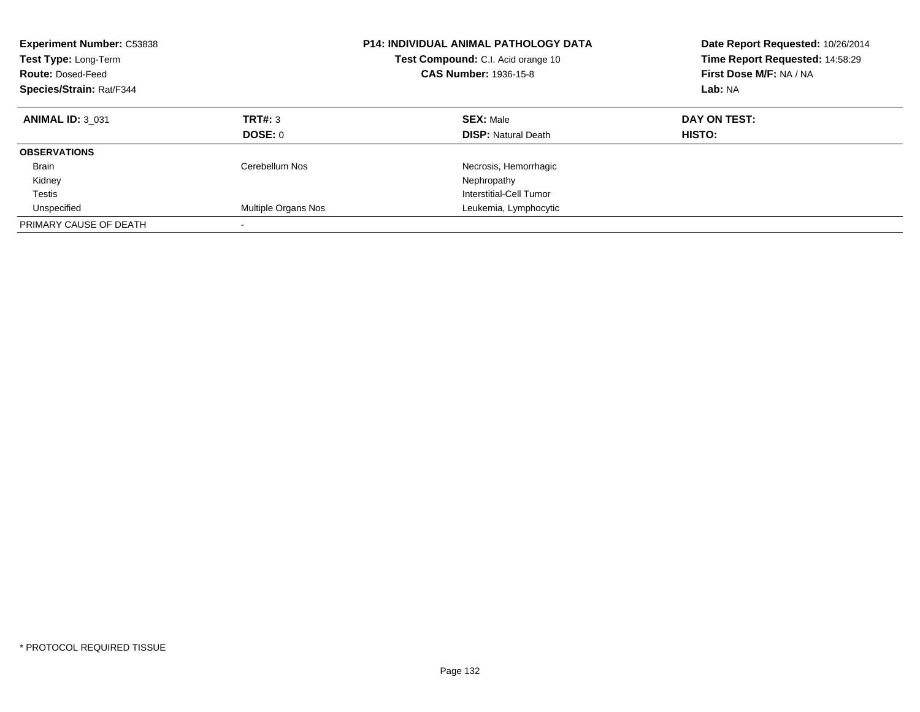| <b>Experiment Number: C53838</b><br>Test Type: Long-Term<br><b>Route: Dosed-Feed</b><br>Species/Strain: Rat/F344 |                           | <b>P14: INDIVIDUAL ANIMAL PATHOLOGY DATA</b><br>Test Compound: C.I. Acid orange 10<br><b>CAS Number: 1936-15-8</b> | Date Report Requested: 10/26/2014<br>Time Report Requested: 14:58:29<br>First Dose M/F: NA / NA<br>Lab: NA |
|------------------------------------------------------------------------------------------------------------------|---------------------------|--------------------------------------------------------------------------------------------------------------------|------------------------------------------------------------------------------------------------------------|
| <b>ANIMAL ID: 3 031</b>                                                                                          | <b>TRT#: 3</b><br>DOSE: 0 | <b>SEX: Male</b><br><b>DISP: Natural Death</b>                                                                     | DAY ON TEST:<br>HISTO:                                                                                     |
|                                                                                                                  |                           |                                                                                                                    |                                                                                                            |
| <b>OBSERVATIONS</b>                                                                                              |                           |                                                                                                                    |                                                                                                            |
| <b>Brain</b>                                                                                                     | Cerebellum Nos            | Necrosis, Hemorrhagic                                                                                              |                                                                                                            |
| Kidney                                                                                                           |                           | Nephropathy                                                                                                        |                                                                                                            |
| Testis                                                                                                           |                           | Interstitial-Cell Tumor                                                                                            |                                                                                                            |
| Unspecified                                                                                                      | Multiple Organs Nos       | Leukemia, Lymphocytic                                                                                              |                                                                                                            |
| PRIMARY CAUSE OF DEATH                                                                                           |                           |                                                                                                                    |                                                                                                            |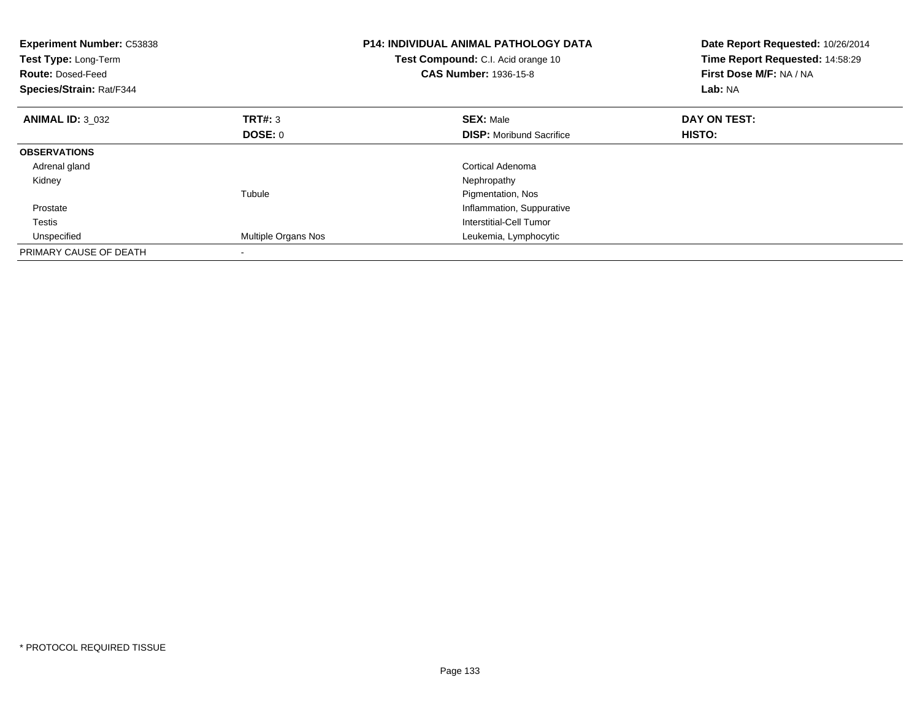| Experiment Number: C53838<br>Test Type: Long-Term<br><b>Route: Dosed-Feed</b><br>Species/Strain: Rat/F344 |                     | <b>P14: INDIVIDUAL ANIMAL PATHOLOGY DATA</b><br>Test Compound: C.I. Acid orange 10<br><b>CAS Number: 1936-15-8</b> | Date Report Requested: 10/26/2014<br>Time Report Requested: 14:58:29<br>First Dose M/F: NA / NA<br>Lab: NA |
|-----------------------------------------------------------------------------------------------------------|---------------------|--------------------------------------------------------------------------------------------------------------------|------------------------------------------------------------------------------------------------------------|
| <b>ANIMAL ID: 3 032</b>                                                                                   | TRT#: 3             | <b>SEX: Male</b>                                                                                                   | DAY ON TEST:                                                                                               |
|                                                                                                           | <b>DOSE: 0</b>      | <b>DISP:</b> Moribund Sacrifice                                                                                    | HISTO:                                                                                                     |
| <b>OBSERVATIONS</b>                                                                                       |                     |                                                                                                                    |                                                                                                            |
| Adrenal gland                                                                                             |                     | Cortical Adenoma                                                                                                   |                                                                                                            |
| Kidney                                                                                                    |                     | Nephropathy                                                                                                        |                                                                                                            |
|                                                                                                           | Tubule              | Pigmentation, Nos                                                                                                  |                                                                                                            |
| Prostate                                                                                                  |                     | Inflammation, Suppurative                                                                                          |                                                                                                            |
| Testis                                                                                                    |                     | Interstitial-Cell Tumor                                                                                            |                                                                                                            |
| Unspecified                                                                                               | Multiple Organs Nos | Leukemia, Lymphocytic                                                                                              |                                                                                                            |
| PRIMARY CAUSE OF DEATH                                                                                    |                     |                                                                                                                    |                                                                                                            |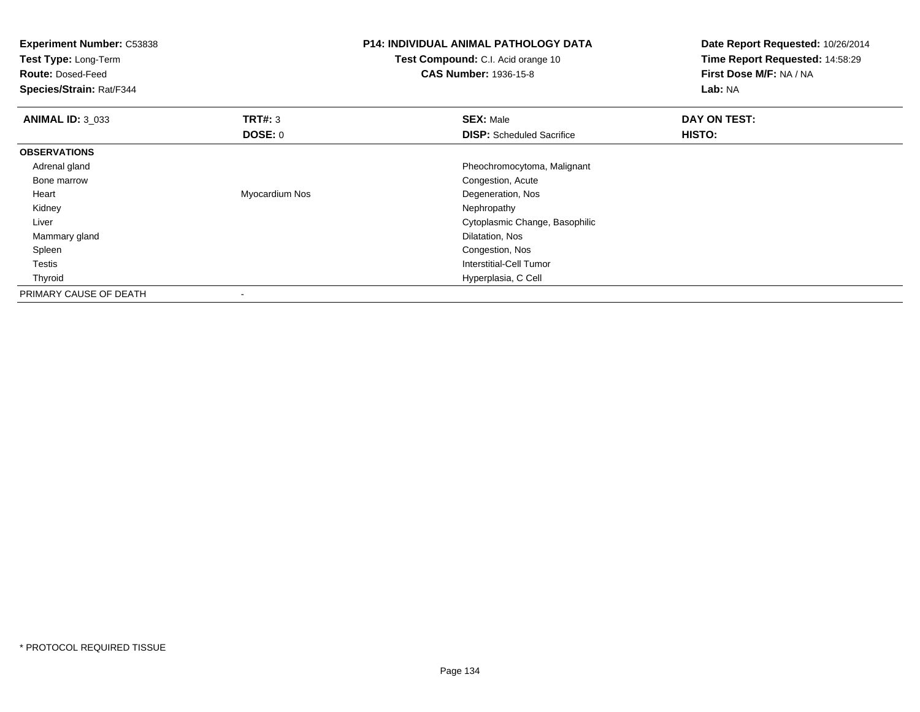| <b>Experiment Number: C53838</b><br>Test Type: Long-Term<br><b>Route: Dosed-Feed</b><br>Species/Strain: Rat/F344 |                | <b>P14: INDIVIDUAL ANIMAL PATHOLOGY DATA</b><br><b>Test Compound:</b> C.I. Acid orange 10<br><b>CAS Number: 1936-15-8</b> | Date Report Requested: 10/26/2014<br>Time Report Requested: 14:58:29<br>First Dose M/F: NA / NA<br>Lab: NA |
|------------------------------------------------------------------------------------------------------------------|----------------|---------------------------------------------------------------------------------------------------------------------------|------------------------------------------------------------------------------------------------------------|
| <b>ANIMAL ID: 3_033</b>                                                                                          | TRT#: 3        | <b>SEX: Male</b>                                                                                                          | DAY ON TEST:                                                                                               |
|                                                                                                                  | DOSE: 0        | <b>DISP:</b> Scheduled Sacrifice                                                                                          | HISTO:                                                                                                     |
| <b>OBSERVATIONS</b>                                                                                              |                |                                                                                                                           |                                                                                                            |
| Adrenal gland                                                                                                    |                | Pheochromocytoma, Malignant                                                                                               |                                                                                                            |
| Bone marrow                                                                                                      |                | Congestion, Acute                                                                                                         |                                                                                                            |
| Heart                                                                                                            | Myocardium Nos | Degeneration, Nos                                                                                                         |                                                                                                            |
| Kidney                                                                                                           |                | Nephropathy                                                                                                               |                                                                                                            |
| Liver                                                                                                            |                | Cytoplasmic Change, Basophilic                                                                                            |                                                                                                            |
| Mammary gland                                                                                                    |                | Dilatation, Nos                                                                                                           |                                                                                                            |
| Spleen                                                                                                           |                | Congestion, Nos                                                                                                           |                                                                                                            |
| Testis                                                                                                           |                | <b>Interstitial-Cell Tumor</b>                                                                                            |                                                                                                            |
| Thyroid                                                                                                          |                | Hyperplasia, C Cell                                                                                                       |                                                                                                            |
| PRIMARY CAUSE OF DEATH                                                                                           |                |                                                                                                                           |                                                                                                            |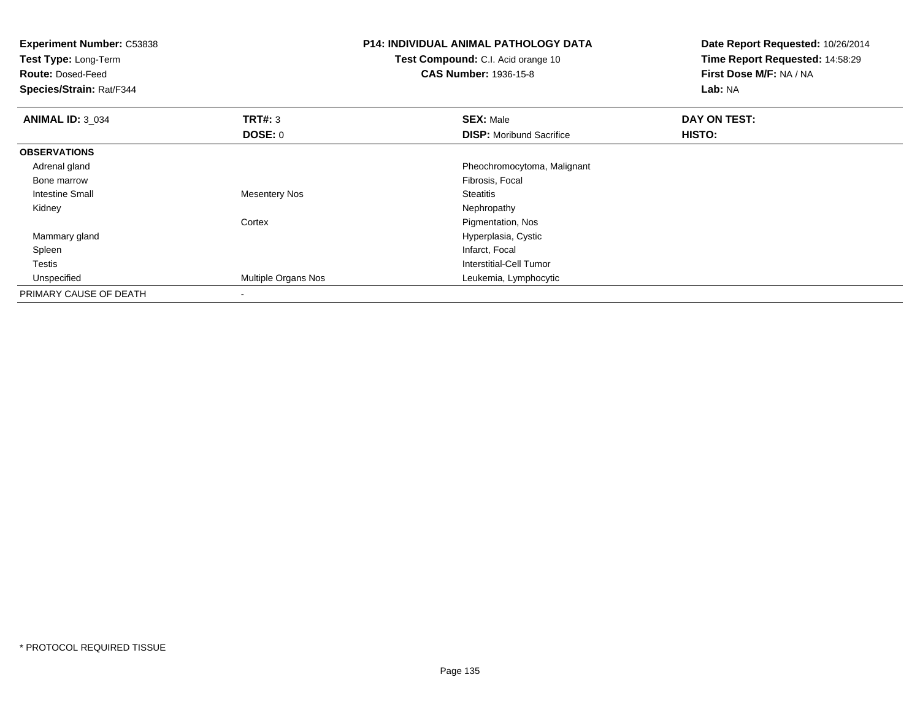| <b>Experiment Number: C53838</b><br>Test Type: Long-Term<br><b>Route: Dosed-Feed</b><br>Species/Strain: Rat/F344 |                      | <b>P14: INDIVIDUAL ANIMAL PATHOLOGY DATA</b><br>Test Compound: C.I. Acid orange 10<br><b>CAS Number: 1936-15-8</b> | Date Report Requested: 10/26/2014<br>Time Report Requested: 14:58:29<br>First Dose M/F: NA / NA<br>Lab: NA |
|------------------------------------------------------------------------------------------------------------------|----------------------|--------------------------------------------------------------------------------------------------------------------|------------------------------------------------------------------------------------------------------------|
| <b>ANIMAL ID: 3 034</b>                                                                                          | TRT#: 3              | <b>SEX: Male</b>                                                                                                   | <b>DAY ON TEST:</b>                                                                                        |
|                                                                                                                  | DOSE: 0              | <b>DISP:</b> Moribund Sacrifice                                                                                    | HISTO:                                                                                                     |
| <b>OBSERVATIONS</b>                                                                                              |                      |                                                                                                                    |                                                                                                            |
| Adrenal gland                                                                                                    |                      | Pheochromocytoma, Malignant                                                                                        |                                                                                                            |
| Bone marrow                                                                                                      |                      | Fibrosis, Focal                                                                                                    |                                                                                                            |
| Intestine Small                                                                                                  | <b>Mesentery Nos</b> | <b>Steatitis</b>                                                                                                   |                                                                                                            |
| Kidney                                                                                                           |                      | Nephropathy                                                                                                        |                                                                                                            |
|                                                                                                                  | Cortex               | Pigmentation, Nos                                                                                                  |                                                                                                            |
| Mammary gland                                                                                                    |                      | Hyperplasia, Cystic                                                                                                |                                                                                                            |
| Spleen                                                                                                           |                      | Infarct, Focal                                                                                                     |                                                                                                            |
| <b>Testis</b>                                                                                                    |                      | Interstitial-Cell Tumor                                                                                            |                                                                                                            |
| Unspecified                                                                                                      | Multiple Organs Nos  | Leukemia, Lymphocytic                                                                                              |                                                                                                            |
| PRIMARY CAUSE OF DEATH                                                                                           |                      |                                                                                                                    |                                                                                                            |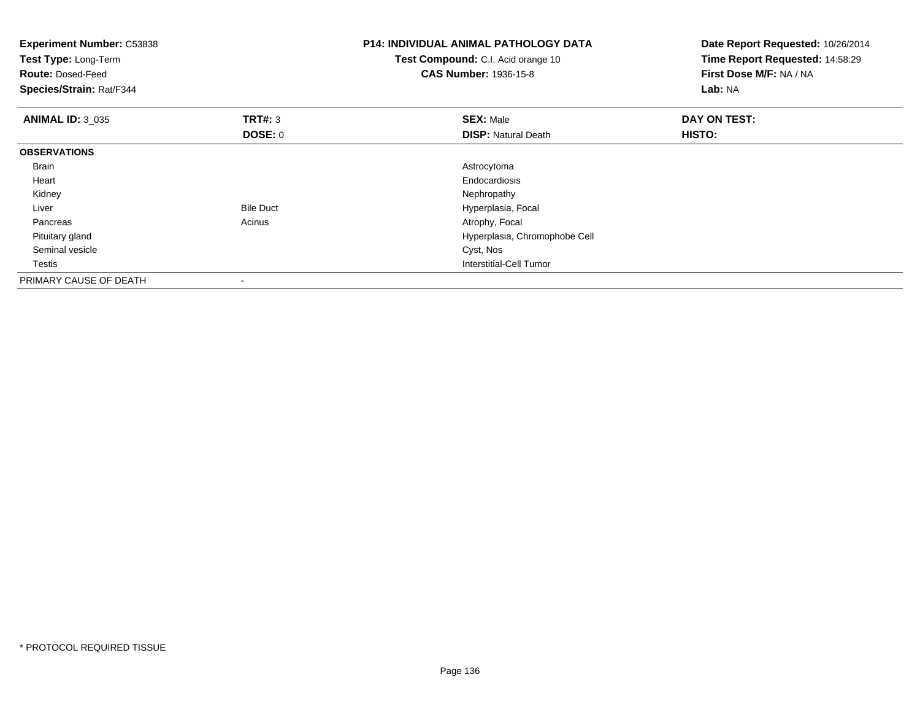| <b>Experiment Number: C53838</b><br>Test Type: Long-Term<br><b>Route: Dosed-Feed</b><br>Species/Strain: Rat/F344 |                  | <b>P14: INDIVIDUAL ANIMAL PATHOLOGY DATA</b><br>Test Compound: C.I. Acid orange 10<br><b>CAS Number: 1936-15-8</b> | Date Report Requested: 10/26/2014<br>Time Report Requested: 14:58:29<br>First Dose M/F: NA / NA<br>Lab: NA |
|------------------------------------------------------------------------------------------------------------------|------------------|--------------------------------------------------------------------------------------------------------------------|------------------------------------------------------------------------------------------------------------|
| <b>ANIMAL ID: 3 035</b>                                                                                          | TRT#: 3          | <b>SEX: Male</b>                                                                                                   | DAY ON TEST:                                                                                               |
|                                                                                                                  | <b>DOSE: 0</b>   | <b>DISP: Natural Death</b>                                                                                         | <b>HISTO:</b>                                                                                              |
| <b>OBSERVATIONS</b>                                                                                              |                  |                                                                                                                    |                                                                                                            |
| <b>Brain</b>                                                                                                     |                  | Astrocytoma                                                                                                        |                                                                                                            |
| Heart                                                                                                            |                  | Endocardiosis                                                                                                      |                                                                                                            |
| Kidney                                                                                                           |                  | Nephropathy                                                                                                        |                                                                                                            |
| Liver                                                                                                            | <b>Bile Duct</b> | Hyperplasia, Focal                                                                                                 |                                                                                                            |
| Pancreas                                                                                                         | Acinus           | Atrophy, Focal                                                                                                     |                                                                                                            |
| Pituitary gland                                                                                                  |                  | Hyperplasia, Chromophobe Cell                                                                                      |                                                                                                            |
| Seminal vesicle                                                                                                  |                  | Cyst, Nos                                                                                                          |                                                                                                            |
| Testis                                                                                                           |                  | <b>Interstitial-Cell Tumor</b>                                                                                     |                                                                                                            |
| PRIMARY CAUSE OF DEATH                                                                                           |                  |                                                                                                                    |                                                                                                            |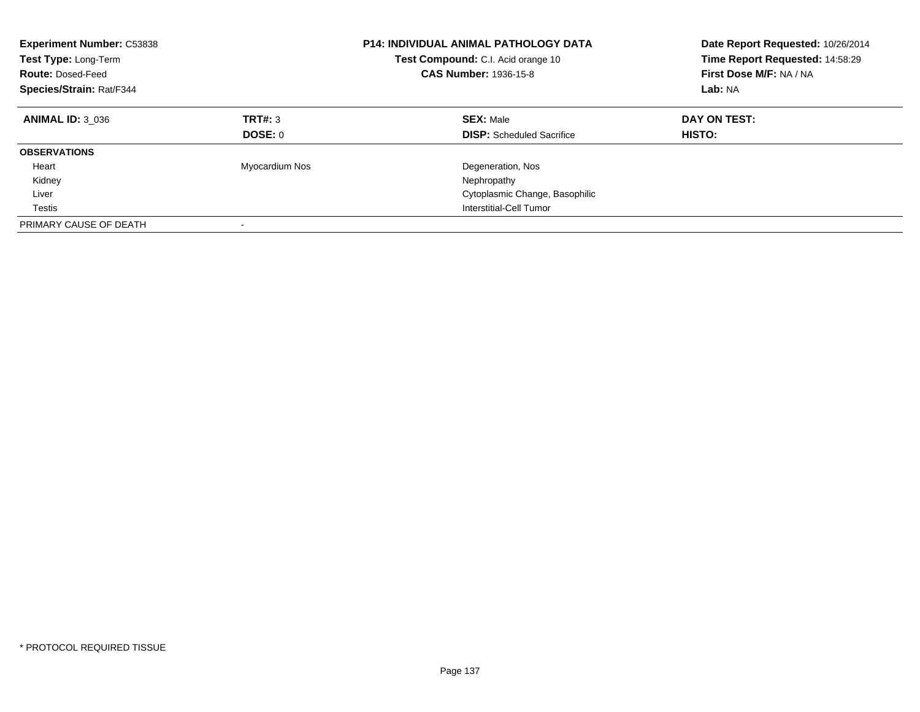| <b>Experiment Number: C53838</b><br>Test Type: Long-Term<br><b>Route: Dosed-Feed</b><br>Species/Strain: Rat/F344 |                    | <b>P14: INDIVIDUAL ANIMAL PATHOLOGY DATA</b><br>Test Compound: C.I. Acid orange 10<br><b>CAS Number: 1936-15-8</b> | Date Report Requested: 10/26/2014<br>Time Report Requested: 14:58:29<br>First Dose M/F: NA / NA<br>Lab: NA |
|------------------------------------------------------------------------------------------------------------------|--------------------|--------------------------------------------------------------------------------------------------------------------|------------------------------------------------------------------------------------------------------------|
| <b>ANIMAL ID: 3 036</b>                                                                                          | TRT#: 3<br>DOSE: 0 | <b>SEX: Male</b><br><b>DISP:</b> Scheduled Sacrifice                                                               | DAY ON TEST:<br>HISTO:                                                                                     |
|                                                                                                                  |                    |                                                                                                                    |                                                                                                            |
| <b>OBSERVATIONS</b>                                                                                              |                    |                                                                                                                    |                                                                                                            |
| Heart                                                                                                            | Myocardium Nos     | Degeneration, Nos                                                                                                  |                                                                                                            |
| Kidney                                                                                                           |                    | Nephropathy                                                                                                        |                                                                                                            |
| Liver                                                                                                            |                    | Cytoplasmic Change, Basophilic                                                                                     |                                                                                                            |
| Testis                                                                                                           |                    | Interstitial-Cell Tumor                                                                                            |                                                                                                            |
| PRIMARY CAUSE OF DEATH                                                                                           | -                  |                                                                                                                    |                                                                                                            |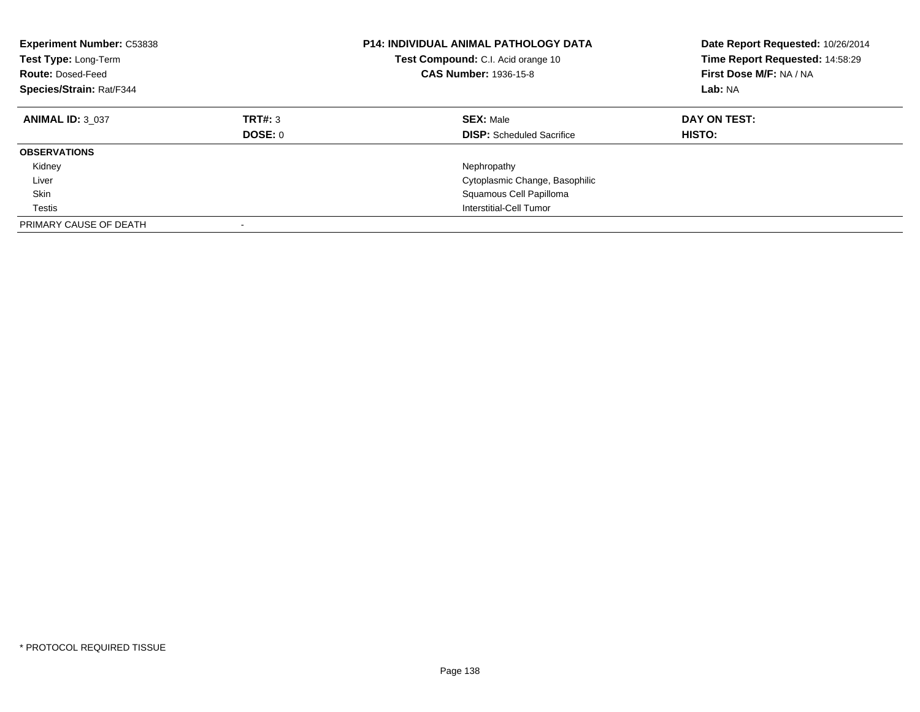| <b>Experiment Number: C53838</b><br>Test Type: Long-Term<br><b>Route: Dosed-Feed</b><br>Species/Strain: Rat/F344 |                           | <b>P14: INDIVIDUAL ANIMAL PATHOLOGY DATA</b><br><b>Test Compound:</b> C.I. Acid orange 10<br><b>CAS Number: 1936-15-8</b> | Date Report Requested: 10/26/2014<br>Time Report Requested: 14:58:29<br>First Dose M/F: NA / NA<br>Lab: NA |
|------------------------------------------------------------------------------------------------------------------|---------------------------|---------------------------------------------------------------------------------------------------------------------------|------------------------------------------------------------------------------------------------------------|
| <b>ANIMAL ID: 3 037</b>                                                                                          | TRT#: 3<br><b>DOSE: 0</b> | <b>SEX: Male</b><br><b>DISP:</b> Scheduled Sacrifice                                                                      | DAY ON TEST:<br><b>HISTO:</b>                                                                              |
| <b>OBSERVATIONS</b>                                                                                              |                           |                                                                                                                           |                                                                                                            |
| Kidney                                                                                                           |                           | Nephropathy                                                                                                               |                                                                                                            |
| Liver                                                                                                            |                           | Cytoplasmic Change, Basophilic                                                                                            |                                                                                                            |
| Skin                                                                                                             |                           | Squamous Cell Papilloma                                                                                                   |                                                                                                            |
| Testis                                                                                                           |                           | Interstitial-Cell Tumor                                                                                                   |                                                                                                            |
| PRIMARY CAUSE OF DEATH                                                                                           | $\overline{\phantom{a}}$  |                                                                                                                           |                                                                                                            |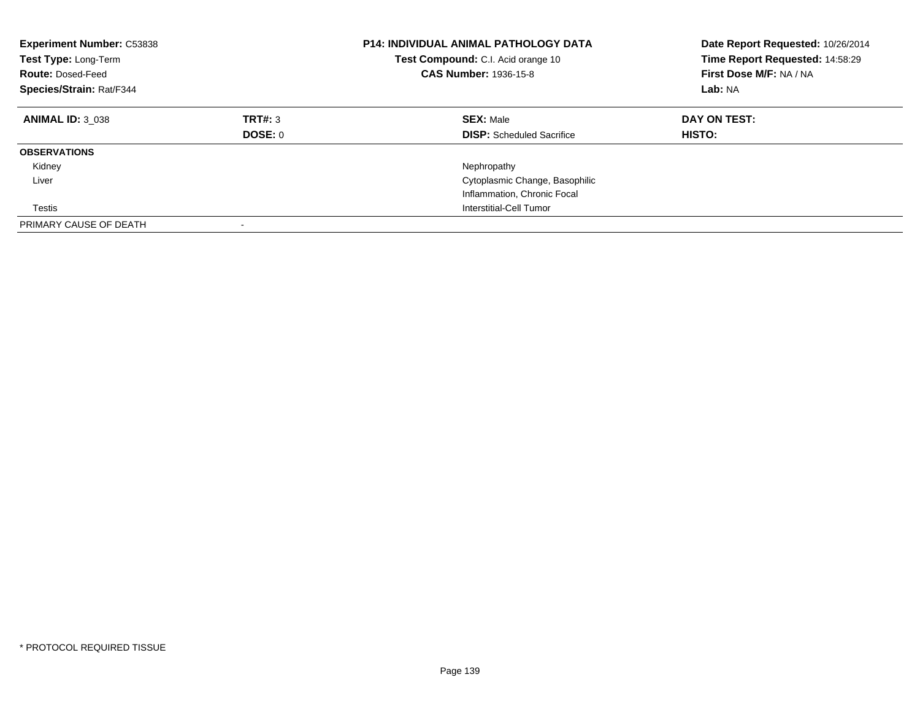| <b>Experiment Number: C53838</b><br>Test Type: Long-Term<br><b>Route: Dosed-Feed</b><br>Species/Strain: Rat/F344 |                    | <b>P14: INDIVIDUAL ANIMAL PATHOLOGY DATA</b><br>Test Compound: C.I. Acid orange 10<br><b>CAS Number: 1936-15-8</b> | Date Report Requested: 10/26/2014<br>Time Report Requested: 14:58:29<br>First Dose M/F: NA / NA<br>Lab: NA |
|------------------------------------------------------------------------------------------------------------------|--------------------|--------------------------------------------------------------------------------------------------------------------|------------------------------------------------------------------------------------------------------------|
| <b>ANIMAL ID: 3 038</b>                                                                                          | TRT#: 3<br>DOSE: 0 | <b>SEX: Male</b><br><b>DISP:</b> Scheduled Sacrifice                                                               | DAY ON TEST:<br><b>HISTO:</b>                                                                              |
| <b>OBSERVATIONS</b>                                                                                              |                    |                                                                                                                    |                                                                                                            |
| Kidney                                                                                                           |                    | Nephropathy                                                                                                        |                                                                                                            |
| Liver                                                                                                            |                    | Cytoplasmic Change, Basophilic                                                                                     |                                                                                                            |
|                                                                                                                  |                    | Inflammation, Chronic Focal                                                                                        |                                                                                                            |
| Testis                                                                                                           |                    | Interstitial-Cell Tumor                                                                                            |                                                                                                            |
| PRIMARY CAUSE OF DEATH                                                                                           |                    |                                                                                                                    |                                                                                                            |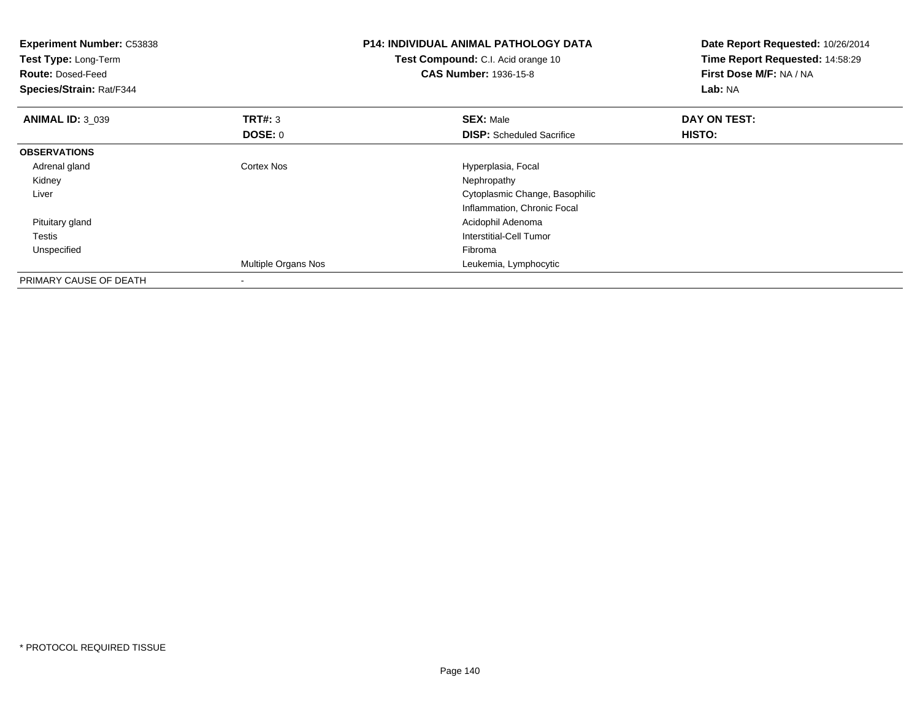| <b>Experiment Number: C53838</b><br>Test Type: Long-Term<br><b>Route: Dosed-Feed</b><br>Species/Strain: Rat/F344 |                          | <b>P14: INDIVIDUAL ANIMAL PATHOLOGY DATA</b><br>Test Compound: C.I. Acid orange 10<br><b>CAS Number: 1936-15-8</b> | Date Report Requested: 10/26/2014<br>Time Report Requested: 14:58:29<br>First Dose M/F: NA / NA<br>Lab: NA |
|------------------------------------------------------------------------------------------------------------------|--------------------------|--------------------------------------------------------------------------------------------------------------------|------------------------------------------------------------------------------------------------------------|
| <b>ANIMAL ID: 3 039</b>                                                                                          | TRT#: 3                  | <b>SEX: Male</b>                                                                                                   | DAY ON TEST:                                                                                               |
|                                                                                                                  | DOSE: 0                  | <b>DISP:</b> Scheduled Sacrifice                                                                                   | <b>HISTO:</b>                                                                                              |
| <b>OBSERVATIONS</b>                                                                                              |                          |                                                                                                                    |                                                                                                            |
| Adrenal gland                                                                                                    | Cortex Nos               | Hyperplasia, Focal                                                                                                 |                                                                                                            |
| Kidney                                                                                                           |                          | Nephropathy                                                                                                        |                                                                                                            |
| Liver                                                                                                            |                          | Cytoplasmic Change, Basophilic                                                                                     |                                                                                                            |
|                                                                                                                  |                          | Inflammation, Chronic Focal                                                                                        |                                                                                                            |
| Pituitary gland                                                                                                  |                          | Acidophil Adenoma                                                                                                  |                                                                                                            |
| Testis                                                                                                           |                          | Interstitial-Cell Tumor                                                                                            |                                                                                                            |
| Unspecified                                                                                                      |                          | Fibroma                                                                                                            |                                                                                                            |
|                                                                                                                  | Multiple Organs Nos      | Leukemia, Lymphocytic                                                                                              |                                                                                                            |
| PRIMARY CAUSE OF DEATH                                                                                           | $\overline{\phantom{a}}$ |                                                                                                                    |                                                                                                            |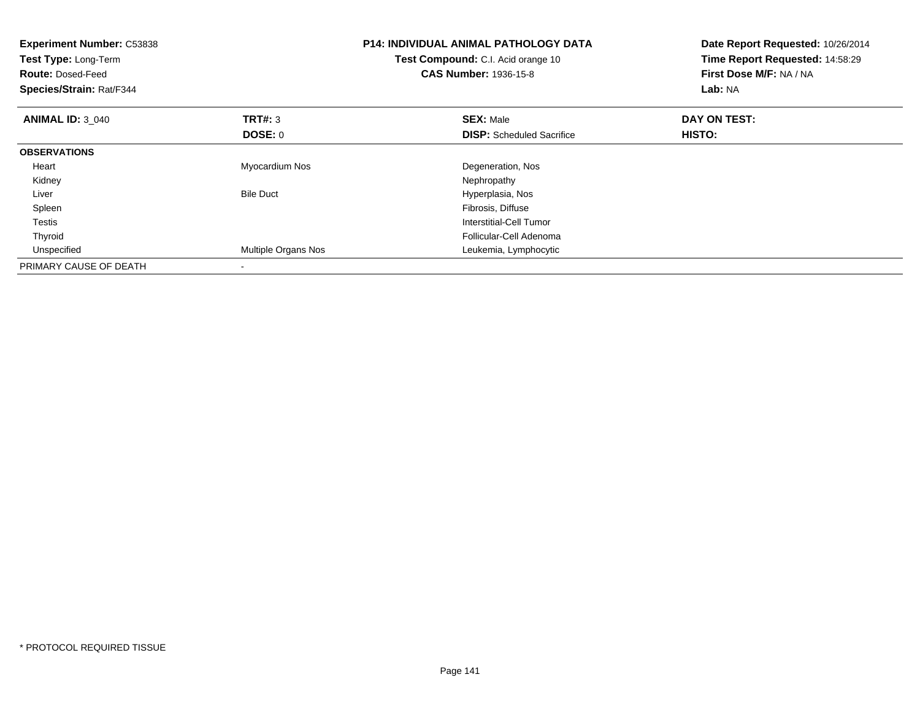| <b>Experiment Number: C53838</b><br>Test Type: Long-Term<br><b>Route: Dosed-Feed</b><br>Species/Strain: Rat/F344 |                           | <b>P14: INDIVIDUAL ANIMAL PATHOLOGY DATA</b><br>Test Compound: C.I. Acid orange 10<br><b>CAS Number: 1936-15-8</b> | Date Report Requested: 10/26/2014<br>Time Report Requested: 14:58:29<br>First Dose M/F: NA / NA<br>Lab: NA |
|------------------------------------------------------------------------------------------------------------------|---------------------------|--------------------------------------------------------------------------------------------------------------------|------------------------------------------------------------------------------------------------------------|
| <b>ANIMAL ID: 3 040</b>                                                                                          | <b>TRT#:</b> 3<br>DOSE: 0 | <b>SEX: Male</b><br><b>DISP:</b> Scheduled Sacrifice                                                               | DAY ON TEST:<br>HISTO:                                                                                     |
| <b>OBSERVATIONS</b>                                                                                              |                           |                                                                                                                    |                                                                                                            |
| Heart                                                                                                            | Myocardium Nos            | Degeneration, Nos                                                                                                  |                                                                                                            |
| Kidney                                                                                                           |                           | Nephropathy                                                                                                        |                                                                                                            |
| Liver                                                                                                            | <b>Bile Duct</b>          | Hyperplasia, Nos                                                                                                   |                                                                                                            |
| Spleen                                                                                                           |                           | Fibrosis, Diffuse                                                                                                  |                                                                                                            |
| Testis                                                                                                           |                           | Interstitial-Cell Tumor                                                                                            |                                                                                                            |
| Thyroid                                                                                                          |                           | Follicular-Cell Adenoma                                                                                            |                                                                                                            |
| Unspecified                                                                                                      | Multiple Organs Nos       | Leukemia, Lymphocytic                                                                                              |                                                                                                            |
| PRIMARY CAUSE OF DEATH                                                                                           |                           |                                                                                                                    |                                                                                                            |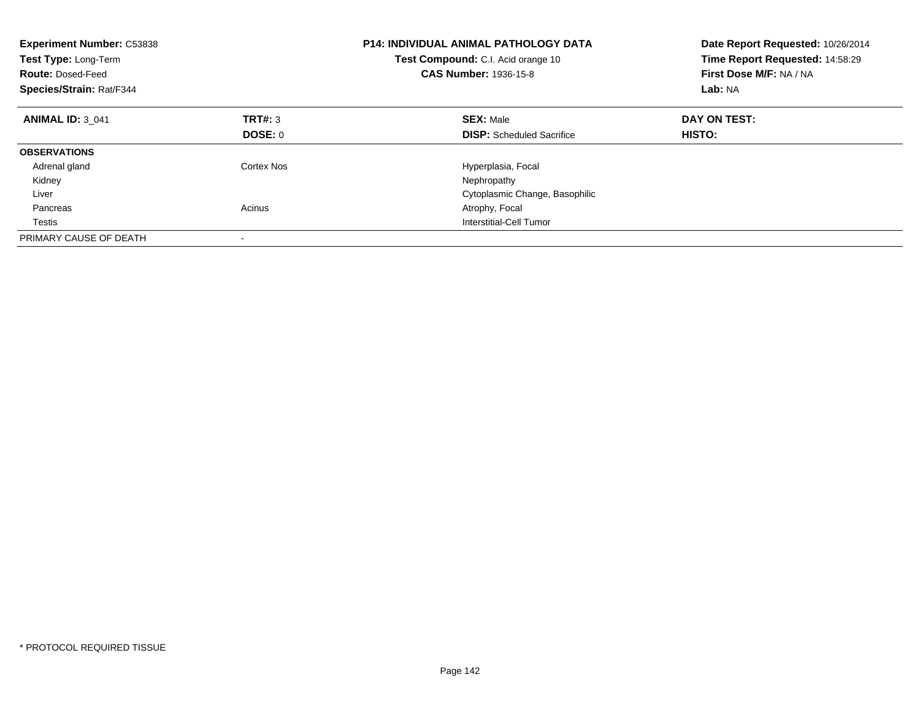| <b>Experiment Number: C53838</b><br>Test Type: Long-Term<br><b>Route: Dosed-Feed</b><br>Species/Strain: Rat/F344 |            | <b>P14: INDIVIDUAL ANIMAL PATHOLOGY DATA</b><br>Test Compound: C.I. Acid orange 10<br><b>CAS Number: 1936-15-8</b> | Date Report Requested: 10/26/2014<br>Time Report Requested: 14:58:29<br>First Dose M/F: NA / NA<br>Lab: NA |
|------------------------------------------------------------------------------------------------------------------|------------|--------------------------------------------------------------------------------------------------------------------|------------------------------------------------------------------------------------------------------------|
| <b>ANIMAL ID: 3 041</b>                                                                                          | TRT#: 3    | <b>SEX: Male</b>                                                                                                   | DAY ON TEST:                                                                                               |
|                                                                                                                  | DOSE: 0    | <b>DISP:</b> Scheduled Sacrifice                                                                                   | <b>HISTO:</b>                                                                                              |
| <b>OBSERVATIONS</b>                                                                                              |            |                                                                                                                    |                                                                                                            |
| Adrenal gland                                                                                                    | Cortex Nos | Hyperplasia, Focal                                                                                                 |                                                                                                            |
| Kidney                                                                                                           |            | Nephropathy                                                                                                        |                                                                                                            |
| Liver                                                                                                            |            | Cytoplasmic Change, Basophilic                                                                                     |                                                                                                            |
| Pancreas                                                                                                         | Acinus     | Atrophy, Focal                                                                                                     |                                                                                                            |
| Testis                                                                                                           |            | Interstitial-Cell Tumor                                                                                            |                                                                                                            |
| PRIMARY CAUSE OF DEATH                                                                                           |            |                                                                                                                    |                                                                                                            |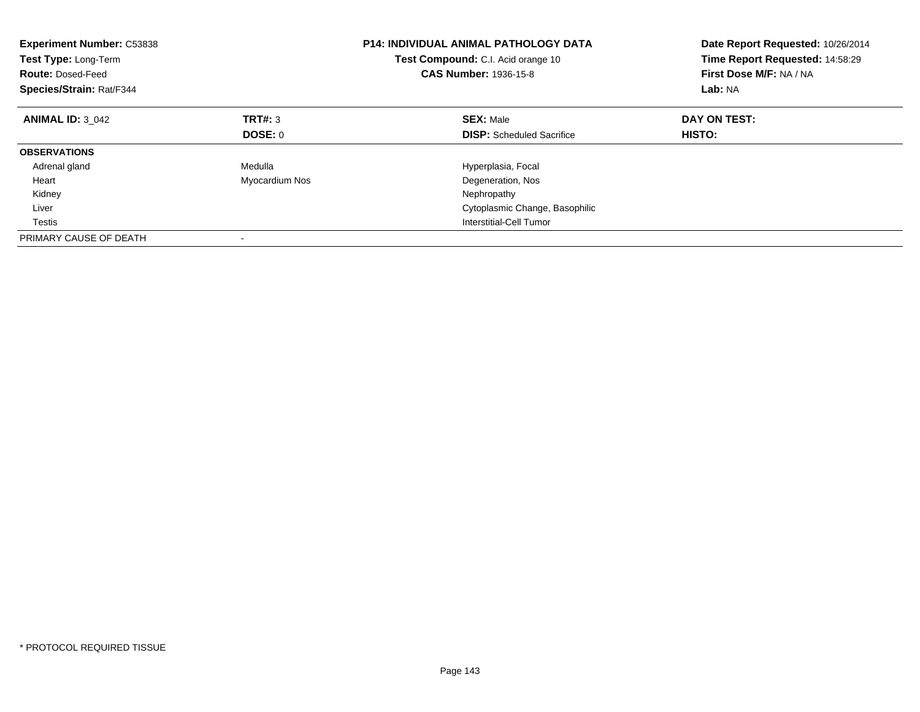| <b>Experiment Number: C53838</b><br>Test Type: Long-Term<br><b>Route: Dosed-Feed</b><br>Species/Strain: Rat/F344 |                | <b>P14: INDIVIDUAL ANIMAL PATHOLOGY DATA</b><br>Test Compound: C.I. Acid orange 10<br><b>CAS Number: 1936-15-8</b> | Date Report Requested: 10/26/2014<br>Time Report Requested: 14:58:29<br>First Dose M/F: NA / NA<br>Lab: NA |
|------------------------------------------------------------------------------------------------------------------|----------------|--------------------------------------------------------------------------------------------------------------------|------------------------------------------------------------------------------------------------------------|
| <b>ANIMAL ID: 3 042</b>                                                                                          | TRT#: 3        | <b>SEX: Male</b>                                                                                                   | DAY ON TEST:                                                                                               |
|                                                                                                                  | DOSE: 0        | <b>DISP:</b> Scheduled Sacrifice                                                                                   | HISTO:                                                                                                     |
| <b>OBSERVATIONS</b>                                                                                              |                |                                                                                                                    |                                                                                                            |
| Adrenal gland                                                                                                    | Medulla        | Hyperplasia, Focal                                                                                                 |                                                                                                            |
| Heart                                                                                                            | Myocardium Nos | Degeneration, Nos                                                                                                  |                                                                                                            |
| Kidney                                                                                                           |                | Nephropathy                                                                                                        |                                                                                                            |
| Liver                                                                                                            |                | Cytoplasmic Change, Basophilic                                                                                     |                                                                                                            |
| Testis                                                                                                           |                | Interstitial-Cell Tumor                                                                                            |                                                                                                            |
| PRIMARY CAUSE OF DEATH                                                                                           |                |                                                                                                                    |                                                                                                            |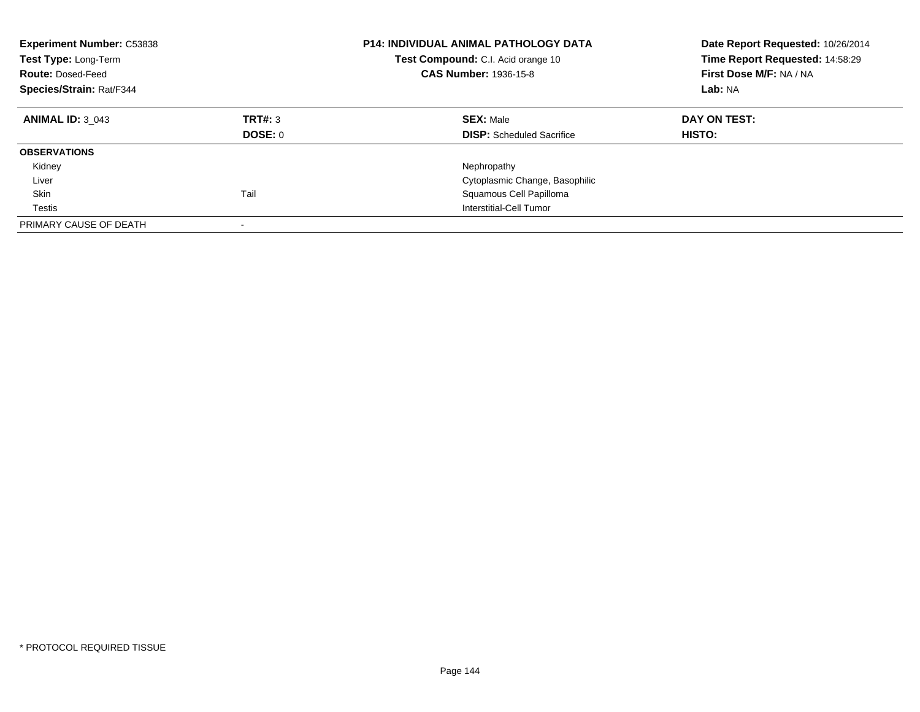| <b>Experiment Number: C53838</b><br>Test Type: Long-Term<br><b>Route: Dosed-Feed</b><br>Species/Strain: Rat/F344 |                    | <b>P14: INDIVIDUAL ANIMAL PATHOLOGY DATA</b><br>Test Compound: C.I. Acid orange 10<br><b>CAS Number: 1936-15-8</b> | Date Report Requested: 10/26/2014<br>Time Report Requested: 14:58:29<br>First Dose M/F: NA / NA<br>Lab: NA |
|------------------------------------------------------------------------------------------------------------------|--------------------|--------------------------------------------------------------------------------------------------------------------|------------------------------------------------------------------------------------------------------------|
| <b>ANIMAL ID: 3 043</b>                                                                                          | TRT#: 3<br>DOSE: 0 | <b>SEX: Male</b><br><b>DISP:</b> Scheduled Sacrifice                                                               | DAY ON TEST:<br>HISTO:                                                                                     |
| <b>OBSERVATIONS</b>                                                                                              |                    |                                                                                                                    |                                                                                                            |
| Kidney                                                                                                           |                    | Nephropathy                                                                                                        |                                                                                                            |
| Liver                                                                                                            |                    | Cytoplasmic Change, Basophilic                                                                                     |                                                                                                            |
| Skin                                                                                                             | Tail               | Squamous Cell Papilloma                                                                                            |                                                                                                            |
| Testis                                                                                                           |                    | Interstitial-Cell Tumor                                                                                            |                                                                                                            |
| PRIMARY CAUSE OF DEATH                                                                                           |                    |                                                                                                                    |                                                                                                            |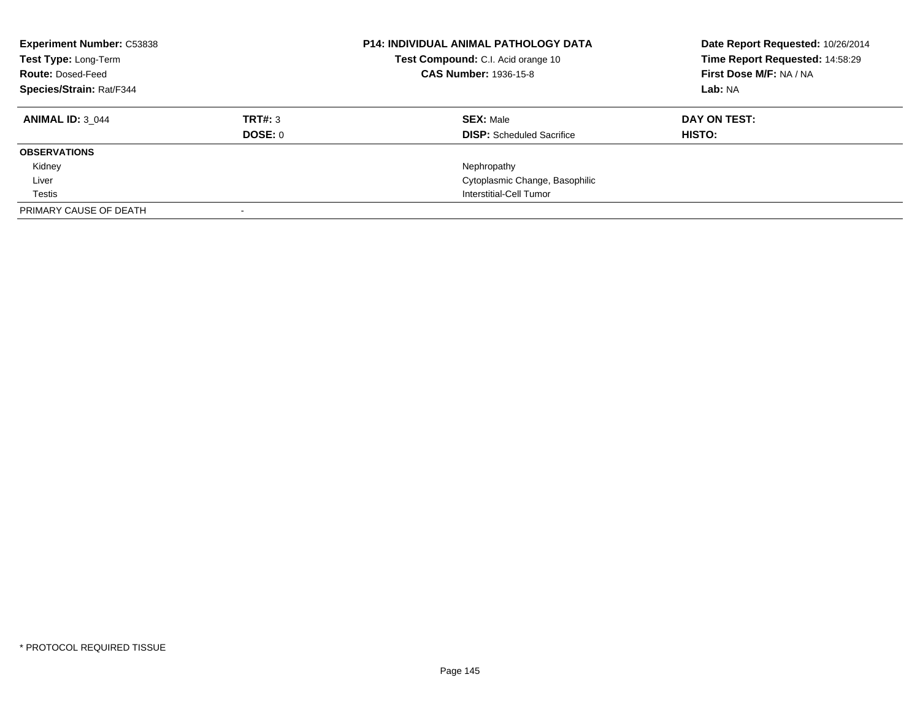| <b>Experiment Number: C53838</b><br>Test Type: Long-Term<br><b>Route: Dosed-Feed</b><br><b>Species/Strain: Rat/F344</b> |         | <b>P14: INDIVIDUAL ANIMAL PATHOLOGY DATA</b><br>Test Compound: C.I. Acid orange 10<br><b>CAS Number: 1936-15-8</b> | Date Report Requested: 10/26/2014<br>Time Report Requested: 14:58:29<br>First Dose M/F: NA / NA<br>Lab: NA |
|-------------------------------------------------------------------------------------------------------------------------|---------|--------------------------------------------------------------------------------------------------------------------|------------------------------------------------------------------------------------------------------------|
| <b>ANIMAL ID: 3 044</b>                                                                                                 | TRT#: 3 | <b>SEX: Male</b>                                                                                                   | DAY ON TEST:                                                                                               |
|                                                                                                                         | DOSE: 0 | <b>DISP:</b> Scheduled Sacrifice                                                                                   | HISTO:                                                                                                     |
| <b>OBSERVATIONS</b>                                                                                                     |         |                                                                                                                    |                                                                                                            |
| Kidney                                                                                                                  |         | Nephropathy                                                                                                        |                                                                                                            |
| Liver                                                                                                                   |         | Cytoplasmic Change, Basophilic                                                                                     |                                                                                                            |
| Testis                                                                                                                  |         | Interstitial-Cell Tumor                                                                                            |                                                                                                            |
| PRIMARY CAUSE OF DEATH                                                                                                  |         |                                                                                                                    |                                                                                                            |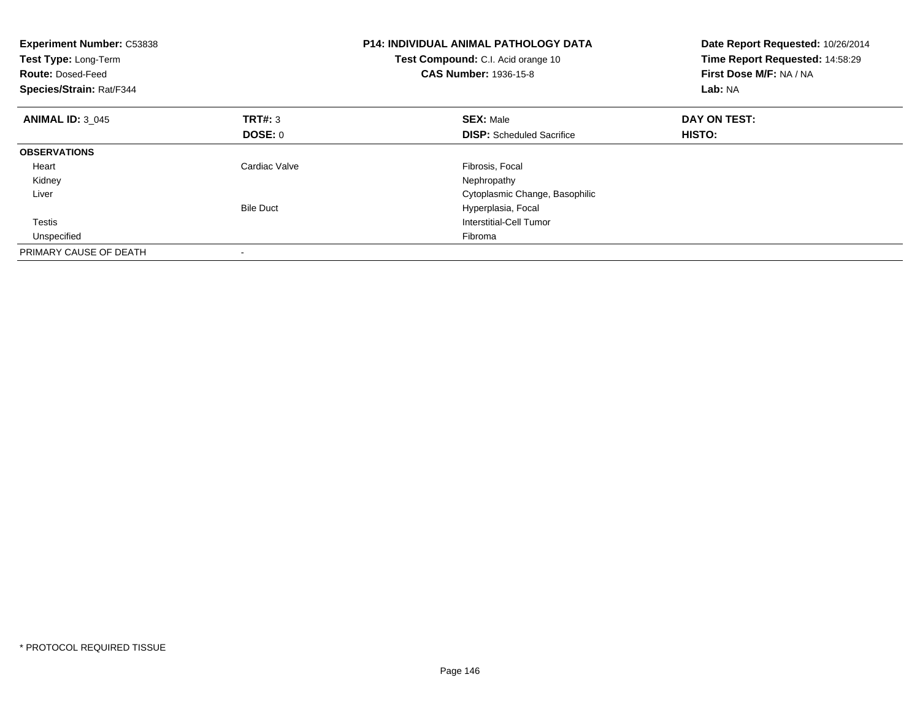| <b>Experiment Number: C53838</b><br>Test Type: Long-Term<br><b>Route: Dosed-Feed</b><br>Species/Strain: Rat/F344 |                  | <b>P14: INDIVIDUAL ANIMAL PATHOLOGY DATA</b><br>Test Compound: C.I. Acid orange 10<br><b>CAS Number: 1936-15-8</b> | Date Report Requested: 10/26/2014<br>Time Report Requested: 14:58:29<br>First Dose M/F: NA / NA<br>Lab: NA |
|------------------------------------------------------------------------------------------------------------------|------------------|--------------------------------------------------------------------------------------------------------------------|------------------------------------------------------------------------------------------------------------|
| <b>ANIMAL ID: 3 045</b>                                                                                          | <b>TRT#: 3</b>   | <b>SEX: Male</b>                                                                                                   | DAY ON TEST:                                                                                               |
|                                                                                                                  | DOSE: 0          | <b>DISP:</b> Scheduled Sacrifice                                                                                   | HISTO:                                                                                                     |
| <b>OBSERVATIONS</b>                                                                                              |                  |                                                                                                                    |                                                                                                            |
| Heart                                                                                                            | Cardiac Valve    | Fibrosis, Focal                                                                                                    |                                                                                                            |
| Kidney                                                                                                           |                  | Nephropathy                                                                                                        |                                                                                                            |
| Liver                                                                                                            |                  | Cytoplasmic Change, Basophilic                                                                                     |                                                                                                            |
|                                                                                                                  | <b>Bile Duct</b> | Hyperplasia, Focal                                                                                                 |                                                                                                            |
| <b>Testis</b>                                                                                                    |                  | Interstitial-Cell Tumor                                                                                            |                                                                                                            |
| Unspecified                                                                                                      |                  | Fibroma                                                                                                            |                                                                                                            |
| PRIMARY CAUSE OF DEATH                                                                                           |                  |                                                                                                                    |                                                                                                            |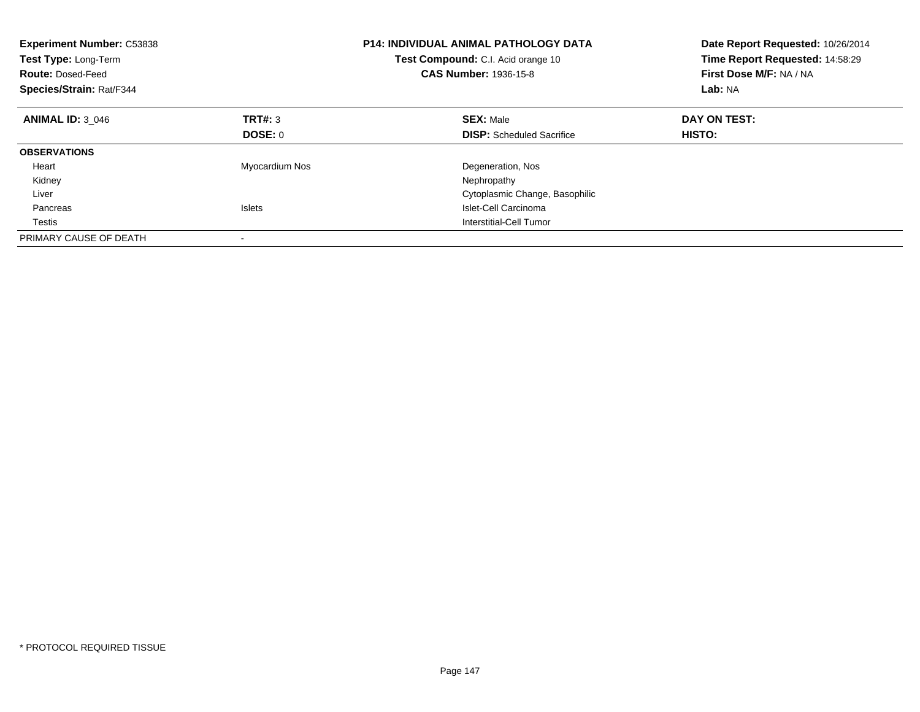| <b>Experiment Number: C53838</b><br>Test Type: Long-Term<br><b>Route: Dosed-Feed</b><br>Species/Strain: Rat/F344 |                | <b>P14: INDIVIDUAL ANIMAL PATHOLOGY DATA</b><br>Test Compound: C.I. Acid orange 10<br>CAS Number: 1936-15-8 | Date Report Requested: 10/26/2014<br>Time Report Requested: 14:58:29<br>First Dose M/F: NA / NA<br>Lab: NA |
|------------------------------------------------------------------------------------------------------------------|----------------|-------------------------------------------------------------------------------------------------------------|------------------------------------------------------------------------------------------------------------|
| <b>ANIMAL ID: 3 046</b>                                                                                          | TRT#: 3        | <b>SEX: Male</b>                                                                                            | DAY ON TEST:                                                                                               |
|                                                                                                                  | DOSE: 0        | <b>DISP:</b> Scheduled Sacrifice                                                                            | HISTO:                                                                                                     |
| <b>OBSERVATIONS</b>                                                                                              |                |                                                                                                             |                                                                                                            |
| Heart                                                                                                            | Myocardium Nos | Degeneration, Nos                                                                                           |                                                                                                            |
| Kidney                                                                                                           |                | Nephropathy                                                                                                 |                                                                                                            |
| Liver                                                                                                            |                | Cytoplasmic Change, Basophilic                                                                              |                                                                                                            |
| Pancreas                                                                                                         | <b>Islets</b>  | Islet-Cell Carcinoma                                                                                        |                                                                                                            |
| Testis                                                                                                           |                | Interstitial-Cell Tumor                                                                                     |                                                                                                            |
| PRIMARY CAUSE OF DEATH                                                                                           |                |                                                                                                             |                                                                                                            |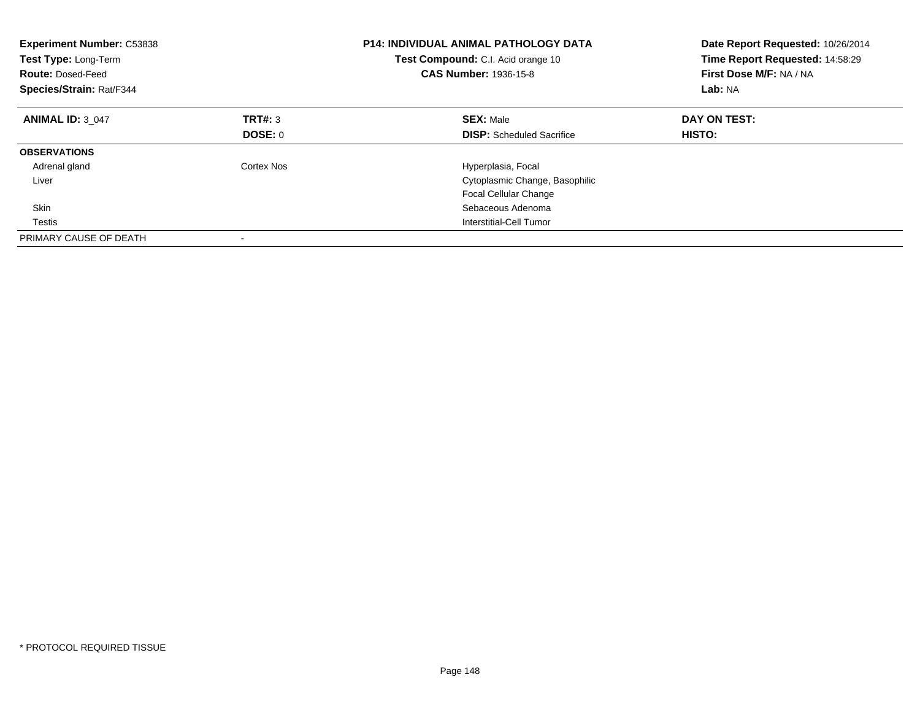| <b>Experiment Number: C53838</b><br>Test Type: Long-Term<br><b>Route: Dosed-Feed</b><br>Species/Strain: Rat/F344 |            | P14: INDIVIDUAL ANIMAL PATHOLOGY DATA<br>Test Compound: C.I. Acid orange 10<br><b>CAS Number: 1936-15-8</b> | Date Report Requested: 10/26/2014<br>Time Report Requested: 14:58:29<br>First Dose M/F: NA / NA<br>Lab: NA |
|------------------------------------------------------------------------------------------------------------------|------------|-------------------------------------------------------------------------------------------------------------|------------------------------------------------------------------------------------------------------------|
| <b>ANIMAL ID: 3 047</b>                                                                                          | TRT#: 3    | <b>SEX: Male</b>                                                                                            | DAY ON TEST:                                                                                               |
|                                                                                                                  | DOSE: 0    | <b>DISP:</b> Scheduled Sacrifice                                                                            | HISTO:                                                                                                     |
| <b>OBSERVATIONS</b>                                                                                              |            |                                                                                                             |                                                                                                            |
| Adrenal gland                                                                                                    | Cortex Nos | Hyperplasia, Focal                                                                                          |                                                                                                            |
| Liver                                                                                                            |            | Cytoplasmic Change, Basophilic                                                                              |                                                                                                            |
|                                                                                                                  |            | <b>Focal Cellular Change</b>                                                                                |                                                                                                            |
| <b>Skin</b>                                                                                                      |            | Sebaceous Adenoma                                                                                           |                                                                                                            |
| Testis                                                                                                           |            | Interstitial-Cell Tumor                                                                                     |                                                                                                            |
| PRIMARY CAUSE OF DEATH                                                                                           |            |                                                                                                             |                                                                                                            |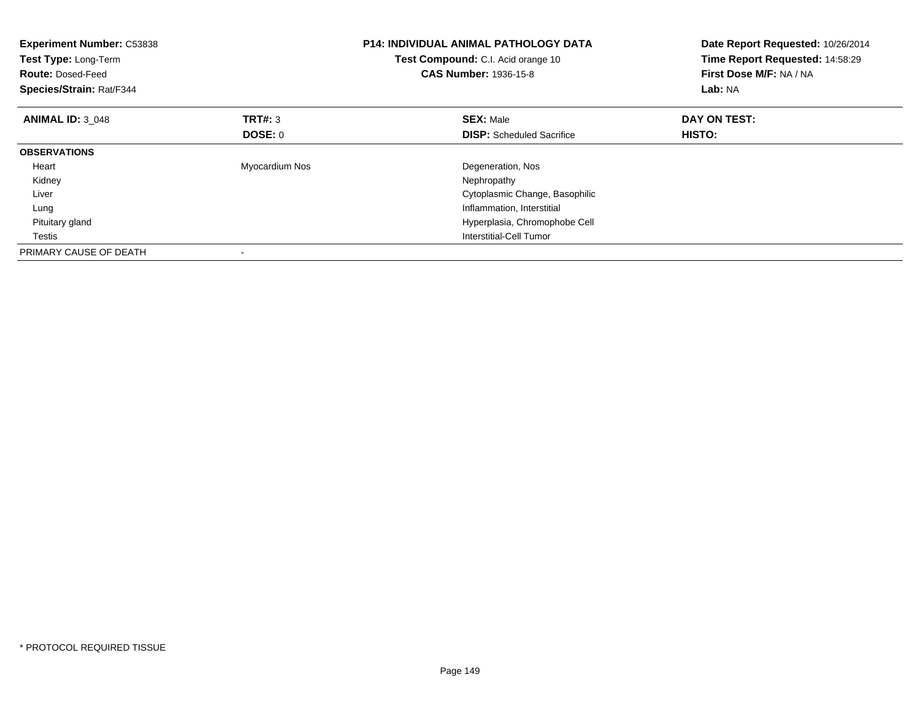| <b>Experiment Number: C53838</b><br>Test Type: Long-Term<br><b>Route: Dosed-Feed</b><br>Species/Strain: Rat/F344 |                | <b>P14: INDIVIDUAL ANIMAL PATHOLOGY DATA</b><br><b>Test Compound:</b> C.I. Acid orange 10<br><b>CAS Number: 1936-15-8</b> | Date Report Requested: 10/26/2014<br>Time Report Requested: 14:58:29<br>First Dose M/F: NA / NA<br>Lab: NA |
|------------------------------------------------------------------------------------------------------------------|----------------|---------------------------------------------------------------------------------------------------------------------------|------------------------------------------------------------------------------------------------------------|
| <b>ANIMAL ID: 3 048</b>                                                                                          | TRT#: 3        | <b>SEX: Male</b>                                                                                                          | DAY ON TEST:                                                                                               |
|                                                                                                                  | DOSE: 0        | <b>DISP:</b> Scheduled Sacrifice                                                                                          | HISTO:                                                                                                     |
| <b>OBSERVATIONS</b>                                                                                              |                |                                                                                                                           |                                                                                                            |
| Heart                                                                                                            | Myocardium Nos | Degeneration, Nos                                                                                                         |                                                                                                            |
| Kidney                                                                                                           |                | Nephropathy                                                                                                               |                                                                                                            |
| Liver                                                                                                            |                | Cytoplasmic Change, Basophilic                                                                                            |                                                                                                            |
| Lung                                                                                                             |                | Inflammation, Interstitial                                                                                                |                                                                                                            |
| Pituitary gland                                                                                                  |                | Hyperplasia, Chromophobe Cell                                                                                             |                                                                                                            |
| Testis                                                                                                           |                | Interstitial-Cell Tumor                                                                                                   |                                                                                                            |
| PRIMARY CAUSE OF DEATH                                                                                           |                |                                                                                                                           |                                                                                                            |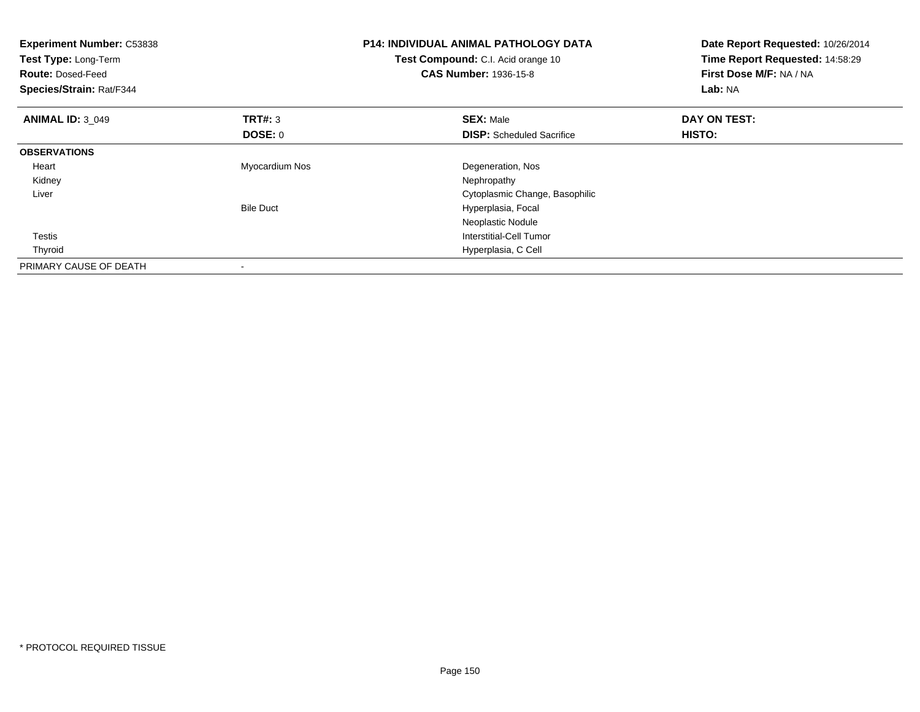| <b>Experiment Number: C53838</b><br>Test Type: Long-Term<br><b>Route: Dosed-Feed</b><br>Species/Strain: Rat/F344 |                  | <b>P14: INDIVIDUAL ANIMAL PATHOLOGY DATA</b><br>Test Compound: C.I. Acid orange 10<br><b>CAS Number: 1936-15-8</b> | Date Report Requested: 10/26/2014<br>Time Report Requested: 14:58:29<br>First Dose M/F: NA / NA<br>Lab: NA |
|------------------------------------------------------------------------------------------------------------------|------------------|--------------------------------------------------------------------------------------------------------------------|------------------------------------------------------------------------------------------------------------|
| <b>ANIMAL ID: 3 049</b>                                                                                          | <b>TRT#: 3</b>   | <b>SEX: Male</b>                                                                                                   | DAY ON TEST:                                                                                               |
|                                                                                                                  | DOSE: 0          | <b>DISP:</b> Scheduled Sacrifice                                                                                   | HISTO:                                                                                                     |
| <b>OBSERVATIONS</b>                                                                                              |                  |                                                                                                                    |                                                                                                            |
| Heart                                                                                                            | Myocardium Nos   | Degeneration, Nos                                                                                                  |                                                                                                            |
| Kidney                                                                                                           |                  | Nephropathy                                                                                                        |                                                                                                            |
| Liver                                                                                                            |                  | Cytoplasmic Change, Basophilic                                                                                     |                                                                                                            |
|                                                                                                                  | <b>Bile Duct</b> | Hyperplasia, Focal                                                                                                 |                                                                                                            |
|                                                                                                                  |                  | Neoplastic Nodule                                                                                                  |                                                                                                            |
| <b>Testis</b>                                                                                                    |                  | Interstitial-Cell Tumor                                                                                            |                                                                                                            |
| Thyroid                                                                                                          |                  | Hyperplasia, C Cell                                                                                                |                                                                                                            |
| PRIMARY CAUSE OF DEATH                                                                                           |                  |                                                                                                                    |                                                                                                            |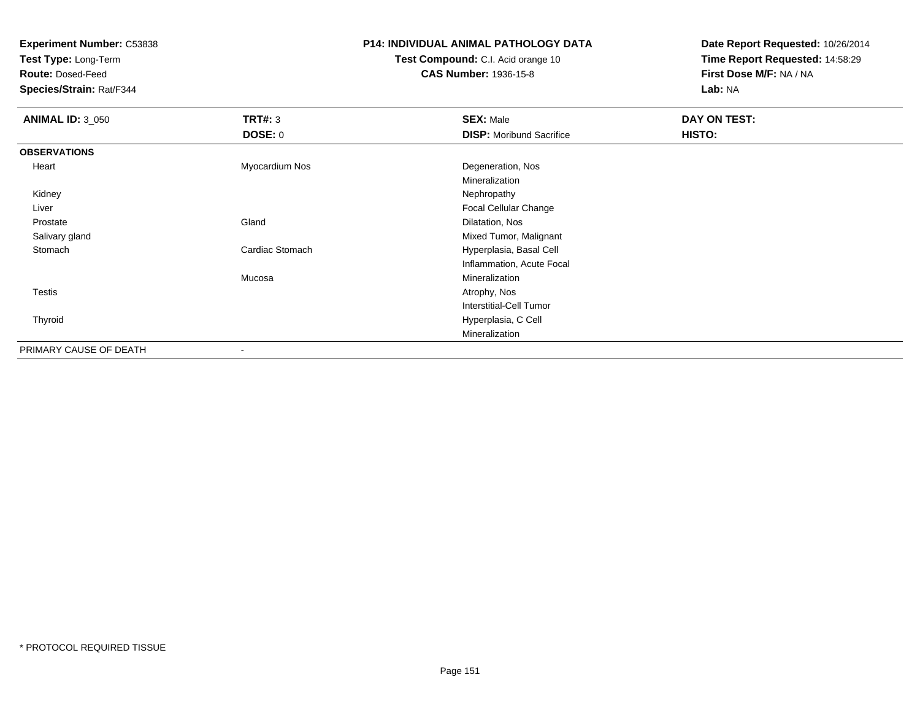**Experiment Number:** C53838

**Test Type:** Long-Term

**Route:** Dosed-Feed

**Species/Strain:** Rat/F344

## **P14: INDIVIDUAL ANIMAL PATHOLOGY DATA**

**Test Compound:** C.I. Acid orange 10**CAS Number:** 1936-15-8

**Date Report Requested:** 10/26/2014**Time Report Requested:** 14:58:29**First Dose M/F:** NA / NA**Lab:** NA

| <b>ANIMAL ID: 3_050</b> | TRT#: 3                  | <b>SEX: Male</b>                | DAY ON TEST: |
|-------------------------|--------------------------|---------------------------------|--------------|
|                         | DOSE: 0                  | <b>DISP:</b> Moribund Sacrifice | HISTO:       |
| <b>OBSERVATIONS</b>     |                          |                                 |              |
| Heart                   | Myocardium Nos           | Degeneration, Nos               |              |
|                         |                          | Mineralization                  |              |
| Kidney                  |                          | Nephropathy                     |              |
| Liver                   |                          | Focal Cellular Change           |              |
| Prostate                | Gland                    | Dilatation, Nos                 |              |
| Salivary gland          |                          | Mixed Tumor, Malignant          |              |
| Stomach                 | Cardiac Stomach          | Hyperplasia, Basal Cell         |              |
|                         |                          | Inflammation, Acute Focal       |              |
|                         | Mucosa                   | Mineralization                  |              |
| Testis                  |                          | Atrophy, Nos                    |              |
|                         |                          | Interstitial-Cell Tumor         |              |
| Thyroid                 |                          | Hyperplasia, C Cell             |              |
|                         |                          | Mineralization                  |              |
| PRIMARY CAUSE OF DEATH  | $\overline{\phantom{a}}$ |                                 |              |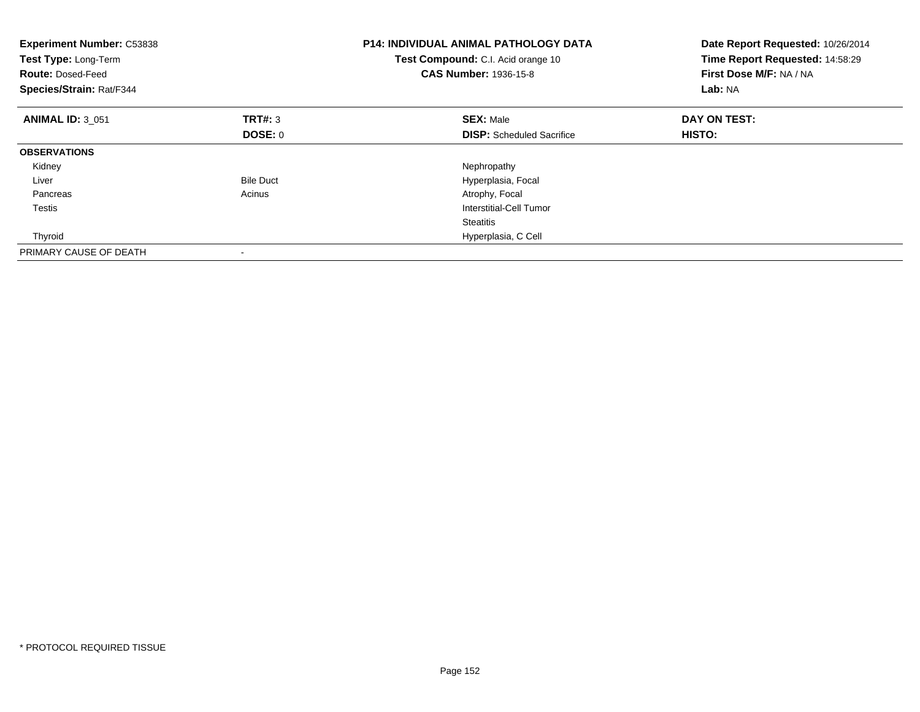| <b>Experiment Number: C53838</b><br>Test Type: Long-Term<br><b>Route: Dosed-Feed</b><br>Species/Strain: Rat/F344 |                  | <b>P14: INDIVIDUAL ANIMAL PATHOLOGY DATA</b><br>Test Compound: C.I. Acid orange 10<br><b>CAS Number: 1936-15-8</b> | Date Report Requested: 10/26/2014<br>Time Report Requested: 14:58:29<br>First Dose M/F: NA / NA<br>Lab: NA |
|------------------------------------------------------------------------------------------------------------------|------------------|--------------------------------------------------------------------------------------------------------------------|------------------------------------------------------------------------------------------------------------|
| <b>ANIMAL ID: 3 051</b>                                                                                          | TRT#: 3          | <b>SEX: Male</b>                                                                                                   | DAY ON TEST:                                                                                               |
|                                                                                                                  | <b>DOSE: 0</b>   | <b>DISP:</b> Scheduled Sacrifice                                                                                   | HISTO:                                                                                                     |
| <b>OBSERVATIONS</b>                                                                                              |                  |                                                                                                                    |                                                                                                            |
| Kidney                                                                                                           |                  | Nephropathy                                                                                                        |                                                                                                            |
| Liver                                                                                                            | <b>Bile Duct</b> | Hyperplasia, Focal                                                                                                 |                                                                                                            |
| Pancreas                                                                                                         | Acinus           | Atrophy, Focal                                                                                                     |                                                                                                            |
| Testis                                                                                                           |                  | Interstitial-Cell Tumor                                                                                            |                                                                                                            |
|                                                                                                                  |                  | <b>Steatitis</b>                                                                                                   |                                                                                                            |
| Thyroid                                                                                                          |                  | Hyperplasia, C Cell                                                                                                |                                                                                                            |
| PRIMARY CAUSE OF DEATH                                                                                           |                  |                                                                                                                    |                                                                                                            |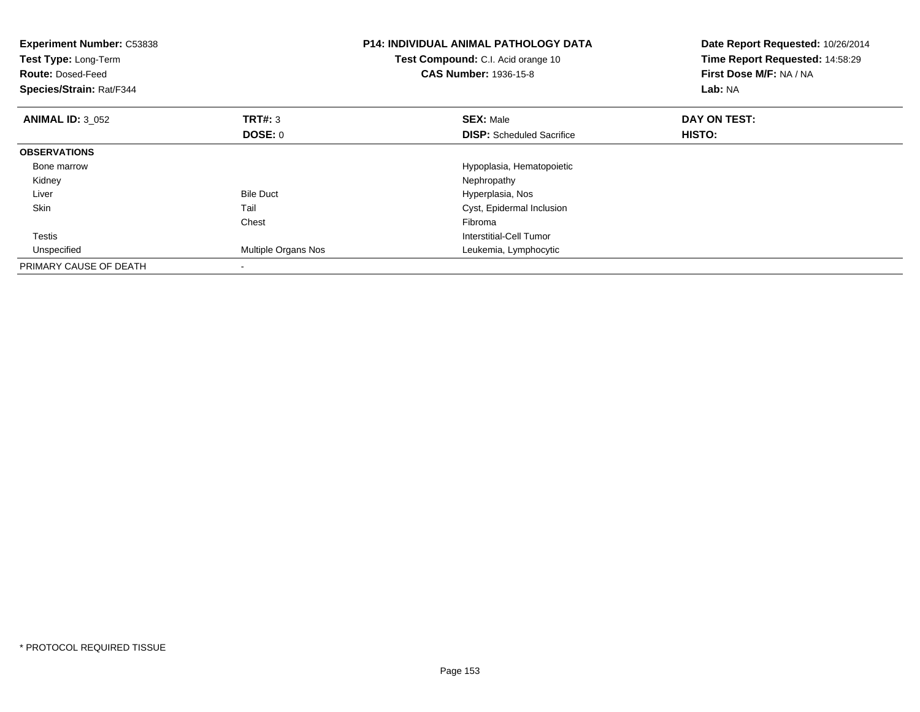| <b>Experiment Number: C53838</b><br>Test Type: Long-Term<br><b>Route: Dosed-Feed</b><br>Species/Strain: Rat/F344 |                     | <b>P14: INDIVIDUAL ANIMAL PATHOLOGY DATA</b><br>Test Compound: C.I. Acid orange 10<br><b>CAS Number: 1936-15-8</b> | Date Report Requested: 10/26/2014<br>Time Report Requested: 14:58:29<br>First Dose M/F: NA / NA<br>Lab: NA |
|------------------------------------------------------------------------------------------------------------------|---------------------|--------------------------------------------------------------------------------------------------------------------|------------------------------------------------------------------------------------------------------------|
| <b>ANIMAL ID: 3 052</b>                                                                                          | <b>TRT#: 3</b>      | <b>SEX: Male</b>                                                                                                   | DAY ON TEST:                                                                                               |
|                                                                                                                  | DOSE: 0             | <b>DISP:</b> Scheduled Sacrifice                                                                                   | HISTO:                                                                                                     |
| <b>OBSERVATIONS</b>                                                                                              |                     |                                                                                                                    |                                                                                                            |
| Bone marrow                                                                                                      |                     | Hypoplasia, Hematopoietic                                                                                          |                                                                                                            |
| Kidney                                                                                                           |                     | Nephropathy                                                                                                        |                                                                                                            |
| Liver                                                                                                            | <b>Bile Duct</b>    | Hyperplasia, Nos                                                                                                   |                                                                                                            |
| <b>Skin</b>                                                                                                      | Tail                | Cyst, Epidermal Inclusion                                                                                          |                                                                                                            |
|                                                                                                                  | Chest               | Fibroma                                                                                                            |                                                                                                            |
| <b>Testis</b>                                                                                                    |                     | Interstitial-Cell Tumor                                                                                            |                                                                                                            |
| Unspecified                                                                                                      | Multiple Organs Nos | Leukemia, Lymphocytic                                                                                              |                                                                                                            |
| PRIMARY CAUSE OF DEATH                                                                                           |                     |                                                                                                                    |                                                                                                            |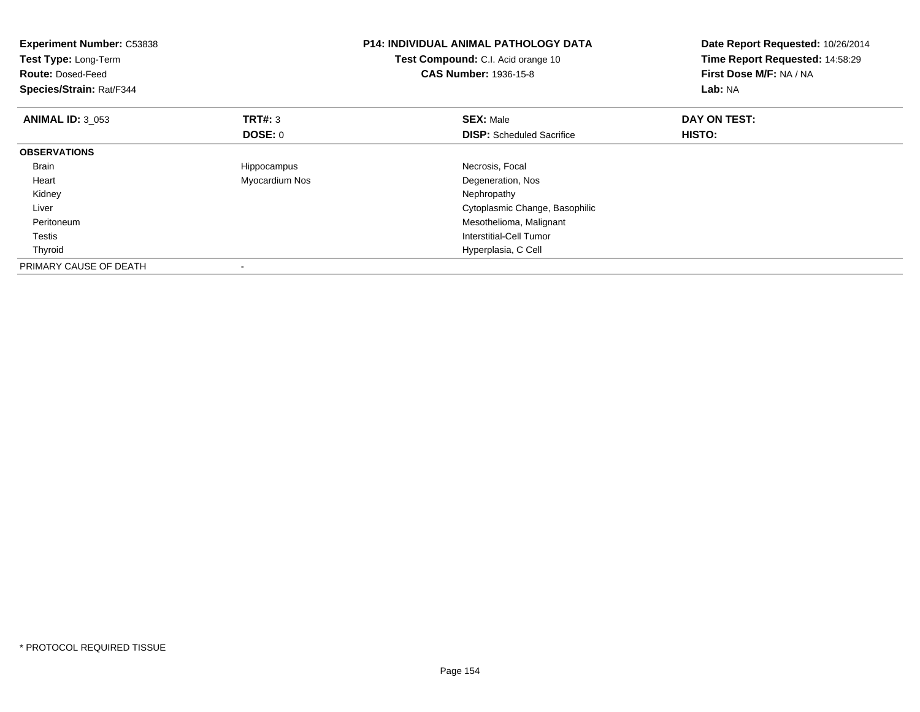| <b>Experiment Number: C53838</b><br>Test Type: Long-Term<br><b>Route: Dosed-Feed</b><br>Species/Strain: Rat/F344 |                | <b>P14: INDIVIDUAL ANIMAL PATHOLOGY DATA</b><br>Test Compound: C.I. Acid orange 10<br><b>CAS Number: 1936-15-8</b> | Date Report Requested: 10/26/2014<br>Time Report Requested: 14:58:29<br>First Dose M/F: NA / NA<br>Lab: NA |
|------------------------------------------------------------------------------------------------------------------|----------------|--------------------------------------------------------------------------------------------------------------------|------------------------------------------------------------------------------------------------------------|
| <b>ANIMAL ID: 3 053</b>                                                                                          | <b>TRT#: 3</b> | <b>SEX: Male</b>                                                                                                   | DAY ON TEST:                                                                                               |
|                                                                                                                  | <b>DOSE: 0</b> | <b>DISP:</b> Scheduled Sacrifice                                                                                   | <b>HISTO:</b>                                                                                              |
| <b>OBSERVATIONS</b>                                                                                              |                |                                                                                                                    |                                                                                                            |
| Brain                                                                                                            | Hippocampus    | Necrosis, Focal                                                                                                    |                                                                                                            |
| Heart                                                                                                            | Myocardium Nos | Degeneration, Nos                                                                                                  |                                                                                                            |
| Kidney                                                                                                           |                | Nephropathy                                                                                                        |                                                                                                            |
| Liver                                                                                                            |                | Cytoplasmic Change, Basophilic                                                                                     |                                                                                                            |
| Peritoneum                                                                                                       |                | Mesothelioma, Malignant                                                                                            |                                                                                                            |
| Testis                                                                                                           |                | Interstitial-Cell Tumor                                                                                            |                                                                                                            |
| Thyroid                                                                                                          |                | Hyperplasia, C Cell                                                                                                |                                                                                                            |
| PRIMARY CAUSE OF DEATH                                                                                           |                |                                                                                                                    |                                                                                                            |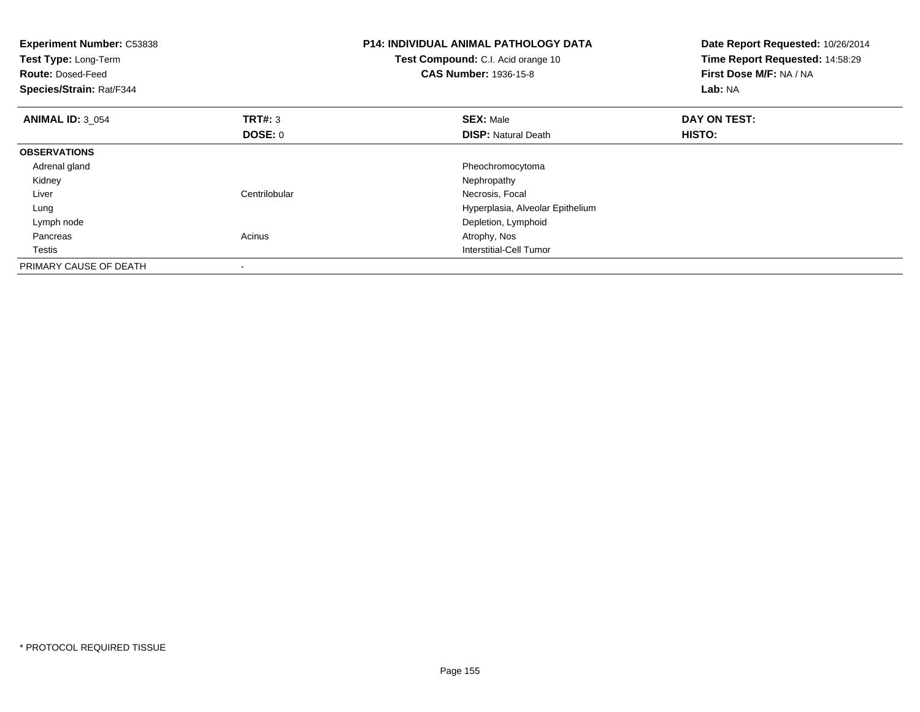| <b>Experiment Number: C53838</b><br>Test Type: Long-Term<br><b>Route: Dosed-Feed</b><br>Species/Strain: Rat/F344 |               | <b>P14: INDIVIDUAL ANIMAL PATHOLOGY DATA</b><br>Test Compound: C.I. Acid orange 10<br><b>CAS Number: 1936-15-8</b> | Date Report Requested: 10/26/2014<br>Time Report Requested: 14:58:29<br>First Dose M/F: NA / NA<br>Lab: NA |
|------------------------------------------------------------------------------------------------------------------|---------------|--------------------------------------------------------------------------------------------------------------------|------------------------------------------------------------------------------------------------------------|
| <b>ANIMAL ID: 3 054</b>                                                                                          | TRT#: 3       | <b>SEX: Male</b>                                                                                                   | DAY ON TEST:                                                                                               |
|                                                                                                                  | DOSE: 0       | <b>DISP: Natural Death</b>                                                                                         | <b>HISTO:</b>                                                                                              |
| <b>OBSERVATIONS</b>                                                                                              |               |                                                                                                                    |                                                                                                            |
| Adrenal gland                                                                                                    |               | Pheochromocytoma                                                                                                   |                                                                                                            |
| Kidney                                                                                                           |               | Nephropathy                                                                                                        |                                                                                                            |
| Liver                                                                                                            | Centrilobular | Necrosis, Focal                                                                                                    |                                                                                                            |
| Lung                                                                                                             |               | Hyperplasia, Alveolar Epithelium                                                                                   |                                                                                                            |
| Lymph node                                                                                                       |               | Depletion, Lymphoid                                                                                                |                                                                                                            |
| Pancreas                                                                                                         | Acinus        | Atrophy, Nos                                                                                                       |                                                                                                            |
| Testis                                                                                                           |               | <b>Interstitial-Cell Tumor</b>                                                                                     |                                                                                                            |
| PRIMARY CAUSE OF DEATH                                                                                           |               |                                                                                                                    |                                                                                                            |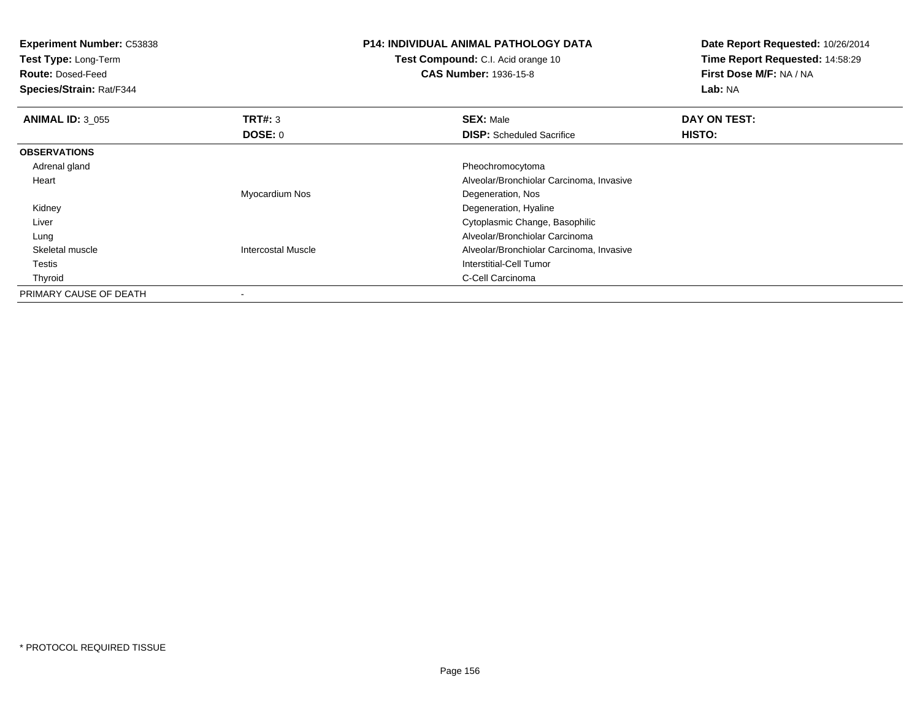| <b>Experiment Number: C53838</b><br>Test Type: Long-Term<br><b>Route: Dosed-Feed</b><br>Species/Strain: Rat/F344 |                           | <b>P14: INDIVIDUAL ANIMAL PATHOLOGY DATA</b><br>Test Compound: C.I. Acid orange 10<br><b>CAS Number: 1936-15-8</b> | Date Report Requested: 10/26/2014<br>Time Report Requested: 14:58:29<br>First Dose M/F: NA / NA<br>Lab: NA |
|------------------------------------------------------------------------------------------------------------------|---------------------------|--------------------------------------------------------------------------------------------------------------------|------------------------------------------------------------------------------------------------------------|
| <b>ANIMAL ID: 3 055</b>                                                                                          | <b>TRT#: 3</b>            | <b>SEX: Male</b>                                                                                                   | DAY ON TEST:                                                                                               |
|                                                                                                                  | DOSE: 0                   | <b>DISP:</b> Scheduled Sacrifice                                                                                   | HISTO:                                                                                                     |
| <b>OBSERVATIONS</b>                                                                                              |                           |                                                                                                                    |                                                                                                            |
| Adrenal gland                                                                                                    |                           | Pheochromocytoma                                                                                                   |                                                                                                            |
| Heart                                                                                                            |                           | Alveolar/Bronchiolar Carcinoma, Invasive                                                                           |                                                                                                            |
|                                                                                                                  | Myocardium Nos            | Degeneration, Nos                                                                                                  |                                                                                                            |
| Kidney                                                                                                           |                           | Degeneration, Hyaline                                                                                              |                                                                                                            |
| Liver                                                                                                            |                           | Cytoplasmic Change, Basophilic                                                                                     |                                                                                                            |
| Lung                                                                                                             |                           | Alveolar/Bronchiolar Carcinoma                                                                                     |                                                                                                            |
| Skeletal muscle                                                                                                  | <b>Intercostal Muscle</b> | Alveolar/Bronchiolar Carcinoma, Invasive                                                                           |                                                                                                            |
| Testis                                                                                                           |                           | Interstitial-Cell Tumor                                                                                            |                                                                                                            |
| Thyroid                                                                                                          |                           | C-Cell Carcinoma                                                                                                   |                                                                                                            |
| PRIMARY CAUSE OF DEATH                                                                                           |                           |                                                                                                                    |                                                                                                            |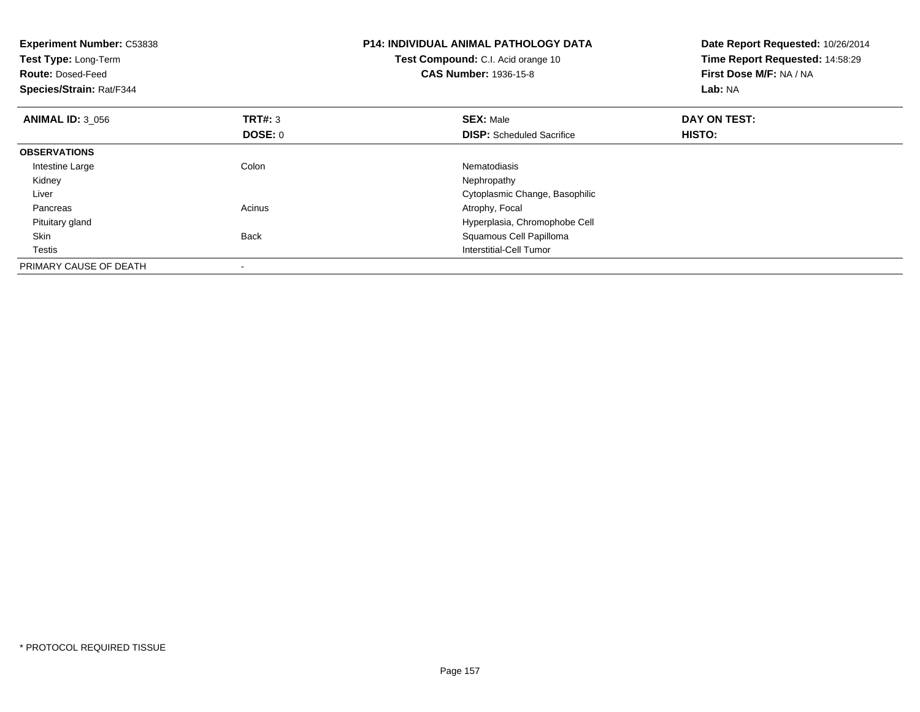| <b>Experiment Number: C53838</b><br><b>Test Type: Long-Term</b><br><b>Route: Dosed-Feed</b><br>Species/Strain: Rat/F344 |                           | <b>P14: INDIVIDUAL ANIMAL PATHOLOGY DATA</b><br>Test Compound: C.I. Acid orange 10<br><b>CAS Number: 1936-15-8</b> | Date Report Requested: 10/26/2014<br>Time Report Requested: 14:58:29<br>First Dose M/F: NA / NA<br>Lab: NA |
|-------------------------------------------------------------------------------------------------------------------------|---------------------------|--------------------------------------------------------------------------------------------------------------------|------------------------------------------------------------------------------------------------------------|
| <b>ANIMAL ID: 3 056</b>                                                                                                 | <b>TRT#: 3</b><br>DOSE: 0 | <b>SEX: Male</b><br><b>DISP:</b> Scheduled Sacrifice                                                               | DAY ON TEST:<br>HISTO:                                                                                     |
| <b>OBSERVATIONS</b>                                                                                                     |                           |                                                                                                                    |                                                                                                            |
| Intestine Large                                                                                                         | Colon                     | Nematodiasis                                                                                                       |                                                                                                            |
| Kidney                                                                                                                  |                           | Nephropathy                                                                                                        |                                                                                                            |
| Liver                                                                                                                   |                           | Cytoplasmic Change, Basophilic                                                                                     |                                                                                                            |
| Pancreas                                                                                                                | Acinus                    | Atrophy, Focal                                                                                                     |                                                                                                            |
| Pituitary gland                                                                                                         |                           | Hyperplasia, Chromophobe Cell                                                                                      |                                                                                                            |
| Skin                                                                                                                    | <b>Back</b>               | Squamous Cell Papilloma                                                                                            |                                                                                                            |
| Testis                                                                                                                  |                           | Interstitial-Cell Tumor                                                                                            |                                                                                                            |
| PRIMARY CAUSE OF DEATH                                                                                                  |                           |                                                                                                                    |                                                                                                            |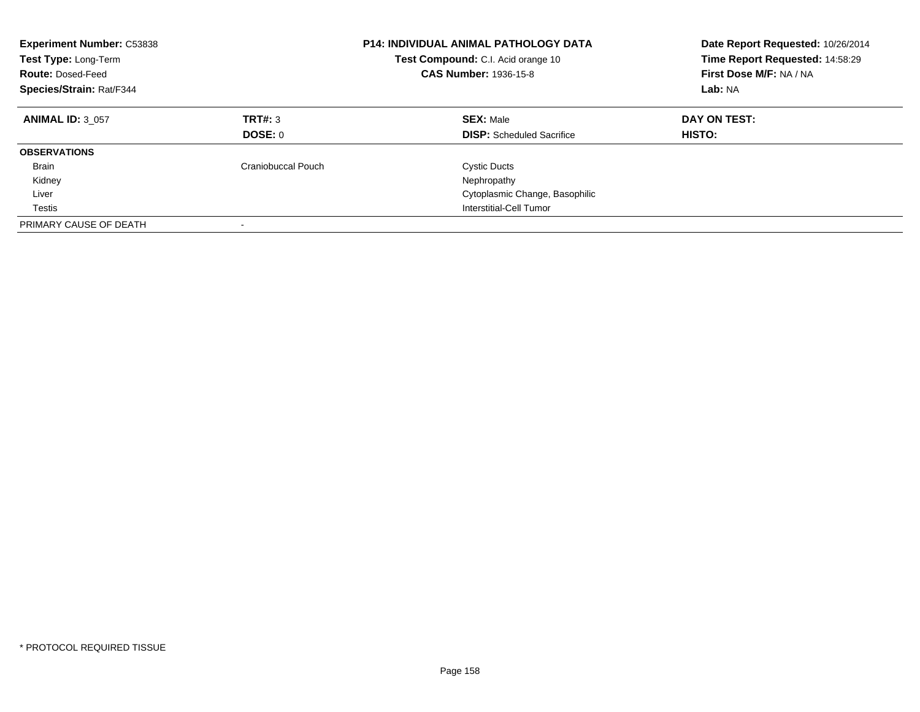| <b>Experiment Number: C53838</b><br>Test Type: Long-Term<br><b>Route: Dosed-Feed</b><br>Species/Strain: Rat/F344 |                    | <b>P14: INDIVIDUAL ANIMAL PATHOLOGY DATA</b><br>Test Compound: C.I. Acid orange 10<br><b>CAS Number: 1936-15-8</b> | Date Report Requested: 10/26/2014<br>Time Report Requested: 14:58:29<br>First Dose M/F: NA / NA<br>Lab: NA |
|------------------------------------------------------------------------------------------------------------------|--------------------|--------------------------------------------------------------------------------------------------------------------|------------------------------------------------------------------------------------------------------------|
| <b>ANIMAL ID: 3 057</b>                                                                                          | TRT#: 3<br>DOSE: 0 | <b>SEX: Male</b><br><b>DISP:</b> Scheduled Sacrifice                                                               | DAY ON TEST:<br><b>HISTO:</b>                                                                              |
| <b>OBSERVATIONS</b>                                                                                              |                    |                                                                                                                    |                                                                                                            |
| <b>Brain</b>                                                                                                     | Craniobuccal Pouch | <b>Cystic Ducts</b>                                                                                                |                                                                                                            |
| Kidney                                                                                                           |                    | Nephropathy                                                                                                        |                                                                                                            |
| Liver                                                                                                            |                    | Cytoplasmic Change, Basophilic                                                                                     |                                                                                                            |
| Testis                                                                                                           |                    | Interstitial-Cell Tumor                                                                                            |                                                                                                            |
| PRIMARY CAUSE OF DEATH                                                                                           |                    |                                                                                                                    |                                                                                                            |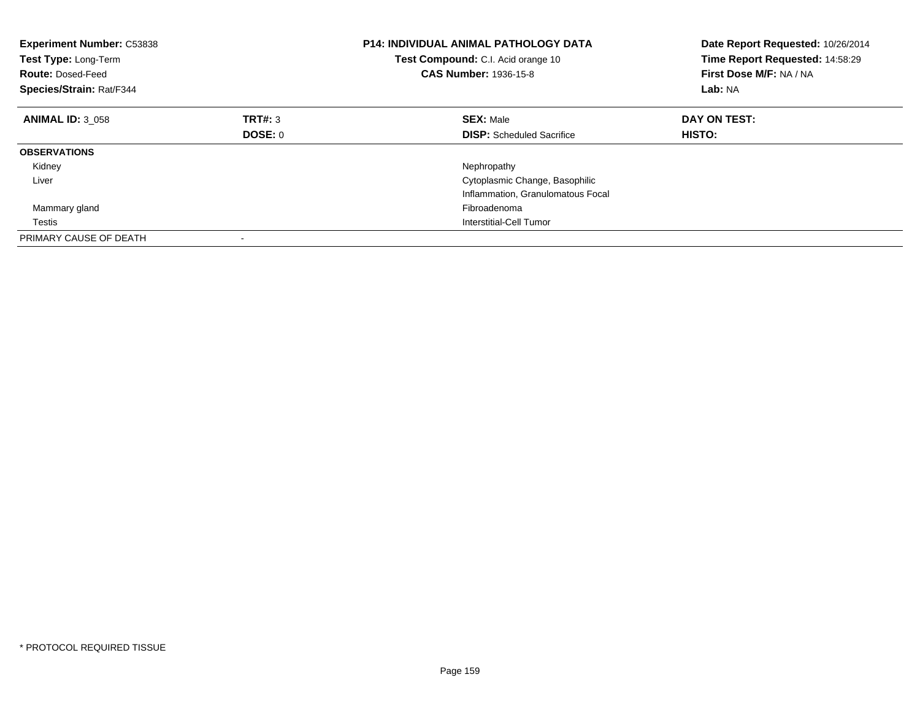| <b>Experiment Number: C53838</b><br>Test Type: Long-Term<br><b>Route: Dosed-Feed</b><br><b>Species/Strain: Rat/F344</b> |                | <b>P14: INDIVIDUAL ANIMAL PATHOLOGY DATA</b><br>Test Compound: C.I. Acid orange 10<br><b>CAS Number: 1936-15-8</b> | Date Report Requested: 10/26/2014<br>Time Report Requested: 14:58:29<br>First Dose M/F: NA / NA<br>Lab: NA |
|-------------------------------------------------------------------------------------------------------------------------|----------------|--------------------------------------------------------------------------------------------------------------------|------------------------------------------------------------------------------------------------------------|
| <b>ANIMAL ID: 3 058</b>                                                                                                 | TRT#: 3        | <b>SEX: Male</b>                                                                                                   | DAY ON TEST:                                                                                               |
|                                                                                                                         | <b>DOSE: 0</b> | <b>DISP:</b> Scheduled Sacrifice                                                                                   | <b>HISTO:</b>                                                                                              |
| <b>OBSERVATIONS</b>                                                                                                     |                |                                                                                                                    |                                                                                                            |
| Kidney                                                                                                                  |                | Nephropathy                                                                                                        |                                                                                                            |
| Liver                                                                                                                   |                | Cytoplasmic Change, Basophilic                                                                                     |                                                                                                            |
|                                                                                                                         |                | Inflammation, Granulomatous Focal                                                                                  |                                                                                                            |
| Mammary gland                                                                                                           |                | Fibroadenoma                                                                                                       |                                                                                                            |
| Testis                                                                                                                  |                | Interstitial-Cell Tumor                                                                                            |                                                                                                            |
| PRIMARY CAUSE OF DEATH                                                                                                  |                |                                                                                                                    |                                                                                                            |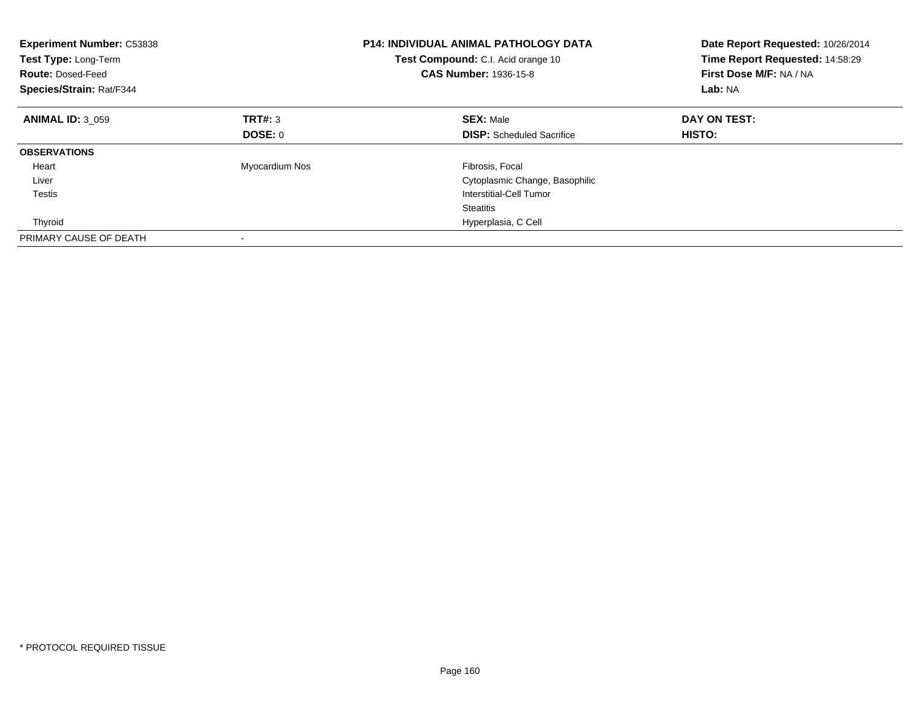| <b>Experiment Number: C53838</b><br>Test Type: Long-Term<br><b>Route: Dosed-Feed</b><br>Species/Strain: Rat/F344 |                | <b>P14: INDIVIDUAL ANIMAL PATHOLOGY DATA</b><br>Test Compound: C.I. Acid orange 10<br><b>CAS Number: 1936-15-8</b> | Date Report Requested: 10/26/2014<br>Time Report Requested: 14:58:29<br>First Dose M/F: NA / NA<br>Lab: NA |
|------------------------------------------------------------------------------------------------------------------|----------------|--------------------------------------------------------------------------------------------------------------------|------------------------------------------------------------------------------------------------------------|
| <b>ANIMAL ID: 3 059</b>                                                                                          | TRT#: 3        | <b>SEX: Male</b>                                                                                                   | DAY ON TEST:                                                                                               |
|                                                                                                                  | DOSE: 0        | <b>DISP:</b> Scheduled Sacrifice                                                                                   | HISTO:                                                                                                     |
| <b>OBSERVATIONS</b>                                                                                              |                |                                                                                                                    |                                                                                                            |
| Heart                                                                                                            | Myocardium Nos | Fibrosis, Focal                                                                                                    |                                                                                                            |
| Liver                                                                                                            |                | Cytoplasmic Change, Basophilic                                                                                     |                                                                                                            |
| <b>Testis</b>                                                                                                    |                | Interstitial-Cell Tumor                                                                                            |                                                                                                            |
|                                                                                                                  |                | <b>Steatitis</b>                                                                                                   |                                                                                                            |
| Thyroid                                                                                                          |                | Hyperplasia, C Cell                                                                                                |                                                                                                            |
| PRIMARY CAUSE OF DEATH                                                                                           |                |                                                                                                                    |                                                                                                            |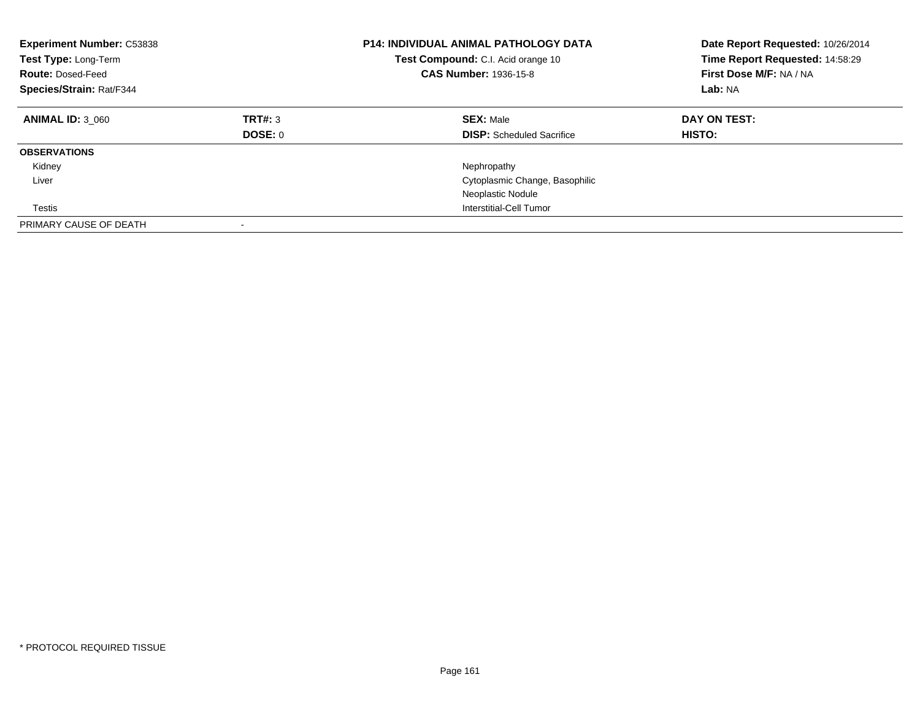| <b>Experiment Number: C53838</b><br>Test Type: Long-Term<br><b>Route: Dosed-Feed</b><br>Species/Strain: Rat/F344 |                    | <b>P14: INDIVIDUAL ANIMAL PATHOLOGY DATA</b><br>Test Compound: C.I. Acid orange 10<br><b>CAS Number: 1936-15-8</b> | Date Report Requested: 10/26/2014<br>Time Report Requested: 14:58:29<br>First Dose M/F: NA / NA<br>Lab: NA |
|------------------------------------------------------------------------------------------------------------------|--------------------|--------------------------------------------------------------------------------------------------------------------|------------------------------------------------------------------------------------------------------------|
| <b>ANIMAL ID: 3 060</b>                                                                                          | TRT#: 3<br>DOSE: 0 | <b>SEX: Male</b><br><b>DISP:</b> Scheduled Sacrifice                                                               | DAY ON TEST:<br><b>HISTO:</b>                                                                              |
| <b>OBSERVATIONS</b>                                                                                              |                    |                                                                                                                    |                                                                                                            |
| Kidney                                                                                                           |                    | Nephropathy                                                                                                        |                                                                                                            |
| Liver                                                                                                            |                    | Cytoplasmic Change, Basophilic                                                                                     |                                                                                                            |
|                                                                                                                  |                    | Neoplastic Nodule                                                                                                  |                                                                                                            |
| Testis                                                                                                           |                    | Interstitial-Cell Tumor                                                                                            |                                                                                                            |
| PRIMARY CAUSE OF DEATH                                                                                           |                    |                                                                                                                    |                                                                                                            |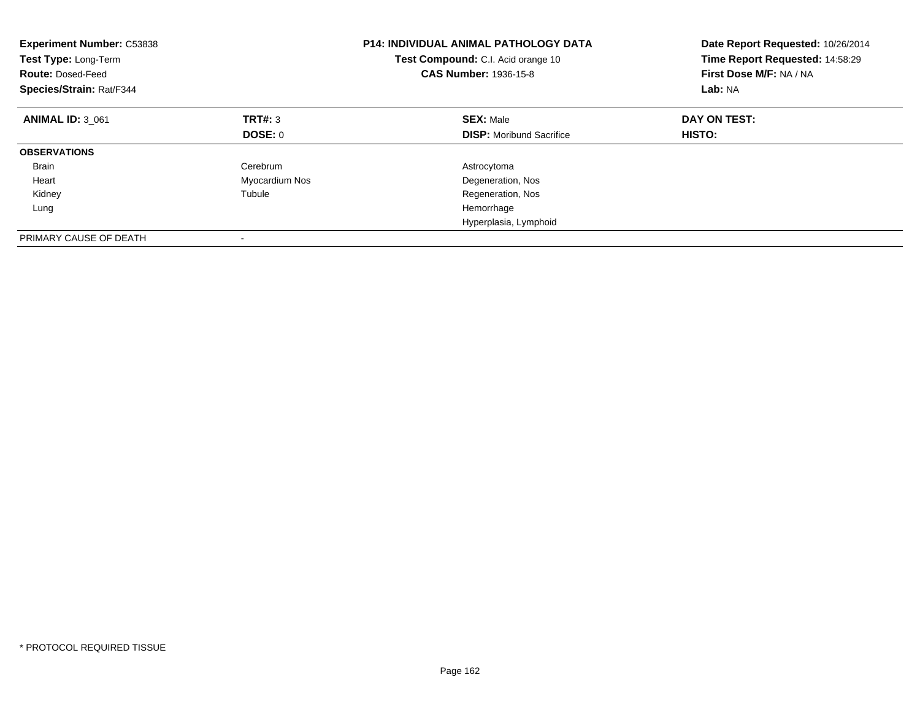| <b>Experiment Number: C53838</b><br>Test Type: Long-Term<br><b>Route: Dosed-Feed</b><br>Species/Strain: Rat/F344 |                | <b>P14: INDIVIDUAL ANIMAL PATHOLOGY DATA</b><br>Test Compound: C.I. Acid orange 10<br><b>CAS Number: 1936-15-8</b> | Date Report Requested: 10/26/2014<br>Time Report Requested: 14:58:29<br>First Dose M/F: NA / NA<br>Lab: NA |
|------------------------------------------------------------------------------------------------------------------|----------------|--------------------------------------------------------------------------------------------------------------------|------------------------------------------------------------------------------------------------------------|
| <b>ANIMAL ID: 3 061</b>                                                                                          | TRT#: 3        | <b>SEX: Male</b>                                                                                                   | DAY ON TEST:                                                                                               |
|                                                                                                                  | DOSE: 0        | <b>DISP:</b> Moribund Sacrifice                                                                                    | <b>HISTO:</b>                                                                                              |
| <b>OBSERVATIONS</b>                                                                                              |                |                                                                                                                    |                                                                                                            |
| <b>Brain</b>                                                                                                     | Cerebrum       | Astrocytoma                                                                                                        |                                                                                                            |
| Heart                                                                                                            | Myocardium Nos | Degeneration, Nos                                                                                                  |                                                                                                            |
| Kidney                                                                                                           | Tubule         | Regeneration, Nos                                                                                                  |                                                                                                            |
| Lung                                                                                                             |                | Hemorrhage                                                                                                         |                                                                                                            |
|                                                                                                                  |                | Hyperplasia, Lymphoid                                                                                              |                                                                                                            |
| PRIMARY CAUSE OF DEATH                                                                                           |                |                                                                                                                    |                                                                                                            |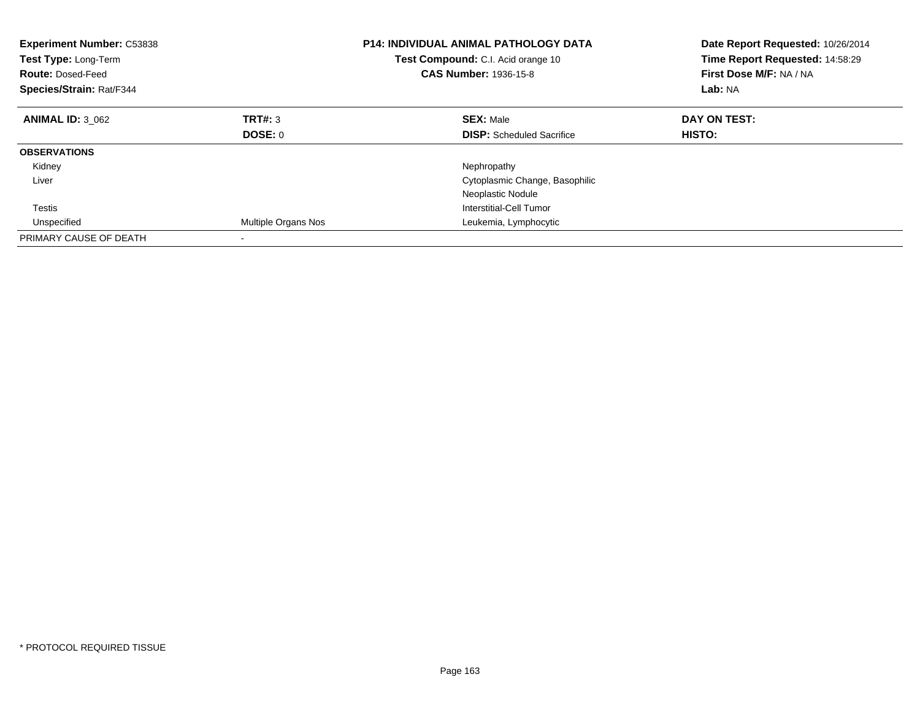| <b>Experiment Number: C53838</b><br>Test Type: Long-Term<br><b>Route: Dosed-Feed</b><br>Species/Strain: Rat/F344 |                     | <b>P14: INDIVIDUAL ANIMAL PATHOLOGY DATA</b><br>Test Compound: C.I. Acid orange 10<br><b>CAS Number: 1936-15-8</b> | Date Report Requested: 10/26/2014<br>Time Report Requested: 14:58:29<br>First Dose M/F: NA / NA<br>Lab: NA |
|------------------------------------------------------------------------------------------------------------------|---------------------|--------------------------------------------------------------------------------------------------------------------|------------------------------------------------------------------------------------------------------------|
| <b>ANIMAL ID: 3 062</b>                                                                                          | <b>TRT#: 3</b>      | <b>SEX: Male</b>                                                                                                   | DAY ON TEST:                                                                                               |
|                                                                                                                  | DOSE: 0             | <b>DISP:</b> Scheduled Sacrifice                                                                                   | HISTO:                                                                                                     |
| <b>OBSERVATIONS</b>                                                                                              |                     |                                                                                                                    |                                                                                                            |
| Kidney                                                                                                           |                     | Nephropathy                                                                                                        |                                                                                                            |
| Liver                                                                                                            |                     | Cytoplasmic Change, Basophilic                                                                                     |                                                                                                            |
|                                                                                                                  |                     | Neoplastic Nodule                                                                                                  |                                                                                                            |
| Testis                                                                                                           |                     | Interstitial-Cell Tumor                                                                                            |                                                                                                            |
| Unspecified                                                                                                      | Multiple Organs Nos | Leukemia, Lymphocytic                                                                                              |                                                                                                            |
| PRIMARY CAUSE OF DEATH                                                                                           |                     |                                                                                                                    |                                                                                                            |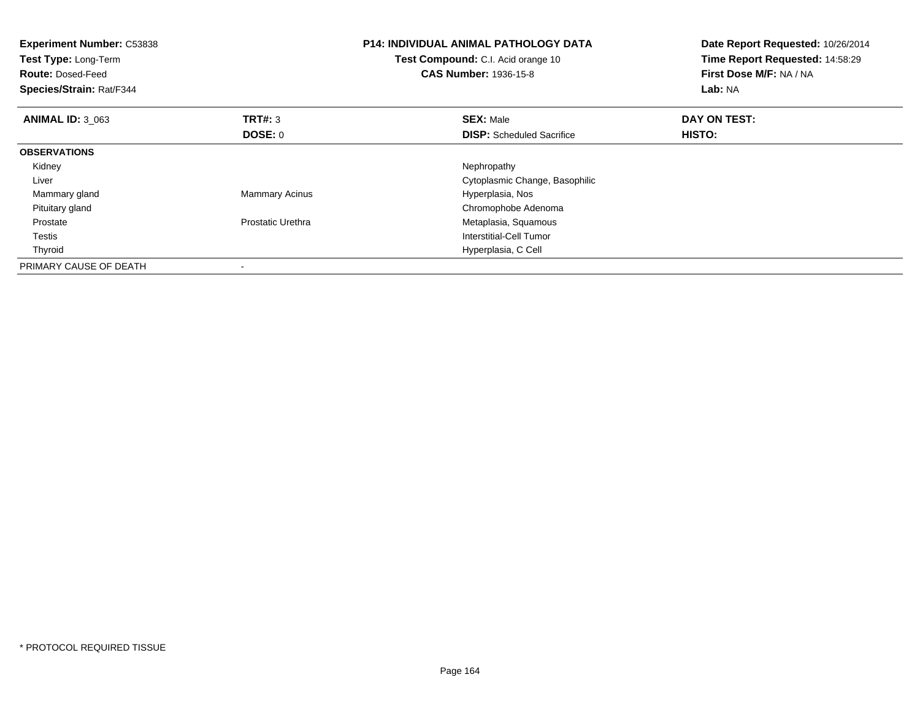| <b>Experiment Number: C53838</b><br>Test Type: Long-Term<br><b>Route: Dosed-Feed</b><br>Species/Strain: Rat/F344 |                       | P14: INDIVIDUAL ANIMAL PATHOLOGY DATA<br>Test Compound: C.I. Acid orange 10<br><b>CAS Number: 1936-15-8</b> | Date Report Requested: 10/26/2014<br>Time Report Requested: 14:58:29<br>First Dose M/F: NA / NA<br>Lab: NA |
|------------------------------------------------------------------------------------------------------------------|-----------------------|-------------------------------------------------------------------------------------------------------------|------------------------------------------------------------------------------------------------------------|
| <b>ANIMAL ID: 3 063</b>                                                                                          | <b>TRT#:</b> 3        | <b>SEX: Male</b>                                                                                            | DAY ON TEST:                                                                                               |
|                                                                                                                  | DOSE: 0               | <b>DISP:</b> Scheduled Sacrifice                                                                            | HISTO:                                                                                                     |
| <b>OBSERVATIONS</b>                                                                                              |                       |                                                                                                             |                                                                                                            |
| Kidney                                                                                                           |                       | Nephropathy                                                                                                 |                                                                                                            |
| Liver                                                                                                            |                       | Cytoplasmic Change, Basophilic                                                                              |                                                                                                            |
| Mammary gland                                                                                                    | <b>Mammary Acinus</b> | Hyperplasia, Nos                                                                                            |                                                                                                            |
| Pituitary gland                                                                                                  |                       | Chromophobe Adenoma                                                                                         |                                                                                                            |
| Prostate                                                                                                         | Prostatic Urethra     | Metaplasia, Squamous                                                                                        |                                                                                                            |
| Testis                                                                                                           |                       | Interstitial-Cell Tumor                                                                                     |                                                                                                            |
| Thyroid                                                                                                          |                       | Hyperplasia, C Cell                                                                                         |                                                                                                            |
| PRIMARY CAUSE OF DEATH                                                                                           |                       |                                                                                                             |                                                                                                            |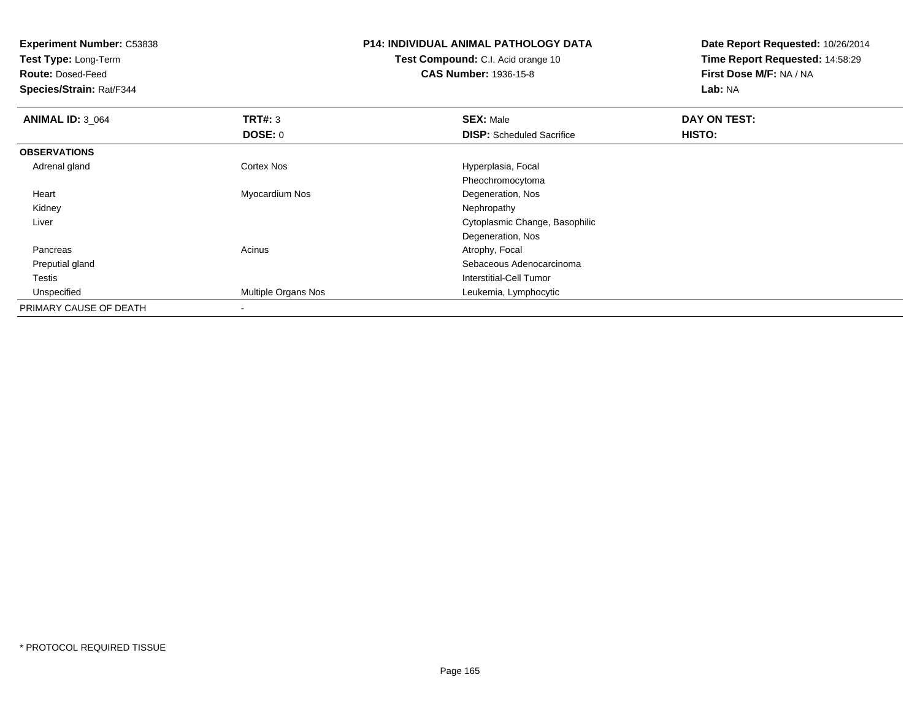**Experiment Number:** C53838

**Test Type:** Long-Term

**Route:** Dosed-Feed

**Species/Strain:** Rat/F344

## **P14: INDIVIDUAL ANIMAL PATHOLOGY DATA**

**Test Compound:** C.I. Acid orange 10**CAS Number:** 1936-15-8

**Date Report Requested:** 10/26/2014**Time Report Requested:** 14:58:29**First Dose M/F:** NA / NA**Lab:** NA

| <b>ANIMAL ID: 3 064</b> | TRT#: 3             | <b>SEX: Male</b>                 | DAY ON TEST: |  |
|-------------------------|---------------------|----------------------------------|--------------|--|
|                         | DOSE: 0             | <b>DISP:</b> Scheduled Sacrifice | HISTO:       |  |
| <b>OBSERVATIONS</b>     |                     |                                  |              |  |
| Adrenal gland           | <b>Cortex Nos</b>   | Hyperplasia, Focal               |              |  |
|                         |                     | Pheochromocytoma                 |              |  |
| Heart                   | Myocardium Nos      | Degeneration, Nos                |              |  |
| Kidney                  |                     | Nephropathy                      |              |  |
| Liver                   |                     | Cytoplasmic Change, Basophilic   |              |  |
|                         |                     | Degeneration, Nos                |              |  |
| Pancreas                | Acinus              | Atrophy, Focal                   |              |  |
| Preputial gland         |                     | Sebaceous Adenocarcinoma         |              |  |
| Testis                  |                     | Interstitial-Cell Tumor          |              |  |
| Unspecified             | Multiple Organs Nos | Leukemia, Lymphocytic            |              |  |
| PRIMARY CAUSE OF DEATH  |                     |                                  |              |  |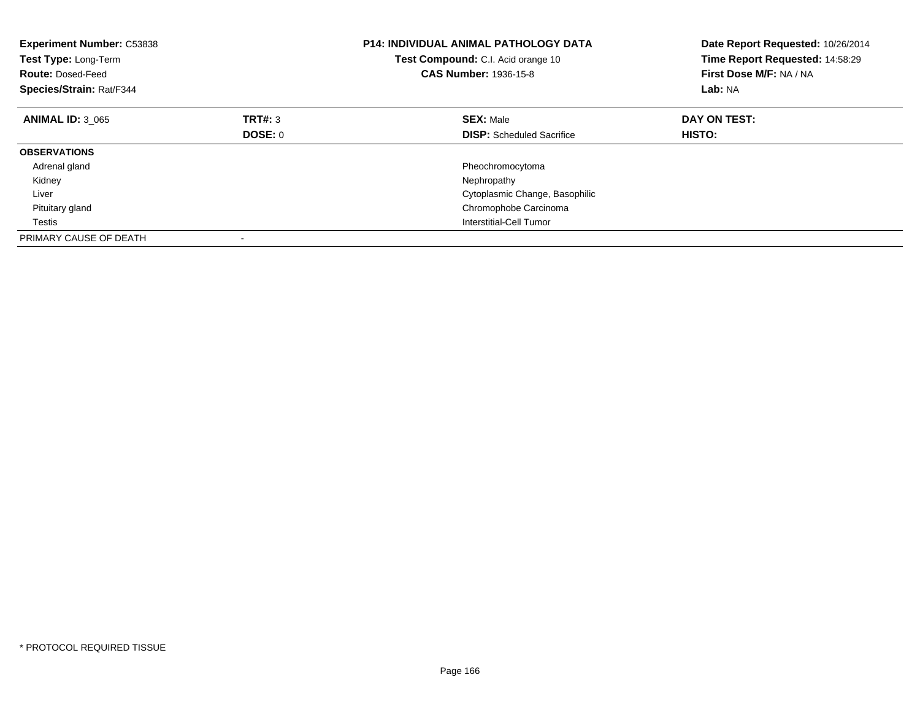| <b>Experiment Number: C53838</b><br>Test Type: Long-Term<br><b>Route: Dosed-Feed</b><br>Species/Strain: Rat/F344 |         | <b>P14: INDIVIDUAL ANIMAL PATHOLOGY DATA</b><br>Test Compound: C.I. Acid orange 10<br><b>CAS Number: 1936-15-8</b> | Date Report Requested: 10/26/2014<br>Time Report Requested: 14:58:29<br>First Dose M/F: NA / NA<br>Lab: NA |
|------------------------------------------------------------------------------------------------------------------|---------|--------------------------------------------------------------------------------------------------------------------|------------------------------------------------------------------------------------------------------------|
| <b>ANIMAL ID: 3 065</b>                                                                                          | TRT#: 3 | <b>SEX: Male</b>                                                                                                   | DAY ON TEST:                                                                                               |
|                                                                                                                  | DOSE: 0 | <b>DISP:</b> Scheduled Sacrifice                                                                                   | <b>HISTO:</b>                                                                                              |
| <b>OBSERVATIONS</b>                                                                                              |         |                                                                                                                    |                                                                                                            |
| Adrenal gland                                                                                                    |         | Pheochromocytoma                                                                                                   |                                                                                                            |
| Kidney                                                                                                           |         | Nephropathy                                                                                                        |                                                                                                            |
| Liver                                                                                                            |         | Cytoplasmic Change, Basophilic                                                                                     |                                                                                                            |
| Pituitary gland                                                                                                  |         | Chromophobe Carcinoma                                                                                              |                                                                                                            |
| Testis                                                                                                           |         | Interstitial-Cell Tumor                                                                                            |                                                                                                            |
| PRIMARY CAUSE OF DEATH                                                                                           |         |                                                                                                                    |                                                                                                            |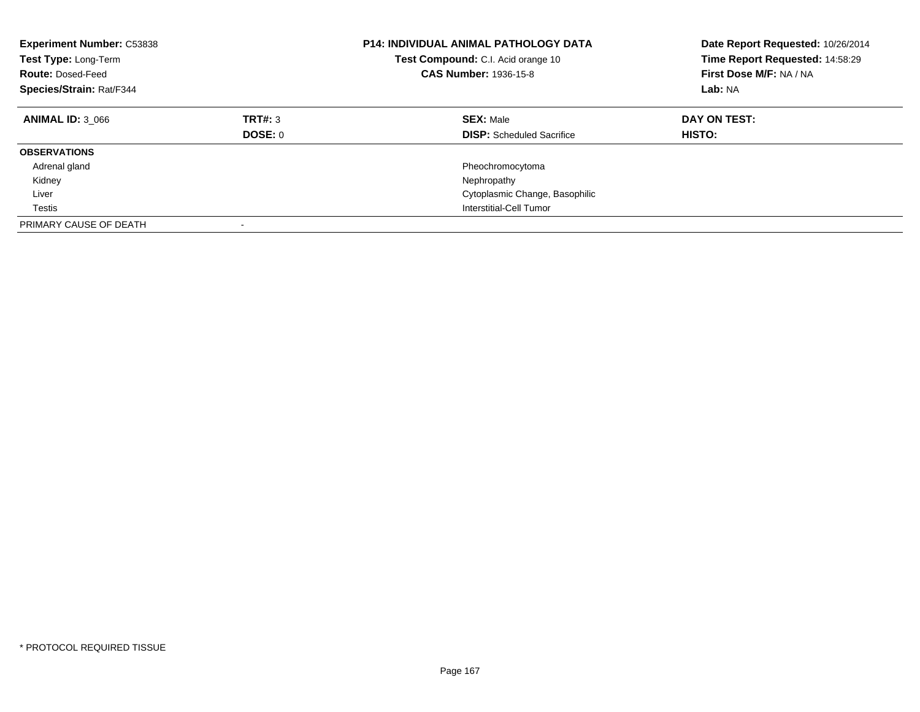| <b>Experiment Number: C53838</b><br>Test Type: Long-Term<br><b>Route: Dosed-Feed</b><br>Species/Strain: Rat/F344 |                           | <b>P14: INDIVIDUAL ANIMAL PATHOLOGY DATA</b><br>Test Compound: C.I. Acid orange 10<br><b>CAS Number: 1936-15-8</b> | Date Report Requested: 10/26/2014<br>Time Report Requested: 14:58:29<br>First Dose M/F: NA / NA<br>Lab: NA |
|------------------------------------------------------------------------------------------------------------------|---------------------------|--------------------------------------------------------------------------------------------------------------------|------------------------------------------------------------------------------------------------------------|
| <b>ANIMAL ID: 3 066</b>                                                                                          | TRT#: 3<br><b>DOSE: 0</b> | <b>SEX: Male</b><br><b>DISP:</b> Scheduled Sacrifice                                                               | DAY ON TEST:<br><b>HISTO:</b>                                                                              |
| <b>OBSERVATIONS</b>                                                                                              |                           |                                                                                                                    |                                                                                                            |
| Adrenal gland                                                                                                    |                           | Pheochromocytoma                                                                                                   |                                                                                                            |
| Kidney                                                                                                           |                           | Nephropathy                                                                                                        |                                                                                                            |
| Liver                                                                                                            |                           | Cytoplasmic Change, Basophilic                                                                                     |                                                                                                            |
| Testis                                                                                                           |                           | Interstitial-Cell Tumor                                                                                            |                                                                                                            |
| PRIMARY CAUSE OF DEATH                                                                                           | $\overline{\phantom{a}}$  |                                                                                                                    |                                                                                                            |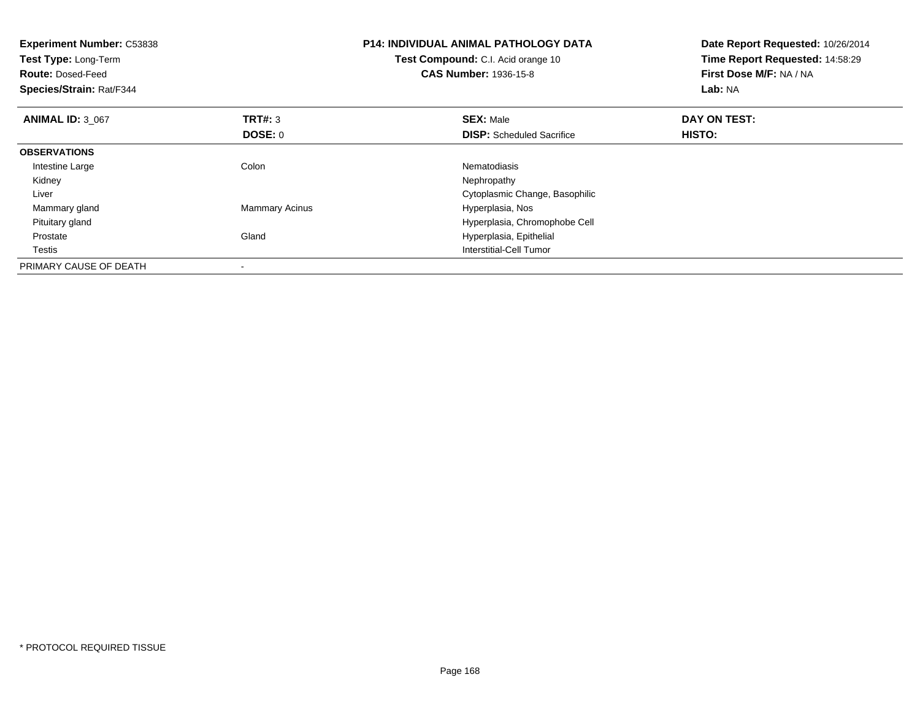| <b>Experiment Number: C53838</b><br><b>Test Type: Long-Term</b><br><b>Route: Dosed-Feed</b><br>Species/Strain: Rat/F344 |                           | <b>P14: INDIVIDUAL ANIMAL PATHOLOGY DATA</b><br>Test Compound: C.I. Acid orange 10<br><b>CAS Number: 1936-15-8</b> | Date Report Requested: 10/26/2014<br>Time Report Requested: 14:58:29<br>First Dose M/F: NA / NA<br>Lab: NA |
|-------------------------------------------------------------------------------------------------------------------------|---------------------------|--------------------------------------------------------------------------------------------------------------------|------------------------------------------------------------------------------------------------------------|
| <b>ANIMAL ID: 3 067</b>                                                                                                 | <b>TRT#: 3</b><br>DOSE: 0 | <b>SEX: Male</b><br><b>DISP:</b> Scheduled Sacrifice                                                               | DAY ON TEST:<br>HISTO:                                                                                     |
| <b>OBSERVATIONS</b>                                                                                                     |                           |                                                                                                                    |                                                                                                            |
| Intestine Large                                                                                                         | Colon                     | Nematodiasis                                                                                                       |                                                                                                            |
| Kidney                                                                                                                  |                           | Nephropathy                                                                                                        |                                                                                                            |
| Liver                                                                                                                   |                           | Cytoplasmic Change, Basophilic                                                                                     |                                                                                                            |
| Mammary gland                                                                                                           | <b>Mammary Acinus</b>     | Hyperplasia, Nos                                                                                                   |                                                                                                            |
| Pituitary gland                                                                                                         |                           | Hyperplasia, Chromophobe Cell                                                                                      |                                                                                                            |
| Prostate                                                                                                                | Gland                     | Hyperplasia, Epithelial                                                                                            |                                                                                                            |
| Testis                                                                                                                  |                           | <b>Interstitial-Cell Tumor</b>                                                                                     |                                                                                                            |
| PRIMARY CAUSE OF DEATH                                                                                                  |                           |                                                                                                                    |                                                                                                            |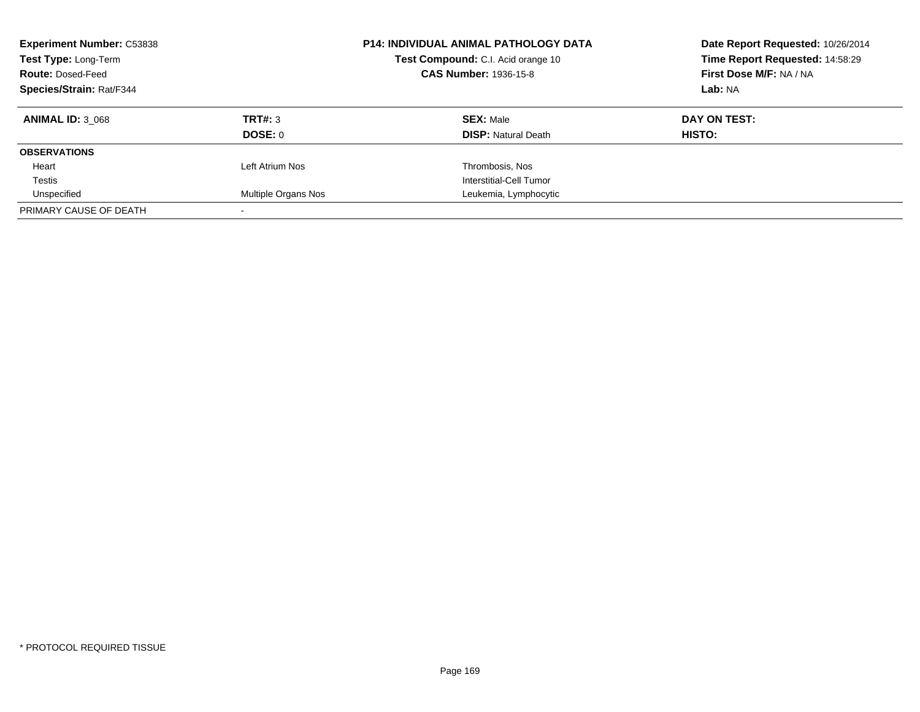| <b>Experiment Number: C53838</b><br>Test Type: Long-Term<br><b>Route: Dosed-Feed</b><br><b>Species/Strain: Rat/F344</b> |                     | <b>P14: INDIVIDUAL ANIMAL PATHOLOGY DATA</b><br>Test Compound: C.I. Acid orange 10<br><b>CAS Number: 1936-15-8</b> | Date Report Requested: 10/26/2014<br>Time Report Requested: 14:58:29<br>First Dose M/F: NA / NA<br>Lab: NA |
|-------------------------------------------------------------------------------------------------------------------------|---------------------|--------------------------------------------------------------------------------------------------------------------|------------------------------------------------------------------------------------------------------------|
| <b>ANIMAL ID: 3 068</b>                                                                                                 | TRT#: 3             | <b>SEX: Male</b>                                                                                                   | DAY ON TEST:                                                                                               |
|                                                                                                                         | DOSE: 0             | <b>DISP:</b> Natural Death                                                                                         | HISTO:                                                                                                     |
| <b>OBSERVATIONS</b>                                                                                                     |                     |                                                                                                                    |                                                                                                            |
| Heart                                                                                                                   | Left Atrium Nos     | Thrombosis, Nos                                                                                                    |                                                                                                            |
| Testis                                                                                                                  |                     | Interstitial-Cell Tumor                                                                                            |                                                                                                            |
| Unspecified                                                                                                             | Multiple Organs Nos | Leukemia, Lymphocytic                                                                                              |                                                                                                            |
| PRIMARY CAUSE OF DEATH                                                                                                  |                     |                                                                                                                    |                                                                                                            |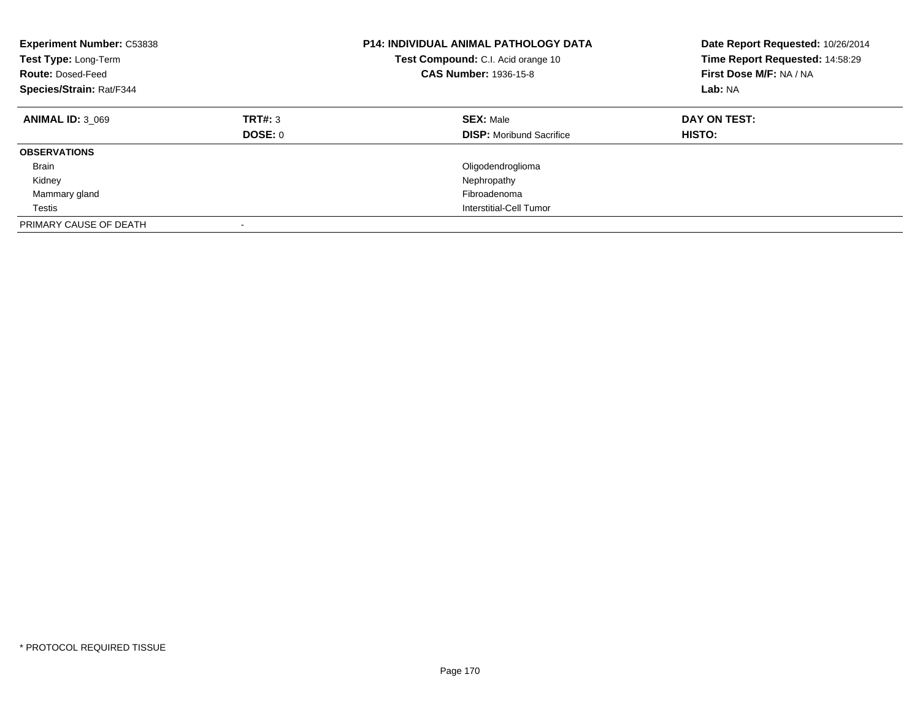| <b>Experiment Number: C53838</b><br>Test Type: Long-Term<br><b>Route: Dosed-Feed</b><br>Species/Strain: Rat/F344 |                           | P14: INDIVIDUAL ANIMAL PATHOLOGY DATA<br>Test Compound: C.I. Acid orange 10<br><b>CAS Number: 1936-15-8</b> | Date Report Requested: 10/26/2014<br>Time Report Requested: 14:58:29<br>First Dose M/F: NA / NA<br>Lab: NA |
|------------------------------------------------------------------------------------------------------------------|---------------------------|-------------------------------------------------------------------------------------------------------------|------------------------------------------------------------------------------------------------------------|
| <b>ANIMAL ID: 3 069</b>                                                                                          | TRT#: 3<br><b>DOSE: 0</b> | <b>SEX: Male</b><br><b>DISP:</b> Moribund Sacrifice                                                         | DAY ON TEST:<br>HISTO:                                                                                     |
| <b>OBSERVATIONS</b>                                                                                              |                           |                                                                                                             |                                                                                                            |
| <b>Brain</b>                                                                                                     |                           | Oligodendroglioma                                                                                           |                                                                                                            |
| Kidney                                                                                                           |                           | Nephropathy                                                                                                 |                                                                                                            |
| Mammary gland                                                                                                    |                           | Fibroadenoma                                                                                                |                                                                                                            |
| Testis                                                                                                           |                           | Interstitial-Cell Tumor                                                                                     |                                                                                                            |
| PRIMARY CAUSE OF DEATH                                                                                           | $\overline{\phantom{a}}$  |                                                                                                             |                                                                                                            |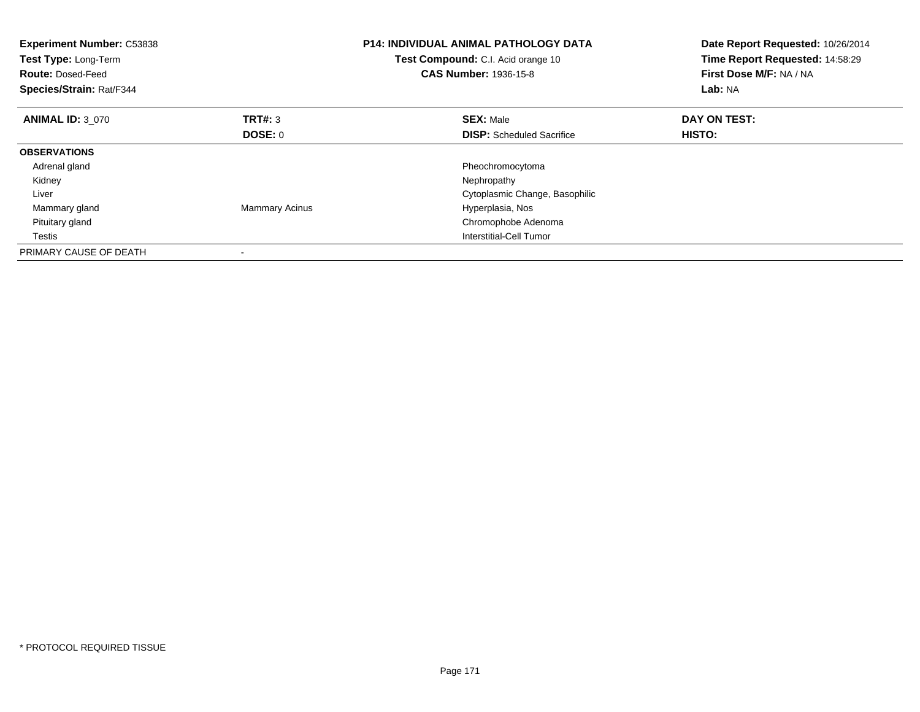| <b>Experiment Number: C53838</b><br>Test Type: Long-Term<br><b>Route: Dosed-Feed</b><br>Species/Strain: Rat/F344 |                       | <b>P14: INDIVIDUAL ANIMAL PATHOLOGY DATA</b><br>Test Compound: C.I. Acid orange 10<br><b>CAS Number: 1936-15-8</b> | Date Report Requested: 10/26/2014<br>Time Report Requested: 14:58:29<br>First Dose M/F: NA / NA<br>Lab: NA |
|------------------------------------------------------------------------------------------------------------------|-----------------------|--------------------------------------------------------------------------------------------------------------------|------------------------------------------------------------------------------------------------------------|
| <b>ANIMAL ID: 3 070</b>                                                                                          | TRT#: 3               | <b>SEX: Male</b>                                                                                                   | DAY ON TEST:                                                                                               |
|                                                                                                                  | <b>DOSE: 0</b>        | <b>DISP:</b> Scheduled Sacrifice                                                                                   | HISTO:                                                                                                     |
| <b>OBSERVATIONS</b>                                                                                              |                       |                                                                                                                    |                                                                                                            |
| Adrenal gland                                                                                                    |                       | Pheochromocytoma                                                                                                   |                                                                                                            |
| Kidney                                                                                                           |                       | Nephropathy                                                                                                        |                                                                                                            |
| Liver                                                                                                            |                       | Cytoplasmic Change, Basophilic                                                                                     |                                                                                                            |
| Mammary gland                                                                                                    | <b>Mammary Acinus</b> | Hyperplasia, Nos                                                                                                   |                                                                                                            |
| Pituitary gland                                                                                                  |                       | Chromophobe Adenoma                                                                                                |                                                                                                            |
| Testis                                                                                                           |                       | Interstitial-Cell Tumor                                                                                            |                                                                                                            |
| PRIMARY CAUSE OF DEATH                                                                                           |                       |                                                                                                                    |                                                                                                            |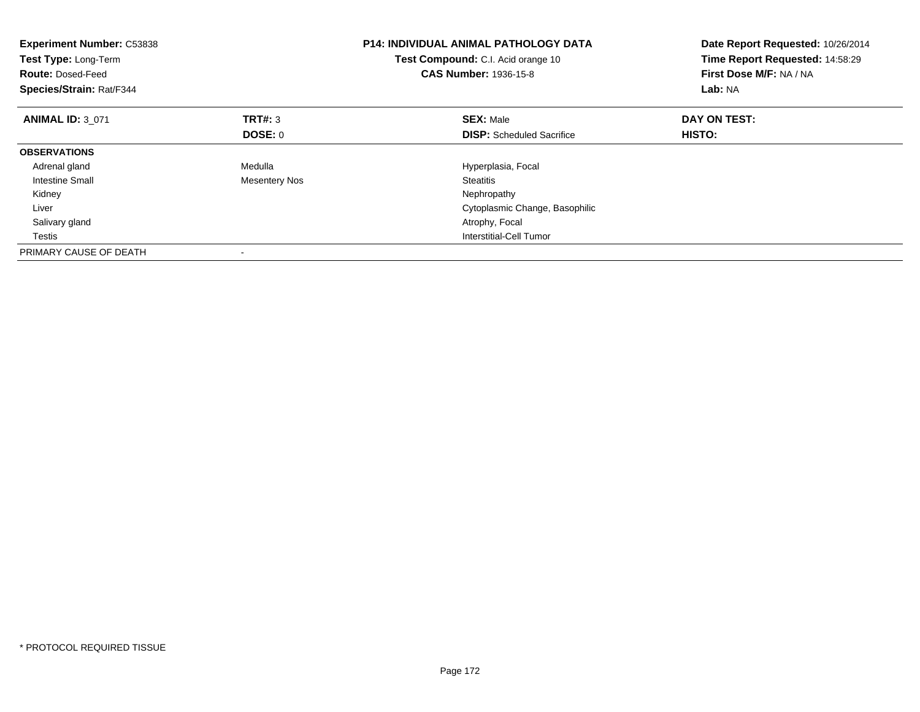| <b>Experiment Number: C53838</b><br>Test Type: Long-Term<br><b>Route: Dosed-Feed</b><br>Species/Strain: Rat/F344 |                      | <b>P14: INDIVIDUAL ANIMAL PATHOLOGY DATA</b><br>Test Compound: C.I. Acid orange 10<br><b>CAS Number: 1936-15-8</b> | Date Report Requested: 10/26/2014<br>Time Report Requested: 14:58:29<br>First Dose M/F: NA / NA<br>Lab: NA |
|------------------------------------------------------------------------------------------------------------------|----------------------|--------------------------------------------------------------------------------------------------------------------|------------------------------------------------------------------------------------------------------------|
| <b>ANIMAL ID: 3 071</b>                                                                                          | <b>TRT#: 3</b>       | <b>SEX: Male</b>                                                                                                   | DAY ON TEST:                                                                                               |
|                                                                                                                  | DOSE: 0              | <b>DISP:</b> Scheduled Sacrifice                                                                                   | HISTO:                                                                                                     |
| <b>OBSERVATIONS</b>                                                                                              |                      |                                                                                                                    |                                                                                                            |
| Adrenal gland                                                                                                    | Medulla              | Hyperplasia, Focal                                                                                                 |                                                                                                            |
| Intestine Small                                                                                                  | <b>Mesentery Nos</b> | Steatitis                                                                                                          |                                                                                                            |
| Kidney                                                                                                           |                      | Nephropathy                                                                                                        |                                                                                                            |
| Liver                                                                                                            |                      | Cytoplasmic Change, Basophilic                                                                                     |                                                                                                            |
| Salivary gland                                                                                                   |                      | Atrophy, Focal                                                                                                     |                                                                                                            |
| Testis                                                                                                           |                      | Interstitial-Cell Tumor                                                                                            |                                                                                                            |
| PRIMARY CAUSE OF DEATH                                                                                           |                      |                                                                                                                    |                                                                                                            |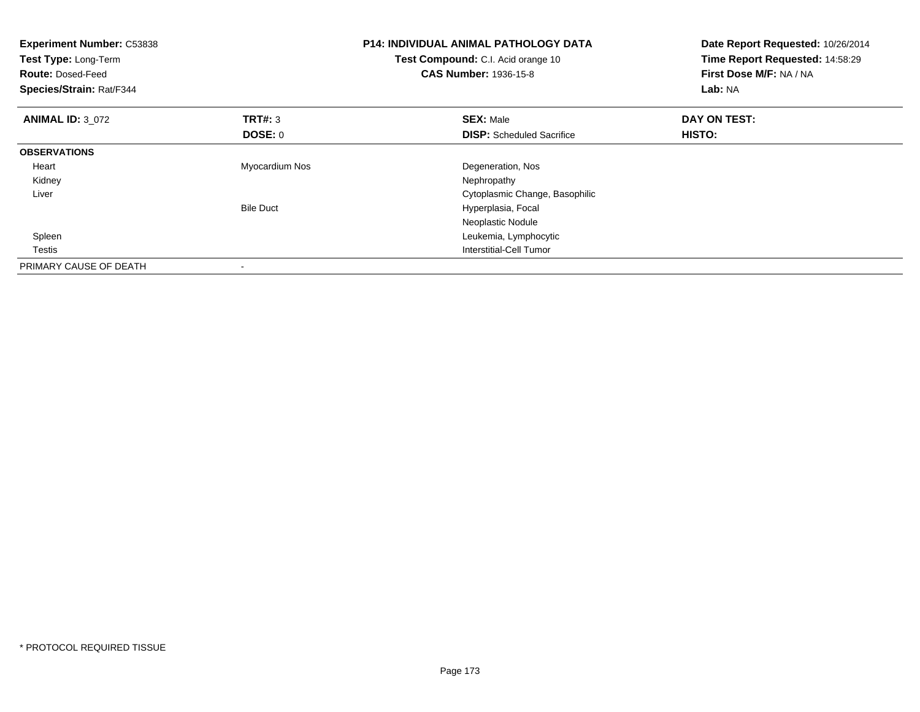| <b>Experiment Number: C53838</b><br>Test Type: Long-Term<br><b>Route: Dosed-Feed</b><br>Species/Strain: Rat/F344 |                           | <b>P14: INDIVIDUAL ANIMAL PATHOLOGY DATA</b><br>Test Compound: C.I. Acid orange 10<br><b>CAS Number: 1936-15-8</b> | Date Report Requested: 10/26/2014<br>Time Report Requested: 14:58:29<br>First Dose M/F: NA / NA<br>Lab: NA |
|------------------------------------------------------------------------------------------------------------------|---------------------------|--------------------------------------------------------------------------------------------------------------------|------------------------------------------------------------------------------------------------------------|
| <b>ANIMAL ID: 3 072</b>                                                                                          | <b>TRT#:</b> 3<br>DOSE: 0 | <b>SEX: Male</b><br><b>DISP:</b> Scheduled Sacrifice                                                               | DAY ON TEST:<br>HISTO:                                                                                     |
| <b>OBSERVATIONS</b>                                                                                              |                           |                                                                                                                    |                                                                                                            |
| Heart                                                                                                            | Myocardium Nos            | Degeneration, Nos                                                                                                  |                                                                                                            |
| Kidney                                                                                                           |                           | Nephropathy                                                                                                        |                                                                                                            |
| Liver                                                                                                            |                           | Cytoplasmic Change, Basophilic                                                                                     |                                                                                                            |
|                                                                                                                  | <b>Bile Duct</b>          | Hyperplasia, Focal                                                                                                 |                                                                                                            |
|                                                                                                                  |                           | Neoplastic Nodule                                                                                                  |                                                                                                            |
| Spleen                                                                                                           |                           | Leukemia, Lymphocytic                                                                                              |                                                                                                            |
| Testis                                                                                                           |                           | Interstitial-Cell Tumor                                                                                            |                                                                                                            |
| PRIMARY CAUSE OF DEATH                                                                                           |                           |                                                                                                                    |                                                                                                            |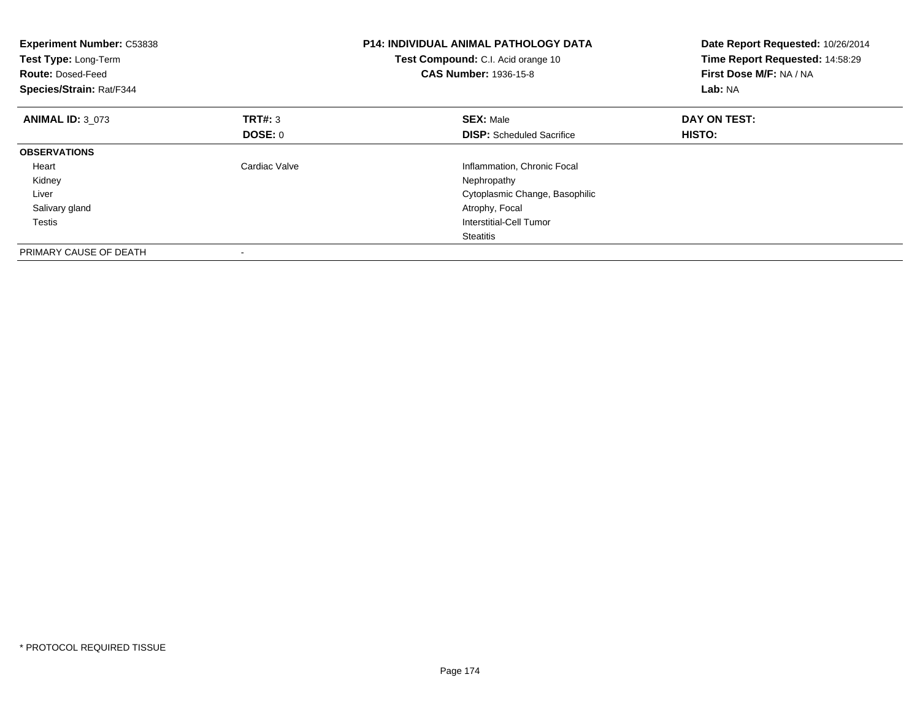| <b>Experiment Number: C53838</b><br>Test Type: Long-Term<br><b>Route: Dosed-Feed</b><br>Species/Strain: Rat/F344 |                | <b>P14: INDIVIDUAL ANIMAL PATHOLOGY DATA</b><br>Test Compound: C.I. Acid orange 10<br><b>CAS Number: 1936-15-8</b> | Date Report Requested: 10/26/2014<br>Time Report Requested: 14:58:29<br>First Dose M/F: NA / NA<br>Lab: NA |
|------------------------------------------------------------------------------------------------------------------|----------------|--------------------------------------------------------------------------------------------------------------------|------------------------------------------------------------------------------------------------------------|
| <b>ANIMAL ID: 3 073</b>                                                                                          | <b>TRT#: 3</b> | <b>SEX: Male</b>                                                                                                   | DAY ON TEST:                                                                                               |
|                                                                                                                  | DOSE: 0        | <b>DISP:</b> Scheduled Sacrifice                                                                                   | HISTO:                                                                                                     |
| <b>OBSERVATIONS</b>                                                                                              |                |                                                                                                                    |                                                                                                            |
| Heart                                                                                                            | Cardiac Valve  | Inflammation, Chronic Focal                                                                                        |                                                                                                            |
| Kidney                                                                                                           |                | Nephropathy                                                                                                        |                                                                                                            |
| Liver                                                                                                            |                | Cytoplasmic Change, Basophilic                                                                                     |                                                                                                            |
| Salivary gland                                                                                                   |                | Atrophy, Focal                                                                                                     |                                                                                                            |
| Testis                                                                                                           |                | Interstitial-Cell Tumor                                                                                            |                                                                                                            |
|                                                                                                                  |                | Steatitis                                                                                                          |                                                                                                            |
| PRIMARY CAUSE OF DEATH                                                                                           |                |                                                                                                                    |                                                                                                            |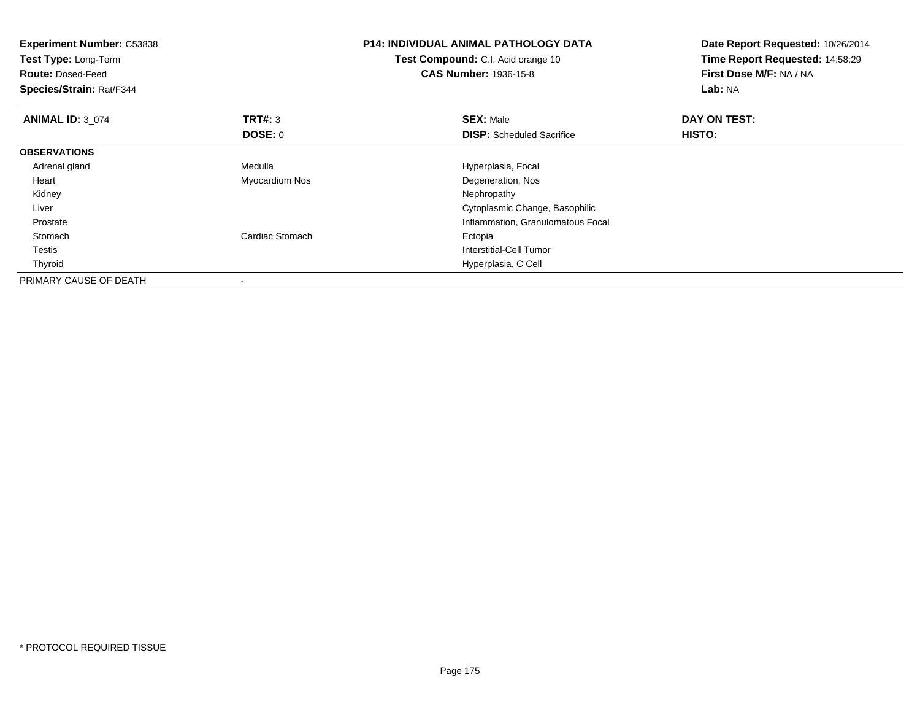| <b>Experiment Number: C53838</b><br>Test Type: Long-Term<br><b>Route: Dosed-Feed</b><br>Species/Strain: Rat/F344 |                 | <b>P14: INDIVIDUAL ANIMAL PATHOLOGY DATA</b><br><b>Test Compound:</b> C.I. Acid orange 10<br><b>CAS Number: 1936-15-8</b> | Date Report Requested: 10/26/2014<br>Time Report Requested: 14:58:29<br>First Dose M/F: NA / NA<br>Lab: NA |
|------------------------------------------------------------------------------------------------------------------|-----------------|---------------------------------------------------------------------------------------------------------------------------|------------------------------------------------------------------------------------------------------------|
| <b>ANIMAL ID: 3 074</b>                                                                                          | TRT#: 3         | <b>SEX: Male</b>                                                                                                          | DAY ON TEST:                                                                                               |
|                                                                                                                  | <b>DOSE: 0</b>  | <b>DISP:</b> Scheduled Sacrifice                                                                                          | <b>HISTO:</b>                                                                                              |
| <b>OBSERVATIONS</b>                                                                                              |                 |                                                                                                                           |                                                                                                            |
| Adrenal gland                                                                                                    | Medulla         | Hyperplasia, Focal                                                                                                        |                                                                                                            |
| Heart                                                                                                            | Myocardium Nos  | Degeneration, Nos                                                                                                         |                                                                                                            |
| Kidney                                                                                                           |                 | Nephropathy                                                                                                               |                                                                                                            |
| Liver                                                                                                            |                 | Cytoplasmic Change, Basophilic                                                                                            |                                                                                                            |
| Prostate                                                                                                         |                 | Inflammation, Granulomatous Focal                                                                                         |                                                                                                            |
| Stomach                                                                                                          | Cardiac Stomach | Ectopia                                                                                                                   |                                                                                                            |
| Testis                                                                                                           |                 | Interstitial-Cell Tumor                                                                                                   |                                                                                                            |
| Thyroid                                                                                                          |                 | Hyperplasia, C Cell                                                                                                       |                                                                                                            |
| PRIMARY CAUSE OF DEATH                                                                                           |                 |                                                                                                                           |                                                                                                            |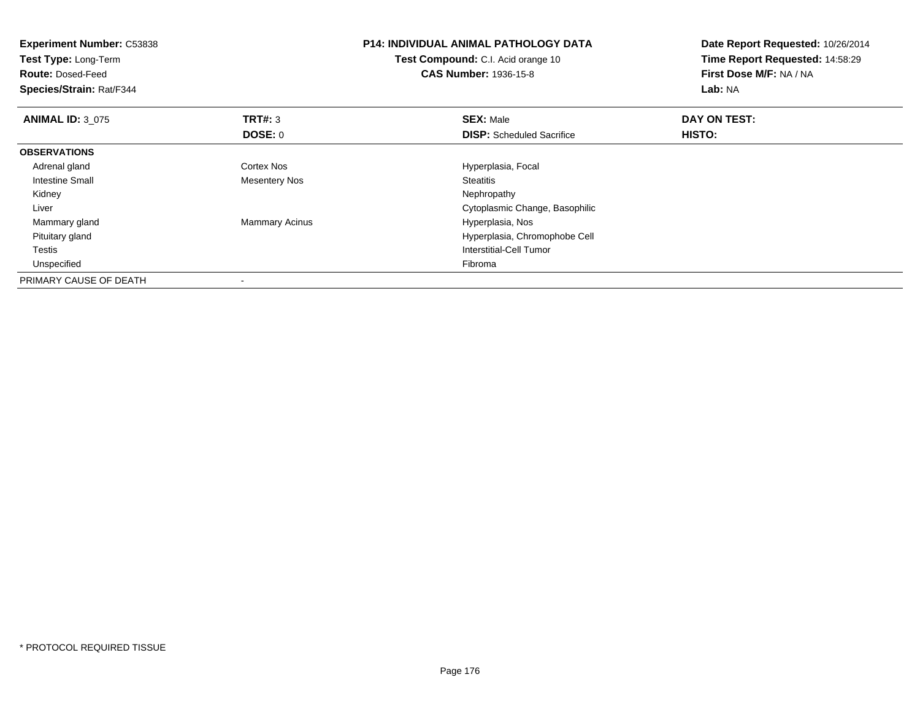| <b>Experiment Number: C53838</b> |                       | <b>P14: INDIVIDUAL ANIMAL PATHOLOGY DATA</b> | Date Report Requested: 10/26/2014 |
|----------------------------------|-----------------------|----------------------------------------------|-----------------------------------|
| Test Type: Long-Term             |                       | Test Compound: C.I. Acid orange 10           | Time Report Requested: 14:58:29   |
| <b>Route: Dosed-Feed</b>         |                       | <b>CAS Number: 1936-15-8</b>                 | First Dose M/F: NA / NA           |
| Species/Strain: Rat/F344         |                       |                                              | Lab: NA                           |
| <b>ANIMAL ID: 3 075</b>          | TRT#: 3               | <b>SEX: Male</b>                             | DAY ON TEST:                      |
|                                  | <b>DOSE: 0</b>        | <b>DISP:</b> Scheduled Sacrifice             | HISTO:                            |
| <b>OBSERVATIONS</b>              |                       |                                              |                                   |
| Adrenal gland                    | Cortex Nos            | Hyperplasia, Focal                           |                                   |
| Intestine Small                  | <b>Mesentery Nos</b>  | <b>Steatitis</b>                             |                                   |
| Kidney                           |                       | Nephropathy                                  |                                   |
| Liver                            |                       | Cytoplasmic Change, Basophilic               |                                   |
| Mammary gland                    | <b>Mammary Acinus</b> | Hyperplasia, Nos                             |                                   |
| Pituitary gland                  |                       | Hyperplasia, Chromophobe Cell                |                                   |
| Testis                           |                       | Interstitial-Cell Tumor                      |                                   |
| Unspecified                      |                       | Fibroma                                      |                                   |
| PRIMARY CAUSE OF DEATH           |                       |                                              |                                   |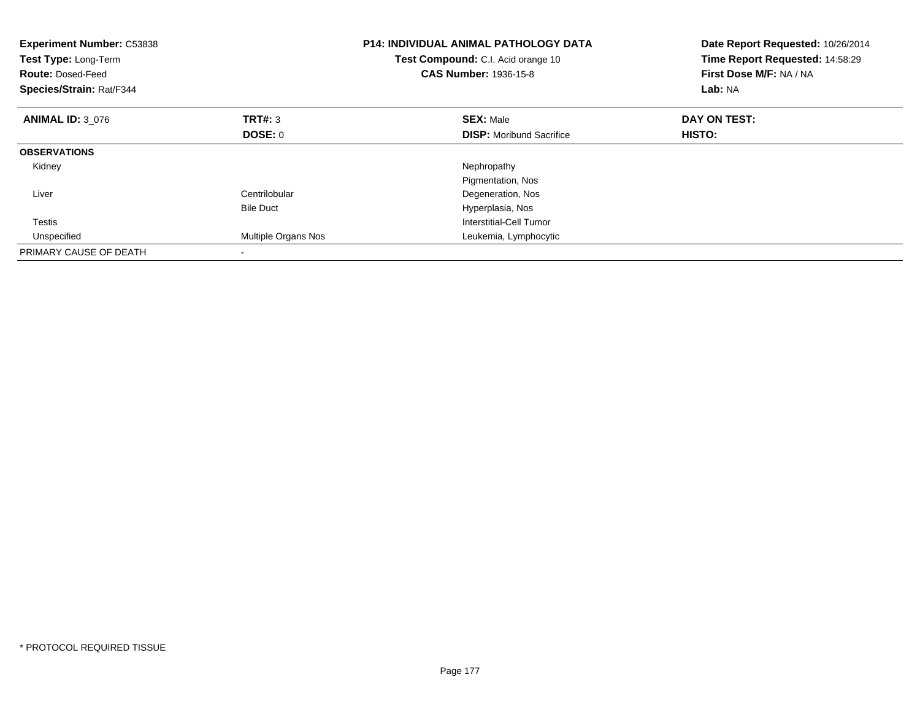| <b>Experiment Number: C53838</b><br>Test Type: Long-Term<br><b>Route: Dosed-Feed</b><br>Species/Strain: Rat/F344 |                     | <b>P14: INDIVIDUAL ANIMAL PATHOLOGY DATA</b><br>Test Compound: C.I. Acid orange 10<br><b>CAS Number: 1936-15-8</b> | Date Report Requested: 10/26/2014<br>Time Report Requested: 14:58:29<br>First Dose M/F: NA / NA<br>Lab: NA |
|------------------------------------------------------------------------------------------------------------------|---------------------|--------------------------------------------------------------------------------------------------------------------|------------------------------------------------------------------------------------------------------------|
| <b>ANIMAL ID: 3 076</b>                                                                                          | TRT#: 3             | <b>SEX: Male</b>                                                                                                   | DAY ON TEST:                                                                                               |
|                                                                                                                  | <b>DOSE: 0</b>      | <b>DISP:</b> Moribund Sacrifice                                                                                    | HISTO:                                                                                                     |
| <b>OBSERVATIONS</b>                                                                                              |                     |                                                                                                                    |                                                                                                            |
| Kidney                                                                                                           |                     | Nephropathy                                                                                                        |                                                                                                            |
|                                                                                                                  |                     | Pigmentation, Nos                                                                                                  |                                                                                                            |
| Liver                                                                                                            | Centrilobular       | Degeneration, Nos                                                                                                  |                                                                                                            |
|                                                                                                                  | <b>Bile Duct</b>    | Hyperplasia, Nos                                                                                                   |                                                                                                            |
| Testis                                                                                                           |                     | Interstitial-Cell Tumor                                                                                            |                                                                                                            |
| Unspecified                                                                                                      | Multiple Organs Nos | Leukemia, Lymphocytic                                                                                              |                                                                                                            |
| PRIMARY CAUSE OF DEATH                                                                                           |                     |                                                                                                                    |                                                                                                            |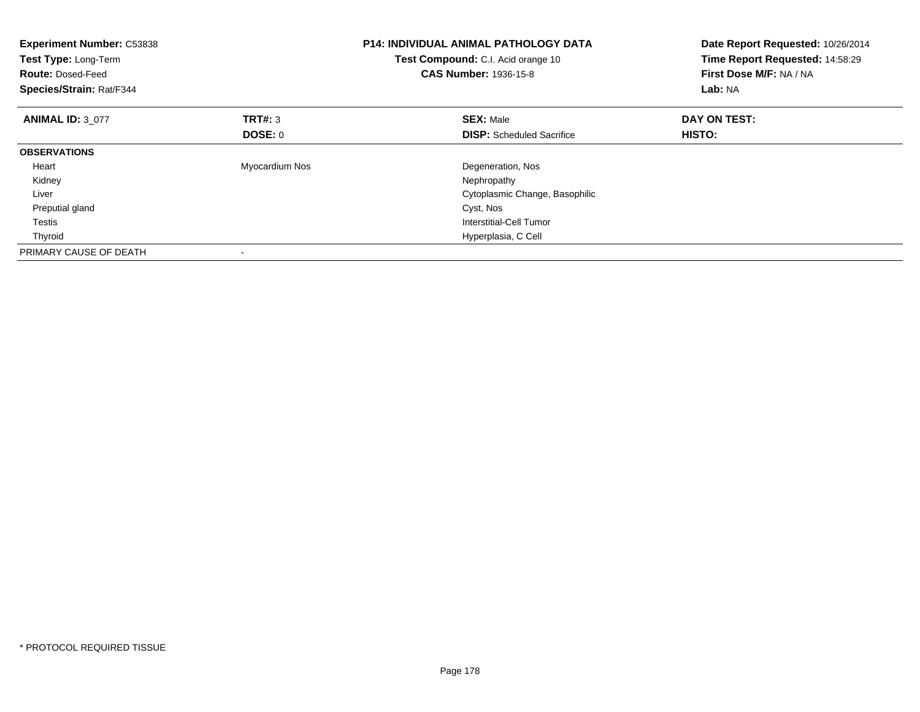| <b>Experiment Number: C53838</b><br>Test Type: Long-Term<br><b>Route: Dosed-Feed</b><br>Species/Strain: Rat/F344 |                | <b>P14: INDIVIDUAL ANIMAL PATHOLOGY DATA</b><br>Test Compound: C.I. Acid orange 10<br><b>CAS Number: 1936-15-8</b> | Date Report Requested: 10/26/2014<br>Time Report Requested: 14:58:29<br>First Dose M/F: NA / NA<br>Lab: NA |
|------------------------------------------------------------------------------------------------------------------|----------------|--------------------------------------------------------------------------------------------------------------------|------------------------------------------------------------------------------------------------------------|
| <b>ANIMAL ID: 3 077</b>                                                                                          | <b>TRT#:</b> 3 | <b>SEX: Male</b>                                                                                                   | DAY ON TEST:                                                                                               |
|                                                                                                                  | DOSE: 0        | <b>DISP:</b> Scheduled Sacrifice                                                                                   | HISTO:                                                                                                     |
| <b>OBSERVATIONS</b>                                                                                              |                |                                                                                                                    |                                                                                                            |
| Heart                                                                                                            | Myocardium Nos | Degeneration, Nos                                                                                                  |                                                                                                            |
| Kidney                                                                                                           |                | Nephropathy                                                                                                        |                                                                                                            |
| Liver                                                                                                            |                | Cytoplasmic Change, Basophilic                                                                                     |                                                                                                            |
| Preputial gland                                                                                                  |                | Cyst, Nos                                                                                                          |                                                                                                            |
| Testis                                                                                                           |                | Interstitial-Cell Tumor                                                                                            |                                                                                                            |
| Thyroid                                                                                                          |                | Hyperplasia, C Cell                                                                                                |                                                                                                            |
| PRIMARY CAUSE OF DEATH                                                                                           |                |                                                                                                                    |                                                                                                            |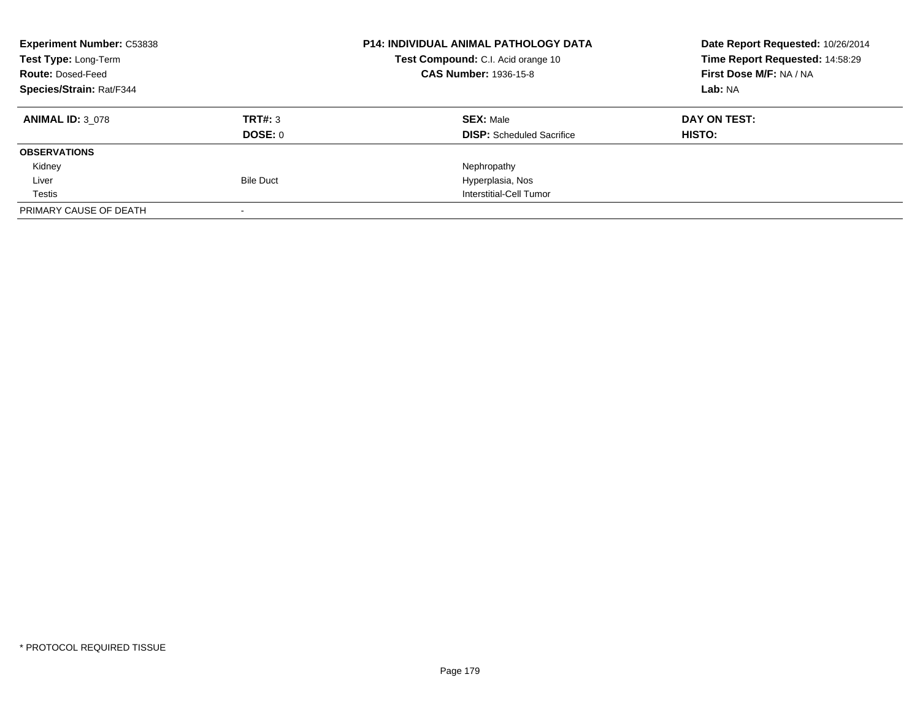| <b>Experiment Number: C53838</b><br>Test Type: Long-Term<br><b>Route: Dosed-Feed</b><br>Species/Strain: Rat/F344 |                    | <b>P14: INDIVIDUAL ANIMAL PATHOLOGY DATA</b><br><b>Test Compound:</b> C.I. Acid orange 10<br><b>CAS Number: 1936-15-8</b> | Date Report Requested: 10/26/2014<br>Time Report Requested: 14:58:29<br>First Dose M/F: NA / NA<br>Lab: NA |
|------------------------------------------------------------------------------------------------------------------|--------------------|---------------------------------------------------------------------------------------------------------------------------|------------------------------------------------------------------------------------------------------------|
| <b>ANIMAL ID: 3 078</b>                                                                                          | TRT#: 3<br>DOSE: 0 | <b>SEX: Male</b><br><b>DISP:</b> Scheduled Sacrifice                                                                      | DAY ON TEST:<br>HISTO:                                                                                     |
| <b>OBSERVATIONS</b>                                                                                              |                    |                                                                                                                           |                                                                                                            |
| Kidney                                                                                                           |                    | Nephropathy                                                                                                               |                                                                                                            |
| Liver                                                                                                            | <b>Bile Duct</b>   | Hyperplasia, Nos                                                                                                          |                                                                                                            |
| Testis                                                                                                           |                    | Interstitial-Cell Tumor                                                                                                   |                                                                                                            |
| PRIMARY CAUSE OF DEATH                                                                                           |                    |                                                                                                                           |                                                                                                            |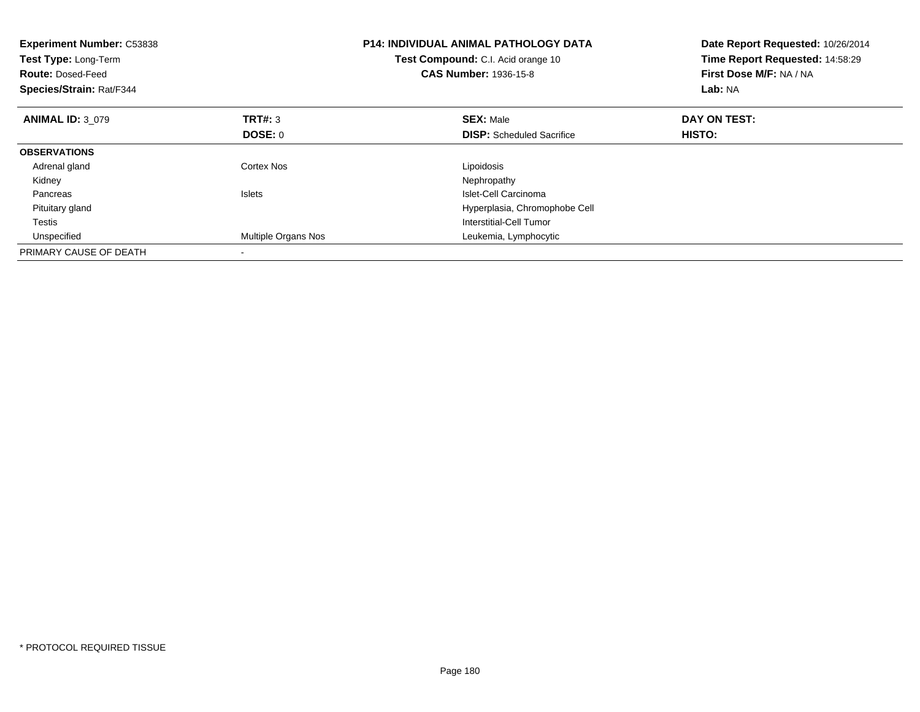| <b>Experiment Number: C53838</b><br>Test Type: Long-Term<br><b>Route: Dosed-Feed</b><br>Species/Strain: Rat/F344 |                     | <b>P14: INDIVIDUAL ANIMAL PATHOLOGY DATA</b><br>Test Compound: C.I. Acid orange 10<br><b>CAS Number: 1936-15-8</b> | Date Report Requested: 10/26/2014<br>Time Report Requested: 14:58:29<br>First Dose M/F: NA / NA<br><b>Lab: NA</b> |
|------------------------------------------------------------------------------------------------------------------|---------------------|--------------------------------------------------------------------------------------------------------------------|-------------------------------------------------------------------------------------------------------------------|
| <b>ANIMAL ID: 3 079</b>                                                                                          | TRT#: 3             | <b>SEX: Male</b>                                                                                                   | DAY ON TEST:                                                                                                      |
|                                                                                                                  | DOSE: 0             | <b>DISP:</b> Scheduled Sacrifice                                                                                   | <b>HISTO:</b>                                                                                                     |
| <b>OBSERVATIONS</b>                                                                                              |                     |                                                                                                                    |                                                                                                                   |
| Adrenal gland                                                                                                    | Cortex Nos          | Lipoidosis                                                                                                         |                                                                                                                   |
| Kidney                                                                                                           |                     | Nephropathy                                                                                                        |                                                                                                                   |
| Pancreas                                                                                                         | <b>Islets</b>       | Islet-Cell Carcinoma                                                                                               |                                                                                                                   |
| Pituitary gland                                                                                                  |                     | Hyperplasia, Chromophobe Cell                                                                                      |                                                                                                                   |
| Testis                                                                                                           |                     | Interstitial-Cell Tumor                                                                                            |                                                                                                                   |
| Unspecified                                                                                                      | Multiple Organs Nos | Leukemia, Lymphocytic                                                                                              |                                                                                                                   |
| PRIMARY CAUSE OF DEATH                                                                                           |                     |                                                                                                                    |                                                                                                                   |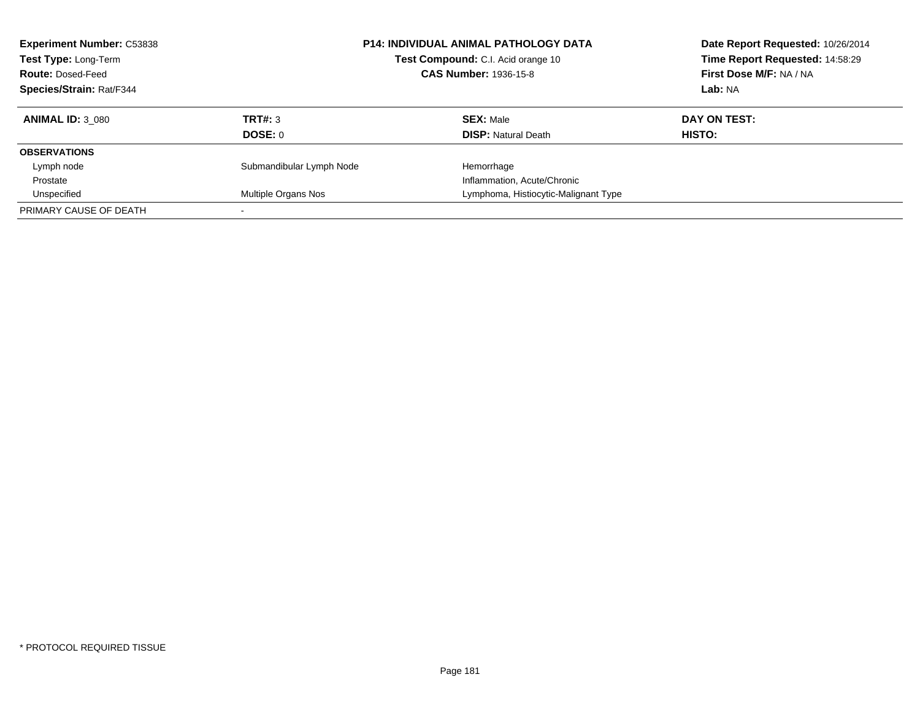| <b>Experiment Number: C53838</b><br>Test Type: Long-Term<br><b>Route: Dosed-Feed</b><br>Species/Strain: Rat/F344 | <b>P14: INDIVIDUAL ANIMAL PATHOLOGY DATA</b><br>Test Compound: C.I. Acid orange 10<br><b>CAS Number: 1936-15-8</b> |                                                | Date Report Requested: 10/26/2014<br>Time Report Requested: 14:58:29<br>First Dose M/F: NA / NA<br>Lab: NA |  |
|------------------------------------------------------------------------------------------------------------------|--------------------------------------------------------------------------------------------------------------------|------------------------------------------------|------------------------------------------------------------------------------------------------------------|--|
| <b>ANIMAL ID: 3 080</b>                                                                                          | TRT#: 3<br>DOSE: 0                                                                                                 | <b>SEX: Male</b><br><b>DISP: Natural Death</b> | DAY ON TEST:<br>HISTO:                                                                                     |  |
| <b>OBSERVATIONS</b>                                                                                              |                                                                                                                    |                                                |                                                                                                            |  |
| Lymph node                                                                                                       | Submandibular Lymph Node                                                                                           | Hemorrhage                                     |                                                                                                            |  |
| Prostate                                                                                                         |                                                                                                                    | Inflammation, Acute/Chronic                    |                                                                                                            |  |
| Unspecified                                                                                                      | Multiple Organs Nos                                                                                                | Lymphoma, Histiocytic-Malignant Type           |                                                                                                            |  |
| PRIMARY CAUSE OF DEATH                                                                                           |                                                                                                                    |                                                |                                                                                                            |  |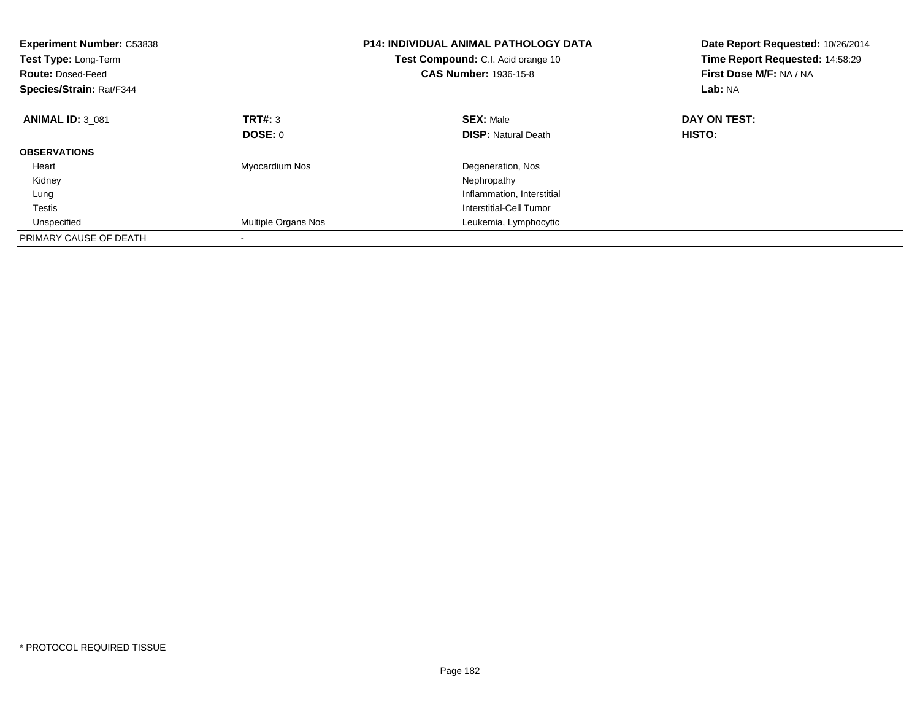| <b>Experiment Number: C53838</b><br>Test Type: Long-Term<br><b>Route: Dosed-Feed</b><br>Species/Strain: Rat/F344 |                     | <b>P14: INDIVIDUAL ANIMAL PATHOLOGY DATA</b><br>Test Compound: C.I. Acid orange 10<br><b>CAS Number: 1936-15-8</b> | Date Report Requested: 10/26/2014<br>Time Report Requested: 14:58:29<br>First Dose M/F: NA / NA<br>Lab: NA |
|------------------------------------------------------------------------------------------------------------------|---------------------|--------------------------------------------------------------------------------------------------------------------|------------------------------------------------------------------------------------------------------------|
| <b>ANIMAL ID: 3 081</b>                                                                                          | TRT#: 3             | <b>SEX: Male</b>                                                                                                   | DAY ON TEST:                                                                                               |
|                                                                                                                  | DOSE: 0             | <b>DISP: Natural Death</b>                                                                                         | HISTO:                                                                                                     |
| <b>OBSERVATIONS</b>                                                                                              |                     |                                                                                                                    |                                                                                                            |
| Heart                                                                                                            | Myocardium Nos      | Degeneration, Nos                                                                                                  |                                                                                                            |
| Kidney                                                                                                           |                     | Nephropathy                                                                                                        |                                                                                                            |
| Lung                                                                                                             |                     | Inflammation, Interstitial                                                                                         |                                                                                                            |
| Testis                                                                                                           |                     | Interstitial-Cell Tumor                                                                                            |                                                                                                            |
| Unspecified                                                                                                      | Multiple Organs Nos | Leukemia, Lymphocytic                                                                                              |                                                                                                            |
| PRIMARY CAUSE OF DEATH                                                                                           |                     |                                                                                                                    |                                                                                                            |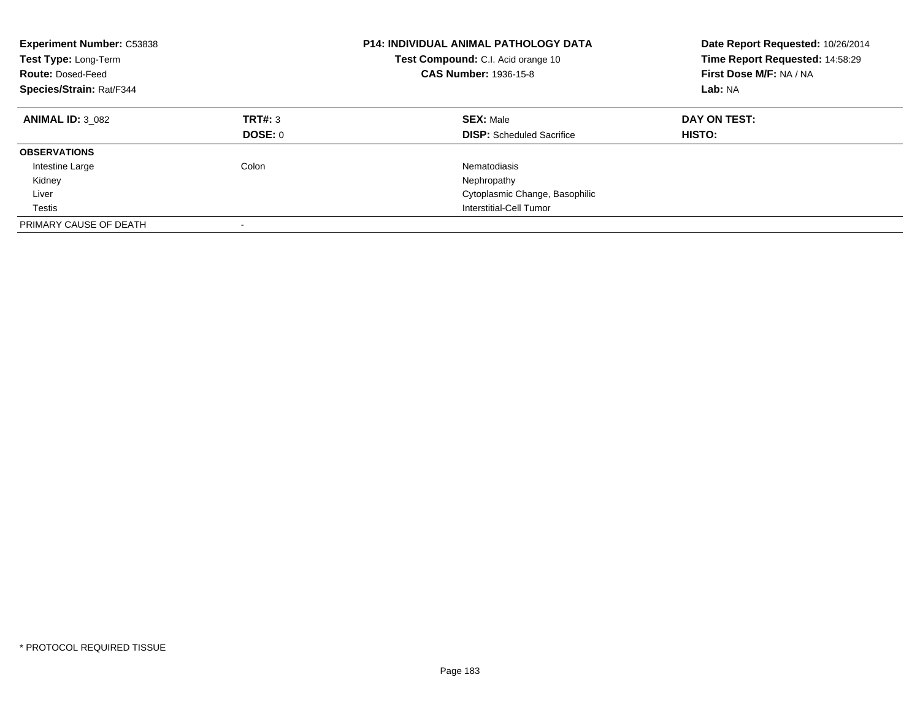| <b>Experiment Number: C53838</b><br>Test Type: Long-Term<br><b>Route: Dosed-Feed</b><br>Species/Strain: Rat/F344 |                           | <b>P14: INDIVIDUAL ANIMAL PATHOLOGY DATA</b><br><b>Test Compound:</b> C.I. Acid orange 10<br><b>CAS Number: 1936-15-8</b> | Date Report Requested: 10/26/2014<br>Time Report Requested: 14:58:29<br>First Dose M/F: NA / NA<br>Lab: NA |
|------------------------------------------------------------------------------------------------------------------|---------------------------|---------------------------------------------------------------------------------------------------------------------------|------------------------------------------------------------------------------------------------------------|
| <b>ANIMAL ID: 3 082</b>                                                                                          | TRT#: 3<br><b>DOSE: 0</b> | <b>SEX: Male</b><br><b>DISP:</b> Scheduled Sacrifice                                                                      | DAY ON TEST:<br><b>HISTO:</b>                                                                              |
| <b>OBSERVATIONS</b>                                                                                              |                           |                                                                                                                           |                                                                                                            |
| Intestine Large                                                                                                  | Colon                     | Nematodiasis                                                                                                              |                                                                                                            |
| Kidney                                                                                                           |                           | Nephropathy                                                                                                               |                                                                                                            |
| Liver                                                                                                            |                           | Cytoplasmic Change, Basophilic                                                                                            |                                                                                                            |
| Testis                                                                                                           |                           | Interstitial-Cell Tumor                                                                                                   |                                                                                                            |
| PRIMARY CAUSE OF DEATH                                                                                           | $\overline{\phantom{a}}$  |                                                                                                                           |                                                                                                            |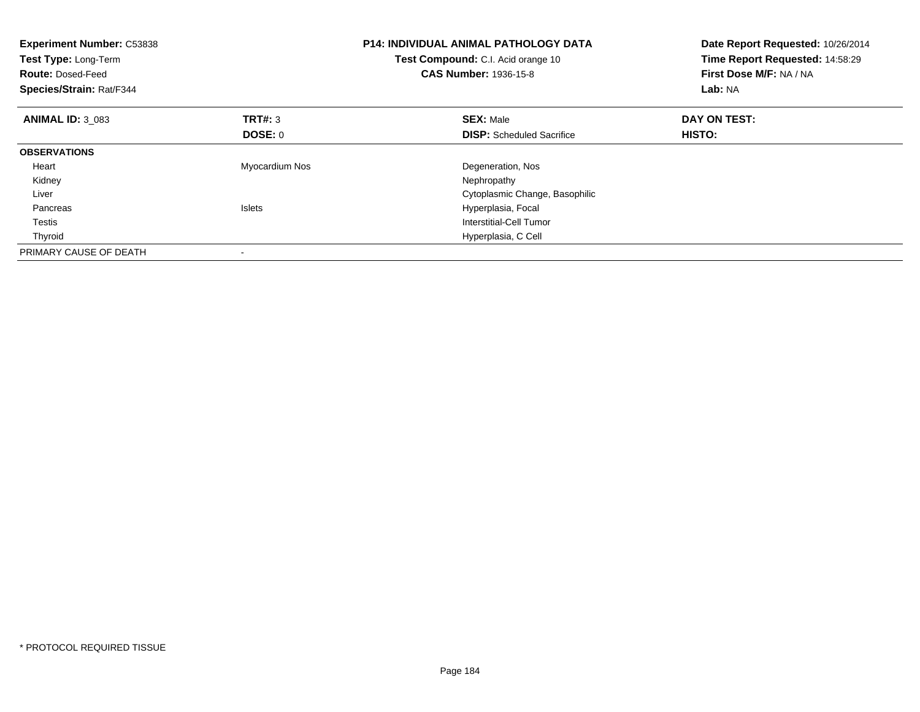| <b>Experiment Number: C53838</b><br>Test Type: Long-Term<br><b>Route: Dosed-Feed</b><br>Species/Strain: Rat/F344 |                | <b>P14: INDIVIDUAL ANIMAL PATHOLOGY DATA</b><br>Test Compound: C.I. Acid orange 10<br><b>CAS Number: 1936-15-8</b> | Date Report Requested: 10/26/2014<br>Time Report Requested: 14:58:29<br>First Dose M/F: NA / NA<br>Lab: NA |
|------------------------------------------------------------------------------------------------------------------|----------------|--------------------------------------------------------------------------------------------------------------------|------------------------------------------------------------------------------------------------------------|
| <b>ANIMAL ID: 3 083</b>                                                                                          | <b>TRT#:</b> 3 | <b>SEX: Male</b>                                                                                                   | DAY ON TEST:                                                                                               |
|                                                                                                                  | DOSE: 0        | <b>DISP:</b> Scheduled Sacrifice                                                                                   | HISTO:                                                                                                     |
| <b>OBSERVATIONS</b>                                                                                              |                |                                                                                                                    |                                                                                                            |
| Heart                                                                                                            | Myocardium Nos | Degeneration, Nos                                                                                                  |                                                                                                            |
| Kidney                                                                                                           |                | Nephropathy                                                                                                        |                                                                                                            |
| Liver                                                                                                            |                | Cytoplasmic Change, Basophilic                                                                                     |                                                                                                            |
| Pancreas                                                                                                         | <b>Islets</b>  | Hyperplasia, Focal                                                                                                 |                                                                                                            |
| Testis                                                                                                           |                | Interstitial-Cell Tumor                                                                                            |                                                                                                            |
| Thyroid                                                                                                          |                | Hyperplasia, C Cell                                                                                                |                                                                                                            |
| PRIMARY CAUSE OF DEATH                                                                                           |                |                                                                                                                    |                                                                                                            |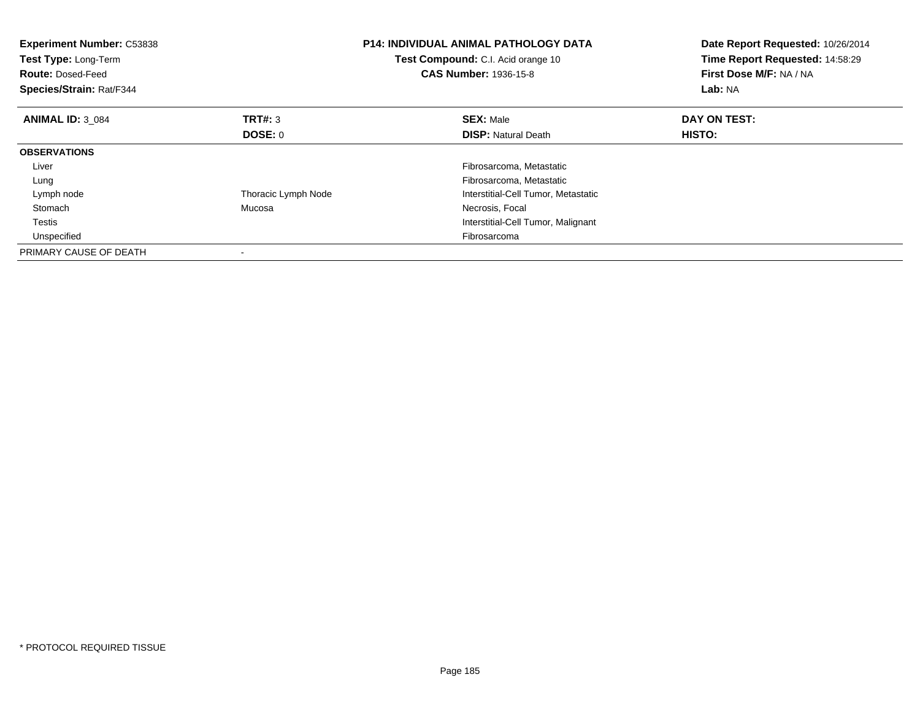| <b>Experiment Number: C53838</b><br>Test Type: Long-Term<br><b>Route: Dosed-Feed</b><br>Species/Strain: Rat/F344 |                     | <b>P14: INDIVIDUAL ANIMAL PATHOLOGY DATA</b><br>Test Compound: C.I. Acid orange 10<br><b>CAS Number: 1936-15-8</b> | Date Report Requested: 10/26/2014<br>Time Report Requested: 14:58:29<br>First Dose M/F: NA / NA<br>Lab: NA |
|------------------------------------------------------------------------------------------------------------------|---------------------|--------------------------------------------------------------------------------------------------------------------|------------------------------------------------------------------------------------------------------------|
| <b>ANIMAL ID: 3 084</b>                                                                                          | <b>TRT#:</b> 3      | <b>SEX: Male</b>                                                                                                   | DAY ON TEST:                                                                                               |
|                                                                                                                  | DOSE: 0             | <b>DISP: Natural Death</b>                                                                                         | HISTO:                                                                                                     |
| <b>OBSERVATIONS</b>                                                                                              |                     |                                                                                                                    |                                                                                                            |
| Liver                                                                                                            |                     | Fibrosarcoma, Metastatic                                                                                           |                                                                                                            |
| Lung                                                                                                             |                     | Fibrosarcoma, Metastatic                                                                                           |                                                                                                            |
| Lymph node                                                                                                       | Thoracic Lymph Node | Interstitial-Cell Tumor, Metastatic                                                                                |                                                                                                            |
| Stomach                                                                                                          | Mucosa              | Necrosis, Focal                                                                                                    |                                                                                                            |
| Testis                                                                                                           |                     | Interstitial-Cell Tumor, Malignant                                                                                 |                                                                                                            |
| Unspecified                                                                                                      |                     | Fibrosarcoma                                                                                                       |                                                                                                            |
| PRIMARY CAUSE OF DEATH                                                                                           |                     |                                                                                                                    |                                                                                                            |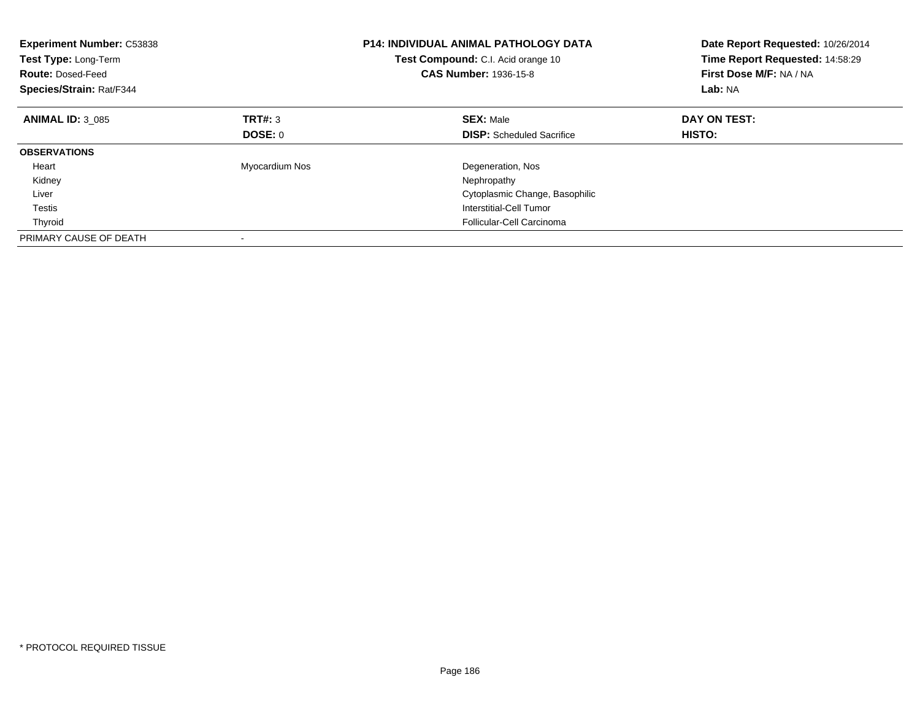| <b>Experiment Number: C53838</b><br>Test Type: Long-Term<br><b>Route: Dosed-Feed</b><br>Species/Strain: Rat/F344 |                | <b>P14: INDIVIDUAL ANIMAL PATHOLOGY DATA</b><br>Test Compound: C.I. Acid orange 10<br><b>CAS Number: 1936-15-8</b> | Date Report Requested: 10/26/2014<br>Time Report Requested: 14:58:29<br>First Dose M/F: NA / NA<br>Lab: NA |
|------------------------------------------------------------------------------------------------------------------|----------------|--------------------------------------------------------------------------------------------------------------------|------------------------------------------------------------------------------------------------------------|
| <b>ANIMAL ID: 3 085</b>                                                                                          | TRT#: 3        | <b>SEX: Male</b>                                                                                                   | DAY ON TEST:                                                                                               |
|                                                                                                                  | DOSE: 0        | <b>DISP:</b> Scheduled Sacrifice                                                                                   | <b>HISTO:</b>                                                                                              |
| <b>OBSERVATIONS</b>                                                                                              |                |                                                                                                                    |                                                                                                            |
| Heart                                                                                                            | Myocardium Nos | Degeneration, Nos                                                                                                  |                                                                                                            |
| Kidney                                                                                                           |                | Nephropathy                                                                                                        |                                                                                                            |
| Liver                                                                                                            |                | Cytoplasmic Change, Basophilic                                                                                     |                                                                                                            |
| Testis                                                                                                           |                | Interstitial-Cell Tumor                                                                                            |                                                                                                            |
| Thyroid                                                                                                          |                | Follicular-Cell Carcinoma                                                                                          |                                                                                                            |
| PRIMARY CAUSE OF DEATH                                                                                           |                |                                                                                                                    |                                                                                                            |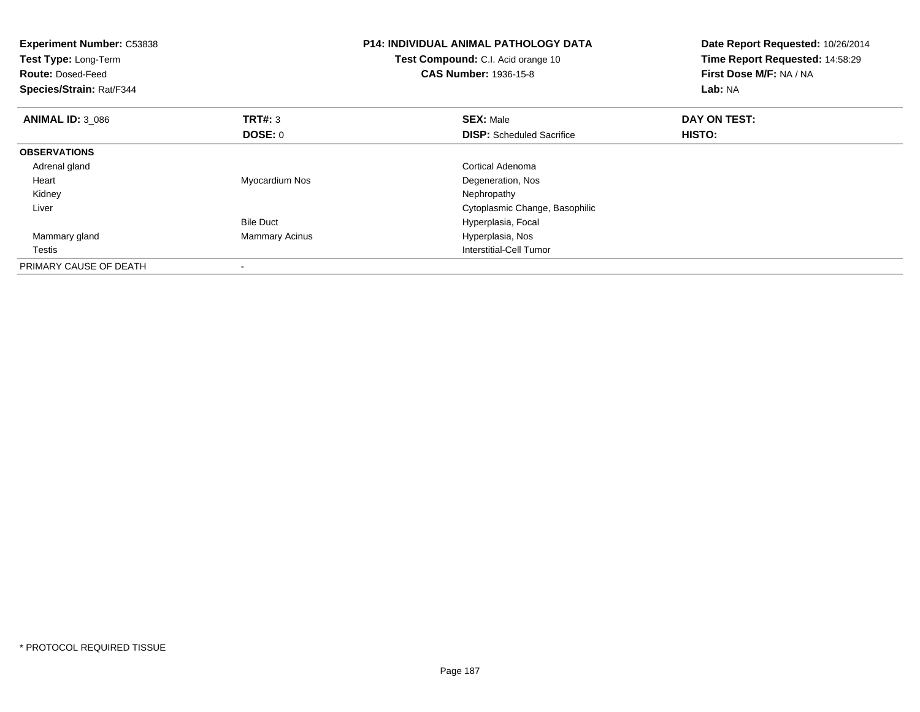| <b>Experiment Number: C53838</b><br>Test Type: Long-Term<br><b>Route: Dosed-Feed</b><br>Species/Strain: Rat/F344 |                       | <b>P14: INDIVIDUAL ANIMAL PATHOLOGY DATA</b><br>Test Compound: C.I. Acid orange 10<br><b>CAS Number: 1936-15-8</b> | Date Report Requested: 10/26/2014<br>Time Report Requested: 14:58:29<br>First Dose M/F: NA / NA<br>Lab: NA |
|------------------------------------------------------------------------------------------------------------------|-----------------------|--------------------------------------------------------------------------------------------------------------------|------------------------------------------------------------------------------------------------------------|
| <b>ANIMAL ID: 3 086</b>                                                                                          | <b>TRT#: 3</b>        | <b>SEX: Male</b>                                                                                                   | DAY ON TEST:                                                                                               |
|                                                                                                                  | DOSE: 0               | <b>DISP:</b> Scheduled Sacrifice                                                                                   | HISTO:                                                                                                     |
| <b>OBSERVATIONS</b>                                                                                              |                       |                                                                                                                    |                                                                                                            |
| Adrenal gland                                                                                                    |                       | Cortical Adenoma                                                                                                   |                                                                                                            |
| Heart                                                                                                            | Myocardium Nos        | Degeneration, Nos                                                                                                  |                                                                                                            |
| Kidney                                                                                                           |                       | Nephropathy                                                                                                        |                                                                                                            |
| Liver                                                                                                            |                       | Cytoplasmic Change, Basophilic                                                                                     |                                                                                                            |
|                                                                                                                  | <b>Bile Duct</b>      | Hyperplasia, Focal                                                                                                 |                                                                                                            |
| Mammary gland                                                                                                    | <b>Mammary Acinus</b> | Hyperplasia, Nos                                                                                                   |                                                                                                            |
| Testis                                                                                                           |                       | Interstitial-Cell Tumor                                                                                            |                                                                                                            |
| PRIMARY CAUSE OF DEATH                                                                                           |                       |                                                                                                                    |                                                                                                            |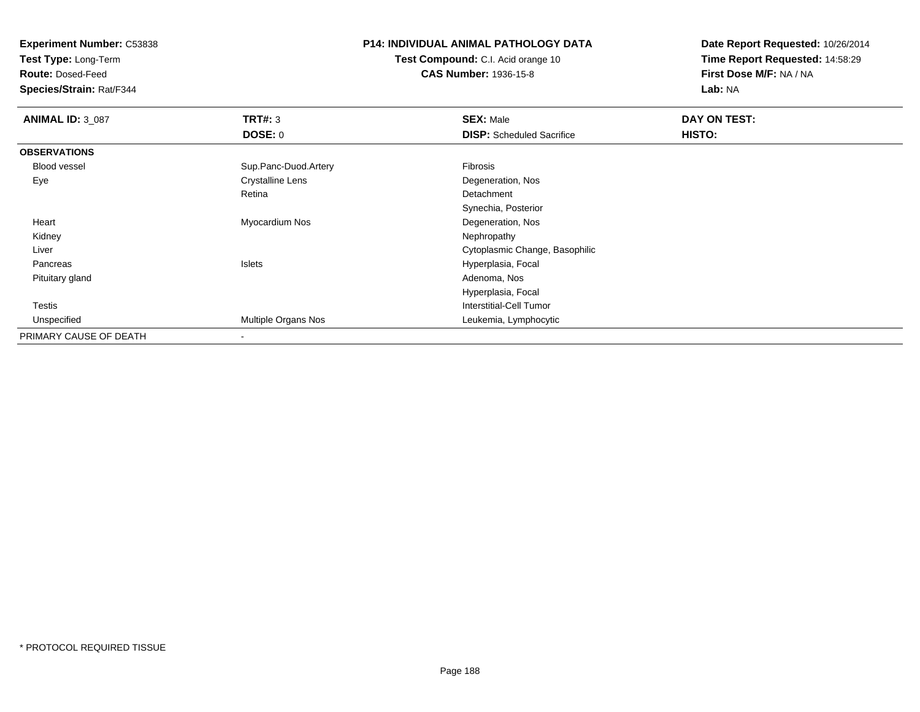**Experiment Number:** C53838

**Test Type:** Long-Term

**Route:** Dosed-Feed

**Species/Strain:** Rat/F344

## **P14: INDIVIDUAL ANIMAL PATHOLOGY DATA**

**Test Compound:** C.I. Acid orange 10**CAS Number:** 1936-15-8

**Date Report Requested:** 10/26/2014**Time Report Requested:** 14:58:29**First Dose M/F:** NA / NA**Lab:** NA

| <b>ANIMAL ID: 3 087</b> | TRT#: 3                  | <b>SEX: Male</b>                 | DAY ON TEST: |  |
|-------------------------|--------------------------|----------------------------------|--------------|--|
|                         | DOSE: 0                  | <b>DISP:</b> Scheduled Sacrifice | HISTO:       |  |
| <b>OBSERVATIONS</b>     |                          |                                  |              |  |
| Blood vessel            | Sup.Panc-Duod.Artery     | Fibrosis                         |              |  |
| Eye                     | <b>Crystalline Lens</b>  | Degeneration, Nos                |              |  |
|                         | Retina                   | Detachment                       |              |  |
|                         |                          | Synechia, Posterior              |              |  |
| Heart                   | Myocardium Nos           | Degeneration, Nos                |              |  |
| Kidney                  |                          | Nephropathy                      |              |  |
| Liver                   |                          | Cytoplasmic Change, Basophilic   |              |  |
| Pancreas                | Islets                   | Hyperplasia, Focal               |              |  |
| Pituitary gland         |                          | Adenoma, Nos                     |              |  |
|                         |                          | Hyperplasia, Focal               |              |  |
| <b>Testis</b>           |                          | Interstitial-Cell Tumor          |              |  |
| Unspecified             | Multiple Organs Nos      | Leukemia, Lymphocytic            |              |  |
| PRIMARY CAUSE OF DEATH  | $\overline{\phantom{a}}$ |                                  |              |  |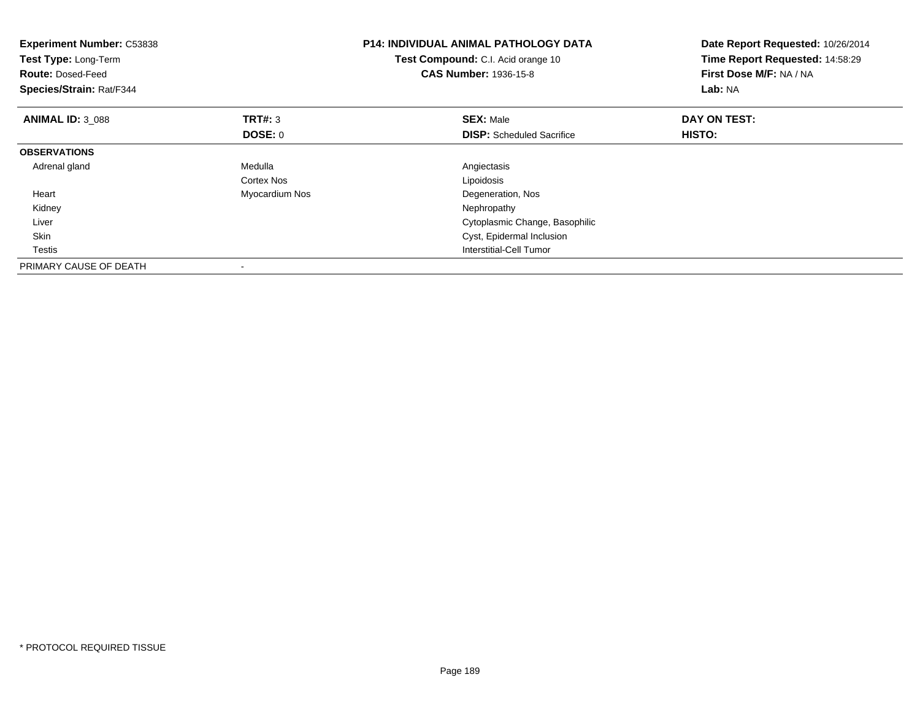| <b>Experiment Number: C53838</b><br>Test Type: Long-Term<br><b>Route: Dosed-Feed</b><br>Species/Strain: Rat/F344 |                | <b>P14: INDIVIDUAL ANIMAL PATHOLOGY DATA</b><br>Test Compound: C.I. Acid orange 10<br><b>CAS Number: 1936-15-8</b> | Date Report Requested: 10/26/2014<br>Time Report Requested: 14:58:29<br>First Dose M/F: NA / NA<br>Lab: NA |
|------------------------------------------------------------------------------------------------------------------|----------------|--------------------------------------------------------------------------------------------------------------------|------------------------------------------------------------------------------------------------------------|
| <b>ANIMAL ID: 3 088</b>                                                                                          | <b>TRT#: 3</b> | <b>SEX: Male</b>                                                                                                   | DAY ON TEST:                                                                                               |
|                                                                                                                  | <b>DOSE: 0</b> | <b>DISP:</b> Scheduled Sacrifice                                                                                   | HISTO:                                                                                                     |
| <b>OBSERVATIONS</b>                                                                                              |                |                                                                                                                    |                                                                                                            |
| Adrenal gland                                                                                                    | Medulla        | Angiectasis                                                                                                        |                                                                                                            |
|                                                                                                                  | Cortex Nos     | Lipoidosis                                                                                                         |                                                                                                            |
| Heart                                                                                                            | Myocardium Nos | Degeneration, Nos                                                                                                  |                                                                                                            |
| Kidney                                                                                                           |                | Nephropathy                                                                                                        |                                                                                                            |
| Liver                                                                                                            |                | Cytoplasmic Change, Basophilic                                                                                     |                                                                                                            |
| <b>Skin</b>                                                                                                      |                | Cyst, Epidermal Inclusion                                                                                          |                                                                                                            |
| Testis                                                                                                           |                | Interstitial-Cell Tumor                                                                                            |                                                                                                            |
| PRIMARY CAUSE OF DEATH                                                                                           |                |                                                                                                                    |                                                                                                            |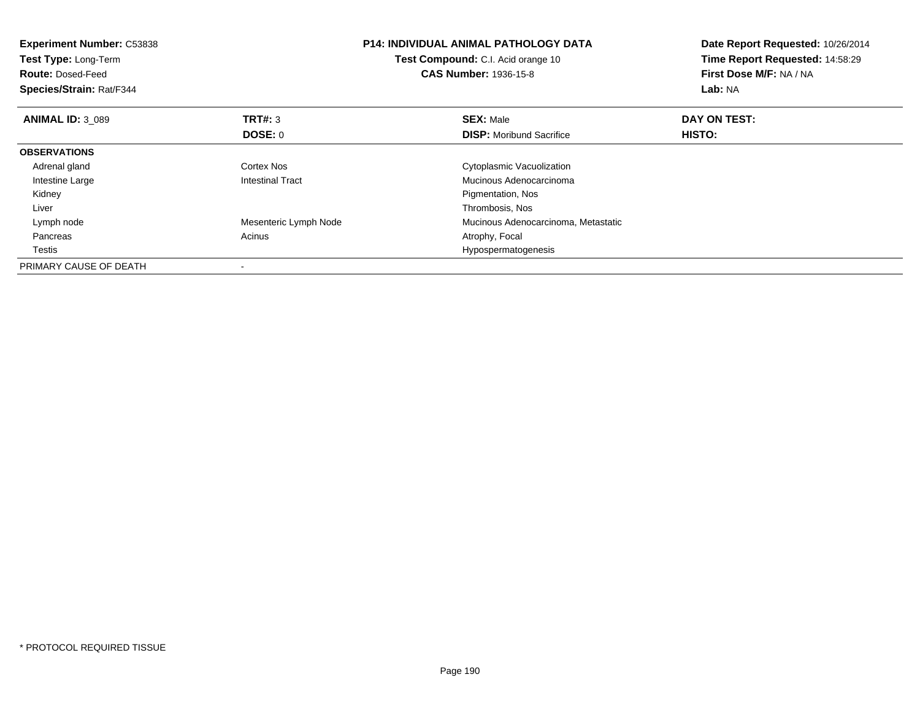| <b>Experiment Number: C53838</b><br>Test Type: Long-Term<br><b>Route: Dosed-Feed</b><br>Species/Strain: Rat/F344 |                         | <b>P14: INDIVIDUAL ANIMAL PATHOLOGY DATA</b><br>Test Compound: C.I. Acid orange 10<br><b>CAS Number: 1936-15-8</b> | Date Report Requested: 10/26/2014<br>Time Report Requested: 14:58:29<br>First Dose M/F: NA / NA<br>Lab: NA |
|------------------------------------------------------------------------------------------------------------------|-------------------------|--------------------------------------------------------------------------------------------------------------------|------------------------------------------------------------------------------------------------------------|
| <b>ANIMAL ID: 3 089</b>                                                                                          | <b>TRT#: 3</b>          | <b>SEX: Male</b>                                                                                                   | DAY ON TEST:                                                                                               |
|                                                                                                                  | DOSE: 0                 | <b>DISP:</b> Moribund Sacrifice                                                                                    | HISTO:                                                                                                     |
| <b>OBSERVATIONS</b>                                                                                              |                         |                                                                                                                    |                                                                                                            |
| Adrenal gland                                                                                                    | Cortex Nos              | Cytoplasmic Vacuolization                                                                                          |                                                                                                            |
| Intestine Large                                                                                                  | <b>Intestinal Tract</b> | Mucinous Adenocarcinoma                                                                                            |                                                                                                            |
| Kidney                                                                                                           |                         | Pigmentation, Nos                                                                                                  |                                                                                                            |
| Liver                                                                                                            |                         | Thrombosis, Nos                                                                                                    |                                                                                                            |
| Lymph node                                                                                                       | Mesenteric Lymph Node   | Mucinous Adenocarcinoma, Metastatic                                                                                |                                                                                                            |
| Pancreas                                                                                                         | Acinus                  | Atrophy, Focal                                                                                                     |                                                                                                            |
| Testis                                                                                                           |                         | Hypospermatogenesis                                                                                                |                                                                                                            |
| PRIMARY CAUSE OF DEATH                                                                                           |                         |                                                                                                                    |                                                                                                            |